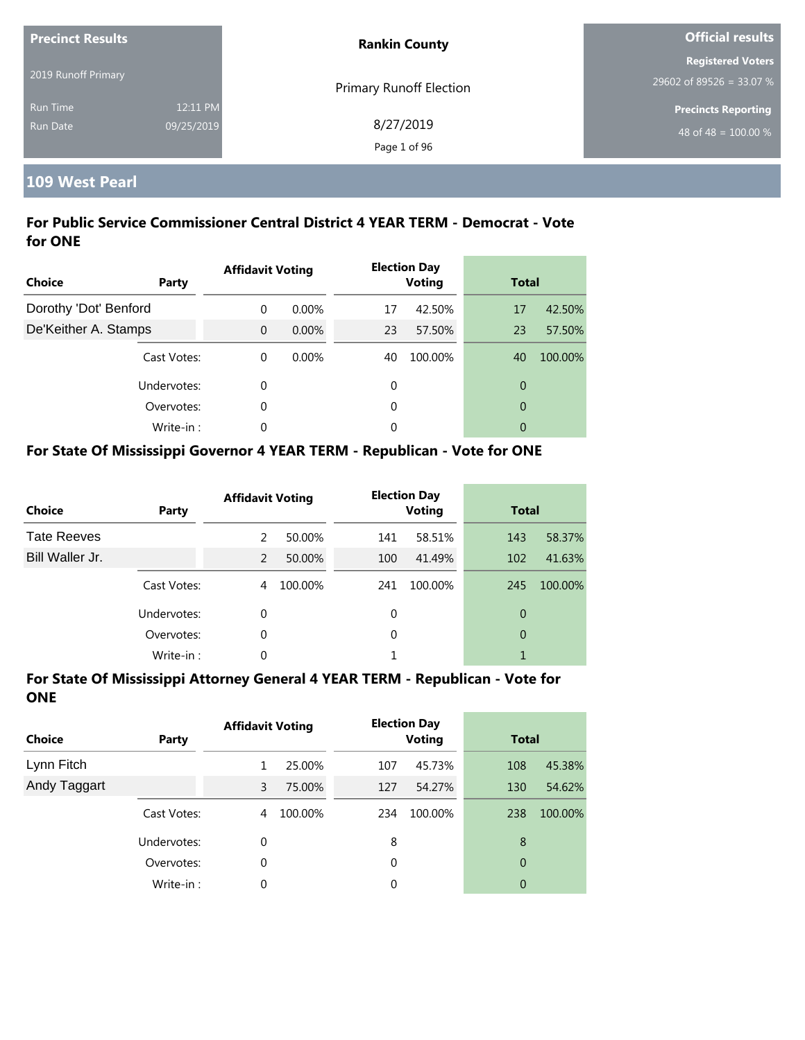| <b>Precinct Results</b> |            | <b>Rankin County</b>           | <b>Official results</b>          |  |
|-------------------------|------------|--------------------------------|----------------------------------|--|
|                         |            |                                | <b>Registered Voters</b>         |  |
| 2019 Runoff Primary     |            | <b>Primary Runoff Election</b> | 29602 of 89526 = 33.07 %         |  |
| <b>Run Time</b>         | 12:11 PM   |                                | <b>Precincts Reporting</b>       |  |
| <b>Run Date</b>         | 09/25/2019 | 8/27/2019                      | 48 of 48 = $\overline{100.00\%}$ |  |
|                         |            | Page 1 of 96                   |                                  |  |

# **109 West Pearl**

## **For Public Service Commissioner Central District 4 YEAR TERM - Democrat - Vote for ONE**

| Choice                | Party       | <b>Affidavit Voting</b> |          |    | <b>Election Day</b><br><b>Voting</b> | <b>Total</b>   |         |
|-----------------------|-------------|-------------------------|----------|----|--------------------------------------|----------------|---------|
| Dorothy 'Dot' Benford |             | $\Omega$                | $0.00\%$ | 17 | 42.50%                               | 17             | 42.50%  |
| De'Keither A. Stamps  |             | $\Omega$                | $0.00\%$ | 23 | 57.50%                               | 23             | 57.50%  |
|                       | Cast Votes: | $\theta$                | 0.00%    | 40 | 100.00%                              | 40             | 100.00% |
|                       | Undervotes: | 0                       |          | 0  |                                      | $\overline{0}$ |         |
|                       | Overvotes:  | 0                       |          | 0  |                                      | $\overline{0}$ |         |
|                       | Write-in:   | 0                       |          | 0  |                                      | 0              |         |

## **For State Of Mississippi Governor 4 YEAR TERM - Republican - Vote for ONE**

| <b>Choice</b>      | Party       | <b>Affidavit Voting</b> |         |          | <b>Election Day</b><br><b>Voting</b> |     | <b>Total</b> |
|--------------------|-------------|-------------------------|---------|----------|--------------------------------------|-----|--------------|
| <b>Tate Reeves</b> |             | $\mathcal{P}$           | 50.00%  | 141      | 58.51%                               | 143 | 58.37%       |
| Bill Waller Jr.    |             | $\mathcal{P}$           | 50.00%  | 100      | 41.49%                               | 102 | 41.63%       |
|                    | Cast Votes: | 4                       | 100.00% | 241      | 100.00%                              | 245 | 100.00%      |
|                    | Undervotes: | 0                       |         | 0        |                                      | 0   |              |
|                    | Overvotes:  | 0                       |         | $\Omega$ |                                      | 0   |              |
|                    | Write-in:   | 0                       |         |          |                                      |     |              |

| <b>Choice</b> | Party       | <b>Affidavit Voting</b> |         | <b>Election Day</b><br><b>Voting</b> |         | <b>Total</b> |         |
|---------------|-------------|-------------------------|---------|--------------------------------------|---------|--------------|---------|
| Lynn Fitch    |             |                         | 25.00%  | 107                                  | 45.73%  | 108          | 45.38%  |
| Andy Taggart  |             | 3                       | 75.00%  | 127                                  | 54.27%  | 130          | 54.62%  |
|               | Cast Votes: | 4                       | 100.00% | 234                                  | 100.00% | 238          | 100.00% |
|               | Undervotes: | 0                       |         | 8                                    |         | 8            |         |
|               | Overvotes:  | 0                       |         | 0                                    |         | 0            |         |
|               | Write-in:   | 0                       |         | 0                                    |         | 0            |         |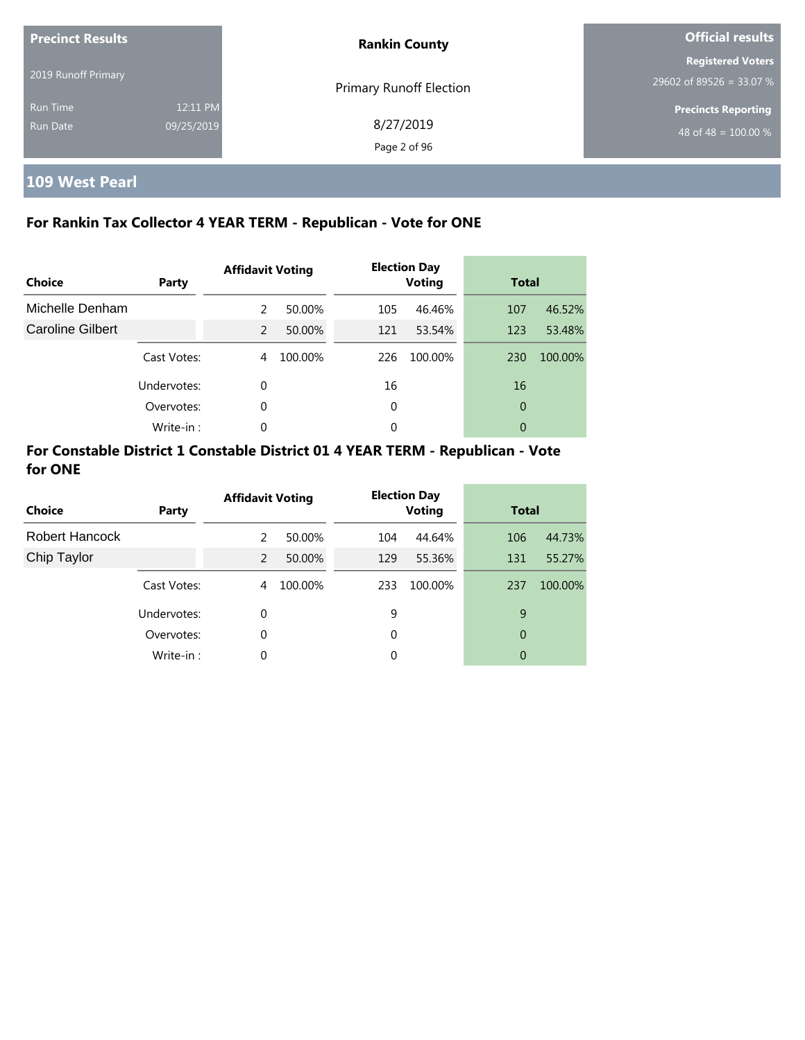| <b>Precinct Results</b> |            | <b>Rankin County</b>           | <b>Official results</b>    |  |
|-------------------------|------------|--------------------------------|----------------------------|--|
|                         |            |                                | <b>Registered Voters</b>   |  |
| 2019 Runoff Primary     |            | <b>Primary Runoff Election</b> | 29602 of 89526 = 33.07 %   |  |
| <b>Run Time</b>         | 12:11 PM   |                                | <b>Precincts Reporting</b> |  |
| <b>Run Date</b>         | 09/25/2019 | 8/27/2019                      | 48 of 48 = $100.00\%$      |  |
|                         |            | Page 2 of 96                   |                            |  |

**109 West Pearl**

# **For Rankin Tax Collector 4 YEAR TERM - Republican - Vote for ONE**

| <b>Choice</b>           | Party       | <b>Affidavit Voting</b> |         |     | <b>Election Day</b><br><b>Voting</b> | <b>Total</b> |         |
|-------------------------|-------------|-------------------------|---------|-----|--------------------------------------|--------------|---------|
| Michelle Denham         |             | 2                       | 50.00%  | 105 | 46.46%                               | 107          | 46.52%  |
| <b>Caroline Gilbert</b> |             | 2                       | 50.00%  | 121 | 53.54%                               | 123          | 53.48%  |
|                         | Cast Votes: | 4                       | 100.00% | 226 | 100.00%                              | 230          | 100.00% |
|                         | Undervotes: | $\Omega$                |         | 16  |                                      | 16           |         |
|                         | Overvotes:  | $\Omega$                |         | 0   |                                      | 0            |         |
|                         | Write-in:   | $\Omega$                |         | 0   |                                      | 0            |         |

| <b>Choice</b>  | Party       | <b>Affidavit Voting</b> |         |     | <b>Election Day</b><br><b>Voting</b> | <b>Total</b> |         |
|----------------|-------------|-------------------------|---------|-----|--------------------------------------|--------------|---------|
| Robert Hancock |             | 2                       | 50.00%  | 104 | 44.64%                               | 106          | 44.73%  |
| Chip Taylor    |             | 2                       | 50.00%  | 129 | 55.36%                               | 131          | 55.27%  |
|                | Cast Votes: | 4                       | 100.00% | 233 | 100.00%                              | 237          | 100.00% |
|                | Undervotes: | $\Omega$                |         | 9   |                                      | 9            |         |
|                | Overvotes:  | 0                       |         | 0   |                                      | 0            |         |
|                | Write-in:   | 0                       |         | 0   |                                      | 0            |         |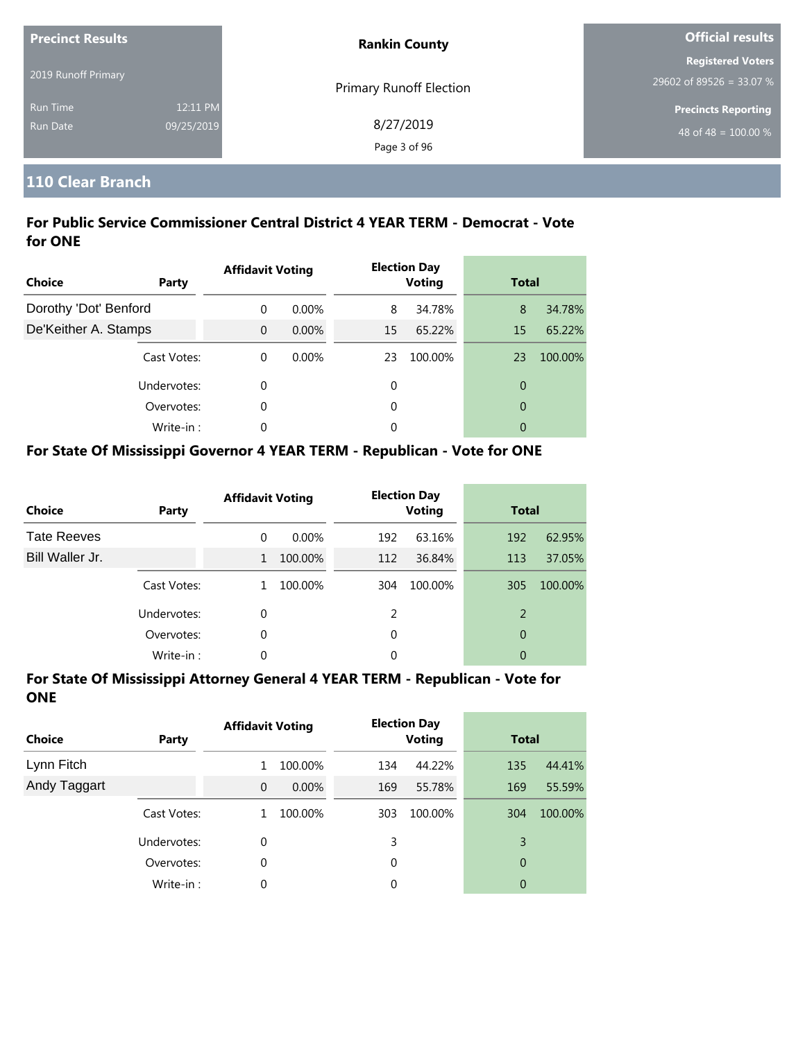| <b>Precinct Results</b><br>2019 Runoff Primary |                        | <b>Rankin County</b>           | <b>Official results</b>                                        |  |  |
|------------------------------------------------|------------------------|--------------------------------|----------------------------------------------------------------|--|--|
|                                                |                        | <b>Primary Runoff Election</b> | <b>Registered Voters</b><br>29602 of 89526 = 33.07 %           |  |  |
| <b>Run Time</b><br>Run Date                    | 12:11 PM<br>09/25/2019 | 8/27/2019<br>Page 3 of 96      | <b>Precincts Reporting</b><br>48 of 48 = $\overline{100.00\%}$ |  |  |

# **110 Clear Branch**

# **For Public Service Commissioner Central District 4 YEAR TERM - Democrat - Vote for ONE**

| <b>Choice</b><br><b>Party</b> | <b>Affidavit Voting</b> |          |    | <b>Election Day</b><br><b>Voting</b> | <b>Total</b>   |         |
|-------------------------------|-------------------------|----------|----|--------------------------------------|----------------|---------|
| Dorothy 'Dot' Benford         | $\Omega$                | $0.00\%$ | 8  | 34.78%                               | 8              | 34.78%  |
| De'Keither A. Stamps          | $\Omega$                | $0.00\%$ | 15 | 65.22%                               | 15             | 65.22%  |
| Cast Votes:                   | $\theta$                | $0.00\%$ | 23 | 100.00%                              | 23             | 100.00% |
| Undervotes:                   | 0                       |          | 0  |                                      | $\overline{0}$ |         |
| Overvotes:                    | 0                       |          | 0  |                                      | $\overline{0}$ |         |
| Write-in:                     | 0                       |          | 0  |                                      | 0              |         |

# **For State Of Mississippi Governor 4 YEAR TERM - Republican - Vote for ONE**

| <b>Choice</b>      | Party       | <b>Affidavit Voting</b> |          | <b>Election Day</b><br><b>Voting</b> |         | <b>Total</b> |         |
|--------------------|-------------|-------------------------|----------|--------------------------------------|---------|--------------|---------|
| <b>Tate Reeves</b> |             | 0                       | $0.00\%$ | 192                                  | 63.16%  | 192          | 62.95%  |
| Bill Waller Jr.    |             | 1                       | 100.00%  | 112                                  | 36.84%  | 113          | 37.05%  |
|                    | Cast Votes: | 1                       | 100.00%  | 304                                  | 100.00% | 305          | 100.00% |
|                    | Undervotes: | 0                       |          | 2                                    |         | 2            |         |
|                    | Overvotes:  | 0                       |          | 0                                    |         | 0            |         |
|                    | Write-in:   | 0                       |          | 0                                    |         | 0            |         |

| <b>Choice</b> | Party       | <b>Affidavit Voting</b> |          |     | <b>Election Day</b><br><b>Voting</b> |     | <b>Total</b> |  |
|---------------|-------------|-------------------------|----------|-----|--------------------------------------|-----|--------------|--|
| Lynn Fitch    |             | 1                       | 100.00%  | 134 | 44.22%                               | 135 | 44.41%       |  |
| Andy Taggart  |             | $\overline{0}$          | $0.00\%$ | 169 | 55.78%                               | 169 | 55.59%       |  |
|               | Cast Votes: | 1                       | 100.00%  | 303 | 100.00%                              | 304 | 100.00%      |  |
|               | Undervotes: | 0                       |          | 3   |                                      | 3   |              |  |
|               | Overvotes:  | 0                       |          | 0   |                                      | 0   |              |  |
|               | Write-in:   | 0                       |          | 0   |                                      | 0   |              |  |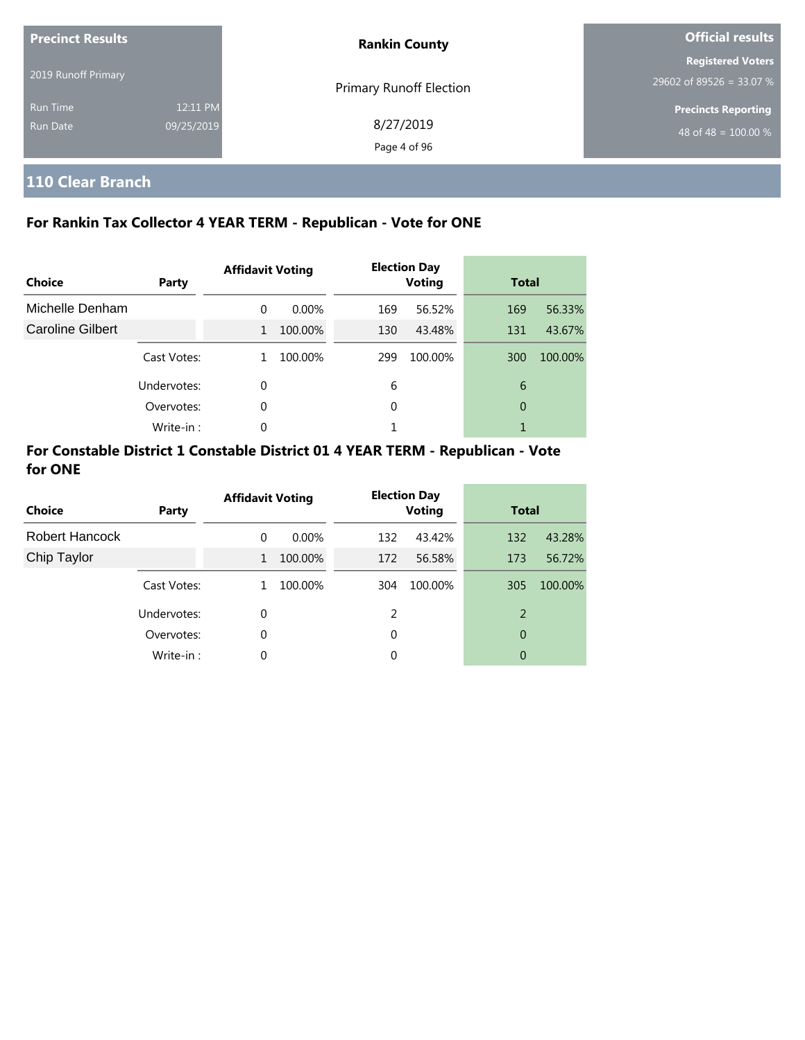| <b>Precinct Results</b> |            | <b>Rankin County</b>           | <b>Official results</b>    |  |  |
|-------------------------|------------|--------------------------------|----------------------------|--|--|
| 2019 Runoff Primary     |            |                                | <b>Registered Voters</b>   |  |  |
|                         |            | <b>Primary Runoff Election</b> | 29602 of 89526 = 33.07 %   |  |  |
| <b>Run Time</b>         | 12:11 PM   |                                | <b>Precincts Reporting</b> |  |  |
| Run Date                | 09/25/2019 | 8/27/2019                      | 48 of 48 = $100.00\%$      |  |  |
|                         |            | Page 4 of 96                   |                            |  |  |

# **110 Clear Branch**

# **For Rankin Tax Collector 4 YEAR TERM - Republican - Vote for ONE**

| Choice           | Party       | <b>Affidavit Voting</b> |         |     | <b>Election Day</b><br><b>Voting</b> |     | <b>Total</b> |  |
|------------------|-------------|-------------------------|---------|-----|--------------------------------------|-----|--------------|--|
| Michelle Denham  |             | $\Omega$                | 0.00%   | 169 | 56.52%                               | 169 | 56.33%       |  |
| Caroline Gilbert |             | $\mathbf{1}$            | 100.00% | 130 | 43.48%                               | 131 | 43.67%       |  |
|                  | Cast Votes: |                         | 100.00% | 299 | 100.00%                              | 300 | 100.00%      |  |
|                  | Undervotes: | 0                       |         | 6   |                                      | 6   |              |  |
|                  | Overvotes:  | 0                       |         | 0   |                                      | 0   |              |  |
|                  | Write-in:   | 0                       |         |     |                                      |     |              |  |

| <b>Choice</b>  | Party       | <b>Affidavit Voting</b> |          | <b>Election Day</b><br><b>Voting</b> |         | <b>Total</b> |         |
|----------------|-------------|-------------------------|----------|--------------------------------------|---------|--------------|---------|
| Robert Hancock |             | $\Omega$                | $0.00\%$ | 132                                  | 43.42%  | 132          | 43.28%  |
| Chip Taylor    |             | $\mathbf{1}$            | 100.00%  | 172                                  | 56.58%  | 173          | 56.72%  |
|                | Cast Votes: | 1                       | 100.00%  | 304                                  | 100.00% | 305          | 100.00% |
|                | Undervotes: | 0                       |          | 2                                    |         | 2            |         |
|                | Overvotes:  | $\Omega$                |          | 0                                    |         | 0            |         |
|                | Write-in:   | 0                       |          | 0                                    |         | 0            |         |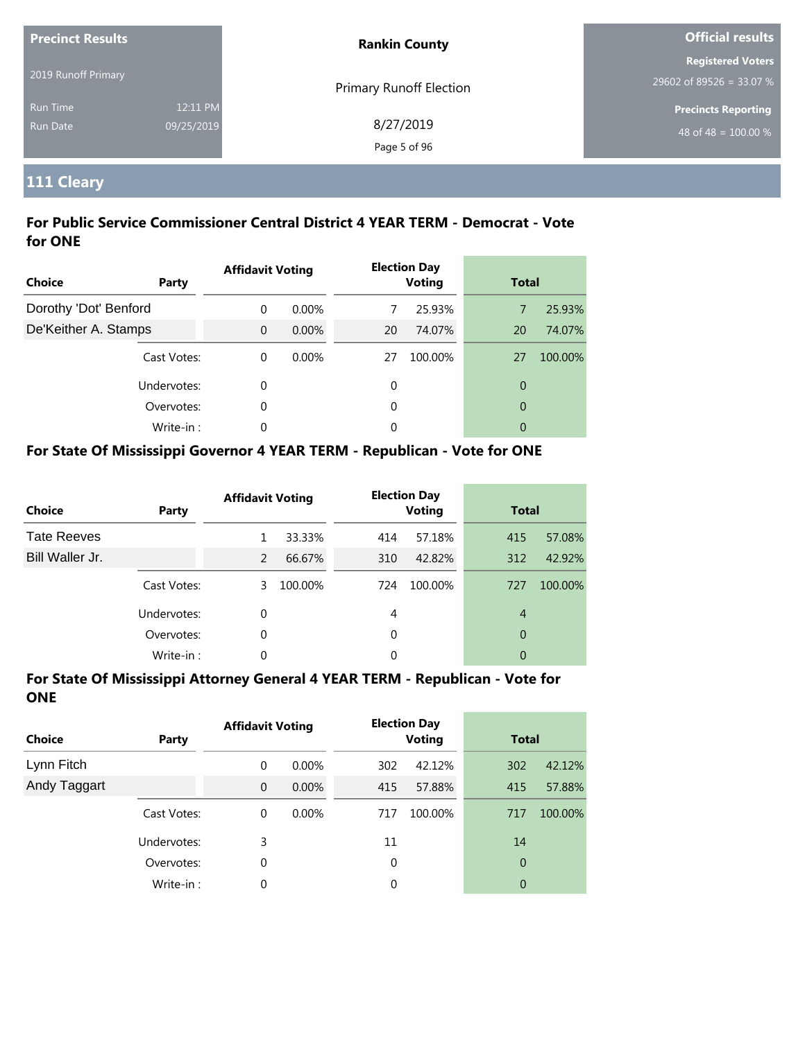| <b>Precinct Results</b> |            | <b>Rankin County</b>           | <b>Official results</b>                              |  |
|-------------------------|------------|--------------------------------|------------------------------------------------------|--|
| 2019 Runoff Primary     |            |                                | <b>Registered Voters</b><br>29602 of 89526 = 33.07 % |  |
| <b>Run Time</b>         | 12:11 PM   | <b>Primary Runoff Election</b> | <b>Precincts Reporting</b>                           |  |
| <b>Run Date</b>         | 09/25/2019 | 8/27/2019<br>Page 5 of 96      | 48 of 48 = $\overline{100.00\%}$                     |  |

# **111 Cleary**

## **For Public Service Commissioner Central District 4 YEAR TERM - Democrat - Vote for ONE**

| Choice                | Party       | <b>Affidavit Voting</b> |          |    | <b>Election Day</b><br><b>Voting</b> |                | <b>Total</b> |  |
|-----------------------|-------------|-------------------------|----------|----|--------------------------------------|----------------|--------------|--|
| Dorothy 'Dot' Benford |             | $\Omega$                | $0.00\%$ | 7  | 25.93%                               | 7              | 25.93%       |  |
| De'Keither A. Stamps  |             | $\Omega$                | $0.00\%$ | 20 | 74.07%                               | 20             | 74.07%       |  |
|                       | Cast Votes: | $\theta$                | $0.00\%$ | 27 | 100.00%                              | 27             | 100.00%      |  |
|                       | Undervotes: | 0                       |          | 0  |                                      | $\overline{0}$ |              |  |
|                       | Overvotes:  | 0                       |          | 0  |                                      | $\overline{0}$ |              |  |
|                       | Write-in:   | 0                       |          | 0  |                                      | 0              |              |  |

# **For State Of Mississippi Governor 4 YEAR TERM - Republican - Vote for ONE**

| <b>Choice</b>      | Party       | <b>Affidavit Voting</b> |         |          | <b>Election Day</b><br><b>Voting</b> |     | <b>Total</b> |  |
|--------------------|-------------|-------------------------|---------|----------|--------------------------------------|-----|--------------|--|
| <b>Tate Reeves</b> |             |                         | 33.33%  | 414      | 57.18%                               | 415 | 57.08%       |  |
| Bill Waller Jr.    |             | $\mathcal{P}$           | 66.67%  | 310      | 42.82%                               | 312 | 42.92%       |  |
|                    | Cast Votes: | 3                       | 100.00% | 724      | 100.00%                              | 727 | 100.00%      |  |
|                    | Undervotes: | $\Omega$                |         | 4        |                                      | 4   |              |  |
|                    | Overvotes:  | 0                       |         | $\Omega$ |                                      | 0   |              |  |
|                    | Write-in:   | 0                       |         | 0        |                                      | 0   |              |  |

| <b>Choice</b> | Party       | <b>Affidavit Voting</b> |          | <b>Election Day</b><br><b>Voting</b> |         | <b>Total</b>   |         |
|---------------|-------------|-------------------------|----------|--------------------------------------|---------|----------------|---------|
| Lynn Fitch    |             | 0                       | 0.00%    | 302                                  | 42.12%  | 302            | 42.12%  |
| Andy Taggart  |             | $\mathbf{0}$            | $0.00\%$ | 415                                  | 57.88%  | 415            | 57.88%  |
|               | Cast Votes: | 0                       | $0.00\%$ | 717                                  | 100.00% | 717            | 100.00% |
|               | Undervotes: | 3                       |          | 11                                   |         | 14             |         |
|               | Overvotes:  | 0                       |          | 0                                    |         | $\overline{0}$ |         |
|               | Write-in:   | 0                       |          | 0                                    |         | 0              |         |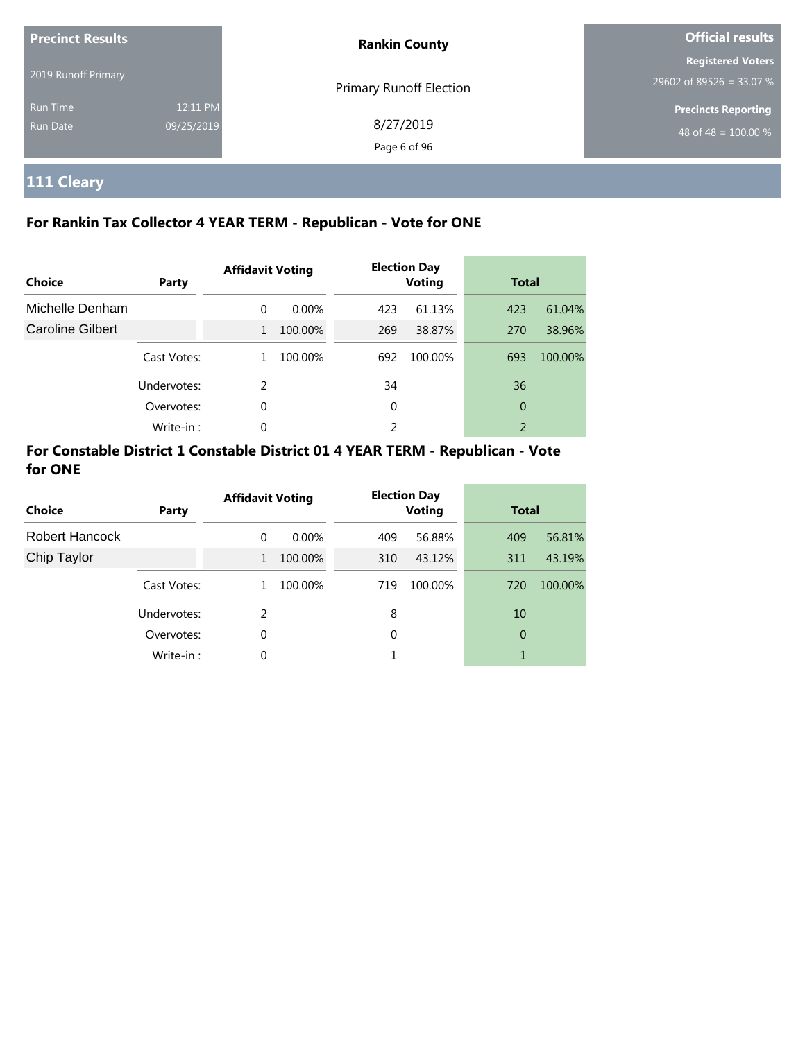| <b>Precinct Results</b> |            | <b>Rankin County</b>           | <b>Official results</b>    |  |
|-------------------------|------------|--------------------------------|----------------------------|--|
|                         |            |                                | <b>Registered Voters</b>   |  |
| 2019 Runoff Primary     |            | <b>Primary Runoff Election</b> | 29602 of 89526 = 33.07 %   |  |
| <b>Run Time</b>         | 12:11 PM   |                                | <b>Precincts Reporting</b> |  |
| Run Date                | 09/25/2019 | 8/27/2019                      | 48 of 48 = $100.00\%$      |  |
|                         |            | Page 6 of 96                   |                            |  |

# **111 Cleary**

# **For Rankin Tax Collector 4 YEAR TERM - Republican - Vote for ONE**

| Choice           | Party       | <b>Affidavit Voting</b> |          | <b>Election Day</b><br><b>Voting</b> |         | <b>Total</b>   |         |
|------------------|-------------|-------------------------|----------|--------------------------------------|---------|----------------|---------|
| Michelle Denham  |             | $\Omega$                | $0.00\%$ | 423                                  | 61.13%  | 423            | 61.04%  |
| Caroline Gilbert |             | $\mathbf{1}$            | 100.00%  | 269                                  | 38.87%  | 270            | 38.96%  |
|                  | Cast Votes: |                         | 100.00%  | 692                                  | 100.00% | 693            | 100.00% |
|                  | Undervotes: | $\mathcal{P}$           |          | 34                                   |         | 36             |         |
|                  | Overvotes:  | $\Omega$                |          | 0                                    |         | 0              |         |
|                  | Write-in:   | 0                       |          | 2                                    |         | $\overline{2}$ |         |

| <b>Choice</b>         | Party       | <b>Affidavit Voting</b> |          | <b>Election Day</b><br><b>Voting</b> |         | <b>Total</b> |         |
|-----------------------|-------------|-------------------------|----------|--------------------------------------|---------|--------------|---------|
| <b>Robert Hancock</b> |             | $\Omega$                | $0.00\%$ | 409                                  | 56.88%  | 409          | 56.81%  |
| Chip Taylor           |             | $\mathbf{1}$            | 100.00%  | 310                                  | 43.12%  | 311          | 43.19%  |
|                       | Cast Votes: | 1                       | 100.00%  | 719                                  | 100.00% | 720          | 100.00% |
|                       | Undervotes: | C.                      |          | 8                                    |         | 10           |         |
|                       | Overvotes:  | 0                       |          | 0                                    |         | 0            |         |
|                       | Write-in:   | 0                       |          |                                      |         | 1            |         |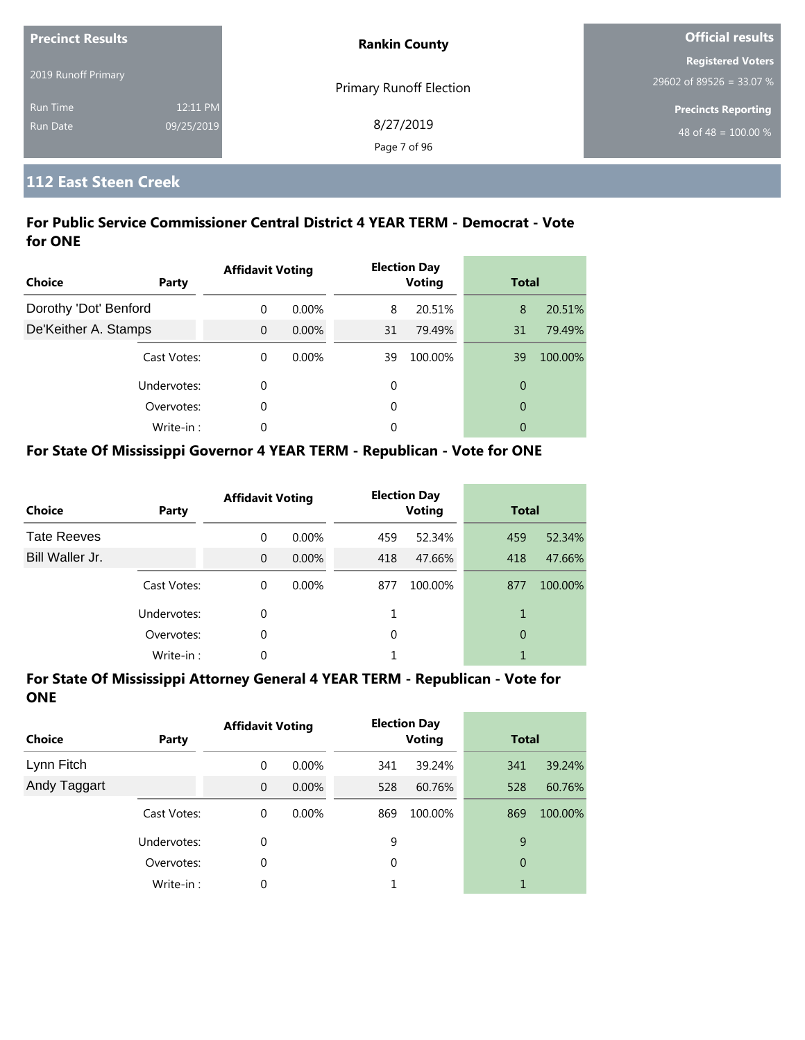| <b>Precinct Results</b> |            | <b>Rankin County</b>    | <b>Official results</b>          |  |
|-------------------------|------------|-------------------------|----------------------------------|--|
|                         |            |                         | <b>Registered Voters</b>         |  |
| 2019 Runoff Primary     |            | Primary Runoff Election | $29602$ of 89526 = 33.07 %       |  |
| <b>Run Time</b>         | 12:11 PM   |                         | <b>Precincts Reporting</b>       |  |
| <b>Run Date</b>         | 09/25/2019 | 8/27/2019               | 48 of 48 = $\overline{100.00\%}$ |  |
|                         |            | Page 7 of 96            |                                  |  |

# **112 East Steen Creek**

## **For Public Service Commissioner Central District 4 YEAR TERM - Democrat - Vote for ONE**

| <b>Choice</b>         | Party       | <b>Affidavit Voting</b> |          |    | <b>Election Day</b><br><b>Voting</b> |                | <b>Total</b> |  |
|-----------------------|-------------|-------------------------|----------|----|--------------------------------------|----------------|--------------|--|
| Dorothy 'Dot' Benford |             | $\Omega$                | $0.00\%$ | 8  | 20.51%                               | 8              | 20.51%       |  |
| De'Keither A. Stamps  |             | $\overline{0}$          | $0.00\%$ | 31 | 79.49%                               | 31             | 79.49%       |  |
|                       | Cast Votes: | $\Omega$                | $0.00\%$ | 39 | 100.00%                              | 39             | 100.00%      |  |
|                       | Undervotes: | 0                       |          | 0  |                                      | 0              |              |  |
|                       | Overvotes:  | 0                       |          | 0  |                                      | $\overline{0}$ |              |  |
|                       | Write-in:   | 0                       |          | 0  |                                      | 0              |              |  |

# **For State Of Mississippi Governor 4 YEAR TERM - Republican - Vote for ONE**

| <b>Choice</b>      | Party       | <b>Affidavit Voting</b> |          |          | <b>Election Day</b><br><b>Voting</b> | <b>Total</b> |         |
|--------------------|-------------|-------------------------|----------|----------|--------------------------------------|--------------|---------|
| <b>Tate Reeves</b> |             | $\Omega$                | $0.00\%$ | 459      | 52.34%                               | 459          | 52.34%  |
| Bill Waller Jr.    |             | $\Omega$                | $0.00\%$ | 418      | 47.66%                               | 418          | 47.66%  |
|                    | Cast Votes: | $\Omega$                | $0.00\%$ | 877      | 100.00%                              | 877          | 100.00% |
|                    | Undervotes: | 0                       |          |          |                                      | 1            |         |
|                    | Overvotes:  | 0                       |          | $\Omega$ |                                      | 0            |         |
|                    | Write-in:   | 0                       |          |          |                                      |              |         |

| <b>Choice</b> | <b>Party</b> | <b>Affidavit Voting</b> |          |     | <b>Election Day</b><br><b>Voting</b> | <b>Total</b>   |         |
|---------------|--------------|-------------------------|----------|-----|--------------------------------------|----------------|---------|
| Lynn Fitch    |              | 0                       | $0.00\%$ | 341 | 39.24%                               | 341            | 39.24%  |
| Andy Taggart  |              | $\mathbf{0}$            | $0.00\%$ | 528 | 60.76%                               | 528            | 60.76%  |
|               | Cast Votes:  | 0                       | $0.00\%$ | 869 | 100.00%                              | 869            | 100.00% |
|               | Undervotes:  | 0                       |          | 9   |                                      | 9              |         |
|               | Overvotes:   | 0                       |          | 0   |                                      | $\overline{0}$ |         |
|               | Write-in:    | 0                       |          |     |                                      | 1              |         |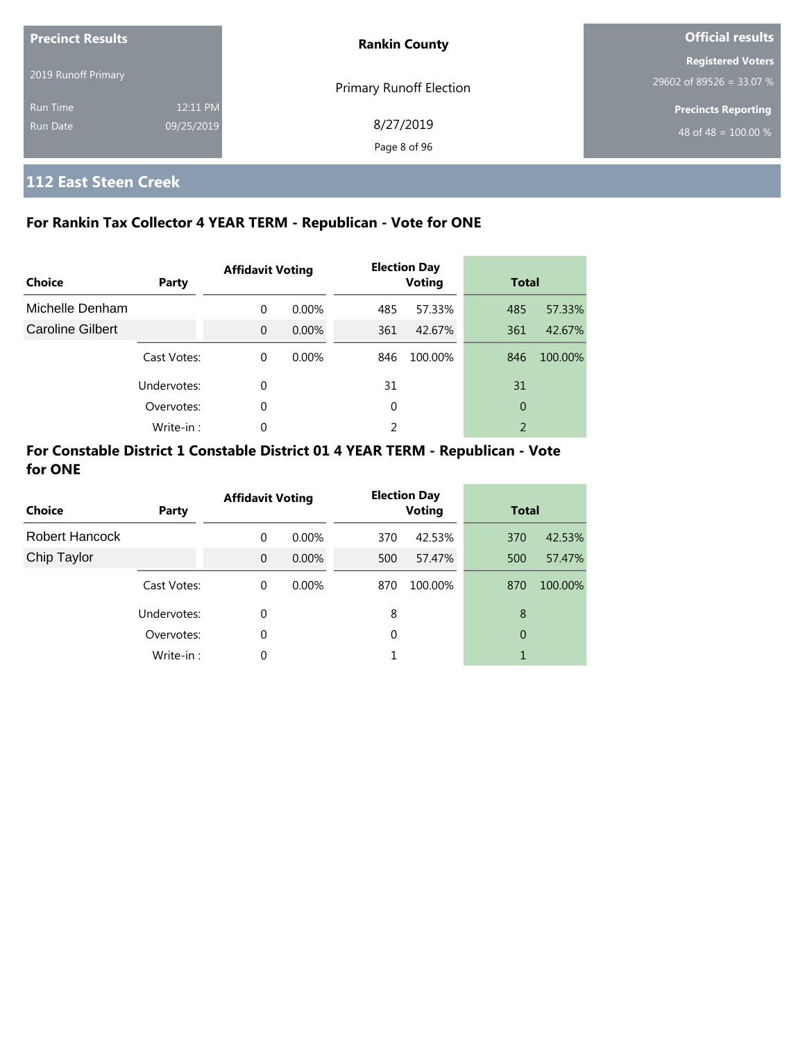| <b>Precinct Results</b>            |                        | <b>Rankin County</b>           | <b>Official results</b>                                        |  |
|------------------------------------|------------------------|--------------------------------|----------------------------------------------------------------|--|
| 2019 Runoff Primary                |                        | <b>Primary Runoff Election</b> | <b>Registered Voters</b><br>29602 of 89526 = 33.07 %           |  |
| <b>Run Time</b><br><b>Run Date</b> | 12:11 PM<br>09/25/2019 | 8/27/2019<br>Page 8 of 96      | <b>Precincts Reporting</b><br>48 of 48 = $\overline{100.00\%}$ |  |

# **112 East Steen Creek**

# **For Rankin Tax Collector 4 YEAR TERM - Republican - Vote for ONE**

| Choice                  | Party       | <b>Affidavit Voting</b> |          |     | <b>Election Day</b><br><b>Voting</b> | <b>Total</b> |         |
|-------------------------|-------------|-------------------------|----------|-----|--------------------------------------|--------------|---------|
| Michelle Denham         |             | $\Omega$                | $0.00\%$ | 485 | 57.33%                               | 485          | 57.33%  |
| <b>Caroline Gilbert</b> |             | $\Omega$                | $0.00\%$ | 361 | 42.67%                               | 361          | 42.67%  |
|                         | Cast Votes: | $\Omega$                | $0.00\%$ | 846 | 100.00%                              | 846          | 100.00% |
|                         | Undervotes: | $\Omega$                |          | 31  |                                      | 31           |         |
|                         | Overvotes:  | 0                       |          | 0   |                                      | 0            |         |
|                         | Write-in:   | $\Omega$                |          | 2   |                                      | 2            |         |

| <b>Choice</b>         | Party       | <b>Affidavit Voting</b> |          |     | <b>Election Day</b><br><b>Voting</b> | <b>Total</b> |         |
|-----------------------|-------------|-------------------------|----------|-----|--------------------------------------|--------------|---------|
| <b>Robert Hancock</b> |             | $\Omega$                | $0.00\%$ | 370 | 42.53%                               | 370          | 42.53%  |
| Chip Taylor           |             | $\Omega$                | $0.00\%$ | 500 | 57.47%                               | 500          | 57.47%  |
|                       | Cast Votes: | 0                       | $0.00\%$ | 870 | 100.00%                              | 870          | 100.00% |
|                       | Undervotes: | $\Omega$                |          | 8   |                                      | 8            |         |
|                       | Overvotes:  | $\Omega$                |          | 0   |                                      | 0            |         |
|                       | Write-in:   | 0                       |          |     |                                      | 1            |         |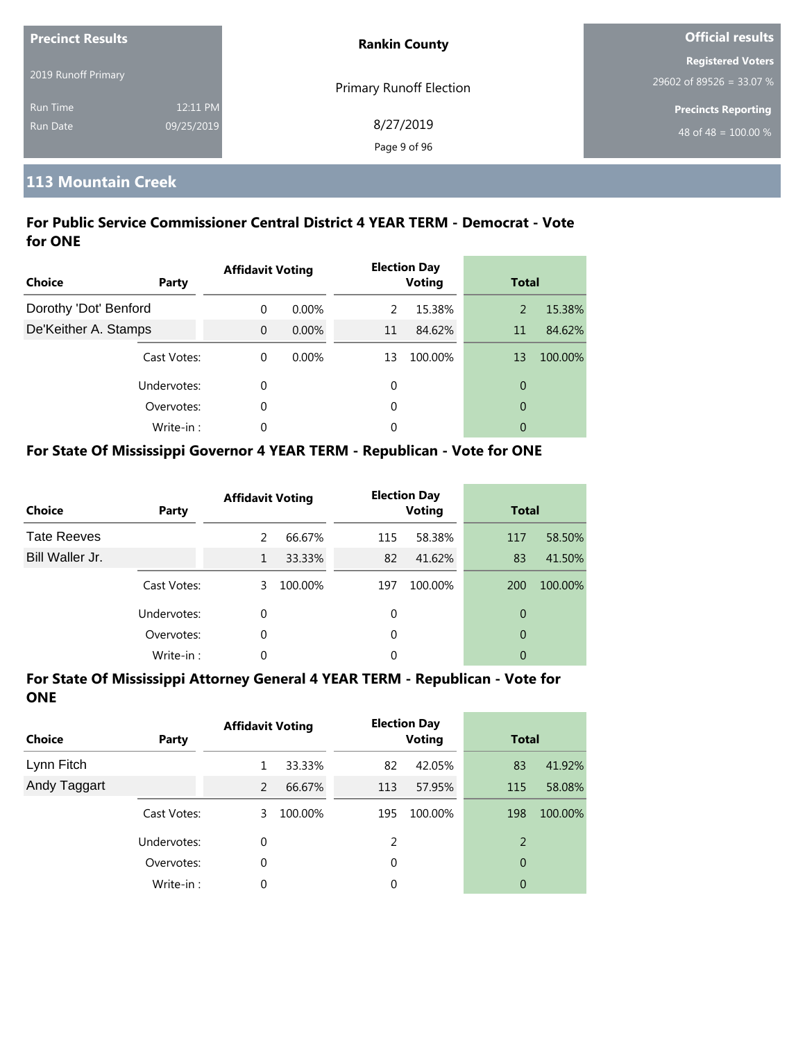| <b>Precinct Results</b> |            | <b>Rankin County</b>    | <b>Official results</b>    |  |
|-------------------------|------------|-------------------------|----------------------------|--|
|                         |            |                         | <b>Registered Voters</b>   |  |
| 2019 Runoff Primary     |            | Primary Runoff Election | 29602 of 89526 = 33.07 %   |  |
| <b>Run Time</b>         | 12:11 PM   |                         | <b>Precincts Reporting</b> |  |
| <b>Run Date</b>         | 09/25/2019 | 8/27/2019               | 48 of 48 = $100.00\%$      |  |
|                         |            | Page 9 of 96            |                            |  |

# **113 Mountain Creek**

# **For Public Service Commissioner Central District 4 YEAR TERM - Democrat - Vote for ONE**

| Choice                | Party       | <b>Affidavit Voting</b> |          |    | <b>Election Day</b><br><b>Voting</b> | <b>Total</b>   |         |
|-----------------------|-------------|-------------------------|----------|----|--------------------------------------|----------------|---------|
| Dorothy 'Dot' Benford |             | 0                       | $0.00\%$ | 2  | 15.38%                               | 2              | 15.38%  |
| De'Keither A. Stamps  |             | $\Omega$                | $0.00\%$ | 11 | 84.62%                               | 11             | 84.62%  |
|                       | Cast Votes: | $\Omega$                | $0.00\%$ | 13 | 100.00%                              | 13             | 100.00% |
|                       | Undervotes: | 0                       |          | 0  |                                      | 0              |         |
|                       | Overvotes:  | 0                       |          | 0  |                                      | $\overline{0}$ |         |
|                       | Write-in:   | 0                       |          | 0  |                                      | 0              |         |

# **For State Of Mississippi Governor 4 YEAR TERM - Republican - Vote for ONE**

| <b>Choice</b>      | Party       | <b>Affidavit Voting</b> |         |     | <b>Election Day</b><br><b>Voting</b> | <b>Total</b> |         |
|--------------------|-------------|-------------------------|---------|-----|--------------------------------------|--------------|---------|
| <b>Tate Reeves</b> |             | $\mathcal{P}$           | 66.67%  | 115 | 58.38%                               | 117          | 58.50%  |
| Bill Waller Jr.    |             | 1                       | 33.33%  | 82  | 41.62%                               | 83           | 41.50%  |
|                    | Cast Votes: | 3                       | 100.00% | 197 | 100.00%                              | 200          | 100.00% |
|                    | Undervotes: | 0                       |         | 0   |                                      | 0            |         |
|                    | Overvotes:  | 0                       |         | 0   |                                      | 0            |         |
|                    | Write-in:   | 0                       |         | 0   |                                      | 0            |         |

| <b>Choice</b> | Party       | <b>Affidavit Voting</b> |         |     | <b>Election Day</b><br><b>Voting</b> | <b>Total</b> |         |
|---------------|-------------|-------------------------|---------|-----|--------------------------------------|--------------|---------|
| Lynn Fitch    |             |                         | 33.33%  | 82  | 42.05%                               | 83           | 41.92%  |
| Andy Taggart  |             | 2                       | 66.67%  | 113 | 57.95%                               | 115          | 58.08%  |
|               | Cast Votes: | 3                       | 100.00% | 195 | 100.00%                              | 198          | 100.00% |
|               | Undervotes: | 0                       |         | 2   |                                      | 2            |         |
|               | Overvotes:  | 0                       |         | 0   |                                      | 0            |         |
|               | Write-in:   | 0                       |         | 0   |                                      | 0            |         |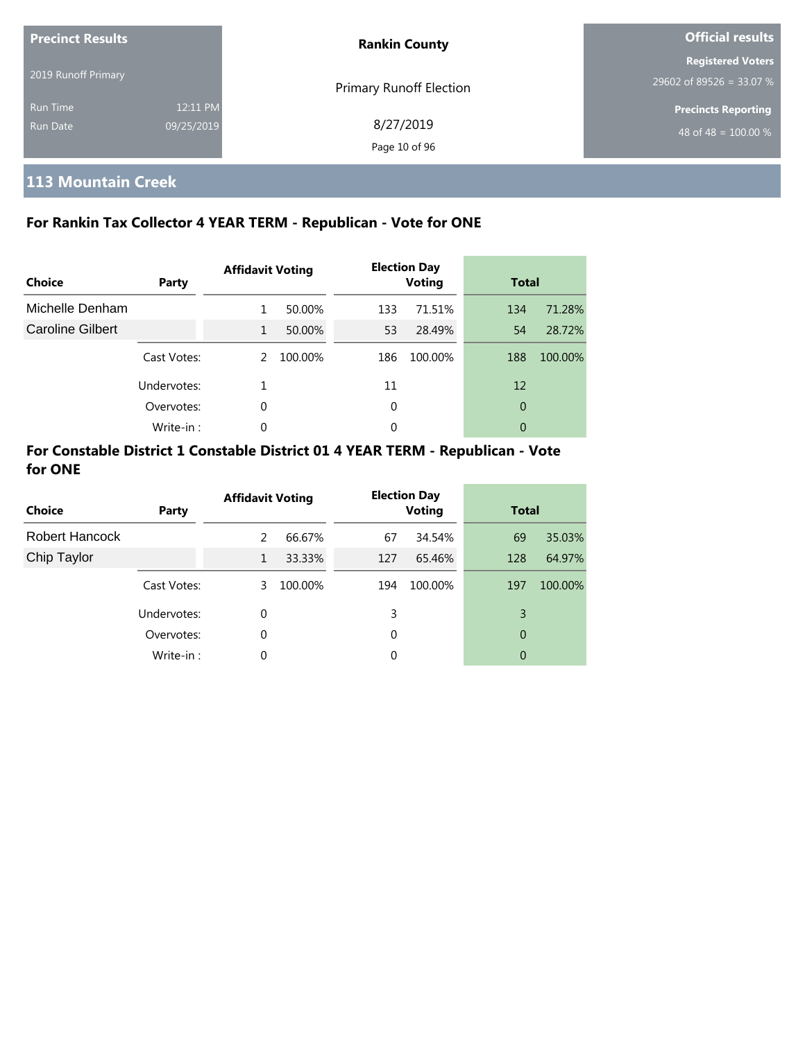| <b>Precinct Results</b> |            | <b>Rankin County</b>           | <b>Official results</b>          |  |
|-------------------------|------------|--------------------------------|----------------------------------|--|
| 2019 Runoff Primary     |            |                                | <b>Registered Voters</b>         |  |
|                         |            | <b>Primary Runoff Election</b> | 29602 of 89526 = 33.07 %         |  |
| <b>Run Time</b>         | 12:11 PM   |                                | <b>Precincts Reporting</b>       |  |
| <b>Run Date</b>         | 09/25/2019 | 8/27/2019                      | 48 of 48 = $\overline{100.00\%}$ |  |
|                         |            | Page 10 of 96                  |                                  |  |

# **113 Mountain Creek**

# **For Rankin Tax Collector 4 YEAR TERM - Republican - Vote for ONE**

| Choice           | Party       | <b>Affidavit Voting</b> |         |     | <b>Election Day</b><br><b>Voting</b> | <b>Total</b> |         |
|------------------|-------------|-------------------------|---------|-----|--------------------------------------|--------------|---------|
| Michelle Denham  |             | 1                       | 50.00%  | 133 | 71.51%                               | 134          | 71.28%  |
| Caroline Gilbert |             | 1                       | 50.00%  | 53  | 28.49%                               | 54           | 28.72%  |
|                  | Cast Votes: | 2                       | 100.00% | 186 | 100.00%                              | 188          | 100.00% |
|                  | Undervotes: |                         |         | 11  |                                      | 12           |         |
|                  | Overvotes:  | 0                       |         | 0   |                                      | 0            |         |
|                  | Write-in:   | 0                       |         | 0   |                                      | 0            |         |

| <b>Choice</b>  | <b>Party</b> | <b>Affidavit Voting</b> |         |     | <b>Election Day</b><br><b>Voting</b> | <b>Total</b> |         |
|----------------|--------------|-------------------------|---------|-----|--------------------------------------|--------------|---------|
| Robert Hancock |              | 2                       | 66.67%  | 67  | 34.54%                               | 69           | 35.03%  |
| Chip Taylor    |              | $\mathbf{1}$            | 33.33%  | 127 | 65.46%                               | 128          | 64.97%  |
|                | Cast Votes:  | 3                       | 100.00% | 194 | 100.00%                              | 197          | 100.00% |
|                | Undervotes:  | 0                       |         | 3   |                                      | 3            |         |
|                | Overvotes:   | $\Omega$                |         | 0   |                                      | 0            |         |
|                | Write-in:    | 0                       |         | 0   |                                      | 0            |         |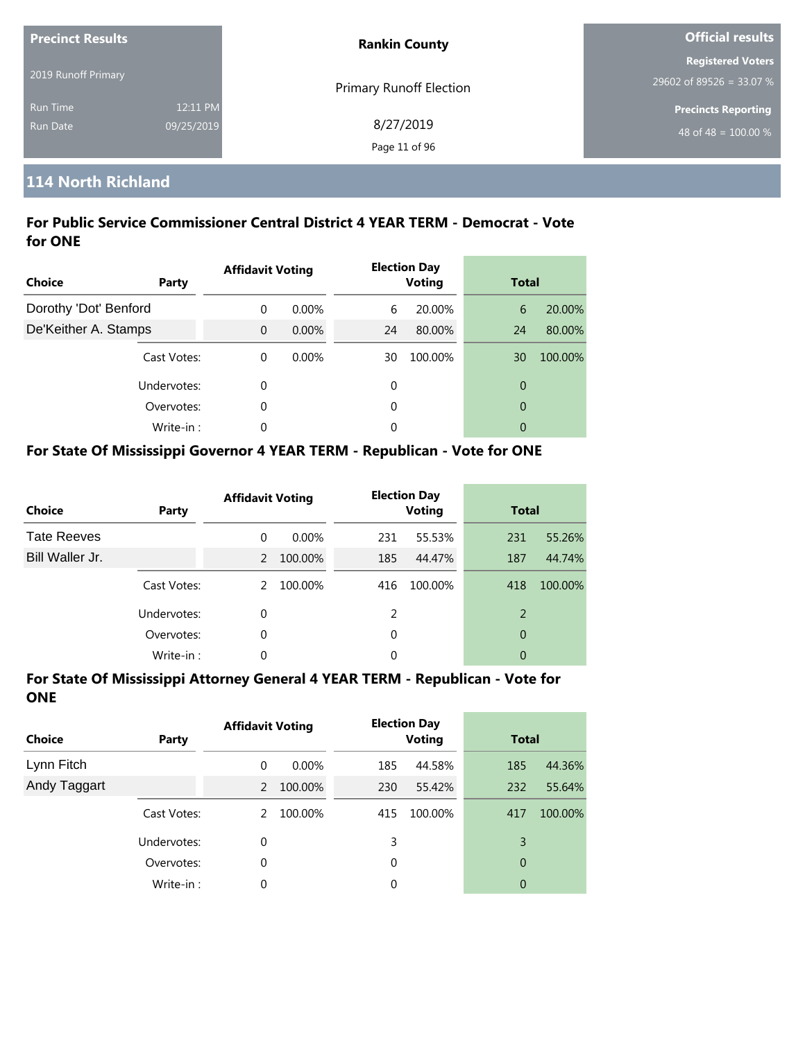| <b>Precinct Results</b> |            | <b>Rankin County</b>           | Official results                 |  |
|-------------------------|------------|--------------------------------|----------------------------------|--|
|                         |            |                                | <b>Registered Voters</b>         |  |
| 2019 Runoff Primary     |            | <b>Primary Runoff Election</b> | 29602 of 89526 = 33.07 %         |  |
| <b>Run Time</b>         | 12:11 PM   |                                | <b>Precincts Reporting</b>       |  |
| Run Date                | 09/25/2019 | 8/27/2019                      | 48 of 48 = $\overline{100.00\%}$ |  |
|                         |            | Page 11 of 96                  |                                  |  |

# **114 North Richland**

# **For Public Service Commissioner Central District 4 YEAR TERM - Democrat - Vote for ONE**

| Choice                | Party       | <b>Affidavit Voting</b> |       |    | <b>Election Day</b><br><b>Voting</b> | <b>Total</b>   |         |
|-----------------------|-------------|-------------------------|-------|----|--------------------------------------|----------------|---------|
| Dorothy 'Dot' Benford |             | $\Omega$                | 0.00% | 6  | 20.00%                               | 6              | 20.00%  |
| De'Keither A. Stamps  |             | $\Omega$                | 0.00% | 24 | 80.00%                               | 24             | 80.00%  |
|                       | Cast Votes: | $\theta$                | 0.00% | 30 | 100.00%                              | 30             | 100.00% |
|                       | Undervotes: | 0                       |       | 0  |                                      | $\overline{0}$ |         |
|                       | Overvotes:  | 0                       |       | 0  |                                      | $\overline{0}$ |         |
|                       | Write-in:   | 0                       |       | 0  |                                      | 0              |         |

### **For State Of Mississippi Governor 4 YEAR TERM - Republican - Vote for ONE**

| <b>Choice</b>      | Party       | <b>Affidavit Voting</b> |         |               | <b>Election Day</b><br><b>Voting</b> |     | <b>Total</b> |  |
|--------------------|-------------|-------------------------|---------|---------------|--------------------------------------|-----|--------------|--|
| <b>Tate Reeves</b> |             | 0                       | 0.00%   | 231           | 55.53%                               | 231 | 55.26%       |  |
| Bill Waller Jr.    |             | $\mathcal{P}$           | 100.00% | 185           | 44.47%                               | 187 | 44.74%       |  |
|                    | Cast Votes: | $\mathcal{P}$           | 100.00% | 416           | 100.00%                              | 418 | 100.00%      |  |
|                    | Undervotes: | 0                       |         | $\mathcal{P}$ |                                      | 2   |              |  |
|                    | Overvotes:  | 0                       |         | $\Omega$      |                                      | 0   |              |  |
|                    | Write-in:   | 0                       |         | 0             |                                      | 0   |              |  |

| <b>Choice</b> | Party       | <b>Affidavit Voting</b> |          |     | <b>Election Day</b><br><b>Voting</b> |     | <b>Total</b> |  |
|---------------|-------------|-------------------------|----------|-----|--------------------------------------|-----|--------------|--|
| Lynn Fitch    |             | 0                       | $0.00\%$ | 185 | 44.58%                               | 185 | 44.36%       |  |
| Andy Taggart  |             | 2                       | 100.00%  | 230 | 55.42%                               | 232 | 55.64%       |  |
|               | Cast Votes: | 2                       | 100.00%  | 415 | 100.00%                              | 417 | 100.00%      |  |
|               | Undervotes: | 0                       |          | 3   |                                      | 3   |              |  |
|               | Overvotes:  | 0                       |          | 0   |                                      | 0   |              |  |
|               | Write-in:   | 0                       |          | 0   |                                      | 0   |              |  |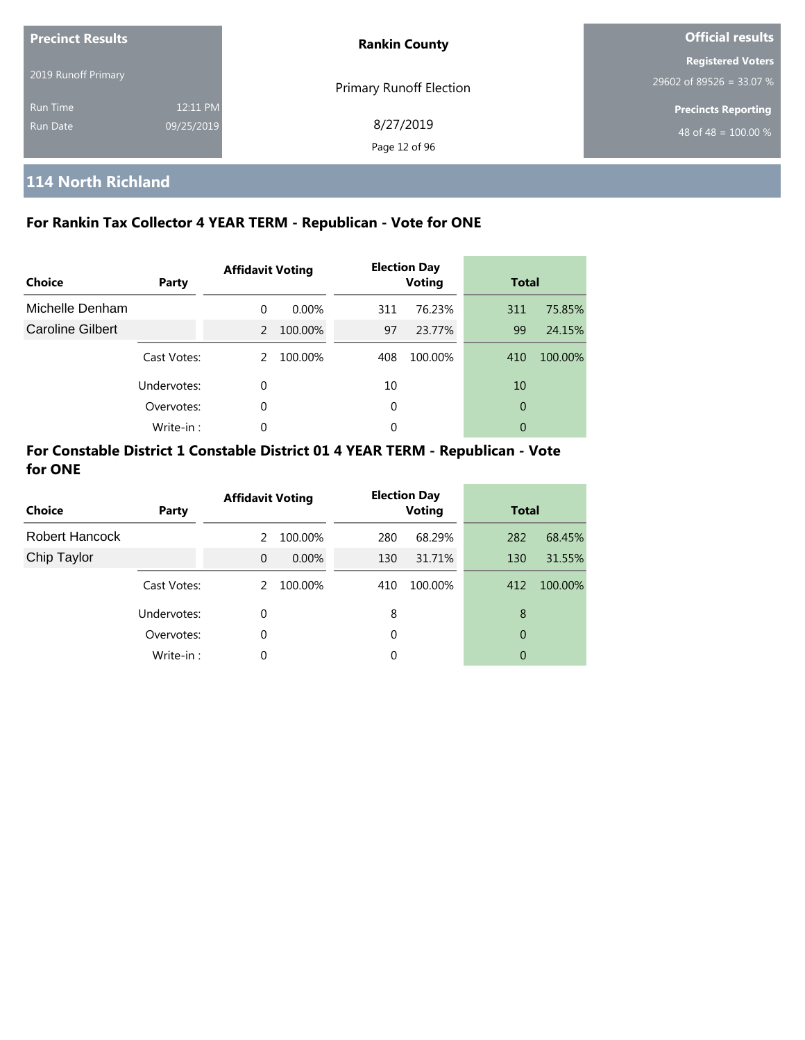| <b>Precinct Results</b> |            | <b>Rankin County</b>           | <b>Official results</b>    |  |
|-------------------------|------------|--------------------------------|----------------------------|--|
|                         |            |                                | <b>Registered Voters</b>   |  |
| 2019 Runoff Primary     |            | <b>Primary Runoff Election</b> | 29602 of 89526 = 33.07 %   |  |
| <b>Run Time</b>         | 12:11 PM   |                                | <b>Precincts Reporting</b> |  |
| <b>Run Date</b>         | 09/25/2019 | 8/27/2019                      | 48 of 48 = $100.00\%$      |  |
|                         |            | Page 12 of 96                  |                            |  |

# **114 North Richland**

# **For Rankin Tax Collector 4 YEAR TERM - Republican - Vote for ONE**

| Choice           | Party       | <b>Affidavit Voting</b> |         |     | <b>Election Day</b><br><b>Voting</b> |     | <b>Total</b> |  |
|------------------|-------------|-------------------------|---------|-----|--------------------------------------|-----|--------------|--|
| Michelle Denham  |             | $\Omega$                | 0.00%   | 311 | 76.23%                               | 311 | 75.85%       |  |
| Caroline Gilbert |             | 2                       | 100.00% | 97  | 23.77%                               | 99  | 24.15%       |  |
|                  | Cast Votes: | 2                       | 100.00% | 408 | 100.00%                              | 410 | 100.00%      |  |
|                  | Undervotes: | 0                       |         | 10  |                                      | 10  |              |  |
|                  | Overvotes:  | 0                       |         | 0   |                                      | 0   |              |  |
|                  | Write-in:   | 0                       |         | 0   |                                      | 0   |              |  |

| <b>Choice</b>  | <b>Party</b> | <b>Affidavit Voting</b> |         | <b>Election Day</b><br><b>Voting</b> |         | <b>Total</b> |         |
|----------------|--------------|-------------------------|---------|--------------------------------------|---------|--------------|---------|
| Robert Hancock |              | 2                       | 100.00% | 280                                  | 68.29%  | 282          | 68.45%  |
| Chip Taylor    |              | $\Omega$                | 0.00%   | 130                                  | 31.71%  | 130          | 31.55%  |
|                | Cast Votes:  | 2                       | 100.00% | 410                                  | 100.00% | 412          | 100.00% |
|                | Undervotes:  | $\Omega$                |         | 8                                    |         | 8            |         |
|                | Overvotes:   | $\Omega$                |         | 0                                    |         | 0            |         |
|                | Write-in:    | 0                       |         | 0                                    |         | 0            |         |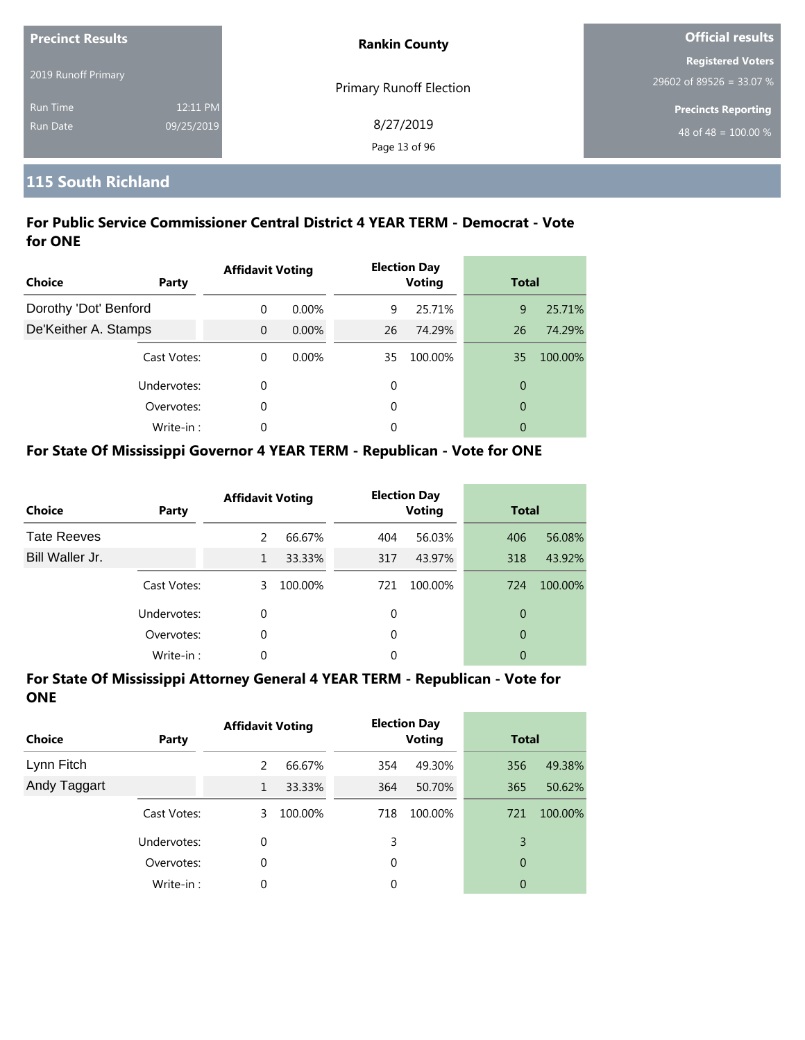| <b>Precinct Results</b> |            | <b>Rankin County</b>           | <b>Official results</b>          |  |
|-------------------------|------------|--------------------------------|----------------------------------|--|
|                         |            |                                | <b>Registered Voters</b>         |  |
| 2019 Runoff Primary     |            | <b>Primary Runoff Election</b> | 29602 of 89526 = 33.07 %         |  |
| <b>Run Time</b>         | 12:11 PM   |                                | <b>Precincts Reporting</b>       |  |
| Run Date                | 09/25/2019 | 8/27/2019                      | 48 of 48 = $\overline{100.00\%}$ |  |
|                         |            | Page 13 of 96                  |                                  |  |

# **115 South Richland**

# **For Public Service Commissioner Central District 4 YEAR TERM - Democrat - Vote for ONE**

| <b>Choice</b><br><b>Party</b> |           | <b>Affidavit Voting</b> |          |    | <b>Election Day</b><br><b>Voting</b> | <b>Total</b>   |         |
|-------------------------------|-----------|-------------------------|----------|----|--------------------------------------|----------------|---------|
| Dorothy 'Dot' Benford         |           | $\Omega$                | $0.00\%$ | 9  | 25.71%                               | 9              | 25.71%  |
| De'Keither A. Stamps          |           | $\Omega$                | $0.00\%$ | 26 | 74.29%                               | 26             | 74.29%  |
| Cast Votes:                   |           | $\theta$                | $0.00\%$ | 35 | 100.00%                              | 35             | 100.00% |
| Undervotes:                   |           | 0                       |          | 0  |                                      | $\overline{0}$ |         |
| Overvotes:                    |           | 0                       |          | 0  |                                      | $\overline{0}$ |         |
|                               | Write-in: | 0                       |          | 0  |                                      | 0              |         |

# **For State Of Mississippi Governor 4 YEAR TERM - Republican - Vote for ONE**

| <b>Choice</b>      | Party       | <b>Affidavit Voting</b> |         |          | <b>Election Day</b><br><b>Voting</b> | <b>Total</b> |         |
|--------------------|-------------|-------------------------|---------|----------|--------------------------------------|--------------|---------|
| <b>Tate Reeves</b> |             | $\mathcal{P}$           | 66.67%  | 404      | 56.03%                               | 406          | 56.08%  |
| Bill Waller Jr.    |             | 1                       | 33.33%  | 317      | 43.97%                               | 318          | 43.92%  |
|                    | Cast Votes: | 3                       | 100.00% | 721      | 100.00%                              | 724          | 100.00% |
|                    | Undervotes: | 0                       |         | 0        |                                      | 0            |         |
|                    | Overvotes:  | 0                       |         | $\Omega$ |                                      | 0            |         |
|                    | Write-in:   | 0                       |         | 0        |                                      | 0            |         |

| <b>Choice</b> | Party       | <b>Affidavit Voting</b> |         |     | <b>Election Day</b><br><b>Voting</b> |     | <b>Total</b> |  |
|---------------|-------------|-------------------------|---------|-----|--------------------------------------|-----|--------------|--|
| Lynn Fitch    |             | 2                       | 66.67%  | 354 | 49.30%                               | 356 | 49.38%       |  |
| Andy Taggart  |             | 1                       | 33.33%  | 364 | 50.70%                               | 365 | 50.62%       |  |
|               | Cast Votes: | 3                       | 100.00% | 718 | 100.00%                              | 721 | 100.00%      |  |
|               | Undervotes: | 0                       |         | 3   |                                      | 3   |              |  |
|               | Overvotes:  | 0                       |         | 0   |                                      | 0   |              |  |
|               | Write-in:   | 0                       |         | 0   |                                      | 0   |              |  |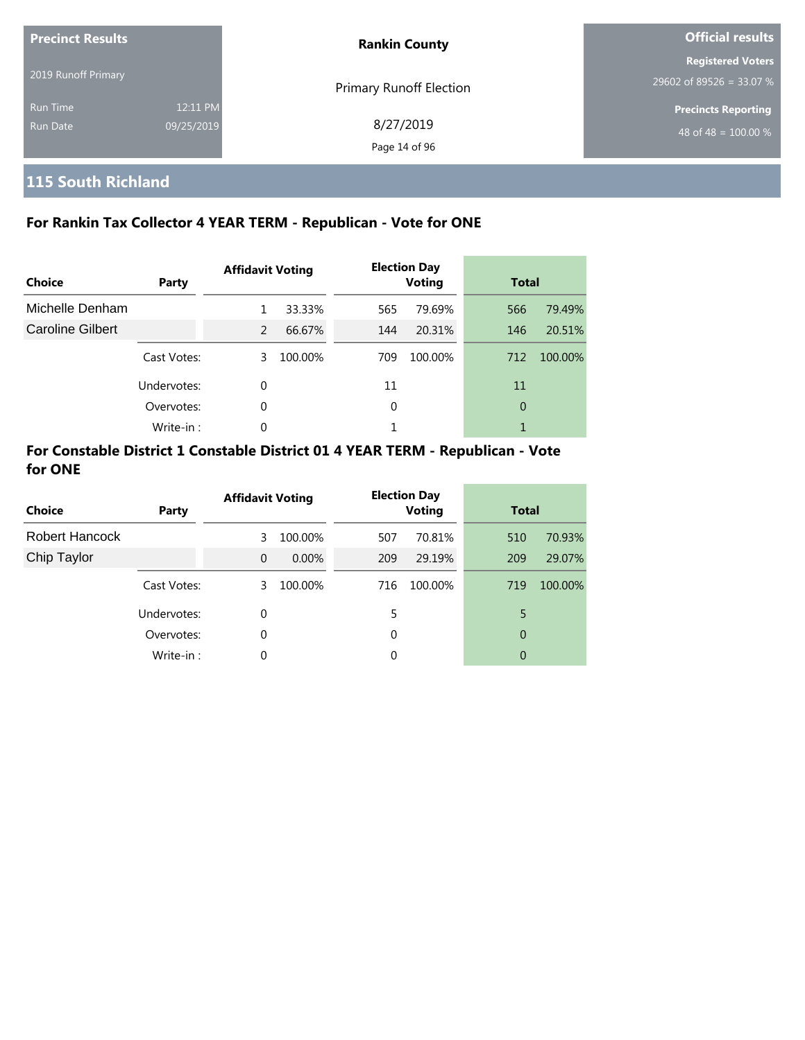| <b>Precinct Results</b> |            | <b>Rankin County</b>           | Official results                                     |  |
|-------------------------|------------|--------------------------------|------------------------------------------------------|--|
| 2019 Runoff Primary     |            |                                | <b>Registered Voters</b><br>29602 of 89526 = 33.07 % |  |
| <b>Run Time</b>         | 12:11 PM   | <b>Primary Runoff Election</b> | <b>Precincts Reporting</b>                           |  |
| Run Date                | 09/25/2019 | 8/27/2019<br>Page 14 of 96     | 48 of 48 = $\overline{100.00\%}$                     |  |

# **115 South Richland**

# **For Rankin Tax Collector 4 YEAR TERM - Republican - Vote for ONE**

| Choice                  | Party       | <b>Affidavit Voting</b> |         |     | <b>Election Day</b><br><b>Voting</b> |                | <b>Total</b> |  |
|-------------------------|-------------|-------------------------|---------|-----|--------------------------------------|----------------|--------------|--|
| Michelle Denham         |             | 1                       | 33.33%  | 565 | 79.69%                               | 566            | 79.49%       |  |
| <b>Caroline Gilbert</b> |             | 2                       | 66.67%  | 144 | 20.31%                               | 146            | 20.51%       |  |
|                         | Cast Votes: | 3                       | 100.00% | 709 | 100.00%                              | 712            | 100.00%      |  |
|                         | Undervotes: | $\Omega$                |         | 11  |                                      | 11             |              |  |
|                         | Overvotes:  | 0                       |         | 0   |                                      | $\overline{0}$ |              |  |
|                         | Write-in:   | 0                       |         |     |                                      |                |              |  |

| Choice         | Party       | <b>Affidavit Voting</b> |         | <b>Election Day</b><br><b>Voting</b> |         | <b>Total</b> |         |
|----------------|-------------|-------------------------|---------|--------------------------------------|---------|--------------|---------|
| Robert Hancock |             | 3                       | 100.00% | 507                                  | 70.81%  | 510          | 70.93%  |
| Chip Taylor    |             | $\Omega$                | 0.00%   | 209                                  | 29.19%  | 209          | 29.07%  |
|                | Cast Votes: | 3.                      | 100.00% | 716                                  | 100.00% | 719          | 100.00% |
|                | Undervotes: | $\Omega$                |         | 5                                    |         | 5            |         |
|                | Overvotes:  | $\Omega$                |         | 0                                    |         | 0            |         |
|                | Write-in:   | $\Omega$                |         | 0                                    |         | 0            |         |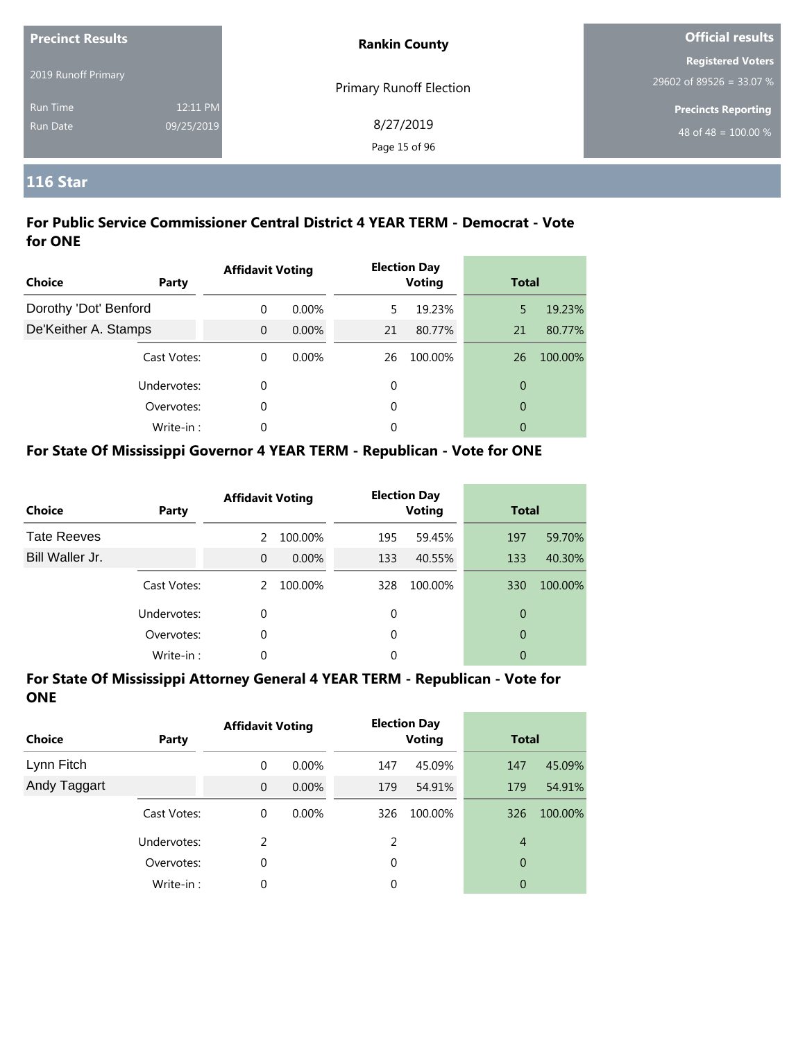| <b>Precinct Results</b>            |                        | <b>Rankin County</b>       | <b>Official results</b>                                |  |
|------------------------------------|------------------------|----------------------------|--------------------------------------------------------|--|
| 2019 Runoff Primary                |                        | Primary Runoff Election    | <b>Registered Voters</b><br>$29602$ of 89526 = 33.07 % |  |
| <b>Run Time</b><br><b>Run Date</b> | 12:11 PM<br>09/25/2019 | 8/27/2019<br>Page 15 of 96 | <b>Precincts Reporting</b><br>48 of 48 = $100.00\%$    |  |

# **116 Star**

#### **For Public Service Commissioner Central District 4 YEAR TERM - Democrat - Vote for ONE**

| <b>Choice</b>         | Party       | <b>Affidavit Voting</b> |          |    | <b>Election Day</b><br><b>Voting</b> |                | <b>Total</b> |  |
|-----------------------|-------------|-------------------------|----------|----|--------------------------------------|----------------|--------------|--|
| Dorothy 'Dot' Benford |             | 0                       | $0.00\%$ | 5  | 19.23%                               | 5              | 19.23%       |  |
| De'Keither A. Stamps  |             | $\Omega$                | $0.00\%$ | 21 | 80.77%                               | 21             | 80.77%       |  |
|                       | Cast Votes: | $\Omega$                | $0.00\%$ | 26 | 100.00%                              | 26             | 100.00%      |  |
|                       | Undervotes: | 0                       |          | 0  |                                      | 0              |              |  |
|                       | Overvotes:  | 0                       |          | 0  |                                      | $\overline{0}$ |              |  |
|                       | Write-in:   | 0                       |          | 0  |                                      | 0              |              |  |

# **For State Of Mississippi Governor 4 YEAR TERM - Republican - Vote for ONE**

| <b>Choice</b>      | Party       | <b>Affidavit Voting</b> |         |     | <b>Election Day</b><br><b>Voting</b> |     | <b>Total</b> |  |
|--------------------|-------------|-------------------------|---------|-----|--------------------------------------|-----|--------------|--|
| <b>Tate Reeves</b> |             | $\mathcal{P}$           | 100.00% | 195 | 59.45%                               | 197 | 59.70%       |  |
| Bill Waller Jr.    |             | $\Omega$                | 0.00%   | 133 | 40.55%                               | 133 | 40.30%       |  |
|                    | Cast Votes: | $\mathcal{P}$           | 100.00% | 328 | 100.00%                              | 330 | 100.00%      |  |
|                    | Undervotes: | 0                       |         | 0   |                                      | 0   |              |  |
|                    | Overvotes:  | 0                       |         | 0   |                                      | 0   |              |  |
|                    | Write-in:   | 0                       |         | 0   |                                      | 0   |              |  |

| <b>Choice</b> | Party       | <b>Affidavit Voting</b> |          |               | <b>Election Day</b><br><b>Voting</b> | <b>Total</b>   |         |
|---------------|-------------|-------------------------|----------|---------------|--------------------------------------|----------------|---------|
| Lynn Fitch    |             | 0                       | $0.00\%$ | 147           | 45.09%                               | 147            | 45.09%  |
| Andy Taggart  |             | $\mathbf{0}$            | $0.00\%$ | 179           | 54.91%                               | 179            | 54.91%  |
|               | Cast Votes: | 0                       | $0.00\%$ | 326           | 100.00%                              | 326            | 100.00% |
|               | Undervotes: | $\mathcal{P}$           |          | $\mathcal{P}$ |                                      | $\overline{4}$ |         |
|               | Overvotes:  | 0                       |          | 0             |                                      | 0              |         |
|               | Write-in:   | 0                       |          | 0             |                                      | 0              |         |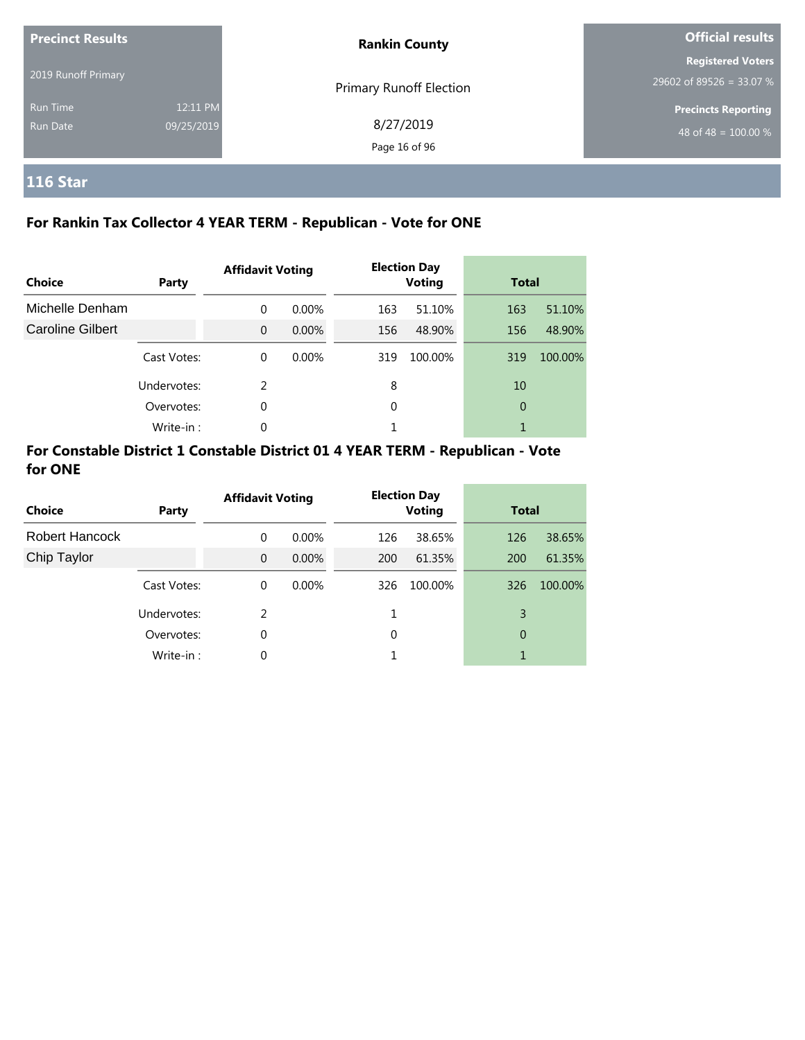| <b>Precinct Results</b> |            | <b>Rankin County</b>       | <b>Official results</b>                              |  |
|-------------------------|------------|----------------------------|------------------------------------------------------|--|
| 2019 Runoff Primary     |            |                            | <b>Registered Voters</b><br>29602 of 89526 = 33.07 % |  |
| <b>Run Time</b>         | 12:11 PM   | Primary Runoff Election    | <b>Precincts Reporting</b>                           |  |
| Run Date                | 09/25/2019 | 8/27/2019<br>Page 16 of 96 | 48 of 48 = $\overline{100.00\%}$                     |  |

# **116 Star**

# **For Rankin Tax Collector 4 YEAR TERM - Republican - Vote for ONE**

| Choice           | Party       | <b>Affidavit Voting</b> |          |     | <b>Election Day</b><br><b>Voting</b> |     | <b>Total</b> |
|------------------|-------------|-------------------------|----------|-----|--------------------------------------|-----|--------------|
| Michelle Denham  |             | $\Omega$                | $0.00\%$ | 163 | 51.10%                               | 163 | 51.10%       |
| Caroline Gilbert |             | $\Omega$                | $0.00\%$ | 156 | 48.90%                               | 156 | 48.90%       |
|                  | Cast Votes: | $\Omega$                | $0.00\%$ | 319 | 100.00%                              | 319 | 100.00%      |
|                  | Undervotes: | $\mathcal{P}$           |          | 8   |                                      | 10  |              |
|                  | Overvotes:  | $\Omega$                |          | 0   |                                      | 0   |              |
|                  | Write-in:   | 0                       |          |     |                                      |     |              |

| <b>Choice</b>  | Party       | <b>Affidavit Voting</b> |          |     | <b>Election Day</b><br><b>Voting</b> |     | <b>Total</b> |  |
|----------------|-------------|-------------------------|----------|-----|--------------------------------------|-----|--------------|--|
| Robert Hancock |             | 0                       | $0.00\%$ | 126 | 38.65%                               | 126 | 38.65%       |  |
| Chip Taylor    |             | $\mathbf 0$             | 0.00%    | 200 | 61.35%                               | 200 | 61.35%       |  |
|                | Cast Votes: | 0                       | $0.00\%$ | 326 | 100.00%                              | 326 | 100.00%      |  |
|                | Undervotes: | 2                       |          |     |                                      | 3   |              |  |
|                | Overvotes:  | 0                       |          | 0   |                                      | 0   |              |  |
|                | Write-in:   | 0                       |          |     |                                      | 1   |              |  |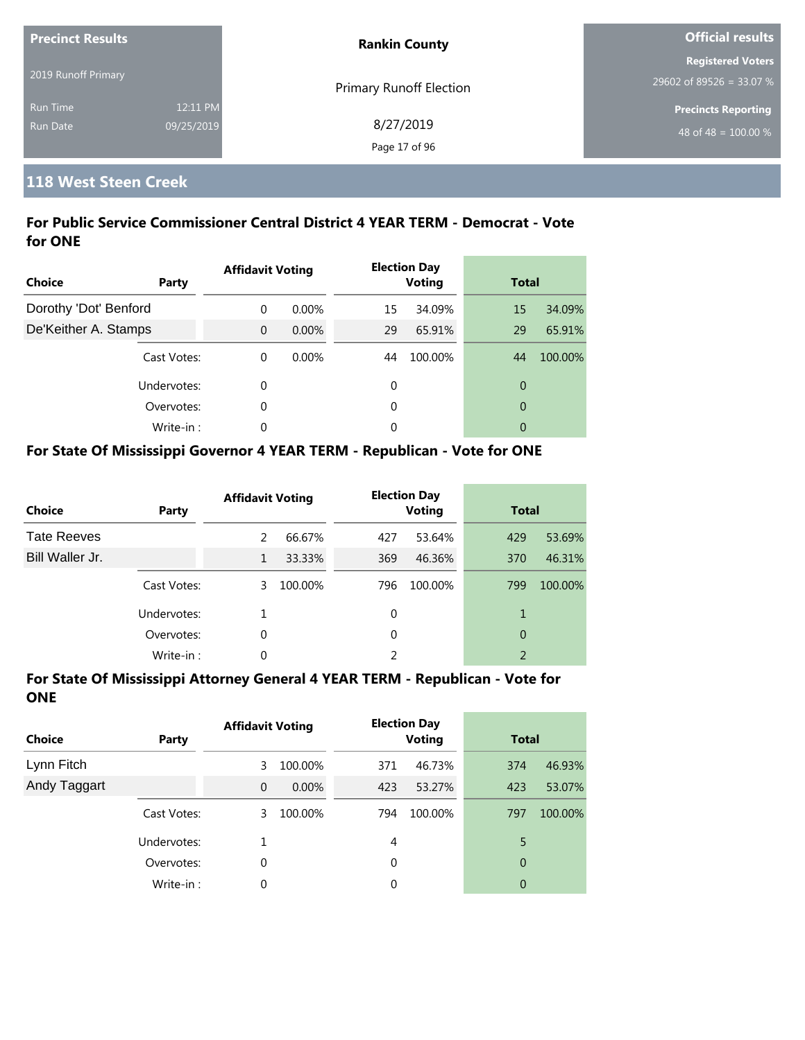| <b>Precinct Results</b> |            | <b>Rankin County</b>    | <b>Official results</b>    |  |
|-------------------------|------------|-------------------------|----------------------------|--|
|                         |            |                         | <b>Registered Voters</b>   |  |
| 2019 Runoff Primary     |            | Primary Runoff Election | $29602$ of 89526 = 33.07 % |  |
| <b>Run Time</b>         | 12:11 PM   |                         | <b>Precincts Reporting</b> |  |
| <b>Run Date</b>         | 09/25/2019 | 8/27/2019               | 48 of 48 = $100.00\%$      |  |
|                         |            | Page 17 of 96           |                            |  |

# **118 West Steen Creek**

## **For Public Service Commissioner Central District 4 YEAR TERM - Democrat - Vote for ONE**

| <b>Choice</b><br>Party | <b>Affidavit Voting</b> |          |    | <b>Election Day</b><br><b>Voting</b> |                | <b>Total</b> |  |
|------------------------|-------------------------|----------|----|--------------------------------------|----------------|--------------|--|
| Dorothy 'Dot' Benford  | $\Omega$                | $0.00\%$ | 15 | 34.09%                               | 15             | 34.09%       |  |
| De'Keither A. Stamps   | $\Omega$                | 0.00%    | 29 | 65.91%                               | 29             | 65.91%       |  |
| Cast Votes:            | $\Omega$                | $0.00\%$ | 44 | 100.00%                              | 44             | 100.00%      |  |
| Undervotes:            | $\Omega$                |          | 0  |                                      | $\overline{0}$ |              |  |
| Overvotes:             | $\Omega$                |          | 0  |                                      | $\overline{0}$ |              |  |
| Write-in:              | $\Omega$                |          | 0  |                                      | 0              |              |  |

## **For State Of Mississippi Governor 4 YEAR TERM - Republican - Vote for ONE**

| <b>Choice</b>      | Party       | <b>Affidavit Voting</b> |         |          | <b>Election Day</b><br><b>Voting</b> |                | <b>Total</b> |  |
|--------------------|-------------|-------------------------|---------|----------|--------------------------------------|----------------|--------------|--|
| <b>Tate Reeves</b> |             | $\mathcal{P}$           | 66.67%  | 427      | 53.64%                               | 429            | 53.69%       |  |
| Bill Waller Jr.    |             | 1                       | 33.33%  | 369      | 46.36%                               | 370            | 46.31%       |  |
|                    | Cast Votes: | 3                       | 100.00% | 796      | 100.00%                              | 799            | 100.00%      |  |
|                    | Undervotes: |                         |         | 0        |                                      | 1              |              |  |
|                    | Overvotes:  | 0                       |         | $\Omega$ |                                      | 0              |              |  |
|                    | Write-in:   | 0                       |         |          |                                      | $\mathfrak{D}$ |              |  |

| <b>Choice</b> | Party       | <b>Affidavit Voting</b> |          |     | <b>Election Day</b><br><b>Voting</b> | <b>Total</b> |         |
|---------------|-------------|-------------------------|----------|-----|--------------------------------------|--------------|---------|
| Lynn Fitch    |             | 3                       | 100.00%  | 371 | 46.73%                               | 374          | 46.93%  |
| Andy Taggart  |             | $\overline{0}$          | $0.00\%$ | 423 | 53.27%                               | 423          | 53.07%  |
|               | Cast Votes: | 3                       | 100.00%  | 794 | 100.00%                              | 797          | 100.00% |
|               | Undervotes: |                         |          | 4   |                                      | 5            |         |
|               | Overvotes:  | 0                       |          | 0   |                                      | 0            |         |
|               | Write-in:   | 0                       |          | 0   |                                      | 0            |         |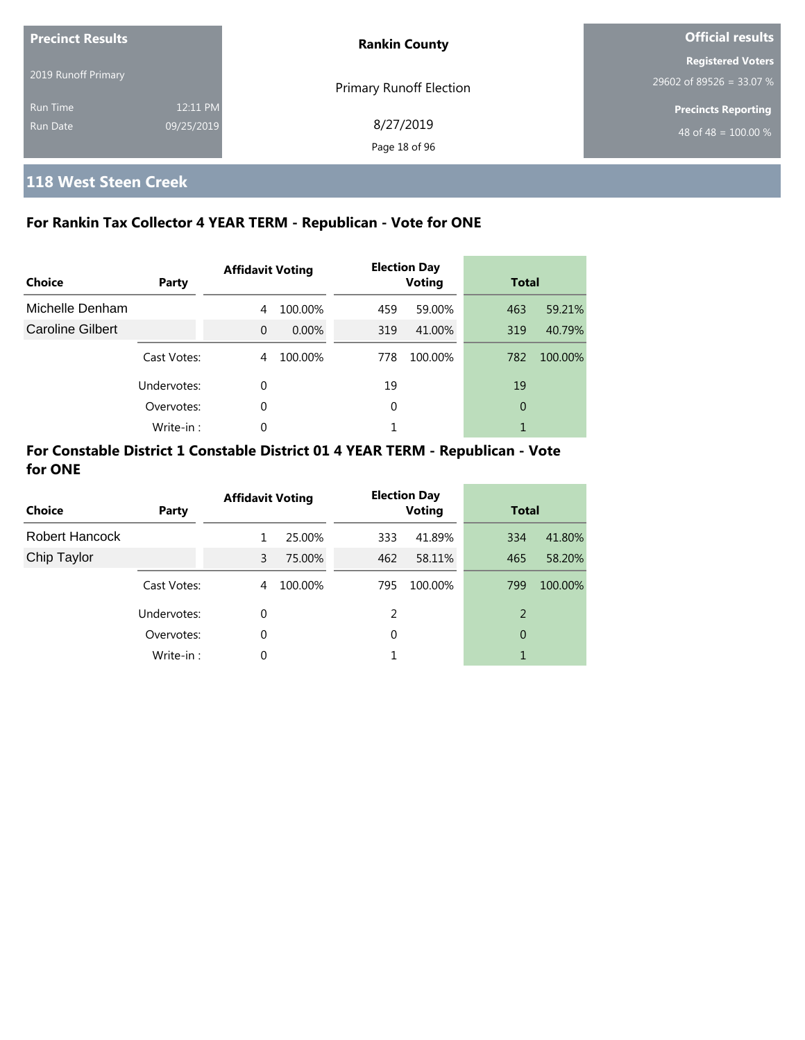| <b>Precinct Results</b>     |                        | <b>Rankin County</b>           | <b>Official results</b>                              |  |  |
|-----------------------------|------------------------|--------------------------------|------------------------------------------------------|--|--|
| 2019 Runoff Primary         |                        | <b>Primary Runoff Election</b> | <b>Registered Voters</b><br>29602 of 89526 = 33.07 % |  |  |
| <b>Run Time</b><br>Run Date | 12:11 PM<br>09/25/2019 | 8/27/2019<br>Page 18 of 96     | <b>Precincts Reporting</b><br>48 of 48 = $100.00\%$  |  |  |

# **118 West Steen Creek**

# **For Rankin Tax Collector 4 YEAR TERM - Republican - Vote for ONE**

| Choice                  | Party       | <b>Affidavit Voting</b> |         |     | <b>Election Day</b><br><b>Voting</b> |                | <b>Total</b> |  |
|-------------------------|-------------|-------------------------|---------|-----|--------------------------------------|----------------|--------------|--|
| Michelle Denham         |             | 4                       | 100.00% | 459 | 59.00%                               | 463            | 59.21%       |  |
| <b>Caroline Gilbert</b> |             | $\Omega$                | 0.00%   | 319 | 41.00%                               | 319            | 40.79%       |  |
|                         | Cast Votes: | 4                       | 100.00% | 778 | 100.00%                              | 782            | 100.00%      |  |
|                         | Undervotes: | $\Omega$                |         | 19  |                                      | 19             |              |  |
|                         | Overvotes:  | 0                       |         | 0   |                                      | $\overline{0}$ |              |  |
|                         | Write-in:   | 0                       |         |     |                                      |                |              |  |

| <b>Choice</b>         | Party       | <b>Affidavit Voting</b> |         |     | <b>Election Day</b><br><b>Voting</b> |     | <b>Total</b> |  |
|-----------------------|-------------|-------------------------|---------|-----|--------------------------------------|-----|--------------|--|
| <b>Robert Hancock</b> |             | 1                       | 25.00%  | 333 | 41.89%                               | 334 | 41.80%       |  |
| Chip Taylor           |             | 3                       | 75.00%  | 462 | 58.11%                               | 465 | 58.20%       |  |
|                       | Cast Votes: | 4                       | 100.00% | 795 | 100.00%                              | 799 | 100.00%      |  |
|                       | Undervotes: | $\Omega$                |         | 2   |                                      | 2   |              |  |
|                       | Overvotes:  | $\Omega$                |         | 0   |                                      | 0   |              |  |
|                       | Write-in:   | 0                       |         |     |                                      | 1   |              |  |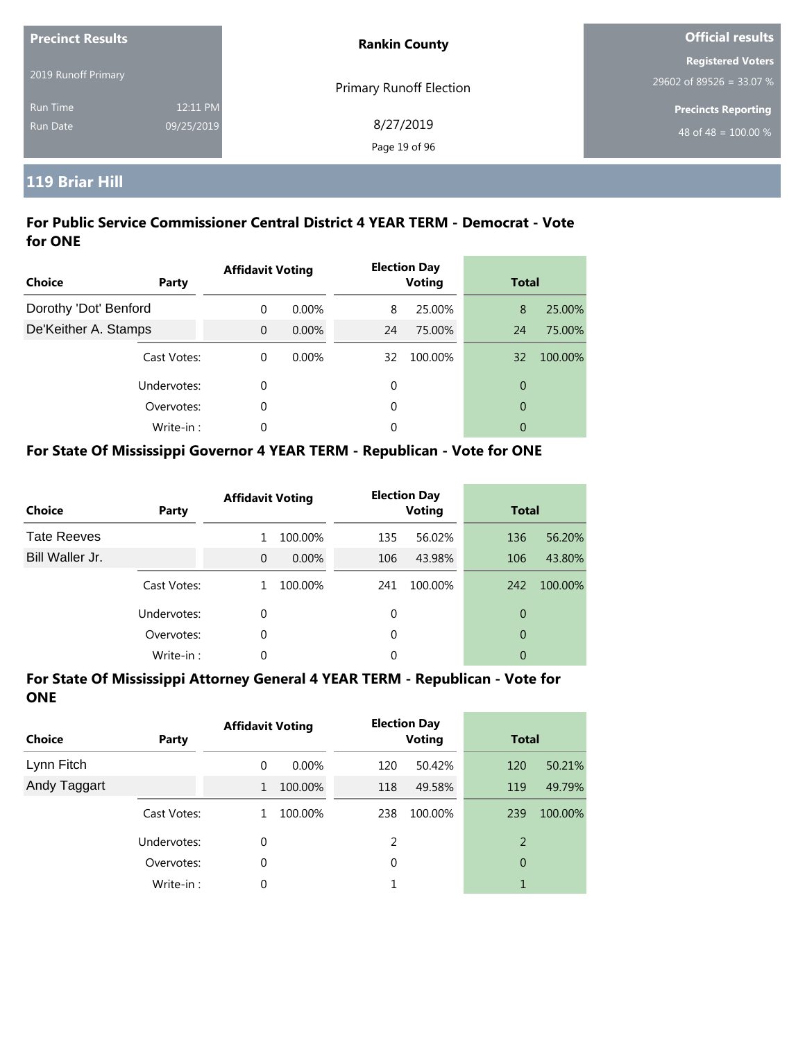| <b>Precinct Results</b>     |                        | <b>Rankin County</b>           | <b>Official results</b>                              |  |  |
|-----------------------------|------------------------|--------------------------------|------------------------------------------------------|--|--|
| 2019 Runoff Primary         |                        | <b>Primary Runoff Election</b> | <b>Registered Voters</b><br>29602 of 89526 = 33.07 % |  |  |
| <b>Run Time</b><br>Run Date | 12:11 PM<br>09/25/2019 | 8/27/2019<br>Page 19 of 96     | <b>Precincts Reporting</b><br>48 of 48 = $100.00\%$  |  |  |

# **119 Briar Hill**

## **For Public Service Commissioner Central District 4 YEAR TERM - Democrat - Vote for ONE**

| Choice                | Party       | <b>Affidavit Voting</b> |          |    | <b>Election Day</b><br><b>Voting</b> | <b>Total</b>   |         |
|-----------------------|-------------|-------------------------|----------|----|--------------------------------------|----------------|---------|
| Dorothy 'Dot' Benford |             | $\Omega$                | $0.00\%$ | 8  | 25.00%                               | 8              | 25.00%  |
| De'Keither A. Stamps  |             | $\Omega$                | 0.00%    | 24 | 75.00%                               | 24             | 75.00%  |
|                       | Cast Votes: | $\theta$                | 0.00%    | 32 | 100.00%                              | 32             | 100.00% |
|                       | Undervotes: | 0                       |          | 0  |                                      | $\overline{0}$ |         |
|                       | Overvotes:  | 0                       |          | 0  |                                      | $\overline{0}$ |         |
|                       | Write-in:   | 0                       |          | 0  |                                      | 0              |         |

## **For State Of Mississippi Governor 4 YEAR TERM - Republican - Vote for ONE**

| <b>Choice</b>      | Party       | <b>Affidavit Voting</b> |          |          | <b>Election Day</b><br><b>Voting</b> |     | <b>Total</b> |  |
|--------------------|-------------|-------------------------|----------|----------|--------------------------------------|-----|--------------|--|
| <b>Tate Reeves</b> |             | 1                       | 100.00%  | 135      | 56.02%                               | 136 | 56.20%       |  |
| Bill Waller Jr.    |             | $\Omega$                | $0.00\%$ | 106      | 43.98%                               | 106 | 43.80%       |  |
|                    | Cast Votes: |                         | 100.00%  | 241      | 100.00%                              | 242 | 100.00%      |  |
|                    | Undervotes: | 0                       |          | 0        |                                      | 0   |              |  |
|                    | Overvotes:  | 0                       |          | $\Omega$ |                                      | 0   |              |  |
|                    | Write-in:   | 0                       |          | 0        |                                      | 0   |              |  |

| <b>Choice</b> | Party       | <b>Affidavit Voting</b> |          | <b>Election Day</b><br><b>Voting</b> |         | <b>Total</b> |         |
|---------------|-------------|-------------------------|----------|--------------------------------------|---------|--------------|---------|
| Lynn Fitch    |             | 0                       | $0.00\%$ | 120                                  | 50.42%  | 120          | 50.21%  |
| Andy Taggart  |             | 1                       | 100.00%  | 118                                  | 49.58%  | 119          | 49.79%  |
|               | Cast Votes: | 1                       | 100.00%  | 238                                  | 100.00% | 239          | 100.00% |
|               | Undervotes: | 0                       |          | 2                                    |         | 2            |         |
|               | Overvotes:  | 0                       |          | 0                                    |         | 0            |         |
|               | Write-in:   | 0                       |          |                                      |         |              |         |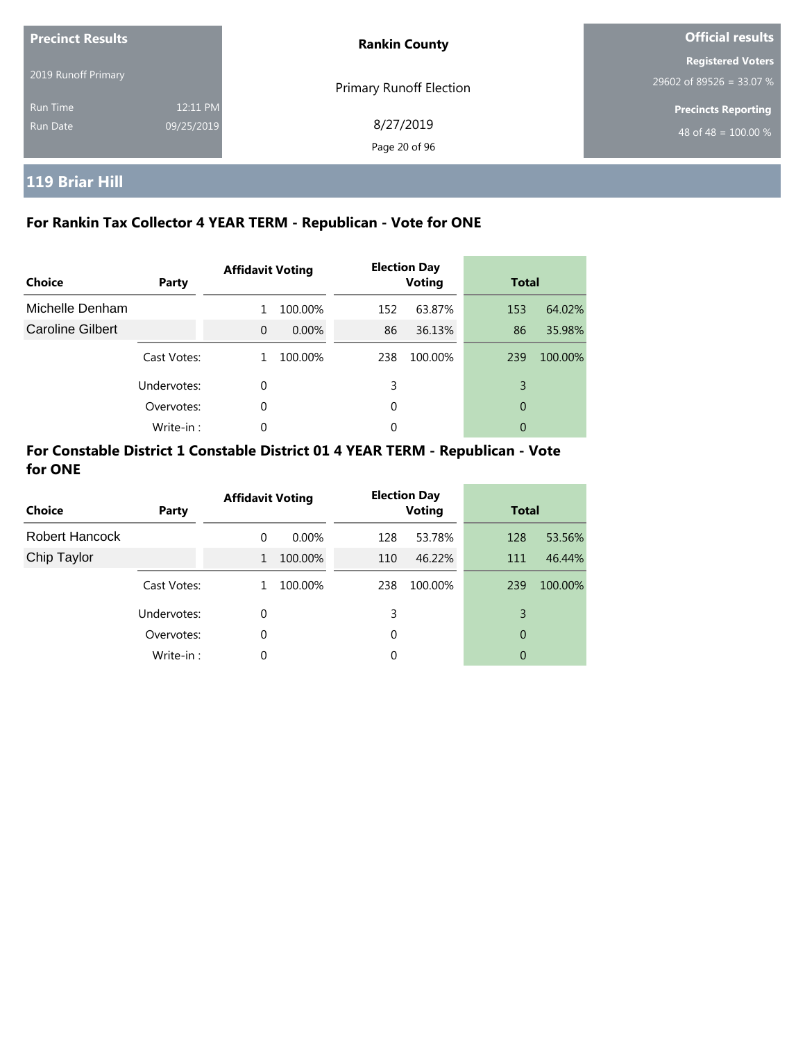| <b>Precinct Results</b> |                        | <b>Rankin County</b>       | <b>Official results</b>                              |  |
|-------------------------|------------------------|----------------------------|------------------------------------------------------|--|
| 2019 Runoff Primary     |                        | Primary Runoff Election    | <b>Registered Voters</b><br>29602 of 89526 = 33.07 % |  |
| Run Time<br>Run Date    | 12:11 PM<br>09/25/2019 | 8/27/2019<br>Page 20 of 96 | <b>Precincts Reporting</b><br>48 of 48 = $100.00\%$  |  |

# **119 Briar Hill**

# **For Rankin Tax Collector 4 YEAR TERM - Republican - Vote for ONE**

| Choice           | Party       | <b>Affidavit Voting</b> |         |     | <b>Election Day</b><br><b>Voting</b> |     | <b>Total</b> |  |
|------------------|-------------|-------------------------|---------|-----|--------------------------------------|-----|--------------|--|
| Michelle Denham  |             |                         | 100.00% | 152 | 63.87%                               | 153 | 64.02%       |  |
| Caroline Gilbert |             | $\Omega$                | 0.00%   | 86  | 36.13%                               | 86  | 35.98%       |  |
|                  | Cast Votes: | 1                       | 100.00% | 238 | 100.00%                              | 239 | 100.00%      |  |
|                  | Undervotes: | 0                       |         | 3   |                                      | 3   |              |  |
|                  | Overvotes:  | 0                       |         | 0   |                                      | 0   |              |  |
|                  | Write-in :  | 0                       |         | 0   |                                      | 0   |              |  |

| <b>Choice</b>         | Party       | <b>Affidavit Voting</b> |          |     | <b>Election Day</b><br><b>Voting</b> |     | <b>Total</b> |  |
|-----------------------|-------------|-------------------------|----------|-----|--------------------------------------|-----|--------------|--|
| <b>Robert Hancock</b> |             | $\Omega$                | $0.00\%$ | 128 | 53.78%                               | 128 | 53.56%       |  |
| Chip Taylor           |             | $\mathbf{1}$            | 100.00%  | 110 | 46.22%                               | 111 | 46.44%       |  |
|                       | Cast Votes: | 1                       | 100.00%  | 238 | 100.00%                              | 239 | 100.00%      |  |
|                       | Undervotes: | $\Omega$                |          | 3   |                                      | 3   |              |  |
|                       | Overvotes:  | $\Omega$                |          | 0   |                                      | 0   |              |  |
|                       | Write-in:   | 0                       |          | 0   |                                      | 0   |              |  |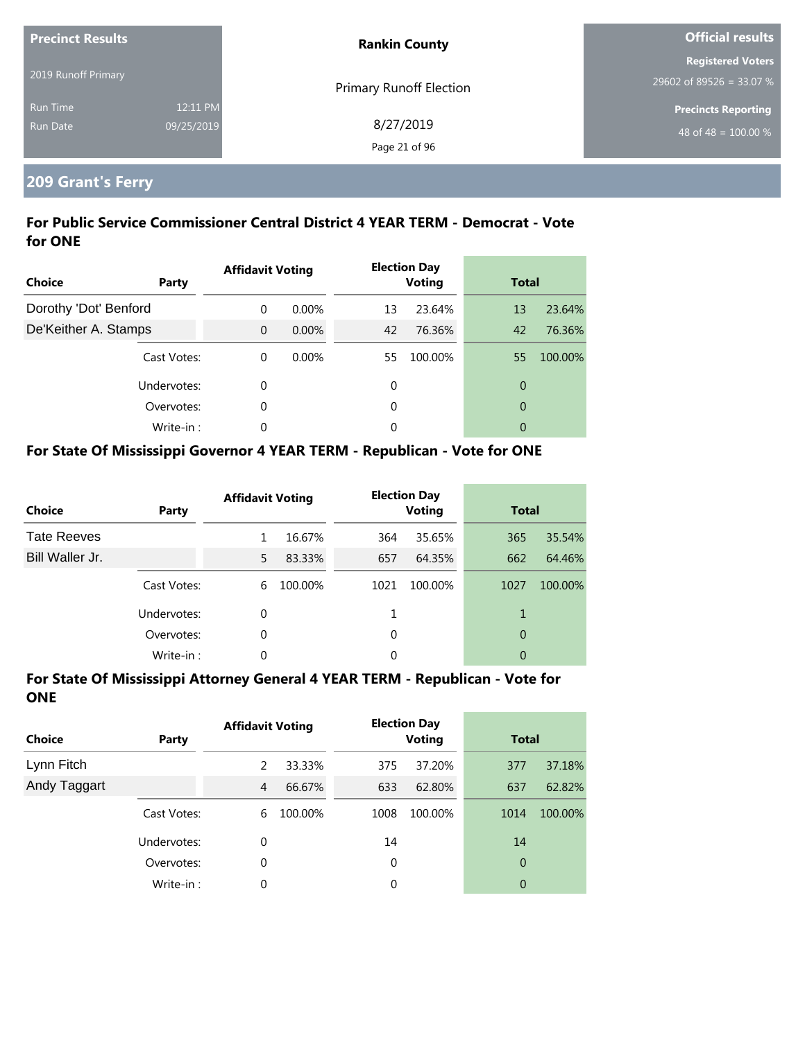| <b>Precinct Results</b> |            | <b>Rankin County</b>    | <b>Official results</b>    |  |  |
|-------------------------|------------|-------------------------|----------------------------|--|--|
|                         |            |                         | <b>Registered Voters</b>   |  |  |
| 2019 Runoff Primary     |            | Primary Runoff Election | 29602 of 89526 = 33.07 %   |  |  |
| <b>Run Time</b>         | 12:11 PM   |                         | <b>Precincts Reporting</b> |  |  |
| <b>Run Date</b>         | 09/25/2019 | 8/27/2019               | 48 of 48 = $100.00\%$      |  |  |
|                         |            | Page 21 of 96           |                            |  |  |

# **209 Grant's Ferry**

## **For Public Service Commissioner Central District 4 YEAR TERM - Democrat - Vote for ONE**

| Choice                | Party       | <b>Affidavit Voting</b> |          |    | <b>Election Day</b><br><b>Voting</b> | <b>Total</b>   |         |
|-----------------------|-------------|-------------------------|----------|----|--------------------------------------|----------------|---------|
| Dorothy 'Dot' Benford |             | 0                       | $0.00\%$ | 13 | 23.64%                               | 13             | 23.64%  |
| De'Keither A. Stamps  |             | $\Omega$                | 0.00%    | 42 | 76.36%                               | 42             | 76.36%  |
|                       | Cast Votes: | 0                       | $0.00\%$ | 55 | 100.00%                              | 55             | 100.00% |
|                       | Undervotes: | 0                       |          | 0  |                                      | $\overline{0}$ |         |
|                       | Overvotes:  | 0                       |          | 0  |                                      | $\overline{0}$ |         |
|                       | Write-in:   | 0                       |          | 0  |                                      | 0              |         |

## **For State Of Mississippi Governor 4 YEAR TERM - Republican - Vote for ONE**

| <b>Choice</b>      | Party       | <b>Affidavit Voting</b> |         |          | <b>Election Day</b><br><b>Voting</b> |      | <b>Total</b> |  |
|--------------------|-------------|-------------------------|---------|----------|--------------------------------------|------|--------------|--|
| <b>Tate Reeves</b> |             |                         | 16.67%  | 364      | 35.65%                               | 365  | 35.54%       |  |
| Bill Waller Jr.    |             | 5                       | 83.33%  | 657      | 64.35%                               | 662  | 64.46%       |  |
|                    | Cast Votes: | 6                       | 100.00% | 1021     | 100.00%                              | 1027 | 100.00%      |  |
|                    | Undervotes: | 0                       |         |          |                                      | 1    |              |  |
|                    | Overvotes:  | 0                       |         | $\Omega$ |                                      | 0    |              |  |
|                    | Write-in:   | 0                       |         | 0        |                                      | 0    |              |  |

| <b>Choice</b> | Party       | <b>Affidavit Voting</b> |         |          | <b>Election Day</b><br><b>Voting</b> | <b>Total</b>   |         |
|---------------|-------------|-------------------------|---------|----------|--------------------------------------|----------------|---------|
| Lynn Fitch    |             | 2                       | 33.33%  | 375      | 37.20%                               | 377            | 37.18%  |
| Andy Taggart  |             | $\overline{4}$          | 66.67%  | 633      | 62.80%                               | 637            | 62.82%  |
|               | Cast Votes: | 6                       | 100.00% | 1008     | 100.00%                              | 1014           | 100.00% |
|               | Undervotes: | 0                       |         | 14       |                                      | 14             |         |
|               | Overvotes:  | 0                       |         | $\Omega$ |                                      | $\overline{0}$ |         |
|               | Write-in:   | 0                       |         | 0        |                                      | 0              |         |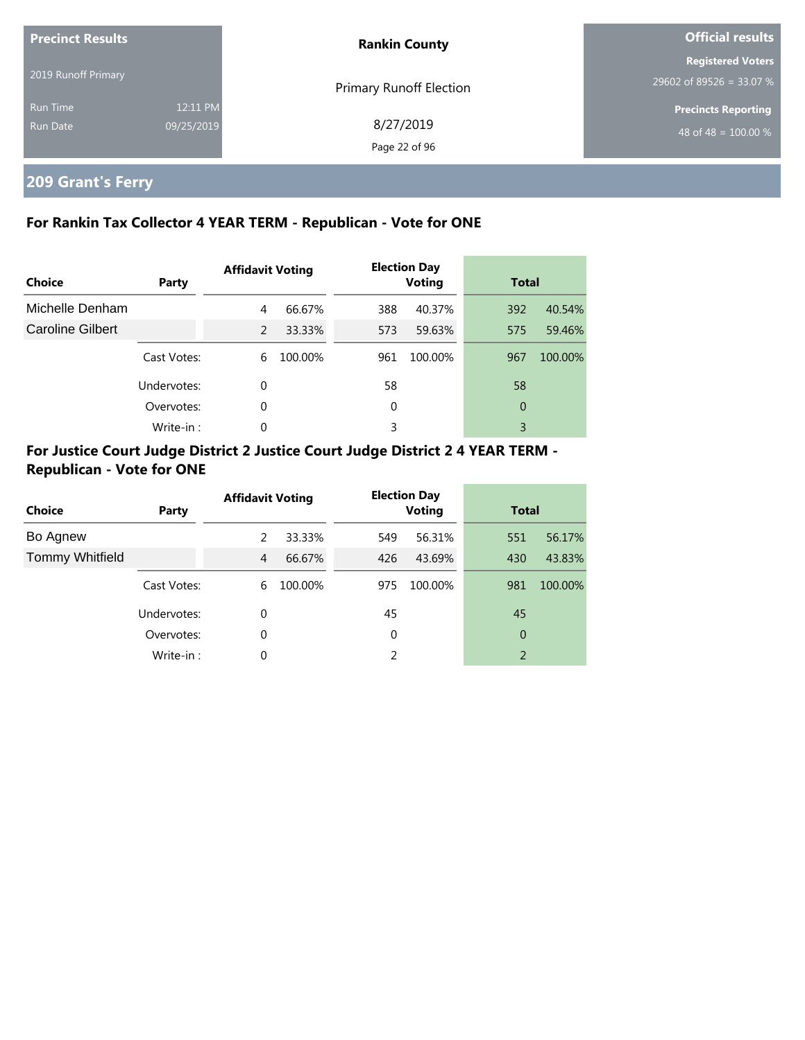| <b>Precinct Results</b>     |                        | <b>Rankin County</b>           | <b>Official results</b>                              |  |
|-----------------------------|------------------------|--------------------------------|------------------------------------------------------|--|
| 2019 Runoff Primary         |                        | <b>Primary Runoff Election</b> | <b>Registered Voters</b><br>29602 of 89526 = 33.07 % |  |
| <b>Run Time</b><br>Run Date | 12:11 PM<br>09/25/2019 | 8/27/2019<br>Page 22 of 96     | Precincts Reporting<br>48 of 48 = $100.00\%$         |  |

# **209 Grant's Ferry**

# **For Rankin Tax Collector 4 YEAR TERM - Republican - Vote for ONE**

| Choice           | Party       | <b>Affidavit Voting</b> |         | <b>Election Day</b><br><b>Voting</b> |         | <b>Total</b> |         |
|------------------|-------------|-------------------------|---------|--------------------------------------|---------|--------------|---------|
| Michelle Denham  |             | 4                       | 66.67%  | 388                                  | 40.37%  | 392          | 40.54%  |
| Caroline Gilbert |             | 2                       | 33.33%  | 573                                  | 59.63%  | 575          | 59.46%  |
|                  | Cast Votes: | 6                       | 100.00% | 961                                  | 100.00% | 967          | 100.00% |
|                  | Undervotes: | 0                       |         | 58                                   |         | 58           |         |
|                  | Overvotes:  | $\Omega$                |         | 0                                    |         | 0            |         |
|                  | Write-in:   | 0                       |         | 3                                    |         | 3            |         |

# **For Justice Court Judge District 2 Justice Court Judge District 2 4 YEAR TERM - Republican - Vote for ONE**

| <b>Choice</b>          | Party       | <b>Affidavit Voting</b> |         |     | <b>Election Day</b><br><b>Voting</b> |     | <b>Total</b> |  |
|------------------------|-------------|-------------------------|---------|-----|--------------------------------------|-----|--------------|--|
| Bo Agnew               |             | 2                       | 33.33%  | 549 | 56.31%                               | 551 | 56.17%       |  |
| <b>Tommy Whitfield</b> |             | $\overline{4}$          | 66.67%  | 426 | 43.69%                               | 430 | 43.83%       |  |
|                        | Cast Votes: | 6                       | 100.00% | 975 | 100.00%                              | 981 | 100.00%      |  |
|                        | Undervotes: | 0                       |         | 45  |                                      | 45  |              |  |
|                        | Overvotes:  | 0                       |         | 0   |                                      | 0   |              |  |
|                        | Write-in:   | 0                       |         | 2   |                                      | 2   |              |  |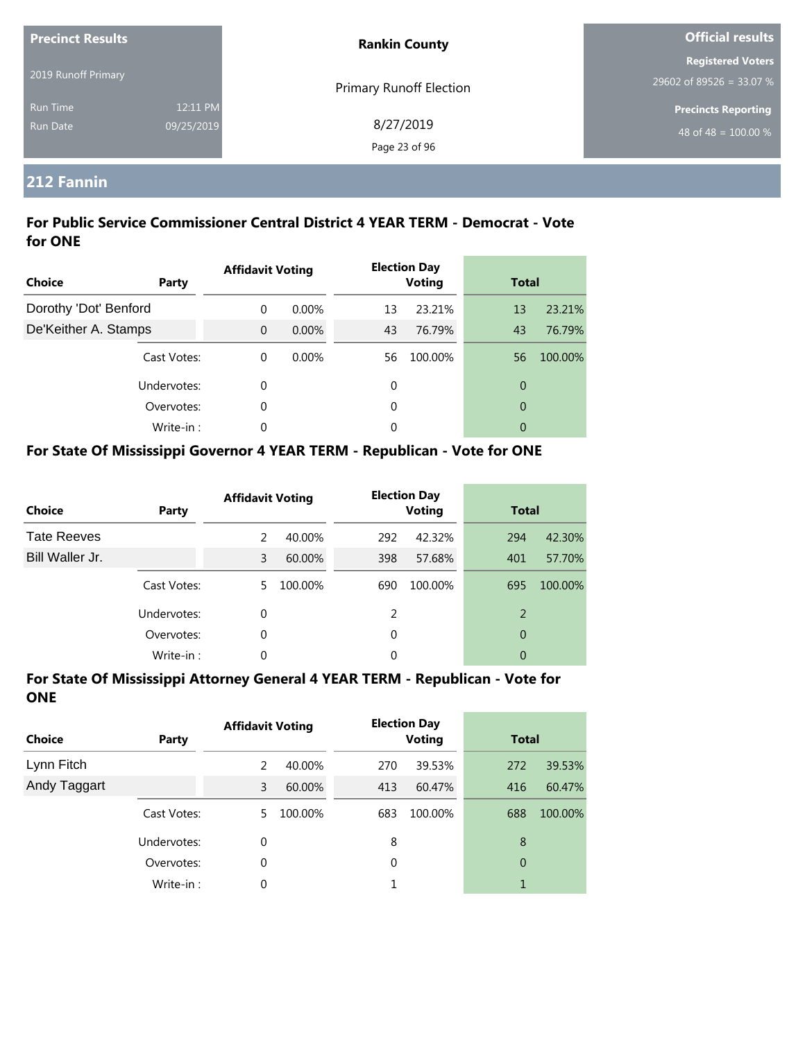| <b>Precinct Results</b> |            | <b>Rankin County</b>           | <b>Official results</b>    |  |
|-------------------------|------------|--------------------------------|----------------------------|--|
|                         |            |                                | <b>Registered Voters</b>   |  |
| 2019 Runoff Primary     |            | <b>Primary Runoff Election</b> | 29602 of 89526 = 33.07 %   |  |
| <b>Run Time</b>         | 12:11 PM   |                                | <b>Precincts Reporting</b> |  |
| <b>Run Date</b>         | 09/25/2019 | 8/27/2019                      | 48 of 48 = $100.00\%$      |  |
|                         |            | Page 23 of 96                  |                            |  |

# **212 Fannin**

### **For Public Service Commissioner Central District 4 YEAR TERM - Democrat - Vote for ONE**

| <b>Choice</b>         | Party       | <b>Affidavit Voting</b> |          |    | <b>Election Day</b><br><b>Voting</b> |                | <b>Total</b> |  |
|-----------------------|-------------|-------------------------|----------|----|--------------------------------------|----------------|--------------|--|
| Dorothy 'Dot' Benford |             | $\Omega$                | $0.00\%$ | 13 | 23.21%                               | 13             | 23.21%       |  |
| De'Keither A. Stamps  |             | $\Omega$                | $0.00\%$ | 43 | 76.79%                               | 43             | 76.79%       |  |
|                       | Cast Votes: | $\Omega$                | 0.00%    | 56 | 100.00%                              | 56             | 100.00%      |  |
|                       | Undervotes: | 0                       |          | 0  |                                      | $\overline{0}$ |              |  |
|                       | Overvotes:  | 0                       |          | 0  |                                      | $\overline{0}$ |              |  |
|                       | Write-in:   | $\Omega$                |          | 0  |                                      | 0              |              |  |

# **For State Of Mississippi Governor 4 YEAR TERM - Republican - Vote for ONE**

| <b>Choice</b>      | Party       | <b>Affidavit Voting</b> |         |          | <b>Election Day</b><br><b>Voting</b> |     | <b>Total</b> |  |
|--------------------|-------------|-------------------------|---------|----------|--------------------------------------|-----|--------------|--|
| <b>Tate Reeves</b> |             | $\mathcal{P}$           | 40.00%  | 292      | 42.32%                               | 294 | 42.30%       |  |
| Bill Waller Jr.    |             | 3                       | 60.00%  | 398      | 57.68%                               | 401 | 57.70%       |  |
|                    | Cast Votes: | 5.                      | 100.00% | 690      | 100.00%                              | 695 | 100.00%      |  |
|                    | Undervotes: | $\Omega$                |         | 2        |                                      | 2   |              |  |
|                    | Overvotes:  | 0                       |         | $\Omega$ |                                      | 0   |              |  |
|                    | Write-in:   | 0                       |         | 0        |                                      | 0   |              |  |

| <b>Choice</b> | Party       | <b>Affidavit Voting</b> |         | <b>Election Day</b><br><b>Voting</b> |         | <b>Total</b> |         |
|---------------|-------------|-------------------------|---------|--------------------------------------|---------|--------------|---------|
| Lynn Fitch    |             | 2                       | 40.00%  | 270                                  | 39.53%  | 272          | 39.53%  |
| Andy Taggart  |             | 3                       | 60.00%  | 413                                  | 60.47%  | 416          | 60.47%  |
|               | Cast Votes: | 5.                      | 100.00% | 683                                  | 100.00% | 688          | 100.00% |
|               | Undervotes: | 0                       |         | 8                                    |         | 8            |         |
|               | Overvotes:  | 0                       |         | 0                                    |         | 0            |         |
|               | Write-in:   | 0                       |         |                                      |         |              |         |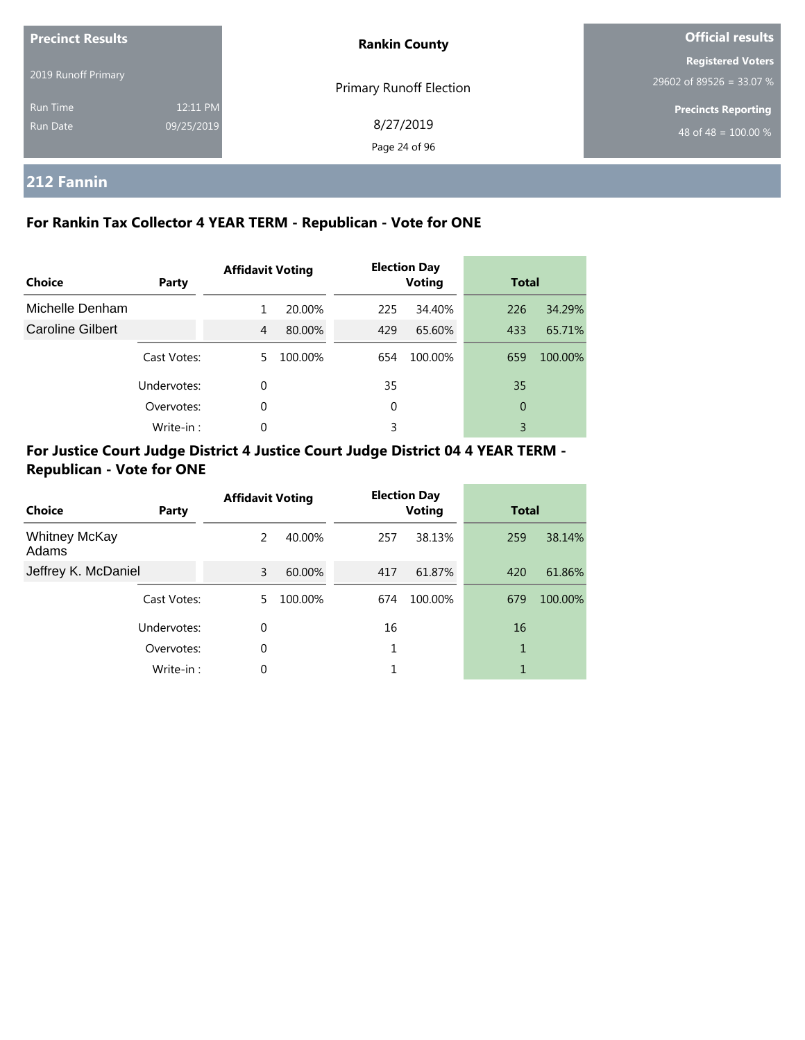| <b>Precinct Results</b> |            | <b>Rankin County</b>    | <b>Official results</b>    |  |
|-------------------------|------------|-------------------------|----------------------------|--|
|                         |            |                         | <b>Registered Voters</b>   |  |
| 2019 Runoff Primary     |            | Primary Runoff Election | 29602 of 89526 = 33.07 %   |  |
| <b>Run Time</b>         | 12:11 PM   |                         | <b>Precincts Reporting</b> |  |
| Run Date                | 09/25/2019 | 8/27/2019               | 48 of 48 = $100.00\%$      |  |
|                         |            | Page 24 of 96           |                            |  |

# **212 Fannin**

# **For Rankin Tax Collector 4 YEAR TERM - Republican - Vote for ONE**

| Choice           | Party       | <b>Affidavit Voting</b> |         | <b>Election Day</b><br><b>Voting</b> |         | <b>Total</b> |         |
|------------------|-------------|-------------------------|---------|--------------------------------------|---------|--------------|---------|
| Michelle Denham  |             | 1.                      | 20.00%  | 225                                  | 34.40%  | 226          | 34.29%  |
| Caroline Gilbert |             | 4                       | 80.00%  | 429                                  | 65.60%  | 433          | 65.71%  |
|                  | Cast Votes: | 5.                      | 100.00% | 654                                  | 100.00% | 659          | 100.00% |
|                  | Undervotes: | 0                       |         | 35                                   |         | 35           |         |
|                  | Overvotes:  | 0                       |         | 0                                    |         | 0            |         |
|                  | Write-in:   | $\Omega$                |         | 3                                    |         | 3            |         |

# **For Justice Court Judge District 4 Justice Court Judge District 04 4 YEAR TERM - Republican - Vote for ONE**

| Choice                        | Party       | <b>Affidavit Voting</b> |         |     | <b>Election Day</b><br><b>Voting</b> |     | <b>Total</b> |  |
|-------------------------------|-------------|-------------------------|---------|-----|--------------------------------------|-----|--------------|--|
| <b>Whitney McKay</b><br>Adams |             | 2                       | 40.00%  | 257 | 38.13%                               | 259 | 38.14%       |  |
| Jeffrey K. McDaniel           |             | 3                       | 60.00%  | 417 | 61.87%                               | 420 | 61.86%       |  |
|                               | Cast Votes: | 5.                      | 100.00% | 674 | 100.00%                              | 679 | 100.00%      |  |
|                               | Undervotes: | $\Omega$                |         | 16  |                                      | 16  |              |  |
|                               | Overvotes:  | 0                       |         | 1   |                                      | 1   |              |  |
|                               | Write-in:   | $\Omega$                |         | 1   |                                      | 1   |              |  |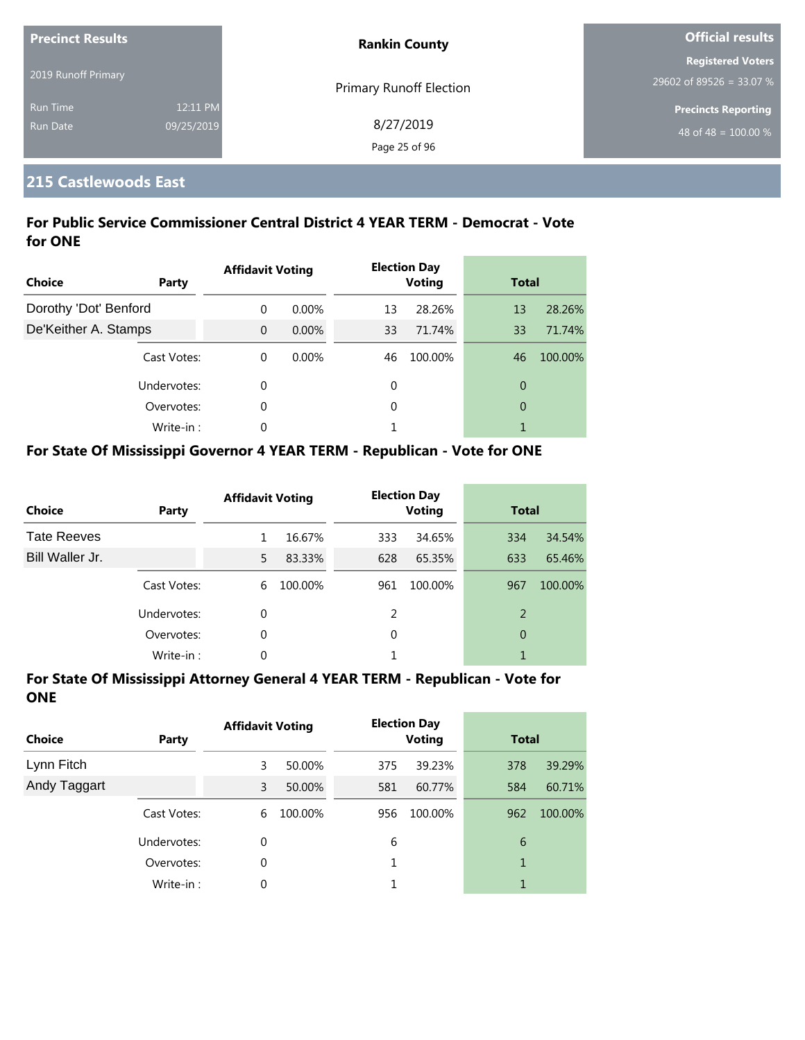| <b>Precinct Results</b> |            | <b>Rankin County</b>    | <b>Official results</b>          |  |
|-------------------------|------------|-------------------------|----------------------------------|--|
|                         |            |                         | <b>Registered Voters</b>         |  |
| 2019 Runoff Primary     |            | Primary Runoff Election | 29602 of 89526 = 33.07 %         |  |
| <b>Run Time</b>         | 12:11 PM   |                         | <b>Precincts Reporting</b>       |  |
| <b>Run Date</b>         | 09/25/2019 | 8/27/2019               | 48 of 48 = $\overline{100.00\%}$ |  |
|                         |            | Page 25 of 96           |                                  |  |

# **215 Castlewoods East**

## **For Public Service Commissioner Central District 4 YEAR TERM - Democrat - Vote for ONE**

| <b>Choice</b>         | <b>Party</b> | <b>Affidavit Voting</b> |          |    | <b>Election Day</b><br><b>Voting</b> | <b>Total</b>   |         |
|-----------------------|--------------|-------------------------|----------|----|--------------------------------------|----------------|---------|
| Dorothy 'Dot' Benford |              | $\Omega$                | $0.00\%$ | 13 | 28.26%                               | 13             | 28.26%  |
| De'Keither A. Stamps  |              | $\Omega$                | $0.00\%$ | 33 | 71.74%                               | 33             | 71.74%  |
|                       | Cast Votes:  | $\theta$                | $0.00\%$ | 46 | 100.00%                              | 46             | 100.00% |
|                       | Undervotes:  | 0                       |          | 0  |                                      | $\overline{0}$ |         |
|                       | Overvotes:   | 0                       |          | 0  |                                      | $\overline{0}$ |         |
|                       | Write-in:    | 0                       |          |    |                                      |                |         |

# **For State Of Mississippi Governor 4 YEAR TERM - Republican - Vote for ONE**

| <b>Choice</b>      | Party       | <b>Affidavit Voting</b> |         |          | <b>Election Day</b><br><b>Voting</b> | <b>Total</b> |         |
|--------------------|-------------|-------------------------|---------|----------|--------------------------------------|--------------|---------|
| <b>Tate Reeves</b> |             |                         | 16.67%  | 333      | 34.65%                               | 334          | 34.54%  |
| Bill Waller Jr.    |             | 5                       | 83.33%  | 628      | 65.35%                               | 633          | 65.46%  |
|                    | Cast Votes: | 6                       | 100.00% | 961      | 100.00%                              | 967          | 100.00% |
|                    | Undervotes: | $\Omega$                |         | 2        |                                      | 2            |         |
|                    | Overvotes:  | 0                       |         | $\Omega$ |                                      | 0            |         |
|                    | Write-in:   | 0                       |         |          |                                      |              |         |

| <b>Choice</b> | Party       | <b>Affidavit Voting</b> |         |     | <b>Election Day</b><br><b>Voting</b> | <b>Total</b> |         |
|---------------|-------------|-------------------------|---------|-----|--------------------------------------|--------------|---------|
| Lynn Fitch    |             | 3                       | 50.00%  | 375 | 39.23%                               | 378          | 39.29%  |
| Andy Taggart  |             | 3                       | 50.00%  | 581 | 60.77%                               | 584          | 60.71%  |
|               | Cast Votes: | 6                       | 100.00% | 956 | 100.00%                              | 962          | 100.00% |
|               | Undervotes: | 0                       |         | 6   |                                      | 6            |         |
|               | Overvotes:  | 0                       |         |     |                                      | 1            |         |
|               | Write-in:   | 0                       |         |     |                                      | 1            |         |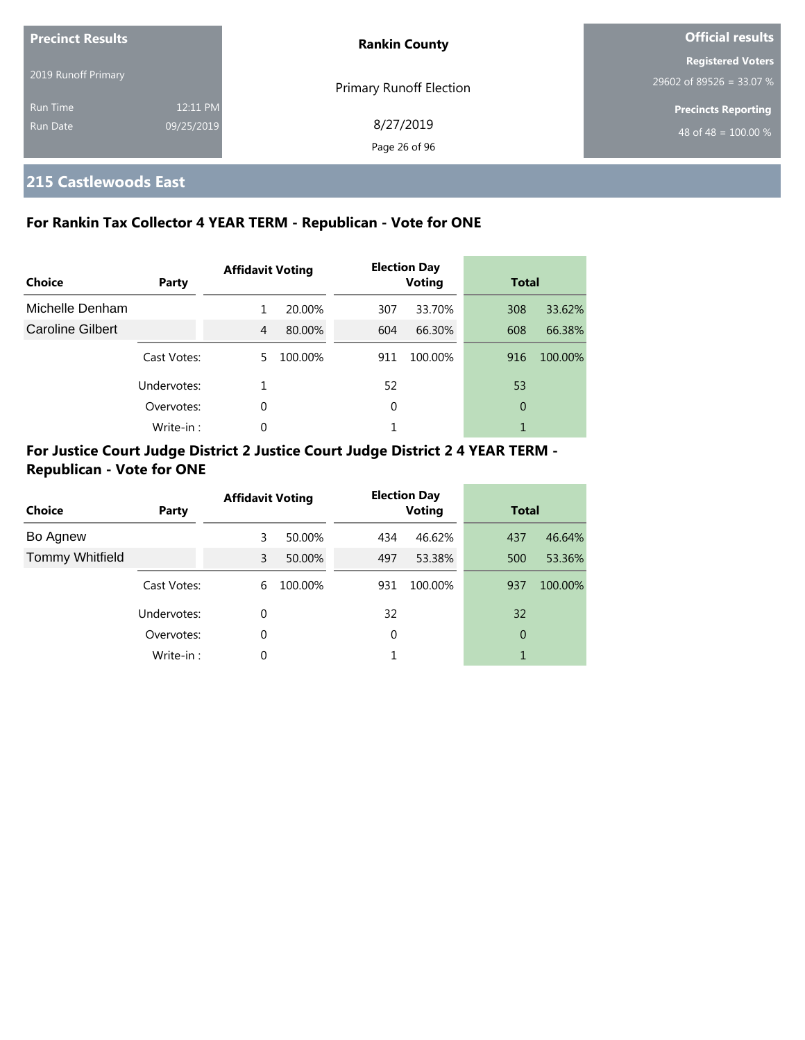| <b>Precinct Results</b><br>2019 Runoff Primary |                        | <b>Rankin County</b>           | <b>Official results</b>                                        |  |
|------------------------------------------------|------------------------|--------------------------------|----------------------------------------------------------------|--|
|                                                |                        | <b>Primary Runoff Election</b> | <b>Registered Voters</b><br>29602 of 89526 = 33.07 %           |  |
| <b>Run Time</b><br>Run Date                    | 12:11 PM<br>09/25/2019 | 8/27/2019<br>Page 26 of 96     | <b>Precincts Reporting</b><br>48 of 48 = $\overline{100.00\%}$ |  |

# **215 Castlewoods East**

# **For Rankin Tax Collector 4 YEAR TERM - Republican - Vote for ONE**

| Choice           | Party       | <b>Affidavit Voting</b> |         |     | <b>Election Day</b><br><b>Voting</b> | <b>Total</b> |         |
|------------------|-------------|-------------------------|---------|-----|--------------------------------------|--------------|---------|
| Michelle Denham  |             | 1                       | 20.00%  | 307 | 33.70%                               | 308          | 33.62%  |
| Caroline Gilbert |             | 4                       | 80.00%  | 604 | 66.30%                               | 608          | 66.38%  |
|                  | Cast Votes: | 5.                      | 100.00% | 911 | 100.00%                              | 916          | 100.00% |
|                  | Undervotes: |                         |         | 52  |                                      | 53           |         |
|                  | Overvotes:  | $\Omega$                |         | 0   |                                      | 0            |         |
|                  | Write-in:   | 0                       |         |     |                                      |              |         |

# **For Justice Court Judge District 2 Justice Court Judge District 2 4 YEAR TERM - Republican - Vote for ONE**

| <b>Choice</b>          | Party       | <b>Affidavit Voting</b> |         |     | <b>Election Day</b><br><b>Voting</b> | <b>Total</b> |         |
|------------------------|-------------|-------------------------|---------|-----|--------------------------------------|--------------|---------|
| Bo Agnew               |             | 3                       | 50.00%  | 434 | 46.62%                               | 437          | 46.64%  |
| <b>Tommy Whitfield</b> |             | 3                       | 50.00%  | 497 | 53.38%                               | 500          | 53.36%  |
|                        | Cast Votes: | 6                       | 100.00% | 931 | 100.00%                              | 937          | 100.00% |
|                        | Undervotes: | 0                       |         | 32  |                                      | 32           |         |
|                        | Overvotes:  | 0                       |         | 0   |                                      | 0            |         |
|                        | Write-in:   | 0                       |         |     |                                      |              |         |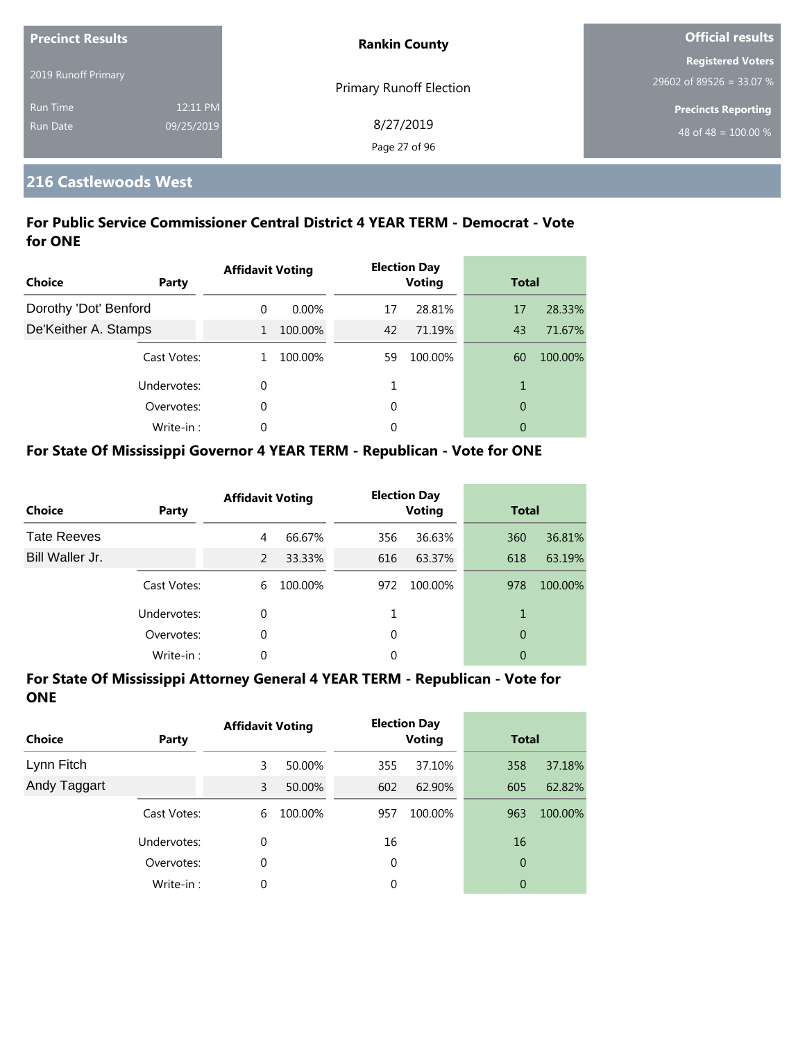| <b>Precinct Results</b> |            | <b>Rankin County</b>    | <b>Official results</b>    |  |
|-------------------------|------------|-------------------------|----------------------------|--|
|                         |            |                         | <b>Registered Voters</b>   |  |
| 2019 Runoff Primary     |            | Primary Runoff Election | 29602 of 89526 = 33.07 %   |  |
| <b>Run Time</b>         | 12:11 PM   |                         | <b>Precincts Reporting</b> |  |
| <b>Run Date</b>         | 09/25/2019 | 8/27/2019               | 48 of 48 = $100.00\%$      |  |
|                         |            | Page 27 of 96           |                            |  |

# **216 Castlewoods West**

# **For Public Service Commissioner Central District 4 YEAR TERM - Democrat - Vote for ONE**

| <b>Choice</b>         | Party       | <b>Affidavit Voting</b> |          |    | <b>Election Day</b><br><b>Voting</b> | <b>Total</b>   |         |
|-----------------------|-------------|-------------------------|----------|----|--------------------------------------|----------------|---------|
| Dorothy 'Dot' Benford |             | $\Omega$                | $0.00\%$ | 17 | 28.81%                               | 17             | 28.33%  |
| De'Keither A. Stamps  |             | $\mathbf{1}$            | 100.00%  | 42 | 71.19%                               | 43             | 71.67%  |
|                       | Cast Votes: |                         | 100.00%  | 59 | 100.00%                              | 60             | 100.00% |
|                       | Undervotes: | 0                       |          |    |                                      | 1              |         |
|                       | Overvotes:  | 0                       |          | 0  |                                      | $\overline{0}$ |         |
|                       | Write-in:   | 0                       |          | 0  |                                      | 0              |         |

# **For State Of Mississippi Governor 4 YEAR TERM - Republican - Vote for ONE**

| <b>Choice</b>      | Party       | <b>Affidavit Voting</b> |         |          | <b>Election Day</b><br><b>Voting</b> | <b>Total</b> |         |
|--------------------|-------------|-------------------------|---------|----------|--------------------------------------|--------------|---------|
| <b>Tate Reeves</b> |             | 4                       | 66.67%  | 356      | 36.63%                               | 360          | 36.81%  |
| Bill Waller Jr.    |             | $\mathcal{P}$           | 33.33%  | 616      | 63.37%                               | 618          | 63.19%  |
|                    | Cast Votes: | 6                       | 100.00% | 972      | 100.00%                              | 978          | 100.00% |
|                    | Undervotes: | $\Omega$                |         |          |                                      | 1            |         |
|                    | Overvotes:  | 0                       |         | $\Omega$ |                                      | 0            |         |
|                    | Write-in:   | 0                       |         | 0        |                                      | 0            |         |

| <b>Choice</b> | Party       | <b>Affidavit Voting</b> |         |     | <b>Election Day</b><br><b>Voting</b> | <b>Total</b>   |         |
|---------------|-------------|-------------------------|---------|-----|--------------------------------------|----------------|---------|
| Lynn Fitch    |             | 3                       | 50.00%  | 355 | 37.10%                               | 358            | 37.18%  |
| Andy Taggart  |             | 3                       | 50.00%  | 602 | 62.90%                               | 605            | 62.82%  |
|               | Cast Votes: | 6                       | 100.00% | 957 | 100.00%                              | 963            | 100.00% |
|               | Undervotes: | 0                       |         | 16  |                                      | 16             |         |
|               | Overvotes:  | 0                       |         | 0   |                                      | $\overline{0}$ |         |
|               | Write-in:   | 0                       |         | 0   |                                      | 0              |         |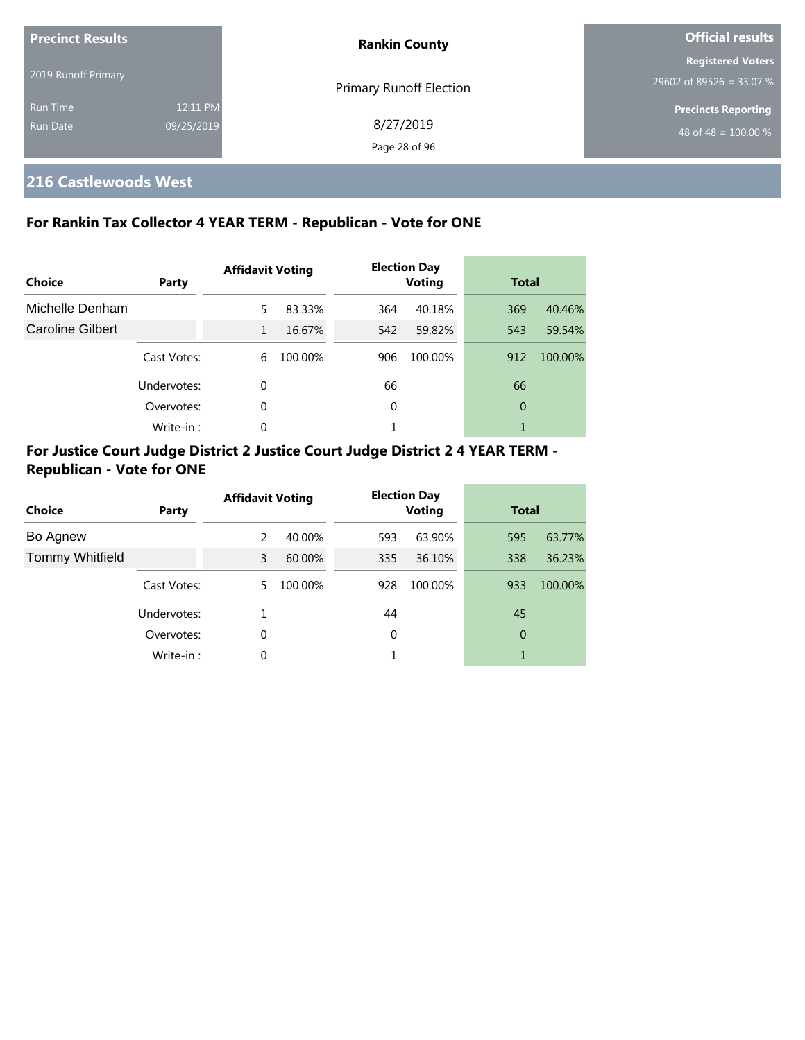| <b>Precinct Results</b> |            | <b>Rankin County</b>           | <b>Official results</b>          |  |
|-------------------------|------------|--------------------------------|----------------------------------|--|
|                         |            |                                | <b>Registered Voters</b>         |  |
| 2019 Runoff Primary     |            | <b>Primary Runoff Election</b> | 29602 of 89526 = 33.07 %         |  |
| <b>Run Time</b>         | 12:11 PM   |                                | <b>Precincts Reporting</b>       |  |
| <b>Run Date</b>         | 09/25/2019 | 8/27/2019                      | 48 of 48 = $\overline{100.00\%}$ |  |
|                         |            | Page 28 of 96                  |                                  |  |

# **216 Castlewoods West**

# **For Rankin Tax Collector 4 YEAR TERM - Republican - Vote for ONE**

| <b>Choice</b>    | Party       | <b>Affidavit Voting</b> |         |     | <b>Election Day</b><br><b>Voting</b> |     | <b>Total</b> |  |
|------------------|-------------|-------------------------|---------|-----|--------------------------------------|-----|--------------|--|
| Michelle Denham  |             | 5                       | 83.33%  | 364 | 40.18%                               | 369 | 40.46%       |  |
| Caroline Gilbert |             | $\mathbf{1}$            | 16.67%  | 542 | 59.82%                               | 543 | 59.54%       |  |
|                  | Cast Votes: | 6                       | 100.00% | 906 | 100.00%                              | 912 | 100.00%      |  |
|                  | Undervotes: | $\Omega$                |         | 66  |                                      | 66  |              |  |
|                  | Overvotes:  | $\Omega$                |         | 0   |                                      | 0   |              |  |
|                  | Write-in:   | $\Omega$                |         |     |                                      |     |              |  |

# **For Justice Court Judge District 2 Justice Court Judge District 2 4 YEAR TERM - Republican - Vote for ONE**

| <b>Choice</b>          | Party       | <b>Affidavit Voting</b> |         | <b>Election Day</b><br><b>Voting</b> |         | <b>Total</b> |         |
|------------------------|-------------|-------------------------|---------|--------------------------------------|---------|--------------|---------|
| Bo Agnew               |             | 2                       | 40.00%  | 593                                  | 63.90%  | 595          | 63.77%  |
| <b>Tommy Whitfield</b> |             | 3                       | 60.00%  | 335                                  | 36.10%  | 338          | 36.23%  |
|                        | Cast Votes: | 5.                      | 100.00% | 928                                  | 100.00% | 933          | 100.00% |
|                        | Undervotes: |                         |         | 44                                   |         | 45           |         |
|                        | Overvotes:  | 0                       |         | $\mathbf 0$                          |         | 0            |         |
|                        | Write-in:   | 0                       |         |                                      |         |              |         |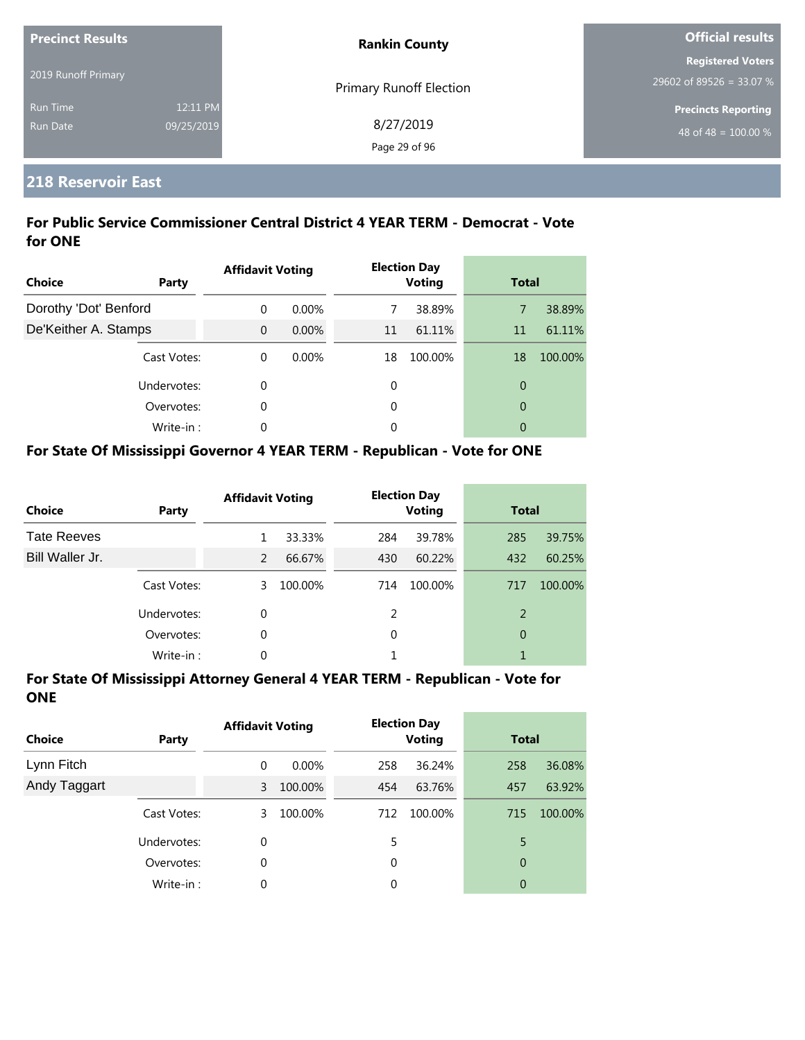| <b>Precinct Results</b> |            | <b>Rankin County</b>    | <b>Official results</b>          |
|-------------------------|------------|-------------------------|----------------------------------|
|                         |            |                         | <b>Registered Voters</b>         |
| 2019 Runoff Primary     |            | Primary Runoff Election | 29602 of 89526 = 33.07 %         |
| <b>Run Time</b>         | 12:11 PM   |                         | <b>Precincts Reporting</b>       |
| <b>Run Date</b>         | 09/25/2019 | 8/27/2019               | 48 of 48 = $\overline{100.00\%}$ |
|                         |            | Page 29 of 96           |                                  |

# **218 Reservoir East**

### **For Public Service Commissioner Central District 4 YEAR TERM - Democrat - Vote for ONE**

| <b>Choice</b>         | Party       | <b>Affidavit Voting</b> |          |    | <b>Election Day</b><br><b>Voting</b> |                | <b>Total</b> |
|-----------------------|-------------|-------------------------|----------|----|--------------------------------------|----------------|--------------|
| Dorothy 'Dot' Benford |             | $\Omega$                | $0.00\%$ | 7  | 38.89%                               | 7              | 38.89%       |
| De'Keither A. Stamps  |             | $\Omega$                | $0.00\%$ | 11 | 61.11%                               | 11             | 61.11%       |
|                       | Cast Votes: | $\Omega$                | $0.00\%$ | 18 | 100.00%                              | 18             | 100.00%      |
|                       | Undervotes: | $\mathbf 0$             |          | 0  |                                      | $\overline{0}$ |              |
|                       | Overvotes:  | 0                       |          | 0  |                                      | $\overline{0}$ |              |
|                       | Write-in:   | 0                       |          | 0  |                                      | 0              |              |

## **For State Of Mississippi Governor 4 YEAR TERM - Republican - Vote for ONE**

| <b>Choice</b>      | Party       | <b>Affidavit Voting</b> |         |          | <b>Election Day</b><br><b>Voting</b> |     | <b>Total</b> |  |
|--------------------|-------------|-------------------------|---------|----------|--------------------------------------|-----|--------------|--|
| <b>Tate Reeves</b> |             |                         | 33.33%  | 284      | 39.78%                               | 285 | 39.75%       |  |
| Bill Waller Jr.    |             | $\mathcal{P}$           | 66.67%  | 430      | 60.22%                               | 432 | 60.25%       |  |
|                    | Cast Votes: | 3                       | 100.00% | 714      | 100.00%                              | 717 | 100.00%      |  |
|                    | Undervotes: | 0                       |         | 2        |                                      | 2   |              |  |
|                    | Overvotes:  | 0                       |         | $\Omega$ |                                      | 0   |              |  |
|                    | Write-in:   | 0                       |         |          |                                      |     |              |  |

| <b>Choice</b> | Party       | <b>Affidavit Voting</b> |          |     | <b>Election Day</b><br><b>Voting</b> |     | <b>Total</b> |  |
|---------------|-------------|-------------------------|----------|-----|--------------------------------------|-----|--------------|--|
| Lynn Fitch    |             | 0                       | $0.00\%$ | 258 | 36.24%                               | 258 | 36.08%       |  |
| Andy Taggart  |             | 3                       | 100.00%  | 454 | 63.76%                               | 457 | 63.92%       |  |
|               | Cast Votes: | 3                       | 100.00%  | 712 | 100.00%                              | 715 | 100.00%      |  |
|               | Undervotes: | 0                       |          | 5.  |                                      | 5   |              |  |
|               | Overvotes:  | 0                       |          | 0   |                                      | 0   |              |  |
|               | Write-in:   | 0                       |          | 0   |                                      | 0   |              |  |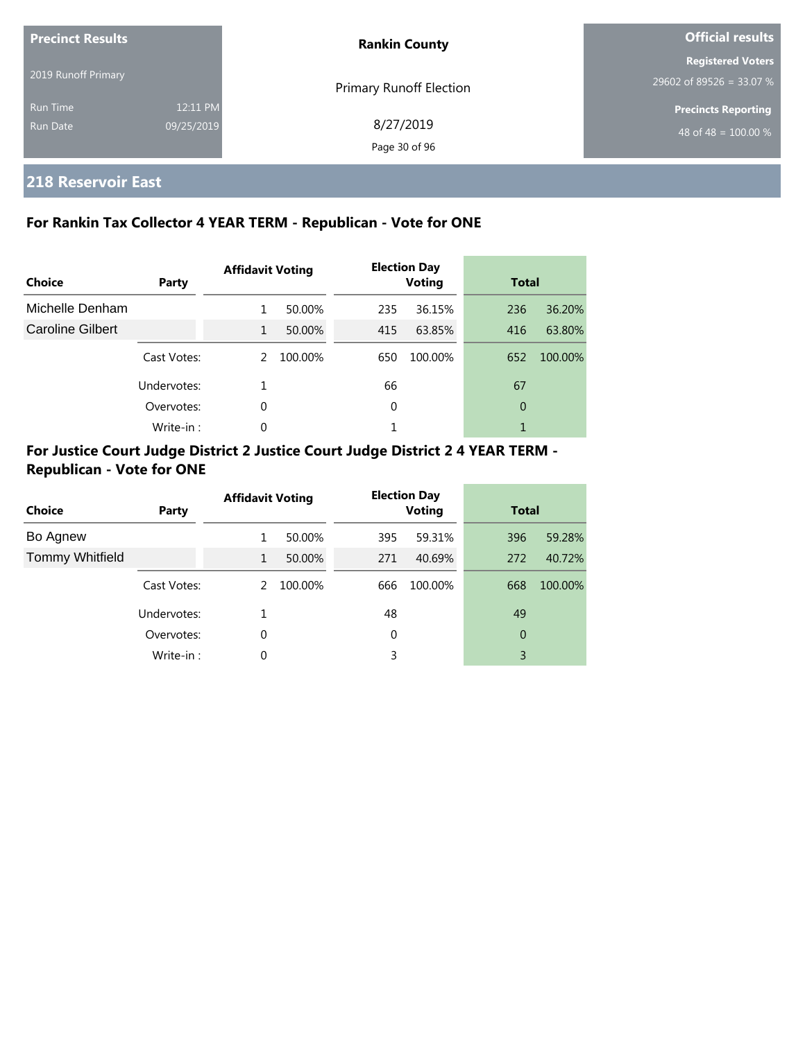| <b>Precinct Results</b><br>2019 Runoff Primary |                        | <b>Rankin County</b>           | <b>Official results</b>                              |  |
|------------------------------------------------|------------------------|--------------------------------|------------------------------------------------------|--|
|                                                |                        | <b>Primary Runoff Election</b> | <b>Registered Voters</b><br>29602 of 89526 = 33.07 % |  |
| <b>Run Time</b><br>Run Date                    | 12:11 PM<br>09/25/2019 | 8/27/2019<br>Page 30 of 96     | <b>Precincts Reporting</b><br>48 of 48 = $100.00\%$  |  |

# **218 Reservoir East**

# **For Rankin Tax Collector 4 YEAR TERM - Republican - Vote for ONE**

| Choice                  | Party       | <b>Affidavit Voting</b> |         | <b>Election Day</b><br><b>Voting</b> |         | <b>Total</b> |         |
|-------------------------|-------------|-------------------------|---------|--------------------------------------|---------|--------------|---------|
| Michelle Denham         |             | 1                       | 50.00%  | 235                                  | 36.15%  | 236          | 36.20%  |
| <b>Caroline Gilbert</b> |             | $\mathbf{1}$            | 50.00%  | 415                                  | 63.85%  | 416          | 63.80%  |
|                         | Cast Votes: | $\mathcal{P}$           | 100.00% | 650                                  | 100.00% | 652          | 100.00% |
|                         | Undervotes: |                         |         | 66                                   |         | 67           |         |
|                         | Overvotes:  | 0                       |         | 0                                    |         | 0            |         |
|                         | Write-in:   | 0                       |         |                                      |         |              |         |

# **For Justice Court Judge District 2 Justice Court Judge District 2 4 YEAR TERM - Republican - Vote for ONE**

| <b>Choice</b>          | Party       | <b>Affidavit Voting</b> |         |             | <b>Election Day</b><br><b>Voting</b> |     | <b>Total</b> |  |
|------------------------|-------------|-------------------------|---------|-------------|--------------------------------------|-----|--------------|--|
| Bo Agnew               |             | 1                       | 50.00%  | 395         | 59.31%                               | 396 | 59.28%       |  |
| <b>Tommy Whitfield</b> |             | 1                       | 50.00%  | 271         | 40.69%                               | 272 | 40.72%       |  |
|                        | Cast Votes: | 2                       | 100.00% | 666         | 100.00%                              | 668 | 100.00%      |  |
|                        | Undervotes: |                         |         | 48          |                                      | 49  |              |  |
|                        | Overvotes:  | 0                       |         | $\mathbf 0$ |                                      | 0   |              |  |
|                        | Write-in:   | 0                       |         | 3           |                                      | 3   |              |  |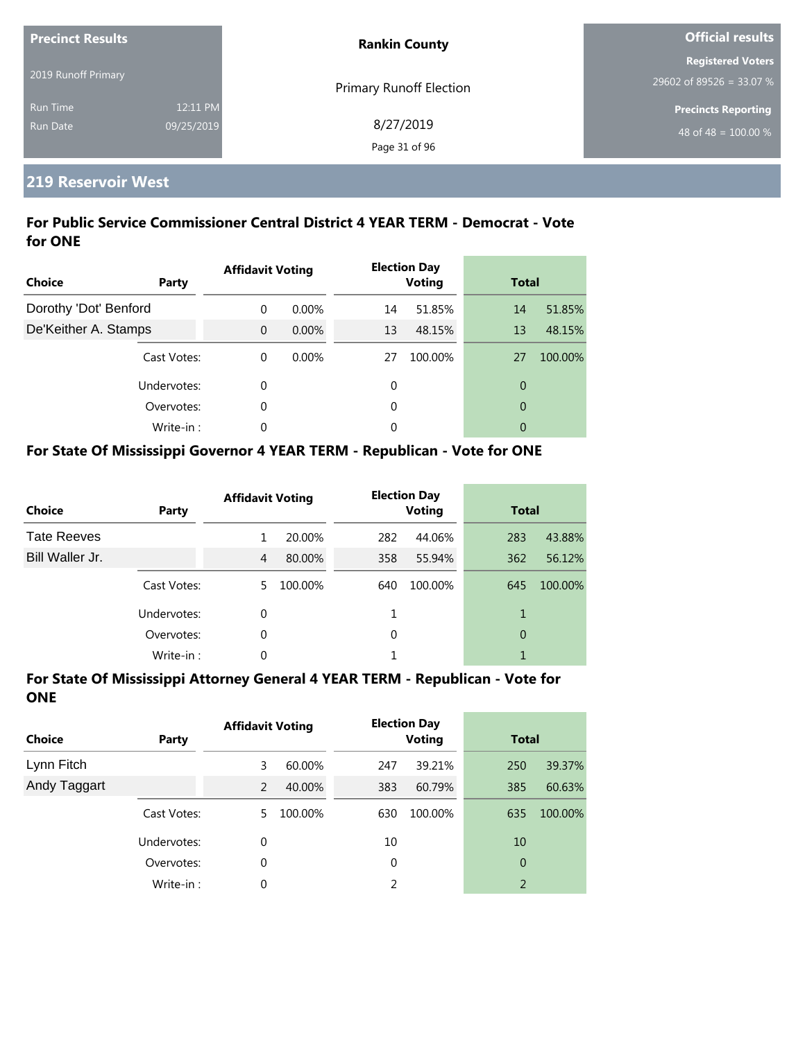| <b>Precinct Results</b> |            | <b>Rankin County</b>    | <b>Official results</b>          |  |
|-------------------------|------------|-------------------------|----------------------------------|--|
|                         |            |                         | <b>Registered Voters</b>         |  |
| 2019 Runoff Primary     |            | Primary Runoff Election | 29602 of 89526 = 33.07 %         |  |
| <b>Run Time</b>         | 12:11 PM   |                         | <b>Precincts Reporting</b>       |  |
| <b>Run Date</b>         | 09/25/2019 | 8/27/2019               | 48 of 48 = $\overline{100.00\%}$ |  |
|                         |            | Page 31 of 96           |                                  |  |

# **219 Reservoir West**

## **For Public Service Commissioner Central District 4 YEAR TERM - Democrat - Vote for ONE**

| Choice                | Party       | <b>Affidavit Voting</b> |          |    | <b>Election Day</b><br><b>Voting</b> | <b>Total</b>   |         |
|-----------------------|-------------|-------------------------|----------|----|--------------------------------------|----------------|---------|
| Dorothy 'Dot' Benford |             | 0                       | $0.00\%$ | 14 | 51.85%                               | 14             | 51.85%  |
| De'Keither A. Stamps  |             | $\Omega$                | $0.00\%$ | 13 | 48.15%                               | 13             | 48.15%  |
|                       | Cast Votes: | $\Omega$                | $0.00\%$ | 27 | 100.00%                              | 27             | 100.00% |
|                       | Undervotes: | 0                       |          | 0  |                                      | 0              |         |
|                       | Overvotes:  | 0                       |          | 0  |                                      | $\overline{0}$ |         |
|                       | Write-in:   | 0                       |          | 0  |                                      | 0              |         |

### **For State Of Mississippi Governor 4 YEAR TERM - Republican - Vote for ONE**

| <b>Choice</b>      | Party       | <b>Affidavit Voting</b> |         |     | <b>Election Day</b><br><b>Voting</b> |     | <b>Total</b> |  |
|--------------------|-------------|-------------------------|---------|-----|--------------------------------------|-----|--------------|--|
| <b>Tate Reeves</b> |             |                         | 20.00%  | 282 | 44.06%                               | 283 | 43.88%       |  |
| Bill Waller Jr.    |             | 4                       | 80.00%  | 358 | 55.94%                               | 362 | 56.12%       |  |
|                    | Cast Votes: | 5.                      | 100.00% | 640 | 100.00%                              | 645 | 100.00%      |  |
|                    | Undervotes: | 0                       |         |     |                                      | 1   |              |  |
|                    | Overvotes:  | 0                       |         | 0   |                                      | 0   |              |  |
|                    | Write-in:   | 0                       |         |     |                                      |     |              |  |

| <b>Choice</b> | Party       | <b>Affidavit Voting</b> |         |     | <b>Election Day</b><br><b>Voting</b> | <b>Total</b>   |         |
|---------------|-------------|-------------------------|---------|-----|--------------------------------------|----------------|---------|
| Lynn Fitch    |             | 3                       | 60.00%  | 247 | 39.21%                               | 250            | 39.37%  |
| Andy Taggart  |             | $\mathcal{P}$           | 40.00%  | 383 | 60.79%                               | 385            | 60.63%  |
|               | Cast Votes: | 5.                      | 100.00% | 630 | 100.00%                              | 635            | 100.00% |
|               | Undervotes: | 0                       |         | 10  |                                      | 10             |         |
|               | Overvotes:  | 0                       |         | 0   |                                      | $\overline{0}$ |         |
|               | Write-in:   | 0                       |         | 2   |                                      | $\overline{2}$ |         |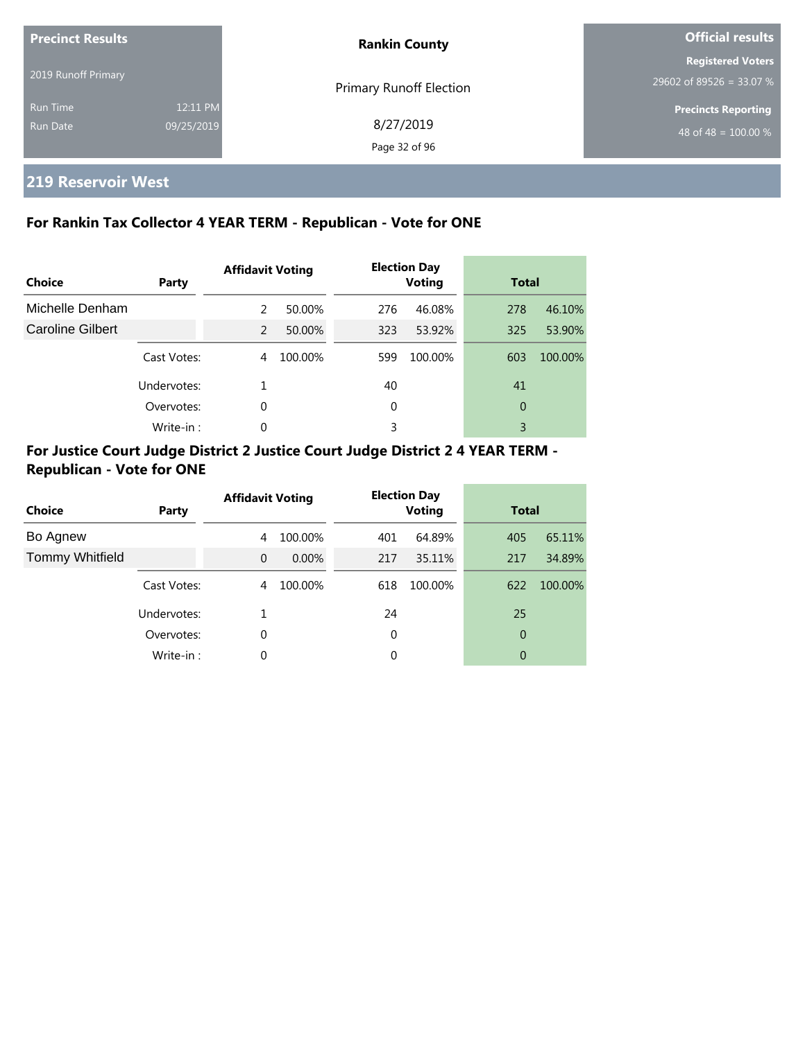| <b>Precinct Results</b> |            | <b>Rankin County</b>           | <b>Official results</b>          |  |
|-------------------------|------------|--------------------------------|----------------------------------|--|
|                         |            |                                | <b>Registered Voters</b>         |  |
| 2019 Runoff Primary     |            | <b>Primary Runoff Election</b> | 29602 of 89526 = 33.07 %         |  |
| <b>Run Time</b>         | 12:11 PM   |                                | <b>Precincts Reporting</b>       |  |
| <b>Run Date</b>         | 09/25/2019 | 8/27/2019                      | 48 of 48 = $\overline{100.00\%}$ |  |
|                         |            | Page 32 of 96                  |                                  |  |

# **219 Reservoir West**

# **For Rankin Tax Collector 4 YEAR TERM - Republican - Vote for ONE**

| Choice           | Party       | <b>Affidavit Voting</b> |         |     | <b>Election Day</b><br><b>Voting</b> | <b>Total</b> |         |
|------------------|-------------|-------------------------|---------|-----|--------------------------------------|--------------|---------|
| Michelle Denham  |             | 2                       | 50.00%  | 276 | 46.08%                               | 278          | 46.10%  |
| Caroline Gilbert |             | 2                       | 50.00%  | 323 | 53.92%                               | 325          | 53.90%  |
|                  | Cast Votes: | 4                       | 100.00% | 599 | 100.00%                              | 603          | 100.00% |
|                  | Undervotes: |                         |         | 40  |                                      | 41           |         |
|                  | Overvotes:  | $\Omega$                |         | 0   |                                      | 0            |         |
|                  | Write-in:   | 0                       |         | 3   |                                      | 3            |         |

# **For Justice Court Judge District 2 Justice Court Judge District 2 4 YEAR TERM - Republican - Vote for ONE**

| <b>Choice</b>          | Party       | <b>Affidavit Voting</b> |          |     | <b>Election Day</b><br><b>Voting</b> | <b>Total</b> |         |
|------------------------|-------------|-------------------------|----------|-----|--------------------------------------|--------------|---------|
| Bo Agnew               |             | 4                       | 100.00%  | 401 | 64.89%                               | 405          | 65.11%  |
| <b>Tommy Whitfield</b> |             | $\Omega$                | $0.00\%$ | 217 | 35.11%                               | 217          | 34.89%  |
|                        | Cast Votes: | 4                       | 100.00%  | 618 | 100.00%                              | 622          | 100.00% |
|                        | Undervotes: |                         |          | 24  |                                      | 25           |         |
|                        | Overvotes:  | 0                       |          | 0   |                                      | 0            |         |
|                        | Write-in:   | 0                       |          | 0   |                                      | 0            |         |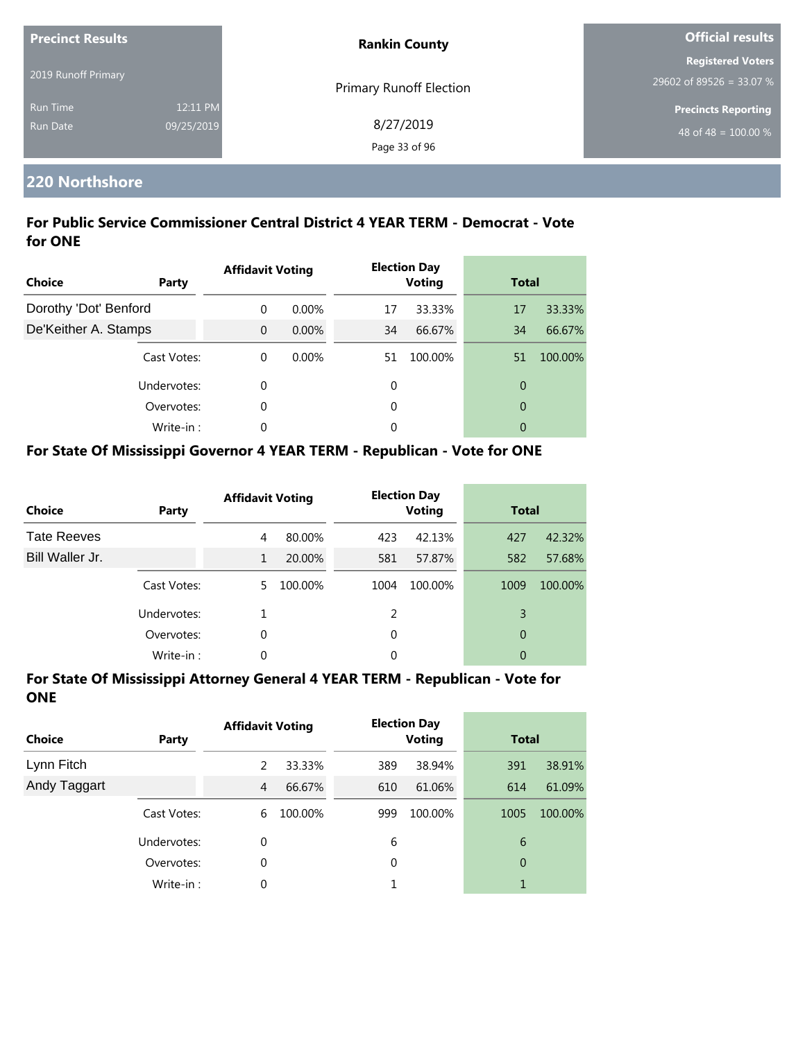| <b>Precinct Results</b> |            | <b>Rankin County</b>           | <b>Official results</b>                              |  |
|-------------------------|------------|--------------------------------|------------------------------------------------------|--|
| 2019 Runoff Primary     |            |                                | <b>Registered Voters</b><br>29602 of 89526 = 33.07 % |  |
| <b>Run Time</b>         | 12:11 PM   | <b>Primary Runoff Election</b> | <b>Precincts Reporting</b>                           |  |
| <b>Run Date</b>         | 09/25/2019 | 8/27/2019<br>Page 33 of 96     | 48 of 48 = $100.00\%$                                |  |

#### **220 Northshore**

## **For Public Service Commissioner Central District 4 YEAR TERM - Democrat - Vote for ONE**

| <b>Choice</b>         | Party       | <b>Affidavit Voting</b> |          |    | <b>Election Day</b><br><b>Voting</b> | <b>Total</b>   |         |
|-----------------------|-------------|-------------------------|----------|----|--------------------------------------|----------------|---------|
| Dorothy 'Dot' Benford |             | $\Omega$                | $0.00\%$ | 17 | 33.33%                               | 17             | 33.33%  |
| De'Keither A. Stamps  |             | $\Omega$                | $0.00\%$ | 34 | 66.67%                               | 34             | 66.67%  |
|                       | Cast Votes: | $\Omega$                | 0.00%    | 51 | 100.00%                              | 51             | 100.00% |
|                       | Undervotes: | 0                       |          | 0  |                                      | $\overline{0}$ |         |
|                       | Overvotes:  | 0                       |          | 0  |                                      | $\overline{0}$ |         |
|                       | Write-in:   | 0                       |          | 0  |                                      | 0              |         |

# **For State Of Mississippi Governor 4 YEAR TERM - Republican - Vote for ONE**

| <b>Choice</b>      | Party       | <b>Affidavit Voting</b> |         |               | <b>Election Day</b><br><b>Voting</b> | <b>Total</b> |         |
|--------------------|-------------|-------------------------|---------|---------------|--------------------------------------|--------------|---------|
| <b>Tate Reeves</b> |             | 4                       | 80.00%  | 423           | 42.13%                               | 427          | 42.32%  |
| Bill Waller Jr.    |             | 1                       | 20.00%  | 581           | 57.87%                               | 582          | 57.68%  |
|                    | Cast Votes: | 5.                      | 100.00% | 1004          | 100.00%                              | 1009         | 100.00% |
|                    | Undervotes: |                         |         | $\mathcal{P}$ |                                      | 3            |         |
|                    | Overvotes:  | 0                       |         | $\Omega$      |                                      | 0            |         |
|                    | Write-in:   | 0                       |         | 0             |                                      | 0            |         |

| <b>Choice</b> | Party       | <b>Affidavit Voting</b> |         |     | <b>Election Day</b><br><b>Voting</b> | <b>Total</b> |         |
|---------------|-------------|-------------------------|---------|-----|--------------------------------------|--------------|---------|
| Lynn Fitch    |             | 2                       | 33.33%  | 389 | 38.94%                               | 391          | 38.91%  |
| Andy Taggart  |             | 4                       | 66.67%  | 610 | 61.06%                               | 614          | 61.09%  |
|               | Cast Votes: | 6                       | 100.00% | 999 | 100.00%                              | 1005         | 100.00% |
|               | Undervotes: | 0                       |         | 6   |                                      | 6            |         |
|               | Overvotes:  | 0                       |         | 0   |                                      | 0            |         |
|               | Write-in:   | 0                       |         |     |                                      |              |         |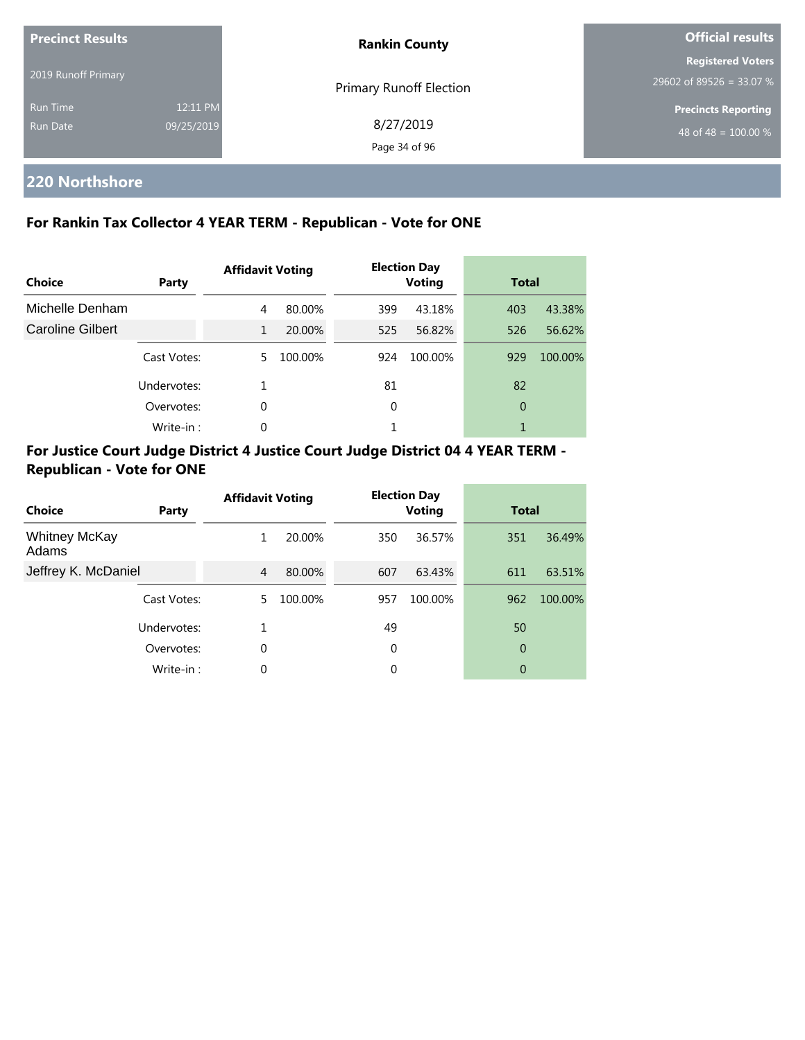| <b>Precinct Results</b> |            | <b>Rankin County</b>           | <b>Official results</b>    |  |
|-------------------------|------------|--------------------------------|----------------------------|--|
|                         |            |                                | <b>Registered Voters</b>   |  |
| 2019 Runoff Primary     |            | <b>Primary Runoff Election</b> | 29602 of 89526 = 33.07 %   |  |
| <b>Run Time</b>         | 12:11 PM   |                                | <b>Precincts Reporting</b> |  |
| Run Date                | 09/25/2019 | 8/27/2019                      | 48 of 48 = $100.00\%$      |  |
|                         |            | Page 34 of 96                  |                            |  |

# **220 Northshore**

# **For Rankin Tax Collector 4 YEAR TERM - Republican - Vote for ONE**

| Choice           | Party       | <b>Affidavit Voting</b> |         |     | <b>Election Day</b><br><b>Voting</b> | <b>Total</b> |         |
|------------------|-------------|-------------------------|---------|-----|--------------------------------------|--------------|---------|
| Michelle Denham  |             | 4                       | 80.00%  | 399 | 43.18%                               | 403          | 43.38%  |
| Caroline Gilbert |             | 1                       | 20.00%  | 525 | 56.82%                               | 526          | 56.62%  |
|                  | Cast Votes: | 5.                      | 100.00% | 924 | 100.00%                              | 929          | 100.00% |
|                  | Undervotes: |                         |         | 81  |                                      | 82           |         |
|                  | Overvotes:  | $\Omega$                |         | 0   |                                      | 0            |         |
|                  | Write-in :  | 0                       |         |     |                                      |              |         |

# **For Justice Court Judge District 4 Justice Court Judge District 04 4 YEAR TERM - Republican - Vote for ONE**

| Choice                        | Party       | <b>Affidavit Voting</b> |         |     | <b>Election Day</b><br><b>Voting</b> | <b>Total</b> |         |
|-------------------------------|-------------|-------------------------|---------|-----|--------------------------------------|--------------|---------|
| <b>Whitney McKay</b><br>Adams |             | 1                       | 20.00%  | 350 | 36.57%                               | 351          | 36.49%  |
| Jeffrey K. McDaniel           |             | 4                       | 80.00%  | 607 | 63.43%                               | 611          | 63.51%  |
|                               | Cast Votes: | 5.                      | 100.00% | 957 | 100.00%                              | 962          | 100.00% |
|                               | Undervotes: |                         |         | 49  |                                      | 50           |         |
|                               | Overvotes:  | 0                       |         | 0   |                                      | 0            |         |
|                               | Write-in:   | $\Omega$                |         | 0   |                                      | 0            |         |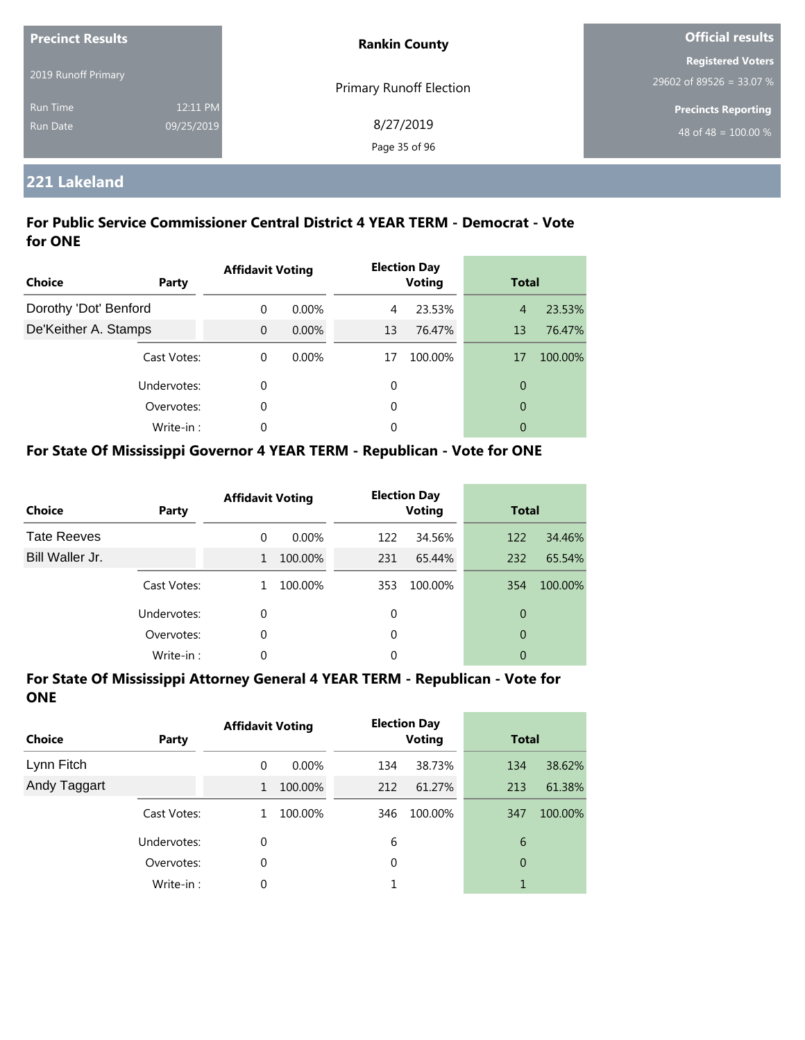| <b>Precinct Results</b>     |                        | <b>Rankin County</b>       | <b>Official results</b>                              |  |
|-----------------------------|------------------------|----------------------------|------------------------------------------------------|--|
| 2019 Runoff Primary         |                        | Primary Runoff Election    | <b>Registered Voters</b><br>29602 of 89526 = 33.07 % |  |
| <b>Run Time</b><br>Run Date | 12:11 PM<br>09/25/2019 | 8/27/2019<br>Page 35 of 96 | <b>Precincts Reporting</b><br>48 of 48 = $100.00\%$  |  |

# **221 Lakeland**

## **For Public Service Commissioner Central District 4 YEAR TERM - Democrat - Vote for ONE**

| Choice                | Party       | <b>Affidavit Voting</b> |          | <b>Election Day</b><br><b>Voting</b> |         | <b>Total</b>   |         |
|-----------------------|-------------|-------------------------|----------|--------------------------------------|---------|----------------|---------|
| Dorothy 'Dot' Benford |             | $\Omega$                | $0.00\%$ | 4                                    | 23.53%  | $\overline{4}$ | 23.53%  |
| De'Keither A. Stamps  |             | $\Omega$                | $0.00\%$ | 13                                   | 76.47%  | 13             | 76.47%  |
|                       | Cast Votes: | 0                       | $0.00\%$ | 17                                   | 100.00% | 17             | 100.00% |
|                       | Undervotes: | 0                       |          | 0                                    |         | 0              |         |
|                       | Overvotes:  | 0                       |          | 0                                    |         | $\overline{0}$ |         |
|                       | Write-in:   | 0                       |          | 0                                    |         | 0              |         |

# **For State Of Mississippi Governor 4 YEAR TERM - Republican - Vote for ONE**

| <b>Choice</b>      | Party       | <b>Affidavit Voting</b> |          | <b>Election Day</b><br><b>Voting</b> |         | <b>Total</b> |         |
|--------------------|-------------|-------------------------|----------|--------------------------------------|---------|--------------|---------|
| <b>Tate Reeves</b> |             | 0                       | $0.00\%$ | 122                                  | 34.56%  | 122          | 34.46%  |
| Bill Waller Jr.    |             | 1                       | 100.00%  | 231                                  | 65.44%  | 232          | 65.54%  |
|                    | Cast Votes: |                         | 100.00%  | 353                                  | 100.00% | 354          | 100.00% |
|                    | Undervotes: | 0                       |          | $\Omega$                             |         | 0            |         |
|                    | Overvotes:  | 0                       |          | $\Omega$                             |         | 0            |         |
|                    | Write-in:   | 0                       |          | 0                                    |         | 0            |         |

| <b>Choice</b> | Party       | <b>Affidavit Voting</b> |          | <b>Election Day</b><br><b>Voting</b> |         | <b>Total</b> |         |
|---------------|-------------|-------------------------|----------|--------------------------------------|---------|--------------|---------|
| Lynn Fitch    |             | 0                       | $0.00\%$ | 134                                  | 38.73%  | 134          | 38.62%  |
| Andy Taggart  |             | 1                       | 100.00%  | 212                                  | 61.27%  | 213          | 61.38%  |
|               | Cast Votes: | 1                       | 100.00%  | 346                                  | 100.00% | 347          | 100.00% |
|               | Undervotes: | 0                       |          | 6                                    |         | 6            |         |
|               | Overvotes:  | 0                       |          | 0                                    |         | 0            |         |
|               | Write-in:   | 0                       |          |                                      |         |              |         |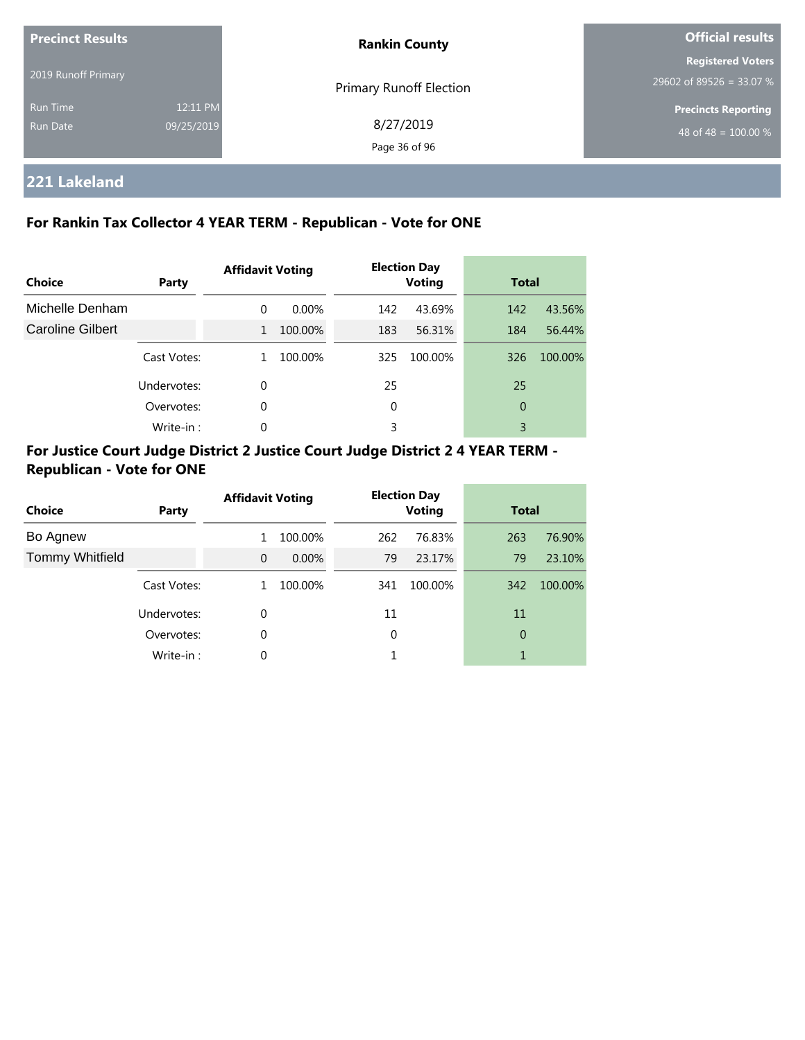| <b>Precinct Results</b><br>2019 Runoff Primary |                        | <b>Rankin County</b>       | <b>Official results</b>                                        |  |
|------------------------------------------------|------------------------|----------------------------|----------------------------------------------------------------|--|
|                                                |                        | Primary Runoff Election    | <b>Registered Voters</b><br>29602 of 89526 = 33.07 %           |  |
| Run Time<br>Run Date                           | 12:11 PM<br>09/25/2019 | 8/27/2019<br>Page 36 of 96 | <b>Precincts Reporting</b><br>48 of 48 = $\overline{100.00\%}$ |  |

**221 Lakeland**

## **For Rankin Tax Collector 4 YEAR TERM - Republican - Vote for ONE**

| Choice           | <b>Party</b> | <b>Affidavit Voting</b> |          | <b>Election Day</b><br><b>Voting</b> |         | <b>Total</b> |         |
|------------------|--------------|-------------------------|----------|--------------------------------------|---------|--------------|---------|
| Michelle Denham  |              | $\Omega$                | $0.00\%$ | 142                                  | 43.69%  | 142          | 43.56%  |
| Caroline Gilbert |              | $\mathbf{1}$            | 100.00%  | 183                                  | 56.31%  | 184          | 56.44%  |
|                  | Cast Votes:  |                         | 100.00%  | 325                                  | 100.00% | 326          | 100.00% |
|                  | Undervotes:  | 0                       |          | 25                                   |         | 25           |         |
|                  | Overvotes:   | 0                       |          | 0                                    |         | 0            |         |
|                  | Write-in:    | $\Omega$                |          | 3                                    |         | 3            |         |

# **For Justice Court Judge District 2 Justice Court Judge District 2 4 YEAR TERM - Republican - Vote for ONE**

| Choice                 | Party       | <b>Affidavit Voting</b> |          | <b>Election Day</b><br><b>Voting</b> |         | <b>Total</b> |         |
|------------------------|-------------|-------------------------|----------|--------------------------------------|---------|--------------|---------|
| Bo Agnew               |             |                         | 100.00%  | 262                                  | 76.83%  | 263          | 76.90%  |
| <b>Tommy Whitfield</b> |             | $\Omega$                | $0.00\%$ | 79                                   | 23.17%  | 79           | 23.10%  |
|                        | Cast Votes: |                         | 100.00%  | 341                                  | 100.00% | 342          | 100.00% |
|                        | Undervotes: | 0                       |          | 11                                   |         | 11           |         |
|                        | Overvotes:  | 0                       |          | 0                                    |         | 0            |         |
|                        | Write-in:   | 0                       |          |                                      |         |              |         |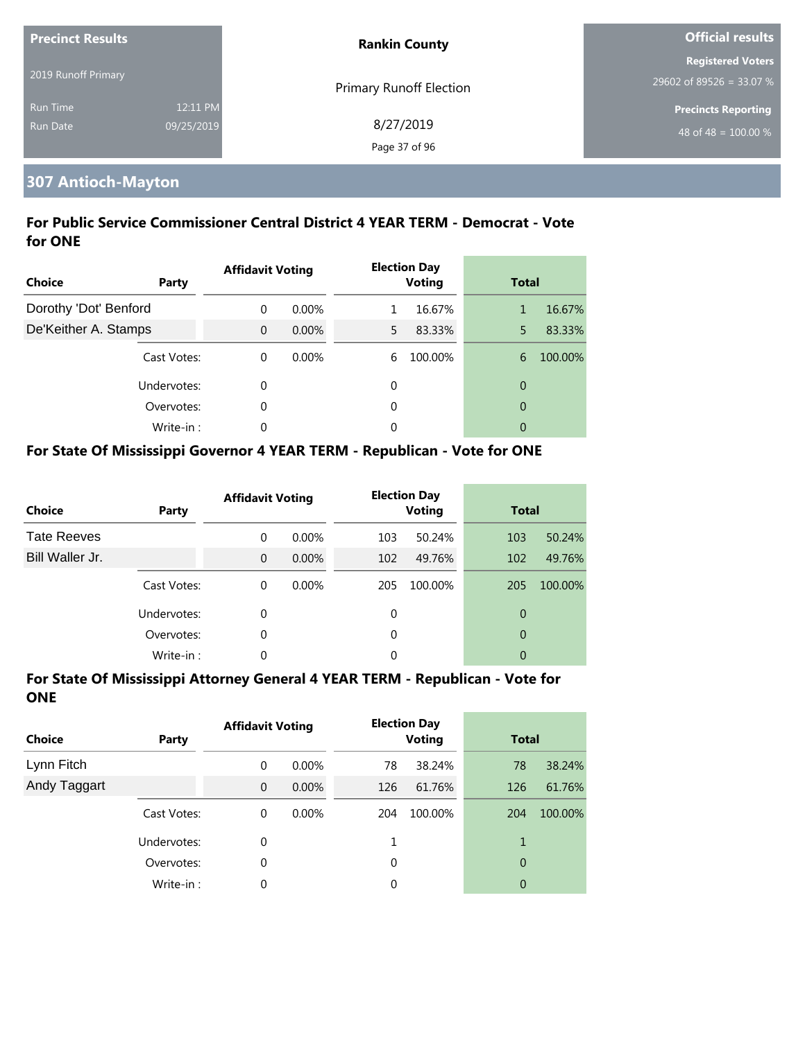| <b>Precinct Results</b> |            | <b>Rankin County</b>    | <b>Official results</b>    |  |
|-------------------------|------------|-------------------------|----------------------------|--|
|                         |            |                         | <b>Registered Voters</b>   |  |
| 2019 Runoff Primary     |            | Primary Runoff Election | 29602 of 89526 = 33.07 %   |  |
| <b>Run Time</b>         | 12:11 PM   |                         | <b>Precincts Reporting</b> |  |
| <b>Run Date</b>         | 09/25/2019 | 8/27/2019               | 48 of 48 = $100.00\%$      |  |
|                         |            | Page 37 of 96           |                            |  |

#### **307 Antioch-Mayton**

#### **For Public Service Commissioner Central District 4 YEAR TERM - Democrat - Vote for ONE**

| <b>Choice</b>         | Party       | <b>Affidavit Voting</b> |          |    | <b>Election Day</b><br><b>Voting</b> | <b>Total</b>   |         |
|-----------------------|-------------|-------------------------|----------|----|--------------------------------------|----------------|---------|
| Dorothy 'Dot' Benford |             | $\Omega$                | $0.00\%$ |    | 16.67%                               | 1              | 16.67%  |
| De'Keither A. Stamps  |             | $\overline{0}$          | $0.00\%$ | 5. | 83.33%                               | 5              | 83.33%  |
|                       | Cast Votes: | $\Omega$                | $0.00\%$ | 6  | 100.00%                              | 6              | 100.00% |
|                       | Undervotes: | 0                       |          | 0  |                                      | 0              |         |
|                       | Overvotes:  | 0                       |          | 0  |                                      | $\overline{0}$ |         |
|                       | Write-in:   | 0                       |          | 0  |                                      | 0              |         |

#### **For State Of Mississippi Governor 4 YEAR TERM - Republican - Vote for ONE**

| <b>Choice</b>      | Party       | <b>Affidavit Voting</b> |          |          | <b>Election Day</b><br><b>Voting</b> | <b>Total</b> |         |
|--------------------|-------------|-------------------------|----------|----------|--------------------------------------|--------------|---------|
| <b>Tate Reeves</b> |             | $\Omega$                | $0.00\%$ | 103      | 50.24%                               | 103          | 50.24%  |
| Bill Waller Jr.    |             | $\Omega$                | $0.00\%$ | 102      | 49.76%                               | 102          | 49.76%  |
|                    | Cast Votes: | $\Omega$                | $0.00\%$ | 205      | 100.00%                              | 205          | 100.00% |
|                    | Undervotes: | 0                       |          | 0        |                                      | 0            |         |
|                    | Overvotes:  | 0                       |          | $\Omega$ |                                      | 0            |         |
|                    | Write-in:   | 0                       |          | 0        |                                      | 0            |         |

| <b>Choice</b> | <b>Party</b> | <b>Affidavit Voting</b> |          |     | <b>Election Day</b><br><b>Voting</b> | <b>Total</b> |         |
|---------------|--------------|-------------------------|----------|-----|--------------------------------------|--------------|---------|
| Lynn Fitch    |              | 0                       | $0.00\%$ | 78  | 38.24%                               | 78           | 38.24%  |
| Andy Taggart  |              | $\overline{0}$          | $0.00\%$ | 126 | 61.76%                               | 126          | 61.76%  |
|               | Cast Votes:  | 0                       | $0.00\%$ | 204 | 100.00%                              | 204          | 100.00% |
|               | Undervotes:  | 0                       |          |     |                                      |              |         |
|               | Overvotes:   | 0                       |          | 0   |                                      | 0            |         |
|               | Write-in:    | 0                       |          | 0   |                                      | 0            |         |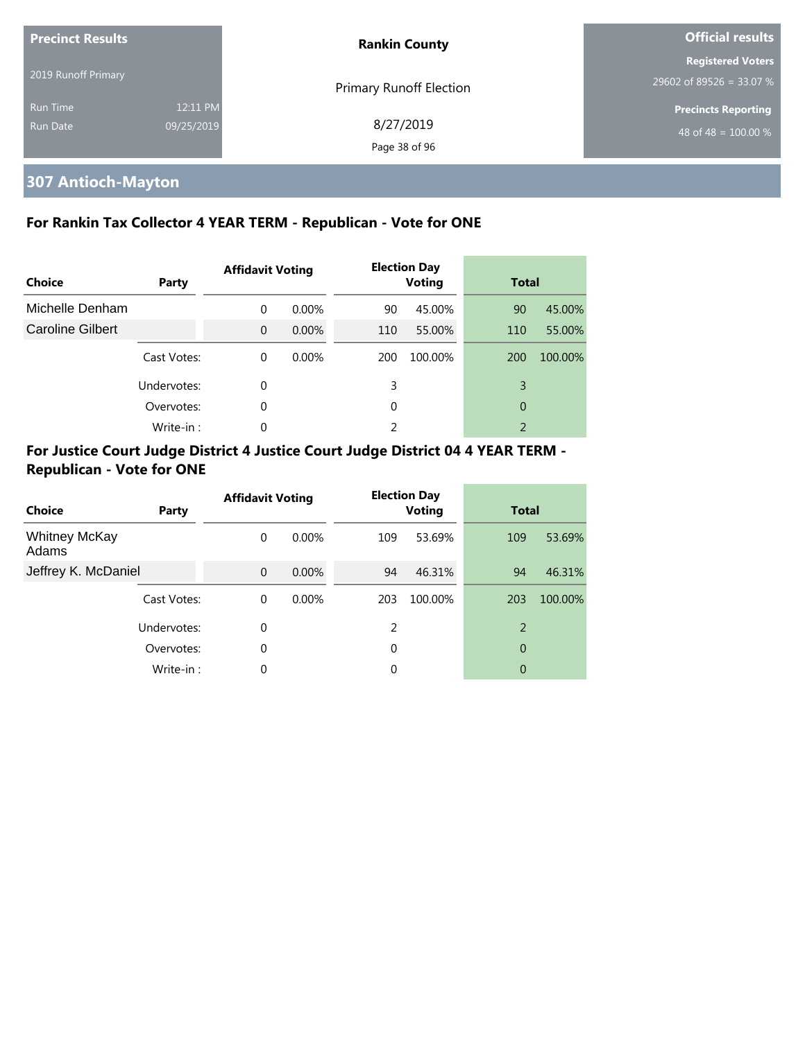| <b>Precinct Results</b> |            | <b>Rankin County</b>           | <b>Official results</b>          |  |
|-------------------------|------------|--------------------------------|----------------------------------|--|
|                         |            |                                | <b>Registered Voters</b>         |  |
| 2019 Runoff Primary     |            | <b>Primary Runoff Election</b> | 29602 of 89526 = 33.07 %         |  |
| <b>Run Time</b>         | 12:11 PM   |                                | <b>Precincts Reporting</b>       |  |
| <b>Run Date</b>         | 09/25/2019 | 8/27/2019                      | 48 of 48 = $\overline{100.00\%}$ |  |
|                         |            | Page 38 of 96                  |                                  |  |

## **307 Antioch-Mayton**

#### **For Rankin Tax Collector 4 YEAR TERM - Republican - Vote for ONE**

| Choice           | <b>Party</b> | <b>Affidavit Voting</b> |          |     | <b>Election Day</b><br><b>Voting</b> | <b>Total</b> |         |
|------------------|--------------|-------------------------|----------|-----|--------------------------------------|--------------|---------|
| Michelle Denham  |              | $\Omega$                | $0.00\%$ | 90  | 45.00%                               | 90           | 45.00%  |
| Caroline Gilbert |              | $\Omega$                | $0.00\%$ | 110 | 55.00%                               | 110          | 55.00%  |
|                  | Cast Votes:  | $\Omega$                | $0.00\%$ | 200 | 100.00%                              | 200          | 100.00% |
|                  | Undervotes:  | $\Omega$                |          | 3   |                                      | 3            |         |
|                  | Overvotes:   | $\Omega$                |          | 0   |                                      | 0            |         |
|                  | Write-in:    | $\Omega$                |          | 2   |                                      | 2            |         |

| Choice                        | Party       | <b>Affidavit Voting</b> |          |     | <b>Election Day</b><br><b>Voting</b> | <b>Total</b> |         |
|-------------------------------|-------------|-------------------------|----------|-----|--------------------------------------|--------------|---------|
| <b>Whitney McKay</b><br>Adams |             | $\Omega$                | $0.00\%$ | 109 | 53.69%                               | 109          | 53.69%  |
| Jeffrey K. McDaniel           |             | $\Omega$                | $0.00\%$ | 94  | 46.31%                               | 94           | 46.31%  |
|                               | Cast Votes: | $\Omega$                | $0.00\%$ | 203 | 100.00%                              | 203          | 100.00% |
|                               | Undervotes: | $\Omega$                |          | 2   |                                      | 2            |         |
|                               | Overvotes:  | $\Omega$                |          | 0   |                                      | 0            |         |
|                               | Write-in:   | $\Omega$                |          | 0   |                                      | 0            |         |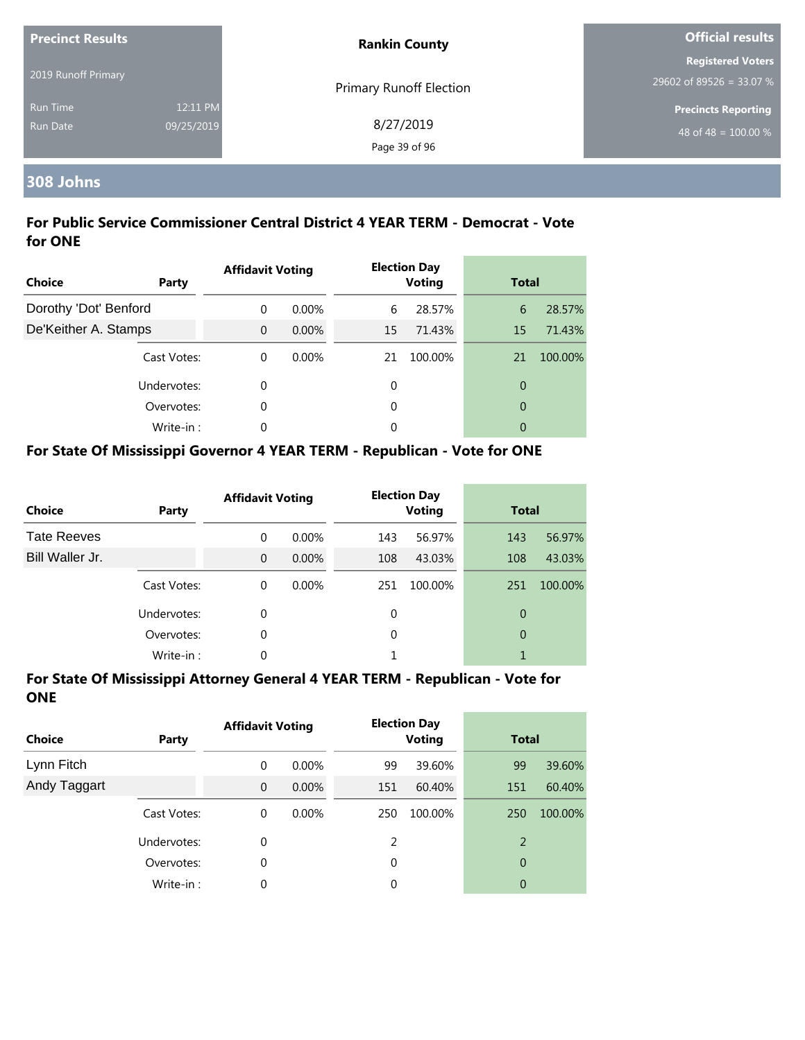| <b>Precinct Results</b>            |                        | <b>Rankin County</b>           | <b>Official results</b>                              |  |  |
|------------------------------------|------------------------|--------------------------------|------------------------------------------------------|--|--|
| 2019 Runoff Primary                |                        | <b>Primary Runoff Election</b> | <b>Registered Voters</b><br>29602 of 89526 = 33.07 % |  |  |
| <b>Run Time</b><br><b>Run Date</b> | 12:11 PM<br>09/25/2019 | 8/27/2019<br>Page 39 of 96     | <b>Precincts Reporting</b><br>48 of 48 = $100.00\%$  |  |  |

## **308 Johns**

#### **For Public Service Commissioner Central District 4 YEAR TERM - Democrat - Vote for ONE**

| <b>Choice</b>         | Party       | <b>Affidavit Voting</b> |          |    | <b>Election Day</b><br><b>Voting</b> | <b>Total</b>   |         |
|-----------------------|-------------|-------------------------|----------|----|--------------------------------------|----------------|---------|
| Dorothy 'Dot' Benford |             | $\Omega$                | $0.00\%$ | 6  | 28.57%                               | 6              | 28.57%  |
| De'Keither A. Stamps  |             | $\Omega$                | $0.00\%$ | 15 | 71.43%                               | 15             | 71.43%  |
|                       | Cast Votes: | $\theta$                | $0.00\%$ | 21 | 100.00%                              | 21             | 100.00% |
|                       | Undervotes: | 0                       |          | 0  |                                      | $\overline{0}$ |         |
|                       | Overvotes:  | 0                       |          | 0  |                                      | $\overline{0}$ |         |
|                       | Write-in:   | $\Omega$                |          | 0  |                                      | 0              |         |

#### **For State Of Mississippi Governor 4 YEAR TERM - Republican - Vote for ONE**

| <b>Choice</b>      | Party       | <b>Affidavit Voting</b> |          |     | <b>Election Day</b><br><b>Voting</b> | <b>Total</b> |         |
|--------------------|-------------|-------------------------|----------|-----|--------------------------------------|--------------|---------|
| <b>Tate Reeves</b> |             | $\Omega$                | $0.00\%$ | 143 | 56.97%                               | 143          | 56.97%  |
| Bill Waller Jr.    |             | $\Omega$                | $0.00\%$ | 108 | 43.03%                               | 108          | 43.03%  |
|                    | Cast Votes: | $\Omega$                | $0.00\%$ | 251 | 100.00%                              | 251          | 100.00% |
|                    | Undervotes: | 0                       |          | 0   |                                      | 0            |         |
|                    | Overvotes:  | 0                       |          | 0   |                                      | 0            |         |
|                    | Write-in:   | 0                       |          |     |                                      |              |         |

| <b>Choice</b> | Party       | <b>Affidavit Voting</b> |          |     | <b>Election Day</b><br><b>Voting</b> | <b>Total</b> |         |
|---------------|-------------|-------------------------|----------|-----|--------------------------------------|--------------|---------|
| Lynn Fitch    |             | 0                       | $0.00\%$ | 99  | 39.60%                               | 99           | 39.60%  |
| Andy Taggart  |             | $\overline{0}$          | $0.00\%$ | 151 | 60.40%                               | 151          | 60.40%  |
|               | Cast Votes: | 0                       | $0.00\%$ | 250 | 100.00%                              | 250          | 100.00% |
|               | Undervotes: | 0                       |          | 2   |                                      | 2            |         |
|               | Overvotes:  | 0                       |          | 0   |                                      | 0            |         |
|               | Write-in:   | 0                       |          | 0   |                                      | 0            |         |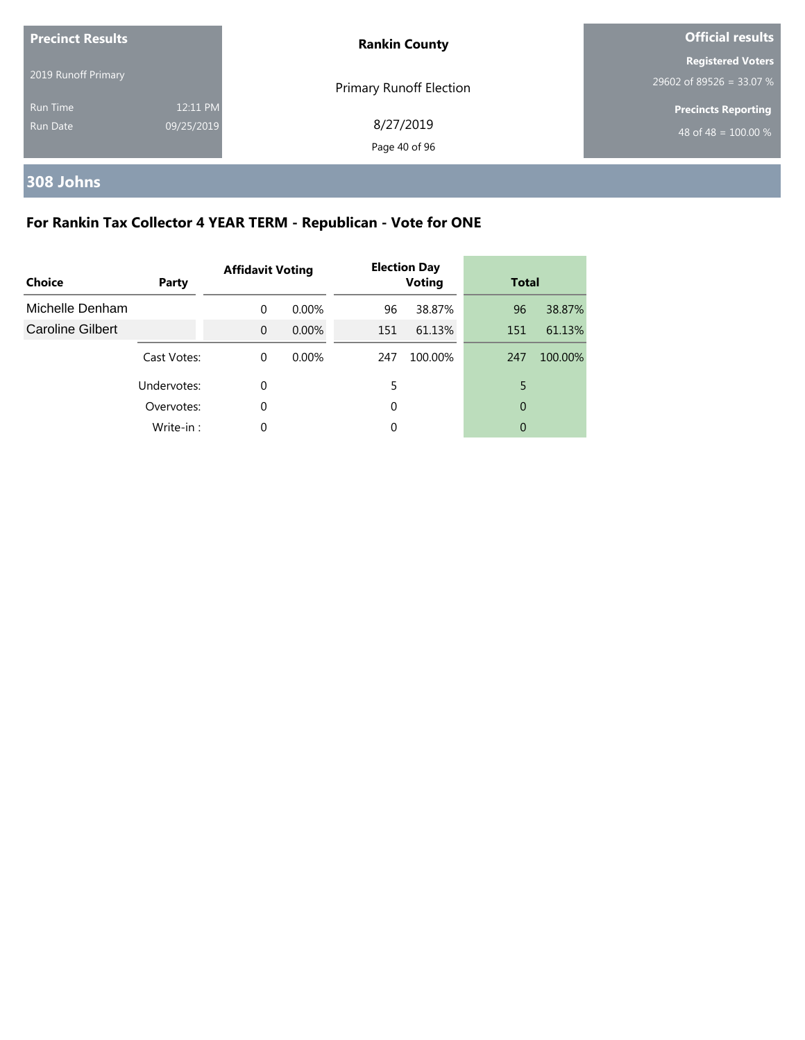| <b>Precinct Results</b><br>2019 Runoff Primary |                        | <b>Rankin County</b>       | <b>Official results</b>                              |  |
|------------------------------------------------|------------------------|----------------------------|------------------------------------------------------|--|
|                                                |                        | Primary Runoff Election    | <b>Registered Voters</b><br>29602 of 89526 = 33.07 % |  |
| <b>Run Time</b><br>Run Date                    | 12:11 PM<br>09/25/2019 | 8/27/2019<br>Page 40 of 96 | <b>Precincts Reporting</b><br>48 of 48 = $100.00\%$  |  |

## **308 Johns**

## **For Rankin Tax Collector 4 YEAR TERM - Republican - Vote for ONE**

| Choice                  | Party       | <b>Affidavit Voting</b> |          |     | <b>Election Day</b><br><b>Voting</b> | <b>Total</b> |         |
|-------------------------|-------------|-------------------------|----------|-----|--------------------------------------|--------------|---------|
| Michelle Denham         |             | $\Omega$                | 0.00%    | 96  | 38.87%                               | 96           | 38.87%  |
| <b>Caroline Gilbert</b> |             | $\Omega$                | $0.00\%$ | 151 | 61.13%                               | 151          | 61.13%  |
|                         | Cast Votes: | $\Omega$                | 0.00%    | 247 | 100.00%                              | 247          | 100.00% |
|                         | Undervotes: | 0                       |          | 5   |                                      | 5            |         |
|                         | Overvotes:  | 0                       |          | 0   |                                      | 0            |         |
|                         | Write-in:   | 0                       |          | 0   |                                      | 0            |         |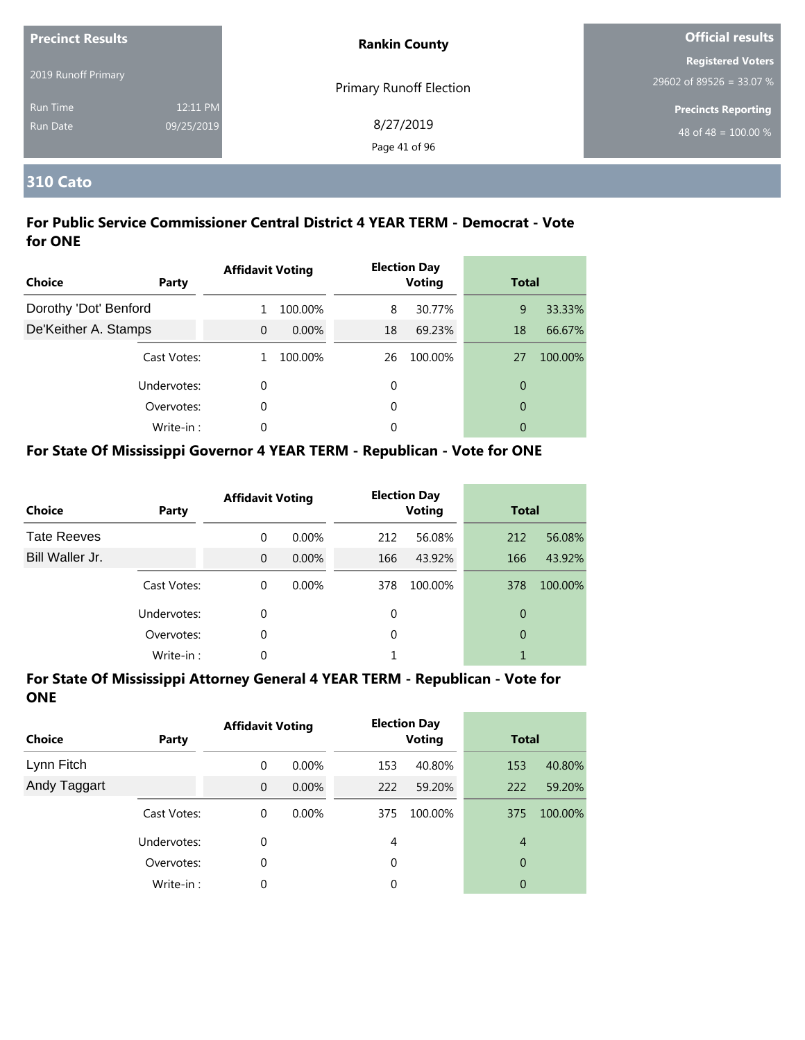| <b>Precinct Results</b><br>2019 Runoff Primary |                        | <b>Rankin County</b>           | <b>Official results</b>                                        |
|------------------------------------------------|------------------------|--------------------------------|----------------------------------------------------------------|
|                                                |                        | <b>Primary Runoff Election</b> | <b>Registered Voters</b><br>29602 of 89526 = 33.07 %           |
| Run Time<br>Run Date                           | 12:11 PM<br>09/25/2019 | 8/27/2019<br>Page 41 of 96     | <b>Precincts Reporting</b><br>48 of 48 = $\overline{100.00\%}$ |

#### **310 Cato**

#### **For Public Service Commissioner Central District 4 YEAR TERM - Democrat - Vote for ONE**

| Choice                | Party       | <b>Affidavit Voting</b> |          |    | <b>Election Day</b><br><b>Voting</b> | <b>Total</b>   |         |
|-----------------------|-------------|-------------------------|----------|----|--------------------------------------|----------------|---------|
| Dorothy 'Dot' Benford |             |                         | 100.00%  | 8  | 30.77%                               | 9              | 33.33%  |
| De'Keither A. Stamps  |             | $\Omega$                | $0.00\%$ | 18 | 69.23%                               | 18             | 66.67%  |
|                       | Cast Votes: |                         | 100.00%  | 26 | 100.00%                              | 27             | 100.00% |
|                       | Undervotes: | 0                       |          | 0  |                                      | 0              |         |
|                       | Overvotes:  | 0                       |          | 0  |                                      | $\overline{0}$ |         |
|                       | Write-in:   | 0                       |          | 0  |                                      | 0              |         |

#### **For State Of Mississippi Governor 4 YEAR TERM - Republican - Vote for ONE**

| <b>Choice</b>      | Party       | <b>Affidavit Voting</b> |          |          | <b>Election Day</b><br><b>Voting</b> | <b>Total</b> |         |
|--------------------|-------------|-------------------------|----------|----------|--------------------------------------|--------------|---------|
| <b>Tate Reeves</b> |             | 0                       | $0.00\%$ | 212      | 56.08%                               | 212          | 56.08%  |
| Bill Waller Jr.    |             | $\Omega$                | $0.00\%$ | 166      | 43.92%                               | 166          | 43.92%  |
|                    | Cast Votes: | $\Omega$                | $0.00\%$ | 378      | 100.00%                              | 378          | 100.00% |
|                    | Undervotes: | 0                       |          | 0        |                                      | 0            |         |
|                    | Overvotes:  | 0                       |          | $\Omega$ |                                      | 0            |         |
|                    | Write-in:   | 0                       |          |          |                                      |              |         |

| <b>Choice</b> | Party       | <b>Affidavit Voting</b> |          |     | <b>Election Day</b><br><b>Voting</b> | <b>Total</b>   |         |
|---------------|-------------|-------------------------|----------|-----|--------------------------------------|----------------|---------|
| Lynn Fitch    |             | 0                       | $0.00\%$ | 153 | 40.80%                               | 153            | 40.80%  |
| Andy Taggart  |             | $\mathbf{0}$            | $0.00\%$ | 222 | 59.20%                               | 222            | 59.20%  |
|               | Cast Votes: | 0                       | $0.00\%$ | 375 | 100.00%                              | 375            | 100.00% |
|               | Undervotes: | 0                       |          | 4   |                                      | $\overline{4}$ |         |
|               | Overvotes:  | 0                       |          | 0   |                                      | 0              |         |
|               | Write-in:   | 0                       |          | 0   |                                      | 0              |         |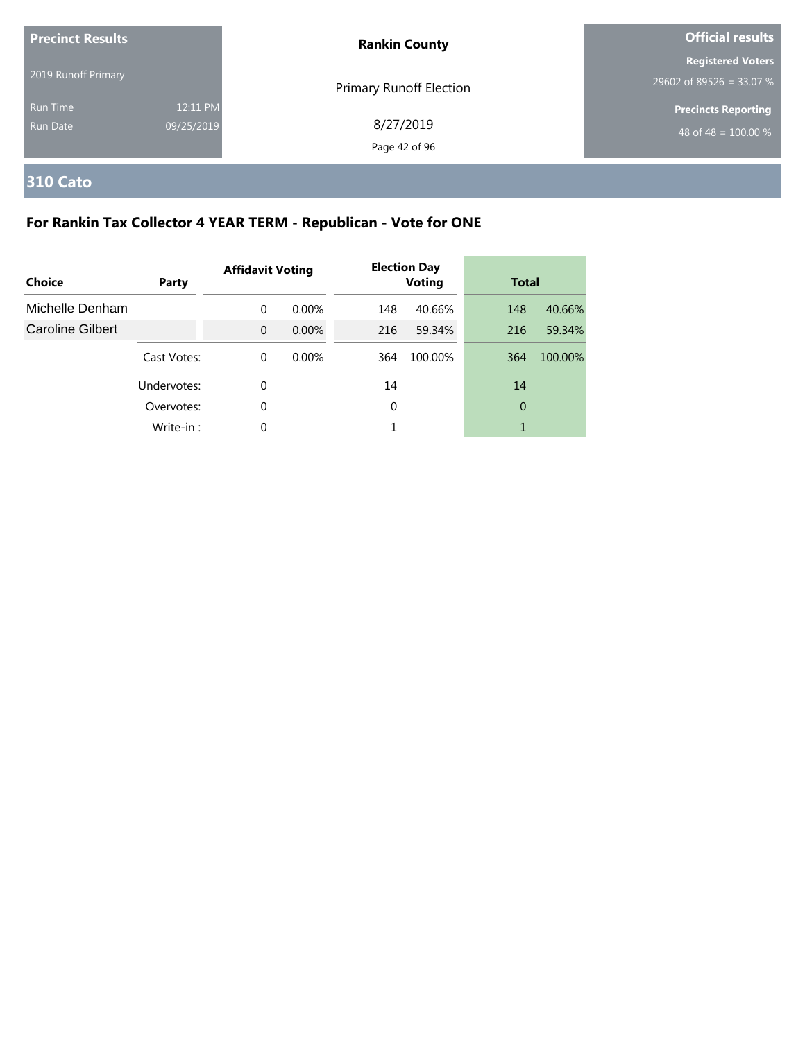| <b>Precinct Results</b> |                        | <b>Rankin County</b>           | <b>Official results</b>                              |  |
|-------------------------|------------------------|--------------------------------|------------------------------------------------------|--|
| 2019 Runoff Primary     |                        | <b>Primary Runoff Election</b> | <b>Registered Voters</b><br>29602 of 89526 = 33.07 % |  |
| Run Time<br>Run Date    | 12:11 PM<br>09/25/2019 | 8/27/2019<br>Page 42 of 96     | <b>Precincts Reporting</b><br>48 of 48 = $100.00\%$  |  |

# **310 Cato**

## **For Rankin Tax Collector 4 YEAR TERM - Republican - Vote for ONE**

| Choice                  | Party       | <b>Affidavit Voting</b> |          |     | <b>Election Day</b><br><b>Voting</b> | <b>Total</b> |         |
|-------------------------|-------------|-------------------------|----------|-----|--------------------------------------|--------------|---------|
| Michelle Denham         |             | $\Omega$                | $0.00\%$ | 148 | 40.66%                               | 148          | 40.66%  |
| <b>Caroline Gilbert</b> |             | $\Omega$                | $0.00\%$ | 216 | 59.34%                               | 216          | 59.34%  |
|                         | Cast Votes: | $\Omega$                | $0.00\%$ | 364 | 100.00%                              | 364          | 100.00% |
|                         | Undervotes: | 0                       |          | 14  |                                      | 14           |         |
|                         | Overvotes:  | 0                       |          | 0   |                                      | 0            |         |
|                         | Write-in:   | 0                       |          |     |                                      |              |         |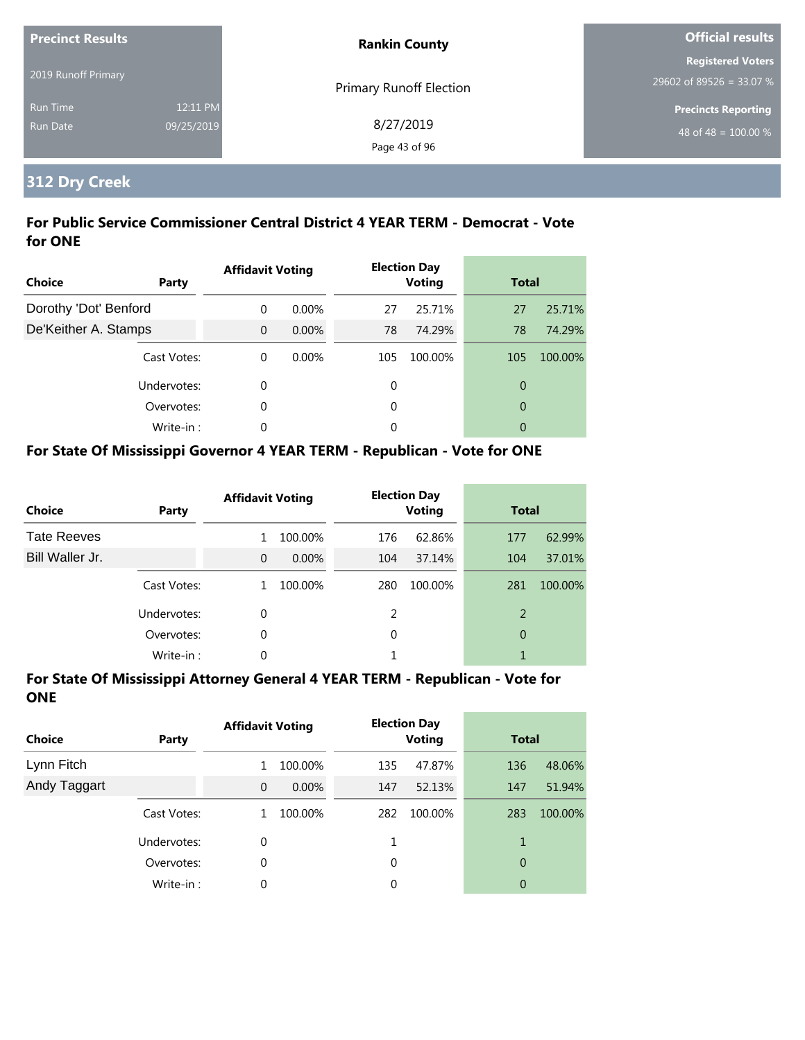| <b>Precinct Results</b>            |                        | <b>Rankin County</b>           | <b>Official results</b>                              |  |
|------------------------------------|------------------------|--------------------------------|------------------------------------------------------|--|
| 2019 Runoff Primary                |                        | <b>Primary Runoff Election</b> | <b>Registered Voters</b><br>29602 of 89526 = 33.07 % |  |
| <b>Run Time</b><br><b>Run Date</b> | 12:11 PM<br>09/25/2019 | 8/27/2019<br>Page 43 of 96     | <b>Precincts Reporting</b><br>48 of 48 = $100.00\%$  |  |

## **312 Dry Creek**

#### **For Public Service Commissioner Central District 4 YEAR TERM - Democrat - Vote for ONE**

| <b>Choice</b>         | Party       | <b>Affidavit Voting</b> |          |     | <b>Election Day</b><br><b>Voting</b> | <b>Total</b>   |         |
|-----------------------|-------------|-------------------------|----------|-----|--------------------------------------|----------------|---------|
| Dorothy 'Dot' Benford |             | $\Omega$                | $0.00\%$ | 27  | 25.71%                               | 27             | 25.71%  |
| De'Keither A. Stamps  |             | $\Omega$                | $0.00\%$ | 78  | 74.29%                               | 78             | 74.29%  |
|                       | Cast Votes: | $\Omega$                | $0.00\%$ | 105 | 100.00%                              | 105            | 100.00% |
|                       | Undervotes: | 0                       |          | 0   |                                      | $\overline{0}$ |         |
|                       | Overvotes:  | 0                       |          | 0   |                                      | $\overline{0}$ |         |
|                       | Write-in:   | $\Omega$                |          | 0   |                                      | 0              |         |

#### **For State Of Mississippi Governor 4 YEAR TERM - Republican - Vote for ONE**

| <b>Choice</b>      | Party       | <b>Affidavit Voting</b> |          |          | <b>Election Day</b><br><b>Voting</b> | <b>Total</b> |         |
|--------------------|-------------|-------------------------|----------|----------|--------------------------------------|--------------|---------|
| <b>Tate Reeves</b> |             | 1                       | 100.00%  | 176      | 62.86%                               | 177          | 62.99%  |
| Bill Waller Jr.    |             | $\Omega$                | $0.00\%$ | 104      | 37.14%                               | 104          | 37.01%  |
|                    | Cast Votes: | 1                       | 100.00%  | 280      | 100.00%                              | 281          | 100.00% |
|                    | Undervotes: | $\Omega$                |          | 2        |                                      | 2            |         |
|                    | Overvotes:  | 0                       |          | $\Omega$ |                                      | 0            |         |
|                    | Write-in:   | 0                       |          |          |                                      |              |         |

| <b>Choice</b> | Party       | <b>Affidavit Voting</b> |          | <b>Election Day</b><br><b>Voting</b> |         | <b>Total</b> |         |
|---------------|-------------|-------------------------|----------|--------------------------------------|---------|--------------|---------|
| Lynn Fitch    |             |                         | 100.00%  | 135                                  | 47.87%  | 136          | 48.06%  |
| Andy Taggart  |             | $\mathbf{0}$            | $0.00\%$ | 147                                  | 52.13%  | 147          | 51.94%  |
|               | Cast Votes: |                         | 100.00%  | 282                                  | 100.00% | 283          | 100.00% |
|               | Undervotes: | 0                       |          |                                      |         | 1            |         |
|               | Overvotes:  | 0                       |          | 0                                    |         | 0            |         |
|               | Write-in:   | 0                       |          | 0                                    |         | 0            |         |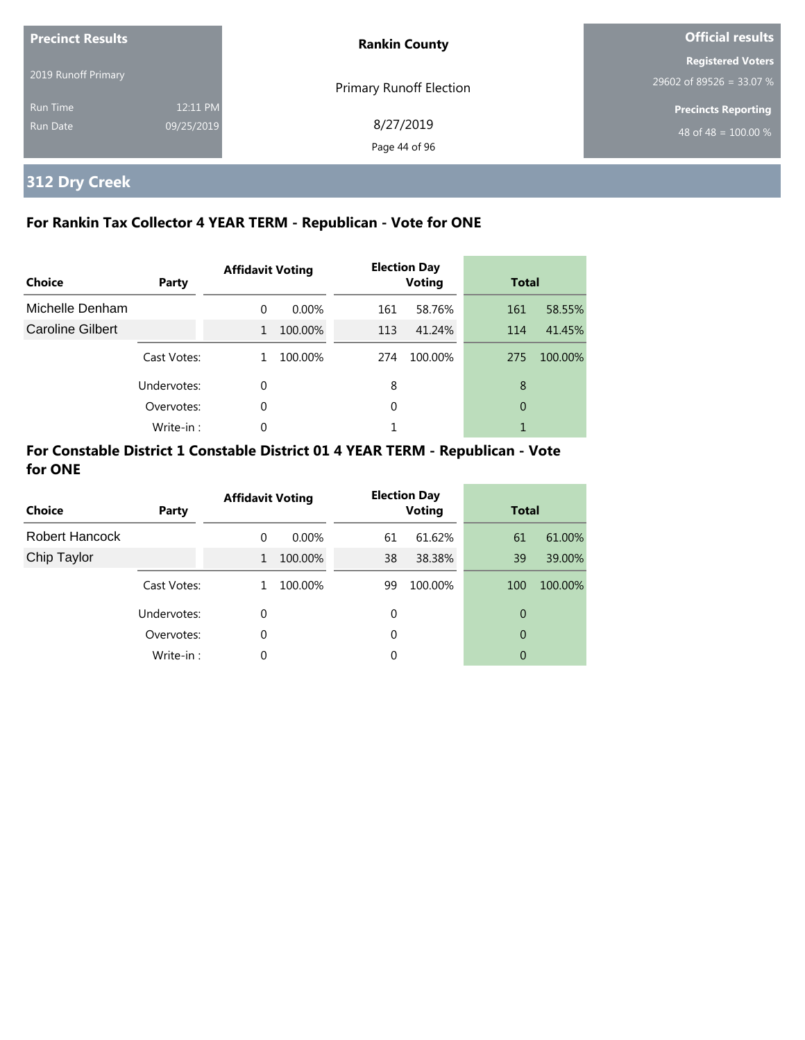| <b>Precinct Results</b>     |                        | <b>Rankin County</b>       | <b>Official results</b>                              |  |
|-----------------------------|------------------------|----------------------------|------------------------------------------------------|--|
| 2019 Runoff Primary         |                        | Primary Runoff Election    | <b>Registered Voters</b><br>29602 of 89526 = 33.07 % |  |
| <b>Run Time</b><br>Run Date | 12:11 PM<br>09/25/2019 | 8/27/2019<br>Page 44 of 96 | <b>Precincts Reporting</b><br>48 of 48 = $100.00\%$  |  |

## **312 Dry Creek**

#### **For Rankin Tax Collector 4 YEAR TERM - Republican - Vote for ONE**

| Choice           | Party       | <b>Affidavit Voting</b> |         |     | <b>Election Day</b><br><b>Voting</b> |     | <b>Total</b> |  |
|------------------|-------------|-------------------------|---------|-----|--------------------------------------|-----|--------------|--|
| Michelle Denham  |             | $\Omega$                | 0.00%   | 161 | 58.76%                               | 161 | 58.55%       |  |
| Caroline Gilbert |             | $\mathbf{1}$            | 100.00% | 113 | 41.24%                               | 114 | 41.45%       |  |
|                  | Cast Votes: |                         | 100.00% | 274 | 100.00%                              | 275 | 100.00%      |  |
|                  | Undervotes: | 0                       |         | 8   |                                      | 8   |              |  |
|                  | Overvotes:  | 0                       |         | 0   |                                      | 0   |              |  |
|                  | Write-in:   | 0                       |         |     |                                      |     |              |  |

#### **For Constable District 1 Constable District 01 4 YEAR TERM - Republican - Vote for ONE**

| Choice         | <b>Party</b> | <b>Affidavit Voting</b> |          |          | <b>Election Day</b><br><b>Voting</b> |     | <b>Total</b> |  |
|----------------|--------------|-------------------------|----------|----------|--------------------------------------|-----|--------------|--|
| Robert Hancock |              | $\Omega$                | $0.00\%$ | 61       | 61.62%                               | 61  | 61.00%       |  |
| Chip Taylor    |              | $\mathbf{1}$            | 100.00%  | 38       | 38.38%                               | 39  | 39.00%       |  |
|                | Cast Votes:  | 1.                      | 100.00%  | 99       | 100.00%                              | 100 | 100.00%      |  |
|                | Undervotes:  | $\Omega$                |          | 0        |                                      | 0   |              |  |
|                | Overvotes:   | $\Omega$                |          | 0        |                                      | 0   |              |  |
|                | Write-in:    | $\Omega$                |          | $\Omega$ |                                      | 0   |              |  |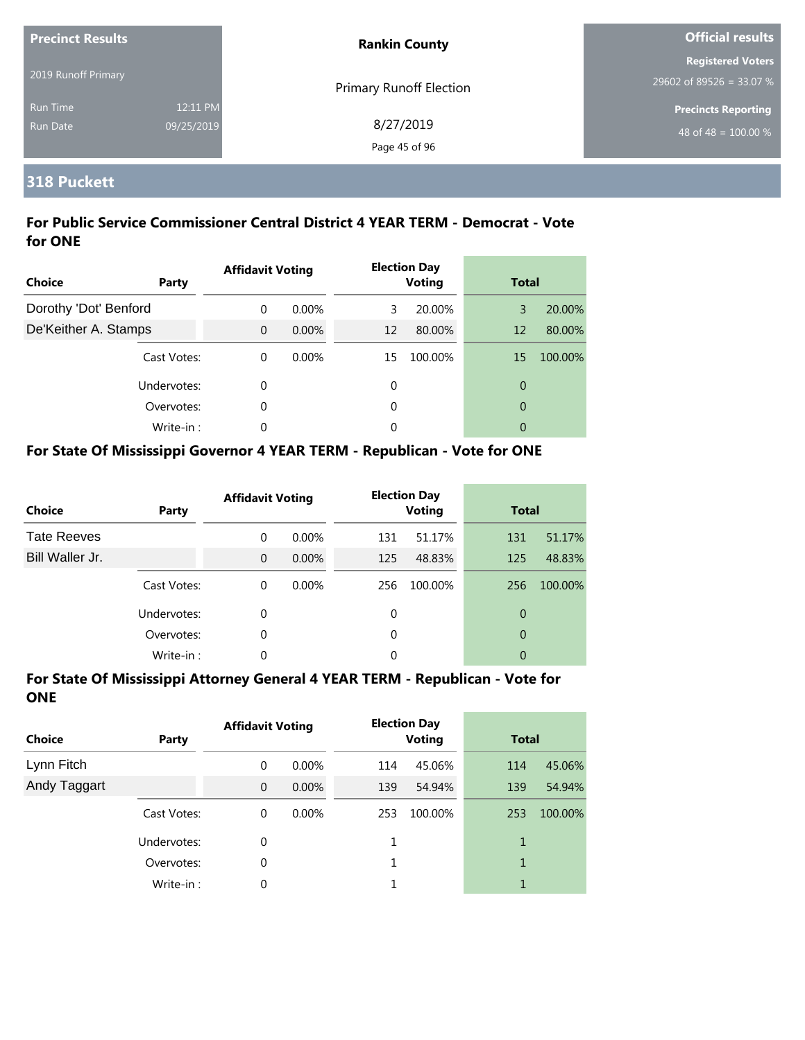| <b>Precinct Results</b>     |                        | <b>Rankin County</b>           | <b>Official results</b>                                        |  |
|-----------------------------|------------------------|--------------------------------|----------------------------------------------------------------|--|
| 2019 Runoff Primary         |                        | <b>Primary Runoff Election</b> | <b>Registered Voters</b><br>29602 of 89526 = 33.07 %           |  |
| Run Time<br><b>Run Date</b> | 12:11 PM<br>09/25/2019 | 8/27/2019<br>Page 45 of 96     | <b>Precincts Reporting</b><br>48 of 48 = $\overline{100.00\%}$ |  |

#### **318 Puckett**

#### **For Public Service Commissioner Central District 4 YEAR TERM - Democrat - Vote for ONE**

| <b>Choice</b>         | Party       | <b>Affidavit Voting</b> |          |    | <b>Election Day</b><br><b>Voting</b> |                | <b>Total</b> |  |
|-----------------------|-------------|-------------------------|----------|----|--------------------------------------|----------------|--------------|--|
| Dorothy 'Dot' Benford |             | $\Omega$                | $0.00\%$ | 3  | 20.00%                               | 3              | 20.00%       |  |
| De'Keither A. Stamps  |             | $\Omega$                | $0.00\%$ | 12 | 80.00%                               | 12             | 80.00%       |  |
|                       | Cast Votes: | $\theta$                | 0.00%    | 15 | 100.00%                              | 15             | 100.00%      |  |
|                       | Undervotes: | 0                       |          | 0  |                                      | $\overline{0}$ |              |  |
|                       | Overvotes:  | 0                       |          | 0  |                                      | $\overline{0}$ |              |  |
|                       | Write-in:   | 0                       |          | 0  |                                      | 0              |              |  |

#### **For State Of Mississippi Governor 4 YEAR TERM - Republican - Vote for ONE**

| <b>Choice</b>      | Party       | <b>Affidavit Voting</b> |          |     | <b>Election Day</b><br><b>Voting</b> |     | <b>Total</b> |  |
|--------------------|-------------|-------------------------|----------|-----|--------------------------------------|-----|--------------|--|
| <b>Tate Reeves</b> |             | $\Omega$                | $0.00\%$ | 131 | 51.17%                               | 131 | 51.17%       |  |
| Bill Waller Jr.    |             | $\Omega$                | $0.00\%$ | 125 | 48.83%                               | 125 | 48.83%       |  |
|                    | Cast Votes: | $\Omega$                | $0.00\%$ | 256 | 100.00%                              | 256 | 100.00%      |  |
|                    | Undervotes: | 0                       |          | 0   |                                      | 0   |              |  |
|                    | Overvotes:  | 0                       |          | 0   |                                      | 0   |              |  |
|                    | Write-in:   | 0                       |          | 0   |                                      | 0   |              |  |

| <b>Choice</b> | Party       | <b>Affidavit Voting</b> |          | <b>Election Day</b><br><b>Voting</b> |         | <b>Total</b> |         |
|---------------|-------------|-------------------------|----------|--------------------------------------|---------|--------------|---------|
| Lynn Fitch    |             | 0                       | $0.00\%$ | 114                                  | 45.06%  | 114          | 45.06%  |
| Andy Taggart  |             | $\mathbf{0}$            | $0.00\%$ | 139                                  | 54.94%  | 139          | 54.94%  |
|               | Cast Votes: | 0                       | $0.00\%$ | 253                                  | 100.00% | 253          | 100.00% |
|               | Undervotes: | 0                       |          |                                      |         | 1            |         |
|               | Overvotes:  | 0                       |          |                                      |         | 1            |         |
|               | Write-in:   | 0                       |          |                                      |         | 1            |         |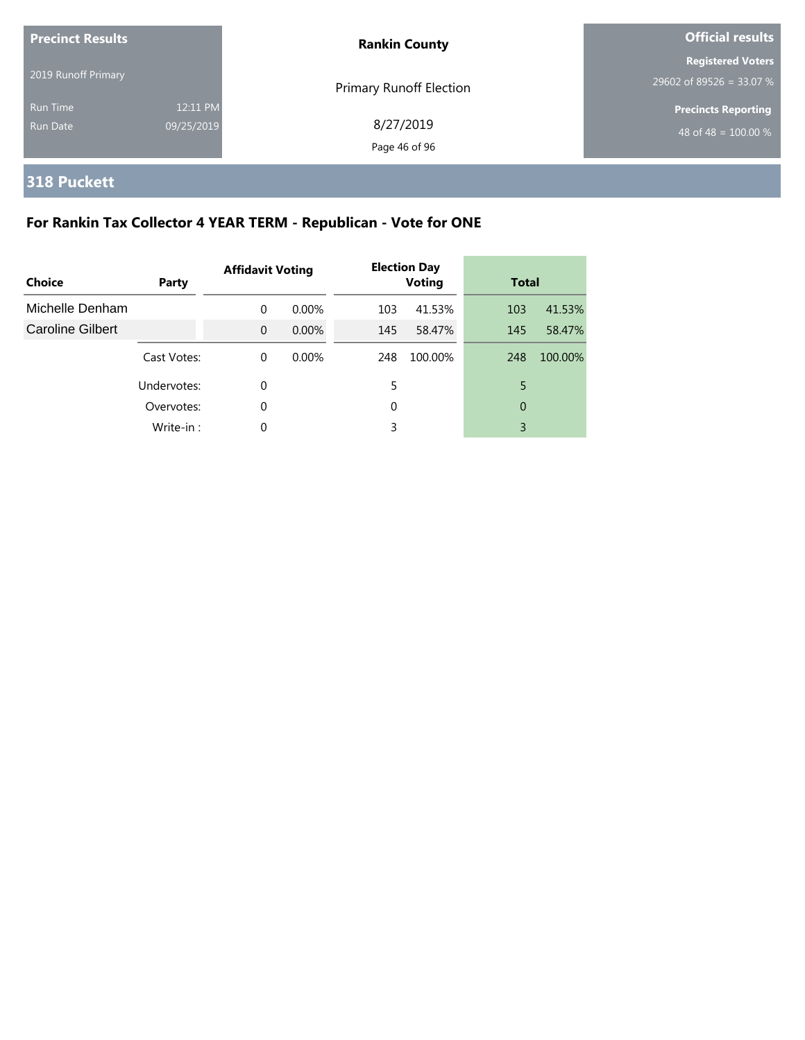| <b>Precinct Results</b><br><b>Rankin County</b> |                        |                                | <b>Official results</b>                                        |
|-------------------------------------------------|------------------------|--------------------------------|----------------------------------------------------------------|
| 2019 Runoff Primary                             |                        | <b>Primary Runoff Election</b> | <b>Registered Voters</b><br>29602 of 89526 = 33.07 %           |
| <b>Run Time</b><br>Run Date                     | 12:11 PM<br>09/25/2019 | 8/27/2019<br>Page 46 of 96     | <b>Precincts Reporting</b><br>48 of 48 = $\overline{100.00\%}$ |

## **318 Puckett**

## **For Rankin Tax Collector 4 YEAR TERM - Republican - Vote for ONE**

| Choice                  | Party       | <b>Election Day</b><br><b>Affidavit Voting</b><br><b>Voting</b> |          | <b>Total</b> |         |     |         |
|-------------------------|-------------|-----------------------------------------------------------------|----------|--------------|---------|-----|---------|
| Michelle Denham         |             | $\Omega$                                                        | $0.00\%$ | 103          | 41.53%  | 103 | 41.53%  |
| <b>Caroline Gilbert</b> |             | $\Omega$                                                        | $0.00\%$ | 145          | 58.47%  | 145 | 58.47%  |
|                         | Cast Votes: | $\Omega$                                                        | $0.00\%$ | 248          | 100.00% | 248 | 100.00% |
|                         | Undervotes: | 0                                                               |          | 5            |         | 5   |         |
|                         | Overvotes:  | 0                                                               |          | 0            |         | 0   |         |
|                         | Write-in:   | 0                                                               |          | 3            |         | 3   |         |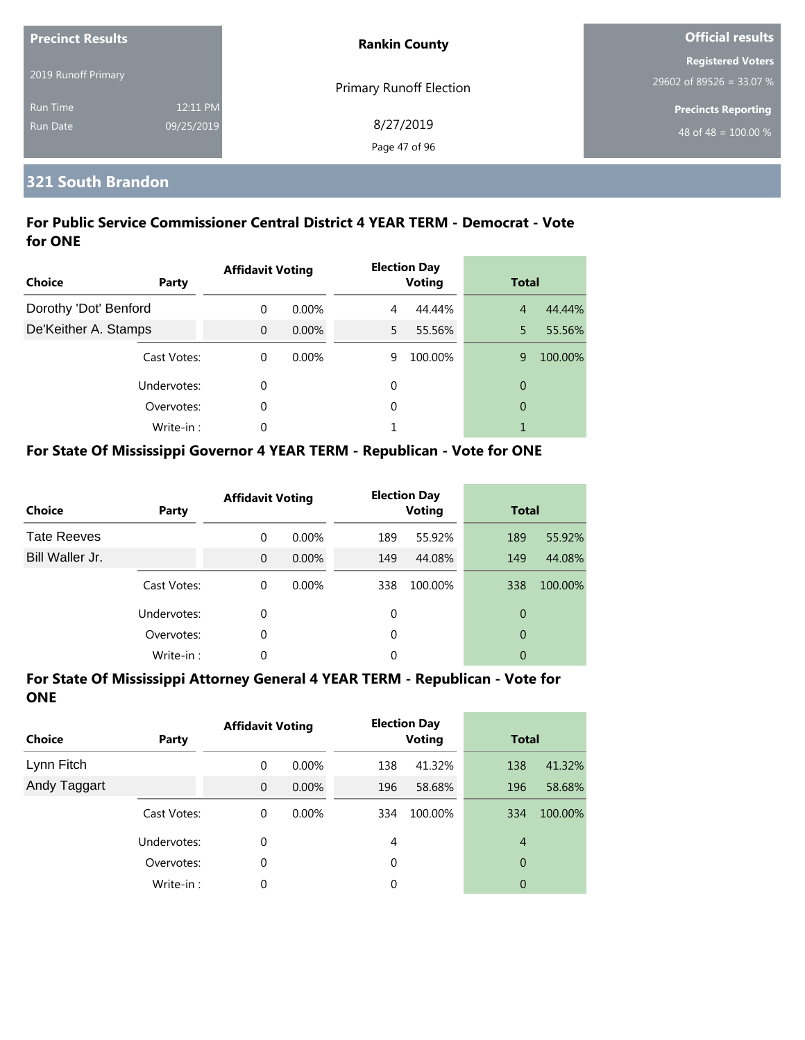| <b>Precinct Results</b> |            | <b>Rankin County</b>           | <b>Official results</b>    |  |
|-------------------------|------------|--------------------------------|----------------------------|--|
|                         |            |                                | <b>Registered Voters</b>   |  |
| 2019 Runoff Primary     |            | <b>Primary Runoff Election</b> | 29602 of 89526 = 33.07 %   |  |
| <b>Run Time</b>         | 12:11 PM   |                                | <b>Precincts Reporting</b> |  |
| Run Date                | 09/25/2019 | 8/27/2019                      | 48 of 48 = $100.00\%$      |  |
|                         |            | Page 47 of 96                  |                            |  |

#### **321 South Brandon**

#### **For Public Service Commissioner Central District 4 YEAR TERM - Democrat - Vote for ONE**

| <b>Choice</b>         | Party       | <b>Affidavit Voting</b> |          |    | <b>Election Day</b><br><b>Voting</b> |                | <b>Total</b> |
|-----------------------|-------------|-------------------------|----------|----|--------------------------------------|----------------|--------------|
| Dorothy 'Dot' Benford |             | $\Omega$                | $0.00\%$ | 4  | 44.44%                               | $\overline{4}$ | 44.44%       |
| De'Keither A. Stamps  |             | $\Omega$                | $0.00\%$ | 5. | 55.56%                               | 5              | 55.56%       |
|                       | Cast Votes: | $\Omega$                | $0.00\%$ | 9  | 100.00%                              | 9              | 100.00%      |
|                       | Undervotes: | $\Omega$                |          | 0  |                                      | 0              |              |
|                       | Overvotes:  | 0                       |          | 0  |                                      | $\overline{0}$ |              |
|                       | Write-in:   | $\Omega$                |          |    |                                      | 1              |              |

#### **For State Of Mississippi Governor 4 YEAR TERM - Republican - Vote for ONE**

| <b>Choice</b>      | Party       | <b>Affidavit Voting</b> |          |     | <b>Election Day</b><br><b>Voting</b> |     | <b>Total</b> |  |
|--------------------|-------------|-------------------------|----------|-----|--------------------------------------|-----|--------------|--|
| <b>Tate Reeves</b> |             | $\Omega$                | $0.00\%$ | 189 | 55.92%                               | 189 | 55.92%       |  |
| Bill Waller Jr.    |             | $\Omega$                | $0.00\%$ | 149 | 44.08%                               | 149 | 44.08%       |  |
|                    | Cast Votes: | $\Omega$                | $0.00\%$ | 338 | 100.00%                              | 338 | 100.00%      |  |
|                    | Undervotes: | 0                       |          | 0   |                                      | 0   |              |  |
|                    | Overvotes:  | 0                       |          | 0   |                                      | 0   |              |  |
|                    | Write-in:   | 0                       |          | 0   |                                      | 0   |              |  |

| <b>Choice</b> | <b>Party</b> | <b>Affidavit Voting</b> |          |                | <b>Election Day</b><br><b>Voting</b> |                | <b>Total</b> |  |
|---------------|--------------|-------------------------|----------|----------------|--------------------------------------|----------------|--------------|--|
| Lynn Fitch    |              | 0                       | $0.00\%$ | 138            | 41.32%                               | 138            | 41.32%       |  |
| Andy Taggart  |              | $\overline{0}$          | $0.00\%$ | 196            | 58.68%                               | 196            | 58.68%       |  |
|               | Cast Votes:  | 0                       | $0.00\%$ | 334            | 100.00%                              | 334            | 100.00%      |  |
|               | Undervotes:  | 0                       |          | $\overline{4}$ |                                      | $\overline{4}$ |              |  |
|               | Overvotes:   | 0                       |          | 0              |                                      | 0              |              |  |
|               | Write-in:    | 0                       |          | 0              |                                      | 0              |              |  |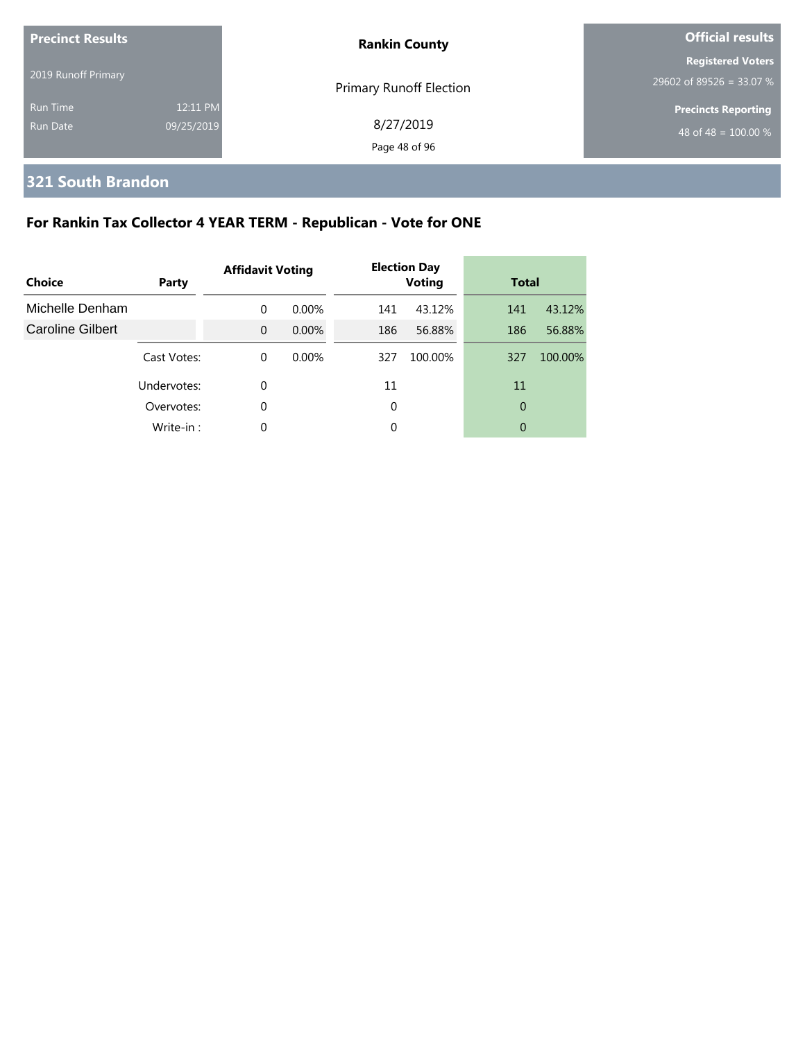| <b>Precinct Results</b> |            | <b>Rankin County</b>           | <b>Official results</b>                              |  |  |
|-------------------------|------------|--------------------------------|------------------------------------------------------|--|--|
| 2019 Runoff Primary     |            |                                | <b>Registered Voters</b><br>29602 of 89526 = 33.07 % |  |  |
| Run Time                | 12:11 PM   | <b>Primary Runoff Election</b> | <b>Precincts Reporting</b>                           |  |  |
| Run Date                | 09/25/2019 | 8/27/2019<br>Page 48 of 96     | 48 of 48 = $\overline{100.00\%}$                     |  |  |

## **321 South Brandon**

## **For Rankin Tax Collector 4 YEAR TERM - Republican - Vote for ONE**

| Choice           | Party       | <b>Affidavit Voting</b> |          | <b>Election Day</b><br><b>Voting</b> |         | <b>Total</b> |         |
|------------------|-------------|-------------------------|----------|--------------------------------------|---------|--------------|---------|
| Michelle Denham  |             | $\Omega$                | $0.00\%$ | 141                                  | 43.12%  | 141          | 43.12%  |
| Caroline Gilbert |             | $\Omega$                | $0.00\%$ | 186                                  | 56.88%  | 186          | 56.88%  |
|                  | Cast Votes: | $\Omega$                | $0.00\%$ | 327                                  | 100.00% | 327          | 100.00% |
|                  | Undervotes: | 0                       |          | 11                                   |         | 11           |         |
|                  | Overvotes:  | 0                       |          | 0                                    |         | 0            |         |
|                  | Write-in:   | 0                       |          | 0                                    |         | 0            |         |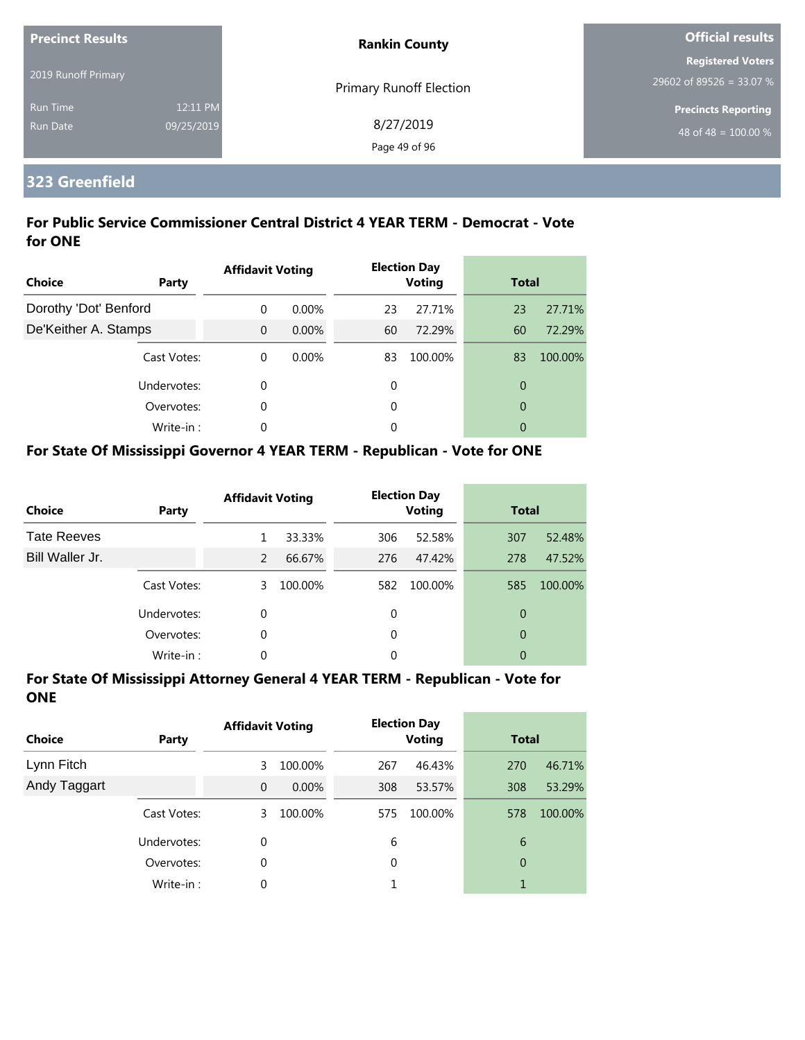| <b>Precinct Results</b><br>2019 Runoff Primary |                        | <b>Rankin County</b>           | <b>Official results</b>                                        |  |  |
|------------------------------------------------|------------------------|--------------------------------|----------------------------------------------------------------|--|--|
|                                                |                        | <b>Primary Runoff Election</b> | <b>Registered Voters</b><br>29602 of 89526 = 33.07 %           |  |  |
| Run Time<br><b>Run Date</b>                    | 12:11 PM<br>09/25/2019 | 8/27/2019<br>Page 49 of 96     | <b>Precincts Reporting</b><br>48 of 48 = $\overline{100.00\%}$ |  |  |

#### **323 Greenfield**

#### **For Public Service Commissioner Central District 4 YEAR TERM - Democrat - Vote for ONE**

| Choice                | Party       | <b>Affidavit Voting</b> |          |    | <b>Election Day</b><br><b>Voting</b> | <b>Total</b>   |         |
|-----------------------|-------------|-------------------------|----------|----|--------------------------------------|----------------|---------|
| Dorothy 'Dot' Benford |             | $\Omega$                | $0.00\%$ | 23 | 27.71%                               | 23             | 27.71%  |
| De'Keither A. Stamps  |             | $\Omega$                | $0.00\%$ | 60 | 72.29%                               | 60             | 72.29%  |
|                       | Cast Votes: | $\theta$                | 0.00%    | 83 | 100.00%                              | 83             | 100.00% |
|                       | Undervotes: | 0                       |          | 0  |                                      | $\overline{0}$ |         |
|                       | Overvotes:  | 0                       |          | 0  |                                      | $\overline{0}$ |         |
|                       | Write-in:   | 0                       |          | 0  |                                      | 0              |         |

#### **For State Of Mississippi Governor 4 YEAR TERM - Republican - Vote for ONE**

| <b>Choice</b>      | Party       | <b>Affidavit Voting</b> |         |          | <b>Election Day</b><br><b>Voting</b> | <b>Total</b> |         |
|--------------------|-------------|-------------------------|---------|----------|--------------------------------------|--------------|---------|
| <b>Tate Reeves</b> |             |                         | 33.33%  | 306      | 52.58%                               | 307          | 52.48%  |
| Bill Waller Jr.    |             | $\mathcal{P}$           | 66.67%  | 276      | 47.42%                               | 278          | 47.52%  |
|                    | Cast Votes: | 3                       | 100.00% | 582      | 100.00%                              | 585          | 100.00% |
|                    | Undervotes: | $\Omega$                |         | $\Omega$ |                                      | 0            |         |
|                    | Overvotes:  | 0                       |         | $\Omega$ |                                      | 0            |         |
|                    | Write-in:   | 0                       |         | 0        |                                      | 0            |         |

| <b>Choice</b> | Party       | <b>Affidavit Voting</b> |          |     | <b>Election Day</b><br><b>Voting</b> | <b>Total</b>   |         |
|---------------|-------------|-------------------------|----------|-----|--------------------------------------|----------------|---------|
| Lynn Fitch    |             | 3                       | 100.00%  | 267 | 46.43%                               | 270            | 46.71%  |
| Andy Taggart  |             | $\Omega$                | $0.00\%$ | 308 | 53.57%                               | 308            | 53.29%  |
|               | Cast Votes: | 3                       | 100.00%  | 575 | 100.00%                              | 578            | 100.00% |
|               | Undervotes: | 0                       |          | 6   |                                      | 6              |         |
|               | Overvotes:  | 0                       |          | 0   |                                      | $\overline{0}$ |         |
|               | Write-in:   | 0                       |          |     |                                      | 1              |         |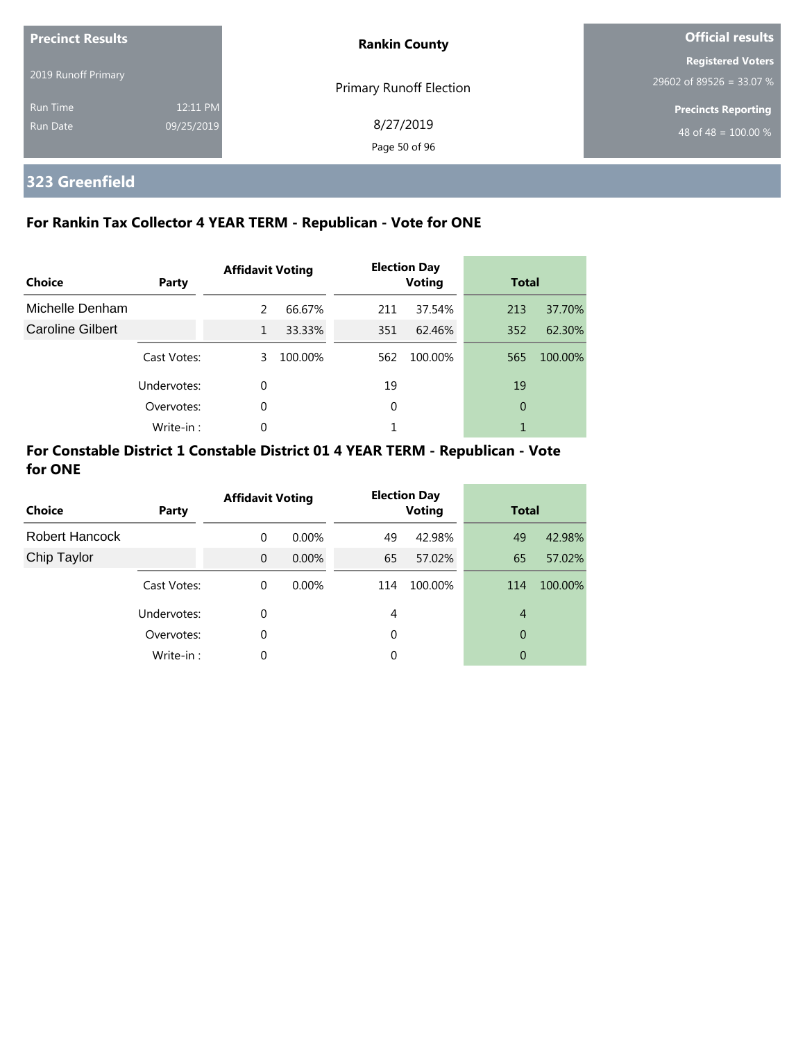| <b>Precinct Results</b><br>2019 Runoff Primary |                        | <b>Rankin County</b>       | <b>Official results</b>                                |  |  |
|------------------------------------------------|------------------------|----------------------------|--------------------------------------------------------|--|--|
|                                                |                        | Primary Runoff Election    | <b>Registered Voters</b><br>$29602$ of 89526 = 33.07 % |  |  |
| <b>Run Time</b><br>Run Date                    | 12:11 PM<br>09/25/2019 | 8/27/2019<br>Page 50 of 96 | <b>Precincts Reporting</b><br>48 of 48 = $100.00\%$    |  |  |

## **323 Greenfield**

#### **For Rankin Tax Collector 4 YEAR TERM - Republican - Vote for ONE**

| Choice           | Party       | <b>Affidavit Voting</b> |         |     | <b>Election Day</b><br><b>Voting</b> | <b>Total</b> |         |
|------------------|-------------|-------------------------|---------|-----|--------------------------------------|--------------|---------|
| Michelle Denham  |             | 2                       | 66.67%  | 211 | 37.54%                               | 213          | 37.70%  |
| Caroline Gilbert |             | 1                       | 33.33%  | 351 | 62.46%                               | 352          | 62.30%  |
|                  | Cast Votes: | 3.                      | 100.00% | 562 | 100.00%                              | 565          | 100.00% |
|                  | Undervotes: | 0                       |         | 19  |                                      | 19           |         |
|                  | Overvotes:  | 0                       |         | 0   |                                      | 0            |         |
|                  | Write-in:   | 0                       |         |     |                                      |              |         |

#### **For Constable District 1 Constable District 01 4 YEAR TERM - Republican - Vote for ONE**

| Choice         | Party       | <b>Affidavit Voting</b> |          |          | <b>Election Day</b><br><b>Voting</b> | <b>Total</b>   |         |
|----------------|-------------|-------------------------|----------|----------|--------------------------------------|----------------|---------|
| Robert Hancock |             | 0                       | $0.00\%$ | 49       | 42.98%                               | 49             | 42.98%  |
| Chip Taylor    |             | $\mathbf 0$             | $0.00\%$ | 65       | 57.02%                               | 65             | 57.02%  |
|                | Cast Votes: | $\Omega$                | $0.00\%$ | 114      | 100.00%                              | 114            | 100.00% |
|                | Undervotes: | $\Omega$                |          | 4        |                                      | $\overline{4}$ |         |
|                | Overvotes:  | $\Omega$                |          | 0        |                                      | 0              |         |
|                | Write-in:   | $\Omega$                |          | $\Omega$ |                                      | 0              |         |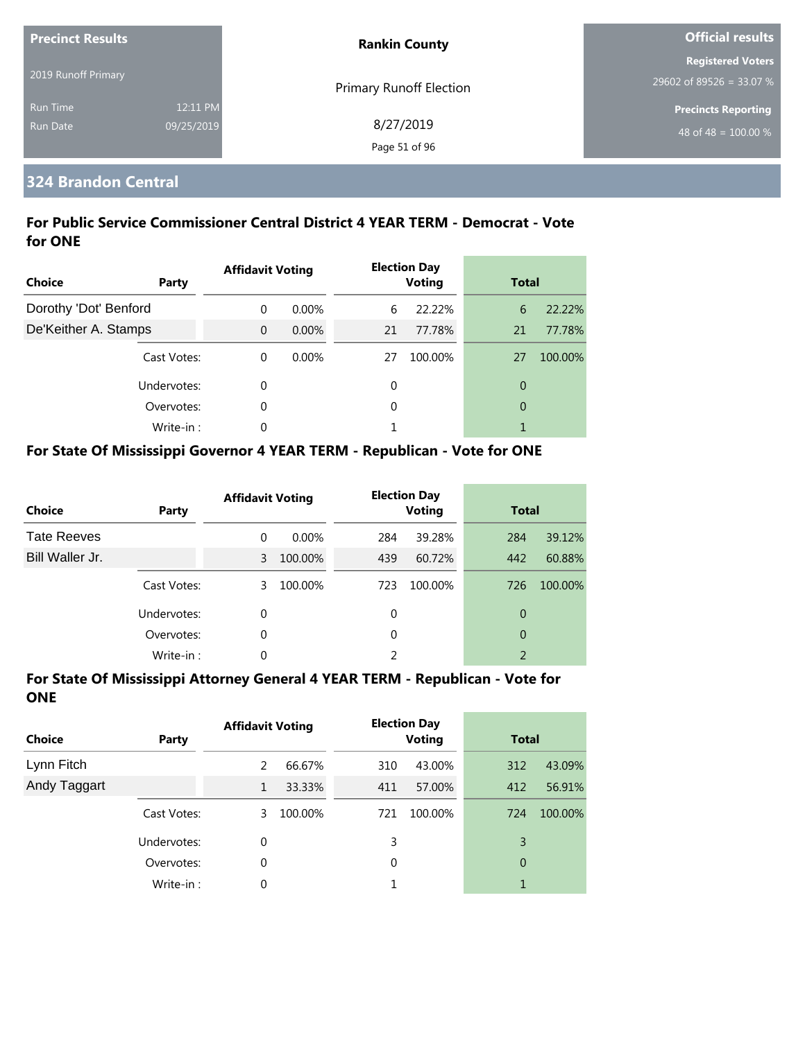| <b>Precinct Results</b> |            | <b>Rankin County</b>           | <b>Official results</b>    |  |
|-------------------------|------------|--------------------------------|----------------------------|--|
|                         |            |                                | <b>Registered Voters</b>   |  |
| 2019 Runoff Primary     |            | <b>Primary Runoff Election</b> | 29602 of 89526 = 33.07 %   |  |
| <b>Run Time</b>         | 12:11 PM   |                                | <b>Precincts Reporting</b> |  |
| Run Date                | 09/25/2019 | 8/27/2019                      | 48 of 48 = $100.00\%$      |  |
|                         |            | Page 51 of 96                  |                            |  |

#### **324 Brandon Central**

#### **For Public Service Commissioner Central District 4 YEAR TERM - Democrat - Vote for ONE**

| Choice                | Party       | <b>Affidavit Voting</b> |          |    | <b>Election Day</b><br><b>Voting</b> | <b>Total</b>   |         |
|-----------------------|-------------|-------------------------|----------|----|--------------------------------------|----------------|---------|
| Dorothy 'Dot' Benford |             | 0                       | $0.00\%$ | 6  | 22.22%                               | 6              | 22.22%  |
| De'Keither A. Stamps  |             | $\Omega$                | $0.00\%$ | 21 | 77.78%                               | 21             | 77.78%  |
|                       | Cast Votes: | $\Omega$                | $0.00\%$ | 27 | 100.00%                              | 27             | 100.00% |
|                       | Undervotes: | 0                       |          | 0  |                                      | 0              |         |
|                       | Overvotes:  | 0                       |          | 0  |                                      | $\overline{0}$ |         |
|                       | Write-in:   | 0                       |          |    |                                      | 1              |         |

#### **For State Of Mississippi Governor 4 YEAR TERM - Republican - Vote for ONE**

| <b>Choice</b>      | Party       | <b>Affidavit Voting</b> |          |          | <b>Election Day</b><br><b>Voting</b> |                | <b>Total</b> |  |
|--------------------|-------------|-------------------------|----------|----------|--------------------------------------|----------------|--------------|--|
| <b>Tate Reeves</b> |             | 0                       | $0.00\%$ | 284      | 39.28%                               | 284            | 39.12%       |  |
| Bill Waller Jr.    |             | 3                       | 100.00%  | 439      | 60.72%                               | 442            | 60.88%       |  |
|                    | Cast Votes: | 3                       | 100.00%  | 723      | 100.00%                              | 726            | 100.00%      |  |
|                    | Undervotes: | 0                       |          | 0        |                                      | 0              |              |  |
|                    | Overvotes:  | 0                       |          | $\Omega$ |                                      | 0              |              |  |
|                    | Write-in:   | 0                       |          |          |                                      | $\mathfrak{D}$ |              |  |

| <b>Choice</b> | Party       | <b>Affidavit Voting</b> |         |     | <b>Election Day</b><br><b>Voting</b> | <b>Total</b>   |         |
|---------------|-------------|-------------------------|---------|-----|--------------------------------------|----------------|---------|
| Lynn Fitch    |             | 2                       | 66.67%  | 310 | 43.00%                               | 312            | 43.09%  |
| Andy Taggart  |             | 1                       | 33.33%  | 411 | 57.00%                               | 412            | 56.91%  |
|               | Cast Votes: | 3                       | 100.00% | 721 | 100.00%                              | 724            | 100.00% |
|               | Undervotes: | 0                       |         | 3   |                                      | 3              |         |
|               | Overvotes:  | 0                       |         | 0   |                                      | $\overline{0}$ |         |
|               | Write-in:   | 0                       |         |     |                                      | 1              |         |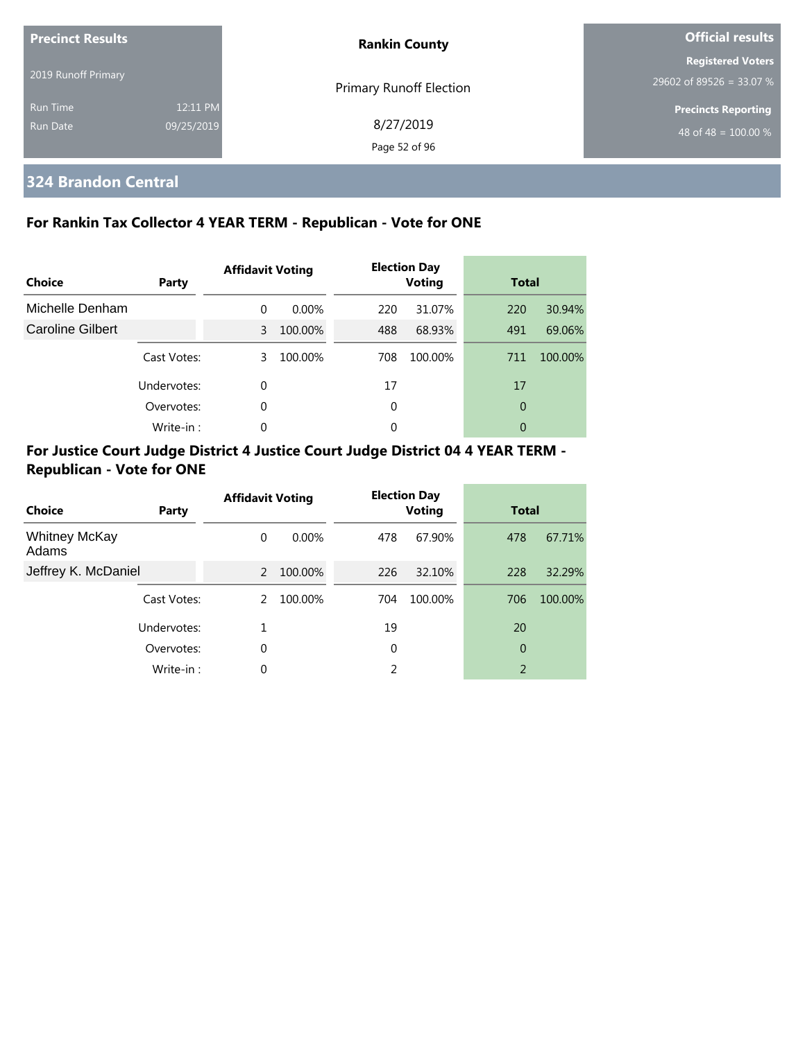| <b>Precinct Results</b>     |                        | <b>Rankin County</b>           | Official results                                     |  |
|-----------------------------|------------------------|--------------------------------|------------------------------------------------------|--|
| 2019 Runoff Primary         |                        | <b>Primary Runoff Election</b> | <b>Registered Voters</b><br>29602 of 89526 = 33.07 % |  |
| <b>Run Time</b><br>Run Date | 12:11 PM<br>09/25/2019 | 8/27/2019<br>Page 52 of 96     | <b>Precincts Reporting</b><br>48 of 48 = $100.00\%$  |  |

## **324 Brandon Central**

#### **For Rankin Tax Collector 4 YEAR TERM - Republican - Vote for ONE**

| Choice           | <b>Party</b> | <b>Affidavit Voting</b> |          |          | <b>Election Day</b><br><b>Voting</b> | <b>Total</b> |         |
|------------------|--------------|-------------------------|----------|----------|--------------------------------------|--------------|---------|
| Michelle Denham  |              | $\Omega$                | $0.00\%$ | 220      | 31.07%                               | 220          | 30.94%  |
| Caroline Gilbert |              | 3                       | 100.00%  | 488      | 68.93%                               | 491          | 69.06%  |
|                  | Cast Votes:  | 3                       | 100.00%  | 708      | 100.00%                              | 711          | 100.00% |
|                  | Undervotes:  | $\Omega$                |          | 17       |                                      | 17           |         |
|                  | Overvotes:   | $\Omega$                |          | 0        |                                      | 0            |         |
|                  | Write-in:    | $\Omega$                |          | $\Omega$ |                                      | 0            |         |

| Choice                        | Party       | <b>Affidavit Voting</b> |          |     | <b>Election Day</b><br><b>Voting</b> | <b>Total</b>   |         |
|-------------------------------|-------------|-------------------------|----------|-----|--------------------------------------|----------------|---------|
| <b>Whitney McKay</b><br>Adams |             | $\Omega$                | $0.00\%$ | 478 | 67.90%                               | 478            | 67.71%  |
| Jeffrey K. McDaniel           |             | 2                       | 100.00%  | 226 | 32.10%                               | 228            | 32.29%  |
|                               | Cast Votes: | 2                       | 100.00%  | 704 | 100.00%                              | 706            | 100.00% |
|                               | Undervotes: | 1                       |          | 19  |                                      | 20             |         |
|                               | Overvotes:  | 0                       |          | 0   |                                      | 0              |         |
|                               | Write-in:   | 0                       |          | 2   |                                      | $\overline{2}$ |         |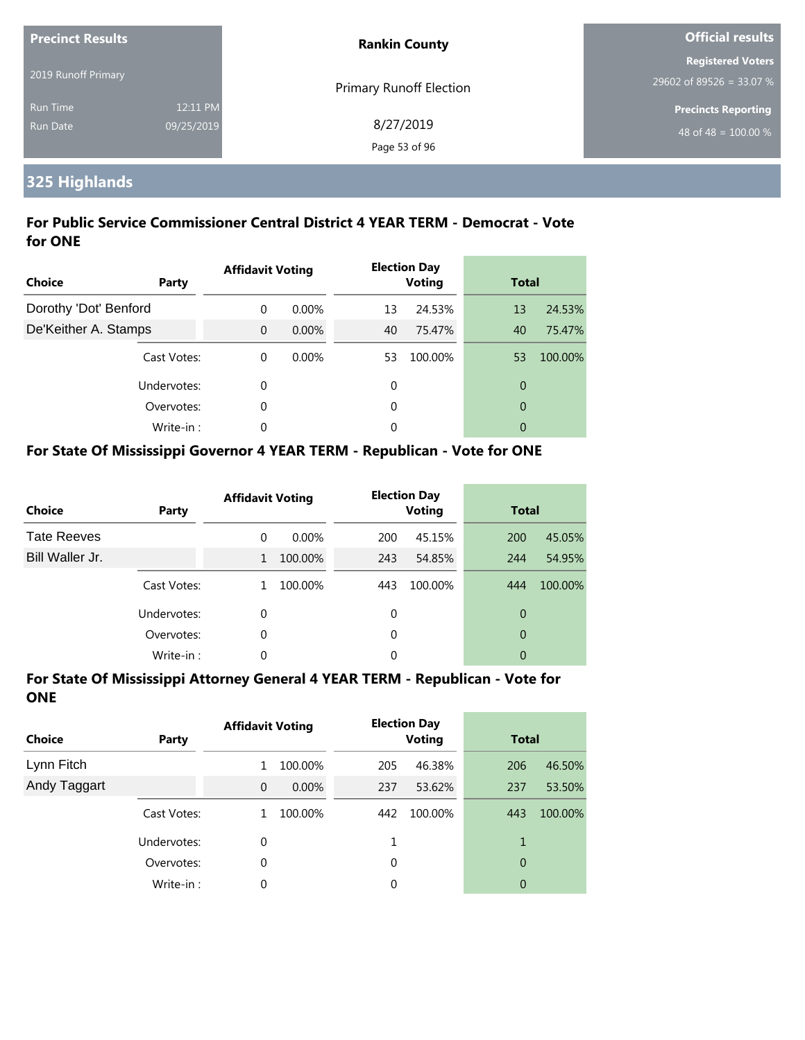| <b>Precinct Results</b> |            | <b>Rankin County</b>           | <b>Official results</b>                              |  |
|-------------------------|------------|--------------------------------|------------------------------------------------------|--|
| 2019 Runoff Primary     |            | <b>Primary Runoff Election</b> | <b>Registered Voters</b><br>29602 of 89526 = 33.07 % |  |
| <b>Run Time</b>         | 12:11 PM   |                                | <b>Precincts Reporting</b>                           |  |
| <b>Run Date</b>         | 09/25/2019 | 8/27/2019<br>Page 53 of 96     | 48 of 48 = $100.00\%$                                |  |

## **325 Highlands**

#### **For Public Service Commissioner Central District 4 YEAR TERM - Democrat - Vote for ONE**

| Choice                | Party       | <b>Affidavit Voting</b> |          |    | <b>Election Day</b><br><b>Voting</b> | <b>Total</b>   |         |
|-----------------------|-------------|-------------------------|----------|----|--------------------------------------|----------------|---------|
| Dorothy 'Dot' Benford |             | $\Omega$                | $0.00\%$ | 13 | 24.53%                               | 13             | 24.53%  |
| De'Keither A. Stamps  |             | $\Omega$                | $0.00\%$ | 40 | 75.47%                               | 40             | 75.47%  |
|                       | Cast Votes: | $\theta$                | $0.00\%$ | 53 | 100.00%                              | 53             | 100.00% |
|                       | Undervotes: | 0                       |          | 0  |                                      | $\overline{0}$ |         |
|                       | Overvotes:  | 0                       |          | 0  |                                      | $\overline{0}$ |         |
|                       | Write-in:   | 0                       |          | 0  |                                      | 0              |         |

#### **For State Of Mississippi Governor 4 YEAR TERM - Republican - Vote for ONE**

| <b>Choice</b>      | Party       | <b>Affidavit Voting</b> |          |          | <b>Election Day</b><br><b>Voting</b> | <b>Total</b> |         |
|--------------------|-------------|-------------------------|----------|----------|--------------------------------------|--------------|---------|
| <b>Tate Reeves</b> |             | 0                       | $0.00\%$ | 200      | 45.15%                               | 200          | 45.05%  |
| Bill Waller Jr.    |             | 1                       | 100.00%  | 243      | 54.85%                               | 244          | 54.95%  |
|                    | Cast Votes: |                         | 100.00%  | 443      | 100.00%                              | 444          | 100.00% |
|                    | Undervotes: | 0                       |          | 0        |                                      | 0            |         |
|                    | Overvotes:  | 0                       |          | $\Omega$ |                                      | 0            |         |
|                    | Write-in:   | 0                       |          | 0        |                                      | 0            |         |

| <b>Choice</b> | Party       | <b>Affidavit Voting</b> |          |          | <b>Election Day</b><br><b>Voting</b> | <b>Total</b> |         |
|---------------|-------------|-------------------------|----------|----------|--------------------------------------|--------------|---------|
| Lynn Fitch    |             |                         | 100.00%  | 205      | 46.38%                               | 206          | 46.50%  |
| Andy Taggart  |             | $\mathbf{0}$            | $0.00\%$ | 237      | 53.62%                               | 237          | 53.50%  |
|               | Cast Votes: |                         | 100.00%  | 442      | 100.00%                              | 443          | 100.00% |
|               | Undervotes: | 0                       |          |          |                                      | 1            |         |
|               | Overvotes:  | 0                       |          | $\Omega$ |                                      | 0            |         |
|               | Write-in:   | 0                       |          | 0        |                                      | 0            |         |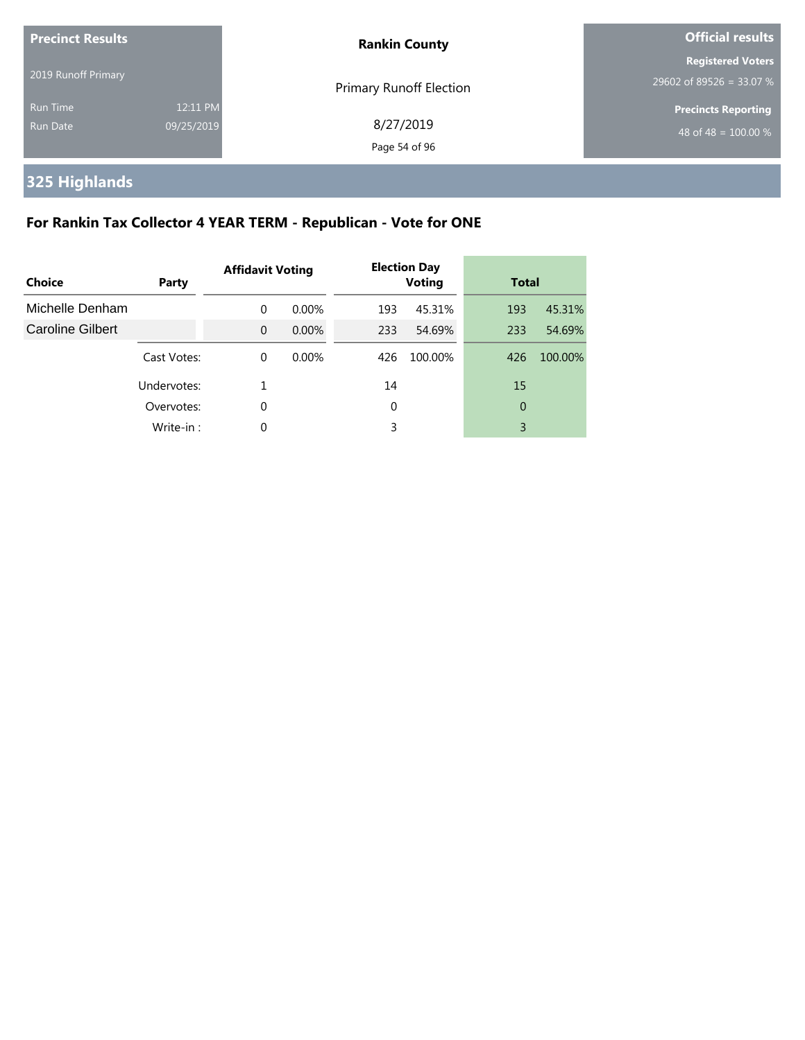| <b>Precinct Results</b>     |                        | <b>Rankin County</b>       | Official results                                     |  |
|-----------------------------|------------------------|----------------------------|------------------------------------------------------|--|
| 2019 Runoff Primary         |                        | Primary Runoff Election    | <b>Registered Voters</b><br>29602 of 89526 = 33.07 % |  |
| <b>Run Time</b><br>Run Date | 12:11 PM<br>09/25/2019 | 8/27/2019<br>Page 54 of 96 | <b>Precincts Reporting</b><br>48 of 48 = $100.00\%$  |  |

**325 Highlands**

## **For Rankin Tax Collector 4 YEAR TERM - Republican - Vote for ONE**

| Choice                  | Party       | <b>Affidavit Voting</b> |          |     | <b>Election Day</b><br><b>Voting</b> | <b>Total</b> |         |
|-------------------------|-------------|-------------------------|----------|-----|--------------------------------------|--------------|---------|
| Michelle Denham         |             | $\Omega$                | $0.00\%$ | 193 | 45.31%                               | 193          | 45.31%  |
| <b>Caroline Gilbert</b> |             | $\Omega$                | 0.00%    | 233 | 54.69%                               | 233          | 54.69%  |
|                         | Cast Votes: | $\Omega$                | $0.00\%$ | 426 | 100.00%                              | 426          | 100.00% |
|                         | Undervotes: |                         |          | 14  |                                      | 15           |         |
|                         | Overvotes:  | $\Omega$                |          | 0   |                                      | 0            |         |
|                         | Write-in:   | $\Omega$                |          | 3   |                                      | 3            |         |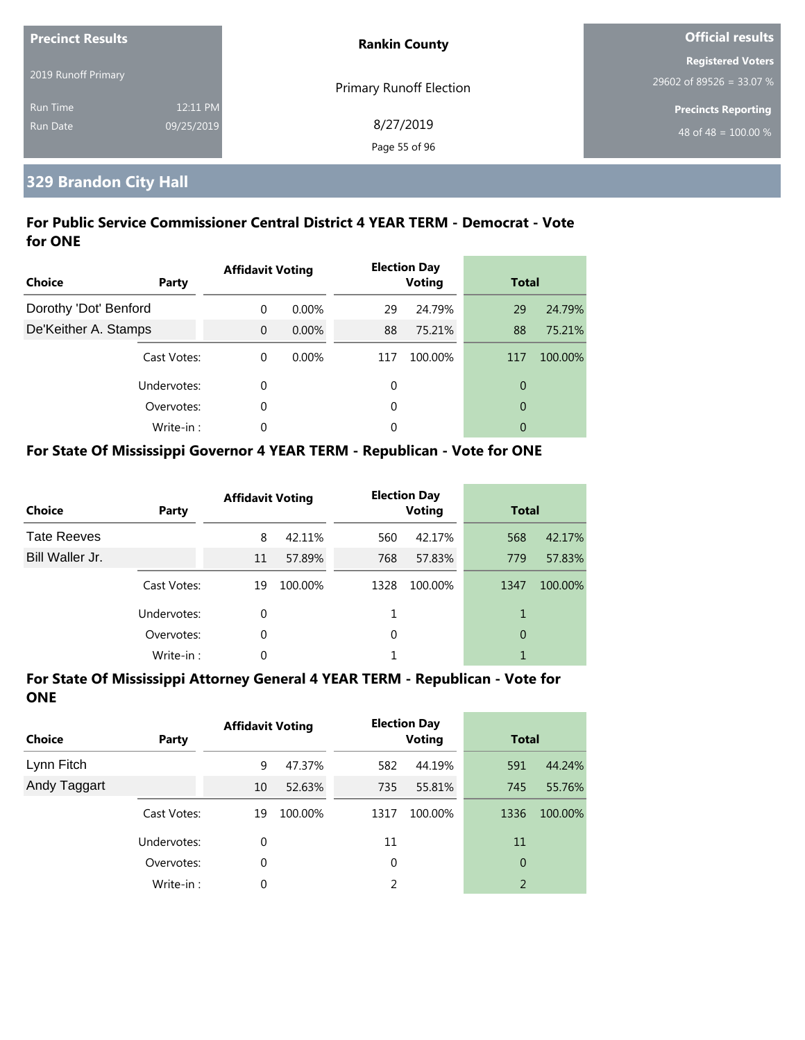| <b>Precinct Results</b> |            | <b>Rankin County</b>           | Official results         |  |
|-------------------------|------------|--------------------------------|--------------------------|--|
|                         |            |                                | <b>Registered Voters</b> |  |
| 2019 Runoff Primary     |            | <b>Primary Runoff Election</b> | 29602 of 89526 = 33.07 % |  |
| <b>Run Time</b>         | 12:11 PM   |                                | Precincts Reporting      |  |
| Run Date                | 09/25/2019 | 8/27/2019                      | 48 of 48 = $100.00\%$    |  |
|                         |            | Page 55 of 96                  |                          |  |

## **329 Brandon City Hall**

#### **For Public Service Commissioner Central District 4 YEAR TERM - Democrat - Vote for ONE**

| Choice                | Party       | <b>Affidavit Voting</b> |          |     | <b>Election Day</b><br><b>Voting</b> | <b>Total</b>   |         |
|-----------------------|-------------|-------------------------|----------|-----|--------------------------------------|----------------|---------|
| Dorothy 'Dot' Benford |             | $\Omega$                | $0.00\%$ | 29  | 24.79%                               | 29             | 24.79%  |
| De'Keither A. Stamps  |             | $\Omega$                | 0.00%    | 88  | 75.21%                               | 88             | 75.21%  |
|                       | Cast Votes: | $\Omega$                | $0.00\%$ | 117 | 100.00%                              | 117            | 100.00% |
|                       | Undervotes: | 0                       |          | 0   |                                      | $\overline{0}$ |         |
|                       | Overvotes:  | 0                       |          | 0   |                                      | $\overline{0}$ |         |
|                       | Write-in:   | $\Omega$                |          | 0   |                                      | 0              |         |

#### **For State Of Mississippi Governor 4 YEAR TERM - Republican - Vote for ONE**

| <b>Choice</b>      | Party       | <b>Affidavit Voting</b> |         |          | <b>Election Day</b><br><b>Voting</b> | <b>Total</b> |         |
|--------------------|-------------|-------------------------|---------|----------|--------------------------------------|--------------|---------|
| <b>Tate Reeves</b> |             | 8                       | 42.11%  | 560      | 42.17%                               | 568          | 42.17%  |
| Bill Waller Jr.    |             | 11                      | 57.89%  | 768      | 57.83%                               | 779          | 57.83%  |
|                    | Cast Votes: | 19                      | 100.00% | 1328     | 100.00%                              | 1347         | 100.00% |
|                    | Undervotes: | 0                       |         |          |                                      | 1            |         |
|                    | Overvotes:  | 0                       |         | $\Omega$ |                                      | 0            |         |
|                    | Write-in:   | 0                       |         |          |                                      |              |         |

| <b>Choice</b> | Party       | <b>Affidavit Voting</b> |         |      | <b>Election Day</b><br><b>Voting</b> | <b>Total</b>   |         |
|---------------|-------------|-------------------------|---------|------|--------------------------------------|----------------|---------|
| Lynn Fitch    |             | 9                       | 47.37%  | 582  | 44.19%                               | 591            | 44.24%  |
| Andy Taggart  |             | 10                      | 52.63%  | 735  | 55.81%                               | 745            | 55.76%  |
|               | Cast Votes: | 19                      | 100.00% | 1317 | 100.00%                              | 1336           | 100.00% |
|               | Undervotes: | 0                       |         | 11   |                                      | 11             |         |
|               | Overvotes:  | 0                       |         | 0    |                                      | 0              |         |
|               | Write-in:   | 0                       |         | 2    |                                      | $\overline{2}$ |         |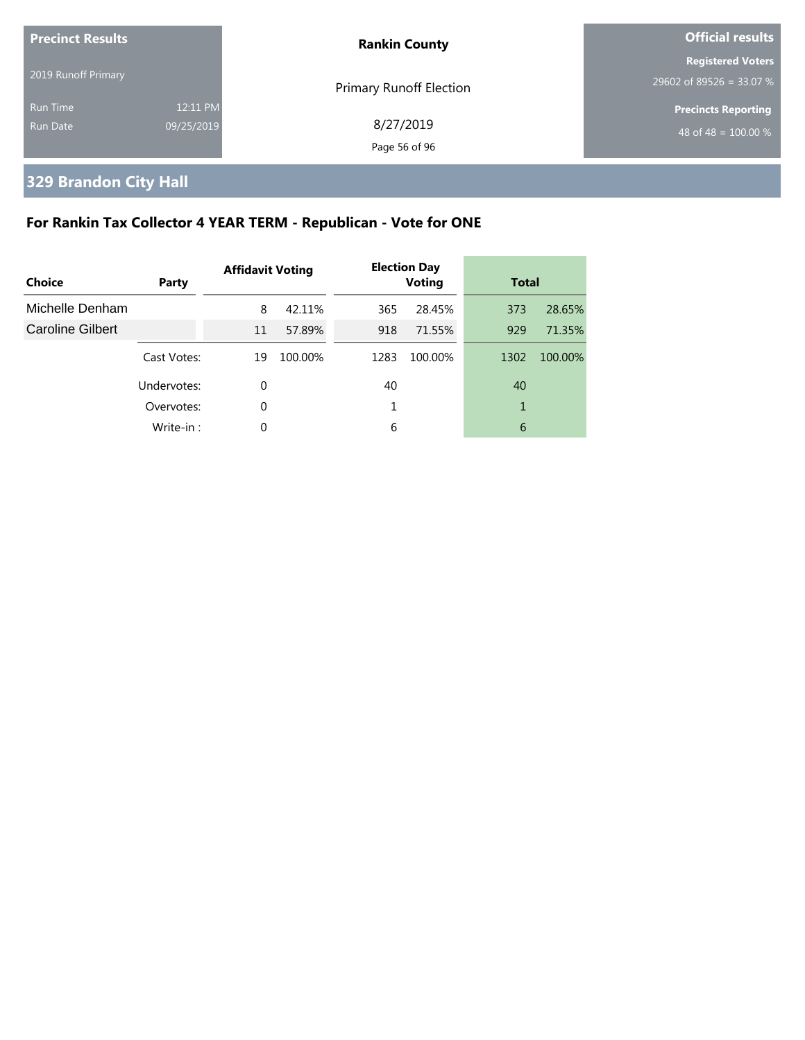| <b>Precinct Results</b>     |                        | <b>Rankin County</b>           | <b>Official results</b>                              |  |
|-----------------------------|------------------------|--------------------------------|------------------------------------------------------|--|
| 2019 Runoff Primary         |                        | <b>Primary Runoff Election</b> | <b>Registered Voters</b><br>29602 of 89526 = 33.07 % |  |
| <b>Run Time</b><br>Run Date | 12:11 PM<br>09/25/2019 | 8/27/2019<br>Page 56 of 96     | <b>Precincts Reporting</b><br>48 of 48 = $100.00\%$  |  |

## **329 Brandon City Hall**

## **For Rankin Tax Collector 4 YEAR TERM - Republican - Vote for ONE**

| Choice                  | Party       | <b>Affidavit Voting</b> |         |      | <b>Election Day</b><br><b>Voting</b> | <b>Total</b> |         |
|-------------------------|-------------|-------------------------|---------|------|--------------------------------------|--------------|---------|
| Michelle Denham         |             | 8                       | 42.11%  | 365  | 28.45%                               | 373          | 28.65%  |
| <b>Caroline Gilbert</b> |             | 11                      | 57.89%  | 918  | 71.55%                               | 929          | 71.35%  |
|                         | Cast Votes: | 19                      | 100.00% | 1283 | 100.00%                              | 1302         | 100.00% |
|                         | Undervotes: | 0                       |         | 40   |                                      | 40           |         |
|                         | Overvotes:  | 0                       |         |      |                                      |              |         |
|                         | Write-in:   | 0                       |         | 6    |                                      | 6            |         |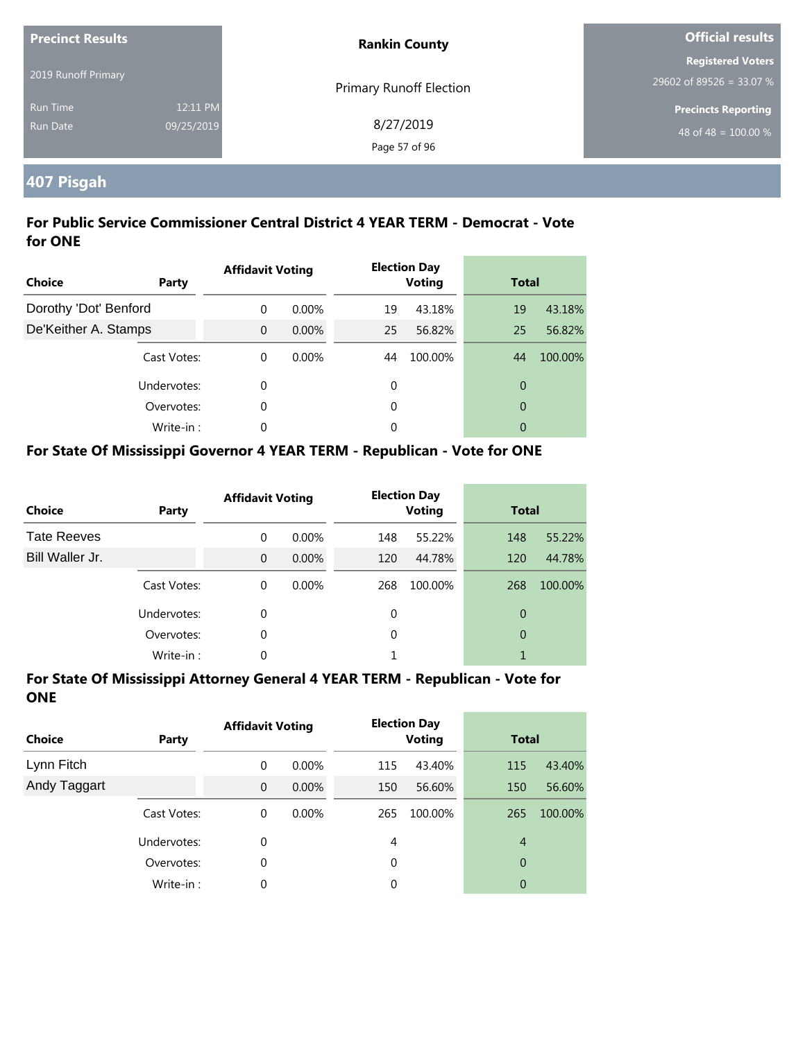| <b>Precinct Results</b>            |                        | <b>Rankin County</b>       | <b>Official results</b>                              |  |
|------------------------------------|------------------------|----------------------------|------------------------------------------------------|--|
| 2019 Runoff Primary                |                        | Primary Runoff Election    | <b>Registered Voters</b><br>29602 of 89526 = 33.07 % |  |
| <b>Run Time</b><br><b>Run Date</b> | 12:11 PM<br>09/25/2019 | 8/27/2019<br>Page 57 of 96 | <b>Precincts Reporting</b><br>48 of 48 = $100.00\%$  |  |

## **407 Pisgah**

#### **For Public Service Commissioner Central District 4 YEAR TERM - Democrat - Vote for ONE**

| <b>Choice</b>         | Party       | <b>Affidavit Voting</b> |          |    | <b>Election Day</b><br><b>Voting</b> | <b>Total</b>   |         |
|-----------------------|-------------|-------------------------|----------|----|--------------------------------------|----------------|---------|
| Dorothy 'Dot' Benford |             | $\Omega$                | $0.00\%$ | 19 | 43.18%                               | 19             | 43.18%  |
| De'Keither A. Stamps  |             | $\Omega$                | $0.00\%$ | 25 | 56.82%                               | 25             | 56.82%  |
|                       | Cast Votes: | $\Omega$                | 0.00%    | 44 | 100.00%                              | 44             | 100.00% |
|                       | Undervotes: | 0                       |          | 0  |                                      | $\overline{0}$ |         |
|                       | Overvotes:  | 0                       |          | 0  |                                      | $\overline{0}$ |         |
|                       | Write-in:   | 0                       |          | 0  |                                      | 0              |         |

#### **For State Of Mississippi Governor 4 YEAR TERM - Republican - Vote for ONE**

| <b>Choice</b>      | Party       | <b>Affidavit Voting</b> |          |          | <b>Election Day</b><br><b>Voting</b> | <b>Total</b> |         |
|--------------------|-------------|-------------------------|----------|----------|--------------------------------------|--------------|---------|
| <b>Tate Reeves</b> |             | $\Omega$                | $0.00\%$ | 148      | 55.22%                               | 148          | 55.22%  |
| Bill Waller Jr.    |             | $\Omega$                | $0.00\%$ | 120      | 44.78%                               | 120          | 44.78%  |
|                    | Cast Votes: | $\Omega$                | $0.00\%$ | 268      | 100.00%                              | 268          | 100.00% |
|                    | Undervotes: | 0                       |          | 0        |                                      | 0            |         |
|                    | Overvotes:  | 0                       |          | $\Omega$ |                                      | 0            |         |
|                    | Write-in:   | 0                       |          |          |                                      |              |         |

| <b>Choice</b> | Party       | <b>Affidavit Voting</b> |          |     | <b>Election Day</b><br><b>Voting</b> |                | <b>Total</b> |  |
|---------------|-------------|-------------------------|----------|-----|--------------------------------------|----------------|--------------|--|
| Lynn Fitch    |             | 0                       | $0.00\%$ | 115 | 43.40%                               | 115            | 43.40%       |  |
| Andy Taggart  |             | $\mathbf 0$             | $0.00\%$ | 150 | 56.60%                               | 150            | 56.60%       |  |
|               | Cast Votes: | 0                       | $0.00\%$ | 265 | 100.00%                              | 265            | 100.00%      |  |
|               | Undervotes: | 0                       |          | 4   |                                      | $\overline{4}$ |              |  |
|               | Overvotes:  | 0                       |          | 0   |                                      | 0              |              |  |
|               | Write-in:   | 0                       |          | 0   |                                      | 0              |              |  |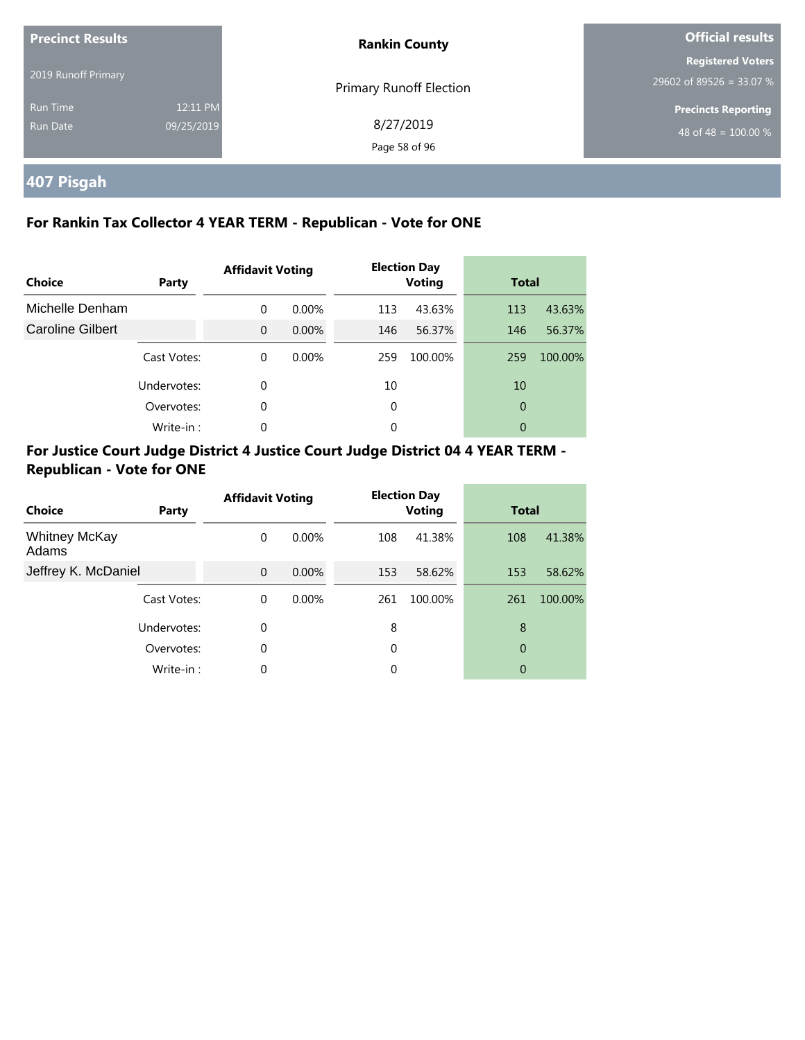| <b>Precinct Results</b>     |                        | <b>Rankin County</b>       | <b>Official results</b>                                |  |
|-----------------------------|------------------------|----------------------------|--------------------------------------------------------|--|
| 2019 Runoff Primary         |                        | Primary Runoff Election    | <b>Registered Voters</b><br>$29602$ of 89526 = 33.07 % |  |
| <b>Run Time</b><br>Run Date | 12:11 PM<br>09/25/2019 | 8/27/2019<br>Page 58 of 96 | <b>Precincts Reporting</b><br>48 of 48 = $100.00\%$    |  |

## **407 Pisgah**

#### **For Rankin Tax Collector 4 YEAR TERM - Republican - Vote for ONE**

| <b>Choice</b>           | Party       | <b>Affidavit Voting</b> |          |     | <b>Election Day</b><br><b>Voting</b> | <b>Total</b> |         |
|-------------------------|-------------|-------------------------|----------|-----|--------------------------------------|--------------|---------|
| Michelle Denham         |             | $\Omega$                | $0.00\%$ | 113 | 43.63%                               | 113          | 43.63%  |
| <b>Caroline Gilbert</b> |             | $\Omega$                | $0.00\%$ | 146 | 56.37%                               | 146          | 56.37%  |
|                         | Cast Votes: | $\Omega$                | $0.00\%$ | 259 | 100.00%                              | 259          | 100.00% |
|                         | Undervotes: | 0                       |          | 10  |                                      | 10           |         |
|                         | Overvotes:  | 0                       |          | 0   |                                      | 0            |         |
|                         | Write-in:   | $\Omega$                |          | 0   |                                      | 0            |         |

| Choice                        | Party       | <b>Affidavit Voting</b> |          |     | <b>Election Day</b><br><b>Voting</b> | <b>Total</b> |         |
|-------------------------------|-------------|-------------------------|----------|-----|--------------------------------------|--------------|---------|
| <b>Whitney McKay</b><br>Adams |             | $\Omega$                | $0.00\%$ | 108 | 41.38%                               | 108          | 41.38%  |
| Jeffrey K. McDaniel           |             | $\Omega$                | $0.00\%$ | 153 | 58.62%                               | 153          | 58.62%  |
|                               | Cast Votes: | $\Omega$                | $0.00\%$ | 261 | 100.00%                              | 261          | 100.00% |
|                               | Undervotes: | $\Omega$                |          | 8   |                                      | 8            |         |
|                               | Overvotes:  | 0                       |          | 0   |                                      | 0            |         |
|                               | Write-in:   | $\Omega$                |          | 0   |                                      | 0            |         |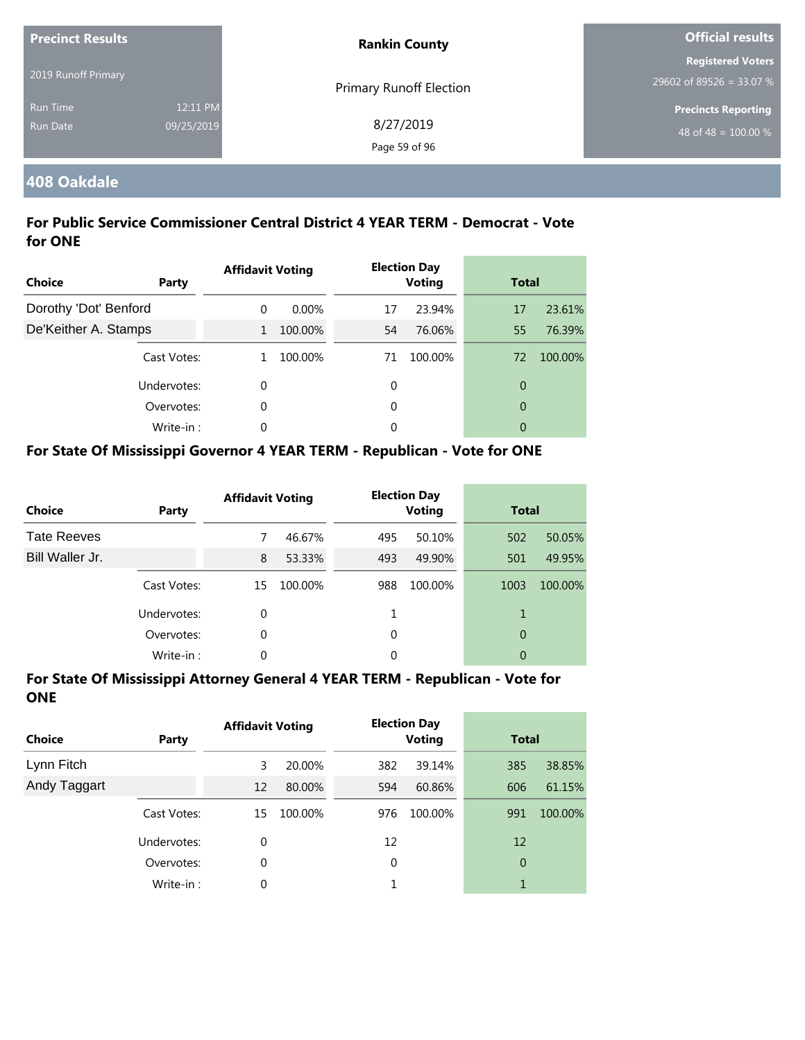| <b>Precinct Results</b>            |                        | <b>Rankin County</b>       | <b>Official results</b>                              |
|------------------------------------|------------------------|----------------------------|------------------------------------------------------|
| 2019 Runoff Primary                |                        | Primary Runoff Election    | <b>Registered Voters</b><br>29602 of 89526 = 33.07 % |
| <b>Run Time</b><br><b>Run Date</b> | 12:11 PM<br>09/25/2019 | 8/27/2019<br>Page 59 of 96 | <b>Precincts Reporting</b><br>48 of 48 = $100.00\%$  |

#### **408 Oakdale**

#### **For Public Service Commissioner Central District 4 YEAR TERM - Democrat - Vote for ONE**

| <b>Choice</b>         | Party       | <b>Affidavit Voting</b> |          |    | <b>Election Day</b><br><b>Voting</b> |                | <b>Total</b> |  |
|-----------------------|-------------|-------------------------|----------|----|--------------------------------------|----------------|--------------|--|
| Dorothy 'Dot' Benford |             | $\Omega$                | $0.00\%$ | 17 | 23.94%                               | 17             | 23.61%       |  |
| De'Keither A. Stamps  |             | $\mathbf{1}$            | 100.00%  | 54 | 76.06%                               | 55             | 76.39%       |  |
|                       | Cast Votes: |                         | 100.00%  | 71 | 100.00%                              | 72             | 100.00%      |  |
|                       | Undervotes: | 0                       |          | 0  |                                      | 0              |              |  |
|                       | Overvotes:  | 0                       |          | 0  |                                      | $\overline{0}$ |              |  |
|                       | Write-in:   | 0                       |          | 0  |                                      | 0              |              |  |

#### **For State Of Mississippi Governor 4 YEAR TERM - Republican - Vote for ONE**

| <b>Choice</b>      | Party       | <b>Affidavit Voting</b> |         |          | <b>Election Day</b><br><b>Voting</b> |      | <b>Total</b> |  |
|--------------------|-------------|-------------------------|---------|----------|--------------------------------------|------|--------------|--|
| <b>Tate Reeves</b> |             | 7                       | 46.67%  | 495      | 50.10%                               | 502  | 50.05%       |  |
| Bill Waller Jr.    |             | 8                       | 53.33%  | 493      | 49.90%                               | 501  | 49.95%       |  |
|                    | Cast Votes: | 15                      | 100.00% | 988      | 100.00%                              | 1003 | 100.00%      |  |
|                    | Undervotes: | $\Omega$                |         |          |                                      | 1    |              |  |
|                    | Overvotes:  | 0                       |         | $\Omega$ |                                      | 0    |              |  |
|                    | Write-in:   | 0                       |         | 0        |                                      | 0    |              |  |

| <b>Choice</b> | Party       | <b>Affidavit Voting</b> |         |     | <b>Election Day</b><br><b>Voting</b> | <b>Total</b>   |         |
|---------------|-------------|-------------------------|---------|-----|--------------------------------------|----------------|---------|
| Lynn Fitch    |             | 3                       | 20.00%  | 382 | 39.14%                               | 385            | 38.85%  |
| Andy Taggart  |             | 12                      | 80.00%  | 594 | 60.86%                               | 606            | 61.15%  |
|               | Cast Votes: | 15                      | 100.00% | 976 | 100.00%                              | 991            | 100.00% |
|               | Undervotes: | 0                       |         | 12  |                                      | 12             |         |
|               | Overvotes:  | 0                       |         | 0   |                                      | $\overline{0}$ |         |
|               | Write-in:   | 0                       |         |     |                                      | 1              |         |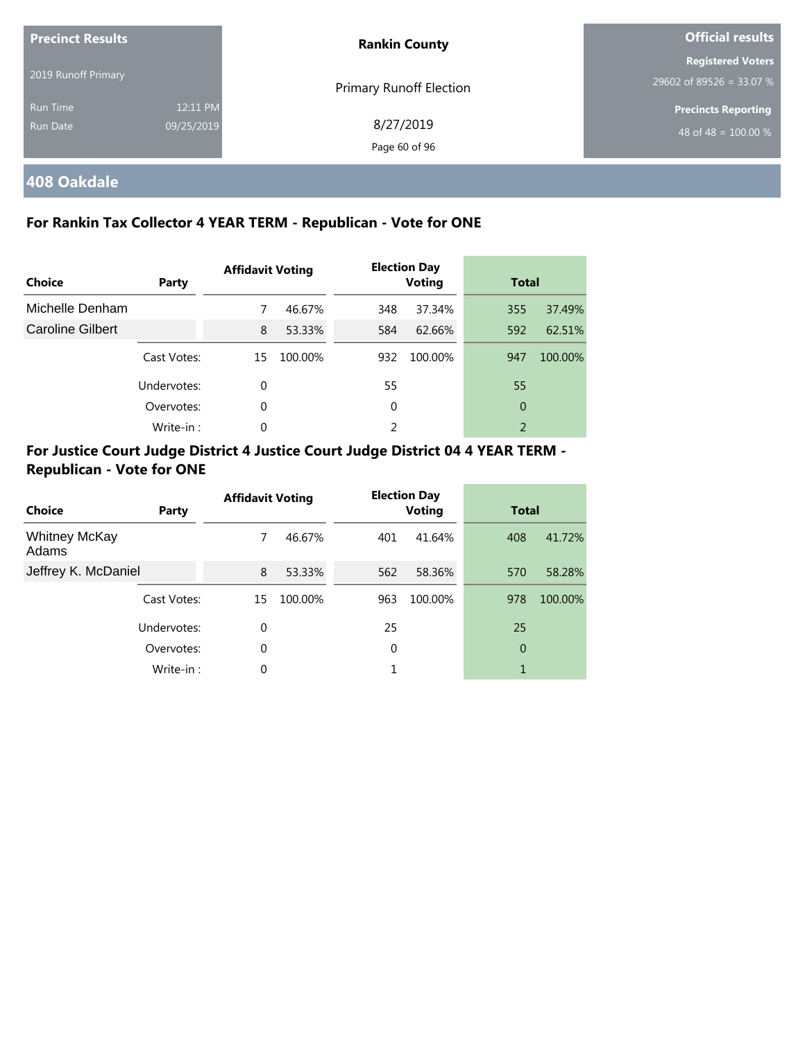| <b>Precinct Results</b> |            | <b>Rankin County</b>           | Official results                                     |  |
|-------------------------|------------|--------------------------------|------------------------------------------------------|--|
| 2019 Runoff Primary     |            |                                | <b>Registered Voters</b><br>29602 of 89526 = 33.07 % |  |
| <b>Run Time</b>         | 12:11 PM   | <b>Primary Runoff Election</b> | <b>Precincts Reporting</b>                           |  |
| Run Date                | 09/25/2019 | 8/27/2019<br>Page 60 of 96     | 48 of 48 = $100.00\%$                                |  |

## **408 Oakdale**

#### **For Rankin Tax Collector 4 YEAR TERM - Republican - Vote for ONE**

| Choice           | Party       | <b>Affidavit Voting</b> |         |     | <b>Election Day</b><br><b>Voting</b> |     | <b>Total</b> |  |
|------------------|-------------|-------------------------|---------|-----|--------------------------------------|-----|--------------|--|
| Michelle Denham  |             | 7                       | 46.67%  | 348 | 37.34%                               | 355 | 37.49%       |  |
| Caroline Gilbert |             | 8                       | 53.33%  | 584 | 62.66%                               | 592 | 62.51%       |  |
|                  | Cast Votes: | 15                      | 100.00% | 932 | 100.00%                              | 947 | 100.00%      |  |
|                  | Undervotes: | 0                       |         | 55  |                                      | 55  |              |  |
|                  | Overvotes:  | $\mathbf 0$             |         | 0   |                                      | 0   |              |  |
|                  | Write-in:   | 0                       |         | 2   |                                      | 2   |              |  |

| Choice                        | Party       | <b>Affidavit Voting</b> |         |     | <b>Election Day</b><br><b>Voting</b> |     | <b>Total</b> |  |
|-------------------------------|-------------|-------------------------|---------|-----|--------------------------------------|-----|--------------|--|
| <b>Whitney McKay</b><br>Adams |             | 7                       | 46.67%  | 401 | 41.64%                               | 408 | 41.72%       |  |
| Jeffrey K. McDaniel           |             | 8                       | 53.33%  | 562 | 58.36%                               | 570 | 58.28%       |  |
|                               | Cast Votes: | 15                      | 100.00% | 963 | 100.00%                              | 978 | 100.00%      |  |
|                               | Undervotes: | $\Omega$                |         | 25  |                                      | 25  |              |  |
|                               | Overvotes:  | $\Omega$                |         | 0   |                                      | 0   |              |  |
|                               | Write-in:   | $\Omega$                |         | 1   |                                      | 1   |              |  |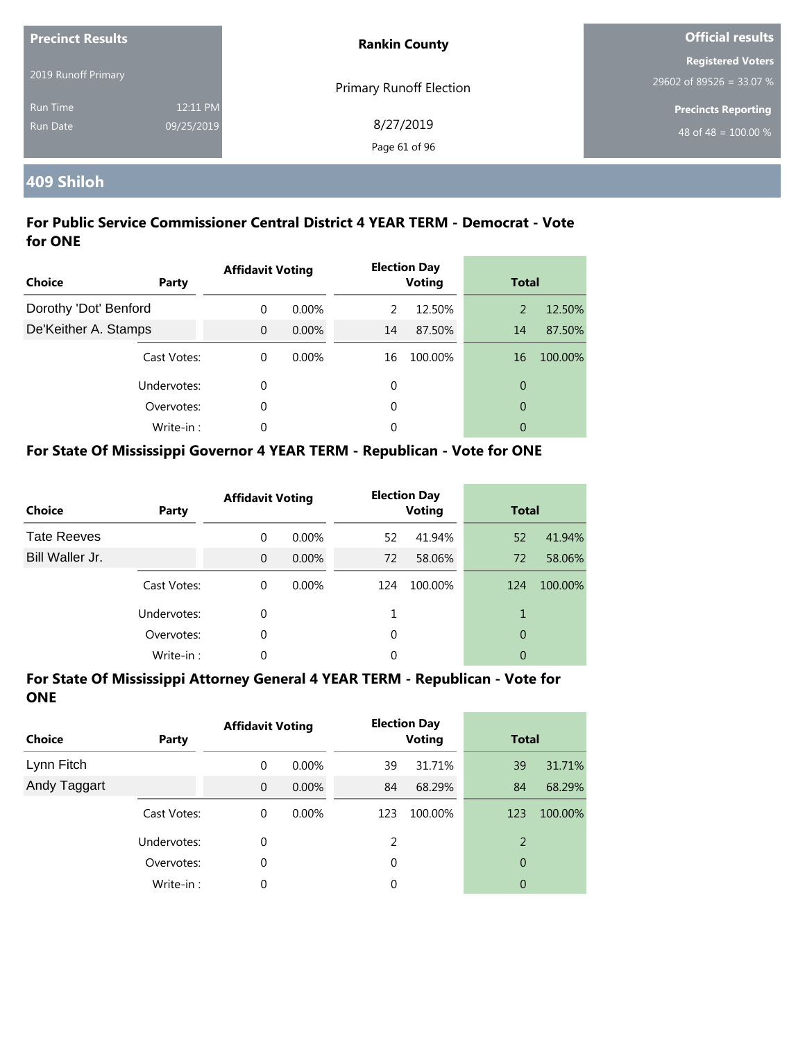| <b>Precinct Results</b>     |                        | <b>Rankin County</b>           | <b>Official results</b>                                        |  |
|-----------------------------|------------------------|--------------------------------|----------------------------------------------------------------|--|
| 2019 Runoff Primary         |                        | <b>Primary Runoff Election</b> | <b>Registered Voters</b><br>$29602$ of 89526 = 33.07 %         |  |
| <b>Run Time</b><br>Run Date | 12:11 PM<br>09/25/2019 | 8/27/2019<br>Page 61 of 96     | <b>Precincts Reporting</b><br>48 of 48 = $\overline{100.00\%}$ |  |

## **409 Shiloh**

#### **For Public Service Commissioner Central District 4 YEAR TERM - Democrat - Vote for ONE**

| <b>Choice</b>         | Party       | <b>Affidavit Voting</b> |          |    | <b>Election Day</b><br><b>Voting</b> | <b>Total</b>   |         |
|-----------------------|-------------|-------------------------|----------|----|--------------------------------------|----------------|---------|
| Dorothy 'Dot' Benford |             | $\Omega$                | $0.00\%$ | 2  | 12.50%                               | 2              | 12.50%  |
| De'Keither A. Stamps  |             | $\Omega$                | $0.00\%$ | 14 | 87.50%                               | 14             | 87.50%  |
|                       | Cast Votes: | $\Omega$                | 0.00%    | 16 | 100.00%                              | 16             | 100.00% |
|                       | Undervotes: | 0                       |          | 0  |                                      | $\overline{0}$ |         |
|                       | Overvotes:  | 0                       |          | 0  |                                      | $\overline{0}$ |         |
|                       | Write-in:   | 0                       |          | 0  |                                      | 0              |         |

### **For State Of Mississippi Governor 4 YEAR TERM - Republican - Vote for ONE**

| <b>Choice</b>      | Party       | <b>Affidavit Voting</b> |          |     | <b>Election Day</b><br><b>Voting</b> | <b>Total</b> |         |
|--------------------|-------------|-------------------------|----------|-----|--------------------------------------|--------------|---------|
| <b>Tate Reeves</b> |             | $\Omega$                | 0.00%    | 52  | 41.94%                               | 52           | 41.94%  |
| Bill Waller Jr.    |             | $\Omega$                | $0.00\%$ | 72  | 58.06%                               | 72           | 58.06%  |
|                    | Cast Votes: | $\Omega$                | $0.00\%$ | 124 | 100.00%                              | 124          | 100.00% |
|                    | Undervotes: | 0                       |          |     |                                      | 1            |         |
|                    | Overvotes:  | 0                       |          | 0   |                                      | 0            |         |
|                    | Write-in:   | 0                       |          | 0   |                                      | 0            |         |

| <b>Choice</b> | Party       | <b>Affidavit Voting</b> |          |     | <b>Election Day</b><br><b>Voting</b> |     | <b>Total</b> |  |
|---------------|-------------|-------------------------|----------|-----|--------------------------------------|-----|--------------|--|
| Lynn Fitch    |             | 0                       | $0.00\%$ | 39  | 31.71%                               | 39  | 31.71%       |  |
| Andy Taggart  |             | $\mathbf{0}$            | 0.00%    | 84  | 68.29%                               | 84  | 68.29%       |  |
|               | Cast Votes: | 0                       | $0.00\%$ | 123 | 100.00%                              | 123 | 100.00%      |  |
|               | Undervotes: | 0                       |          | 2   |                                      | 2   |              |  |
|               | Overvotes:  | 0                       |          | 0   |                                      | 0   |              |  |
|               | Write-in:   | 0                       |          | 0   |                                      | 0   |              |  |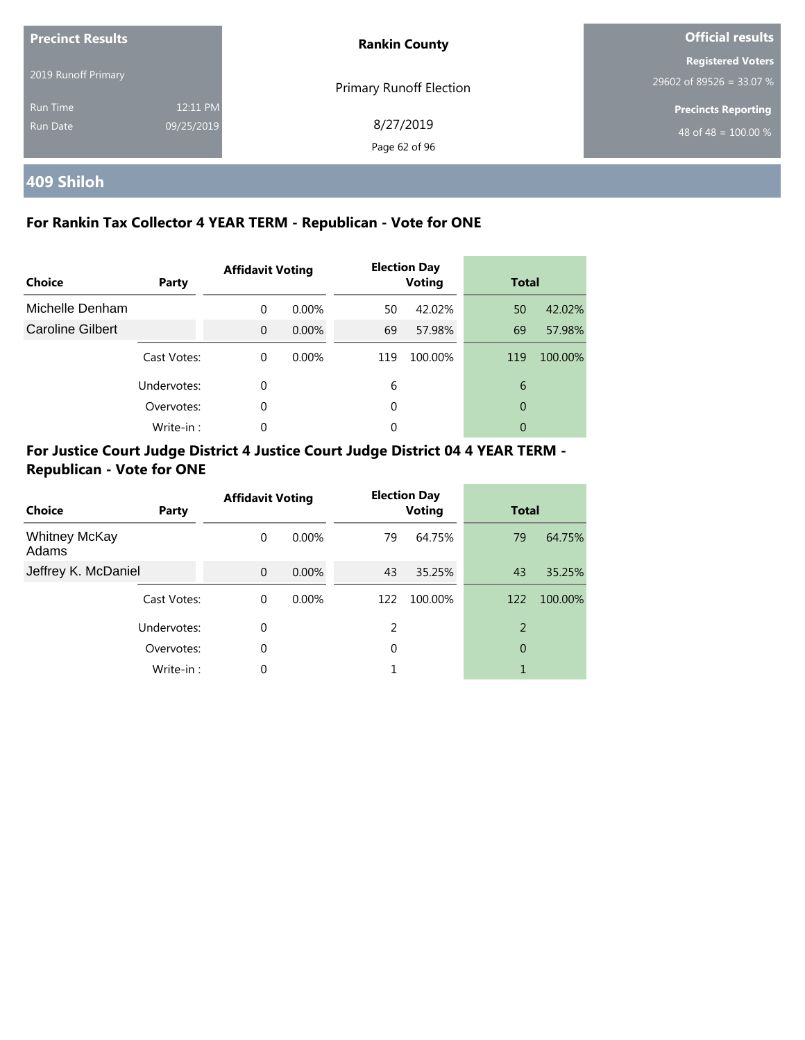| <b>Precinct Results</b><br>2019 Runoff Primary |                        | <b>Rankin County</b>       | <b>Official results</b>                                        |  |
|------------------------------------------------|------------------------|----------------------------|----------------------------------------------------------------|--|
|                                                |                        | Primary Runoff Election    | <b>Registered Voters</b><br>29602 of 89526 = 33.07 %           |  |
| Run Time<br>Run Date                           | 12:11 PM<br>09/25/2019 | 8/27/2019<br>Page 62 of 96 | <b>Precincts Reporting</b><br>48 of 48 = $\overline{100.00\%}$ |  |

## **409 Shiloh**

#### **For Rankin Tax Collector 4 YEAR TERM - Republican - Vote for ONE**

| <b>Choice</b>    | Party       |          | <b>Election Day</b><br><b>Affidavit Voting</b><br><b>Voting</b> |     | <b>Total</b> |     |         |
|------------------|-------------|----------|-----------------------------------------------------------------|-----|--------------|-----|---------|
| Michelle Denham  |             | $\Omega$ | $0.00\%$                                                        | 50  | 42.02%       | 50  | 42.02%  |
| Caroline Gilbert |             | $\Omega$ | $0.00\%$                                                        | 69  | 57.98%       | 69  | 57.98%  |
|                  | Cast Votes: | $\Omega$ | $0.00\%$                                                        | 119 | 100.00%      | 119 | 100.00% |
|                  | Undervotes: | 0        |                                                                 | 6   |              | 6   |         |
|                  | Overvotes:  | 0        |                                                                 | 0   |              | 0   |         |
|                  | Write-in:   | $\Omega$ |                                                                 | 0   |              | 0   |         |

| Choice                        | Party       | <b>Affidavit Voting</b> |          |     | <b>Election Day</b><br><b>Voting</b> | <b>Total</b> |         |
|-------------------------------|-------------|-------------------------|----------|-----|--------------------------------------|--------------|---------|
| <b>Whitney McKay</b><br>Adams |             | $\Omega$                | $0.00\%$ | 79  | 64.75%                               | 79           | 64.75%  |
| Jeffrey K. McDaniel           |             | $\Omega$                | $0.00\%$ | 43  | 35.25%                               | 43           | 35.25%  |
|                               | Cast Votes: | $\Omega$                | $0.00\%$ | 122 | 100.00%                              | 122          | 100.00% |
|                               | Undervotes: | $\Omega$                |          | 2   |                                      | 2            |         |
|                               | Overvotes:  | $\Omega$                |          | 0   |                                      | 0            |         |
|                               | Write-in:   | $\Omega$                |          |     |                                      |              |         |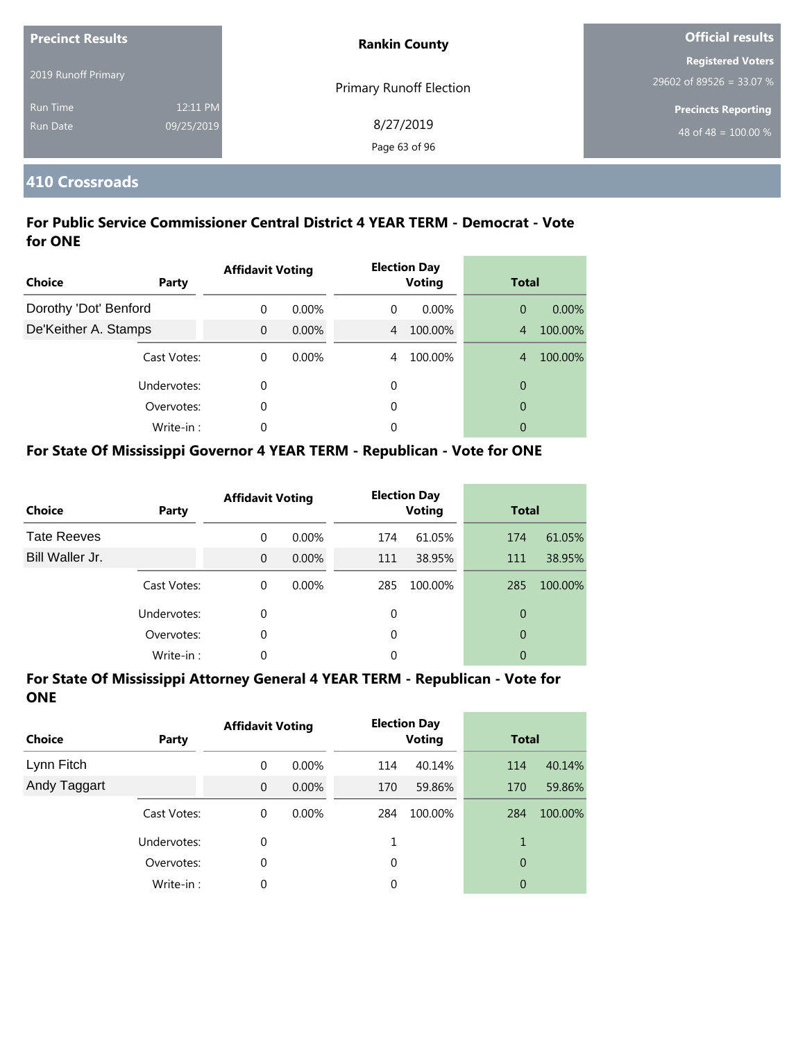| <b>Precinct Results</b> |            | <b>Rankin County</b>           | <b>Official results</b>    |  |
|-------------------------|------------|--------------------------------|----------------------------|--|
|                         |            |                                | <b>Registered Voters</b>   |  |
| 2019 Runoff Primary     |            | <b>Primary Runoff Election</b> | 29602 of 89526 = 33.07 %   |  |
| <b>Run Time</b>         | 12:11 PM   |                                | <b>Precincts Reporting</b> |  |
| <b>Run Date</b>         | 09/25/2019 | 8/27/2019                      | 48 of 48 = $100.00\%$      |  |
|                         |            | Page 63 of 96                  |                            |  |

#### **410 Crossroads**

#### **For Public Service Commissioner Central District 4 YEAR TERM - Democrat - Vote for ONE**

| <b>Choice</b>         | Party       | <b>Affidavit Voting</b> |          |          | <b>Election Day</b><br><b>Voting</b> | <b>Total</b>   |          |
|-----------------------|-------------|-------------------------|----------|----------|--------------------------------------|----------------|----------|
| Dorothy 'Dot' Benford |             | $\Omega$                | $0.00\%$ | $\Omega$ | $0.00\%$                             | $\overline{0}$ | $0.00\%$ |
| De'Keither A. Stamps  |             | $\mathbf{0}$            | $0.00\%$ | 4        | 100.00%                              | $\overline{4}$ | 100.00%  |
|                       | Cast Votes: | $\Omega$                | 0.00%    | 4        | 100.00%                              | $\overline{4}$ | 100.00%  |
|                       | Undervotes: | 0                       |          | 0        |                                      | 0              |          |
|                       | Overvotes:  | 0                       |          | 0        |                                      | $\overline{0}$ |          |
|                       | Write-in:   | 0                       |          | 0        |                                      | $\overline{0}$ |          |

#### **For State Of Mississippi Governor 4 YEAR TERM - Republican - Vote for ONE**

| <b>Choice</b>      | Party       | <b>Affidavit Voting</b> |          |          | <b>Election Day</b><br><b>Voting</b> |     | <b>Total</b> |  |
|--------------------|-------------|-------------------------|----------|----------|--------------------------------------|-----|--------------|--|
| <b>Tate Reeves</b> |             | $\Omega$                | 0.00%    | 174      | 61.05%                               | 174 | 61.05%       |  |
| Bill Waller Jr.    |             | $\Omega$                | $0.00\%$ | 111      | 38.95%                               | 111 | 38.95%       |  |
|                    | Cast Votes: | $\Omega$                | $0.00\%$ | 285      | 100.00%                              | 285 | 100.00%      |  |
|                    | Undervotes: | $\Omega$                |          | $\Omega$ |                                      | 0   |              |  |
|                    | Overvotes:  | 0                       |          | 0        |                                      | 0   |              |  |
|                    | Write-in:   | 0                       |          | 0        |                                      | 0   |              |  |

| <b>Choice</b> | Party       | <b>Affidavit Voting</b> |          | <b>Election Day</b><br><b>Voting</b> |         | <b>Total</b> |         |
|---------------|-------------|-------------------------|----------|--------------------------------------|---------|--------------|---------|
| Lynn Fitch    |             | 0                       | $0.00\%$ | 114                                  | 40.14%  | 114          | 40.14%  |
| Andy Taggart  |             | $\mathbf 0$             | $0.00\%$ | 170                                  | 59.86%  | 170          | 59.86%  |
|               | Cast Votes: | 0                       | $0.00\%$ | 284                                  | 100.00% | 284          | 100.00% |
|               | Undervotes: | 0                       |          |                                      |         | 1            |         |
|               | Overvotes:  | 0                       |          | 0                                    |         | 0            |         |
|               | Write-in:   | 0                       |          | $\Omega$                             |         | 0            |         |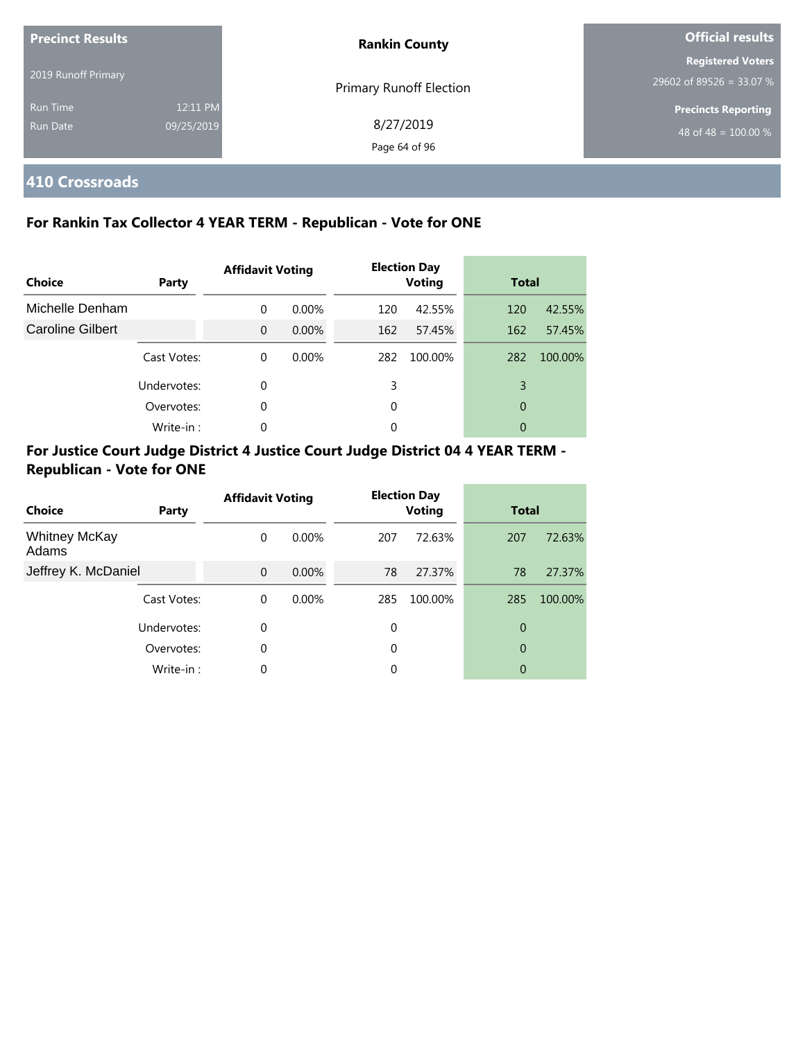| <b>Precinct Results</b>     |                        | <b>Rankin County</b>       | <b>Official results</b>                                        |  |
|-----------------------------|------------------------|----------------------------|----------------------------------------------------------------|--|
| 2019 Runoff Primary         |                        | Primary Runoff Election    | <b>Registered Voters</b><br>29602 of 89526 = 33.07 %           |  |
| <b>Run Time</b><br>Run Date | 12:11 PM<br>09/25/2019 | 8/27/2019<br>Page 64 of 96 | <b>Precincts Reporting</b><br>48 of 48 = $\overline{100.00\%}$ |  |

**410 Crossroads**

#### **For Rankin Tax Collector 4 YEAR TERM - Republican - Vote for ONE**

| Choice           | <b>Party</b> | <b>Affidavit Voting</b> |          | <b>Election Day</b><br><b>Voting</b> |         | <b>Total</b> |         |
|------------------|--------------|-------------------------|----------|--------------------------------------|---------|--------------|---------|
| Michelle Denham  |              | $\Omega$                | $0.00\%$ | 120                                  | 42.55%  | 120          | 42.55%  |
| Caroline Gilbert |              | $\Omega$                | $0.00\%$ | 162                                  | 57.45%  | 162          | 57.45%  |
|                  | Cast Votes:  | $\Omega$                | $0.00\%$ | 282                                  | 100.00% | 282          | 100.00% |
|                  | Undervotes:  | $\Omega$                |          | 3                                    |         | 3            |         |
|                  | Overvotes:   | $\Omega$                |          | 0                                    |         | 0            |         |
|                  | Write-in:    | $\Omega$                |          | $\Omega$                             |         | 0            |         |

| Choice                        | Party       | <b>Affidavit Voting</b> |          |     | <b>Election Day</b><br><b>Voting</b> | <b>Total</b> |         |
|-------------------------------|-------------|-------------------------|----------|-----|--------------------------------------|--------------|---------|
| <b>Whitney McKay</b><br>Adams |             | 0                       | $0.00\%$ | 207 | 72.63%                               | 207          | 72.63%  |
| Jeffrey K. McDaniel           |             | $\Omega$                | $0.00\%$ | 78  | 27.37%                               | 78           | 27.37%  |
|                               | Cast Votes: | 0                       | $0.00\%$ | 285 | 100.00%                              | 285          | 100.00% |
|                               | Undervotes: | 0                       |          | 0   |                                      | 0            |         |
|                               | Overvotes:  | 0                       |          | 0   |                                      | 0            |         |
|                               | Write-in:   | 0                       |          | 0   |                                      | 0            |         |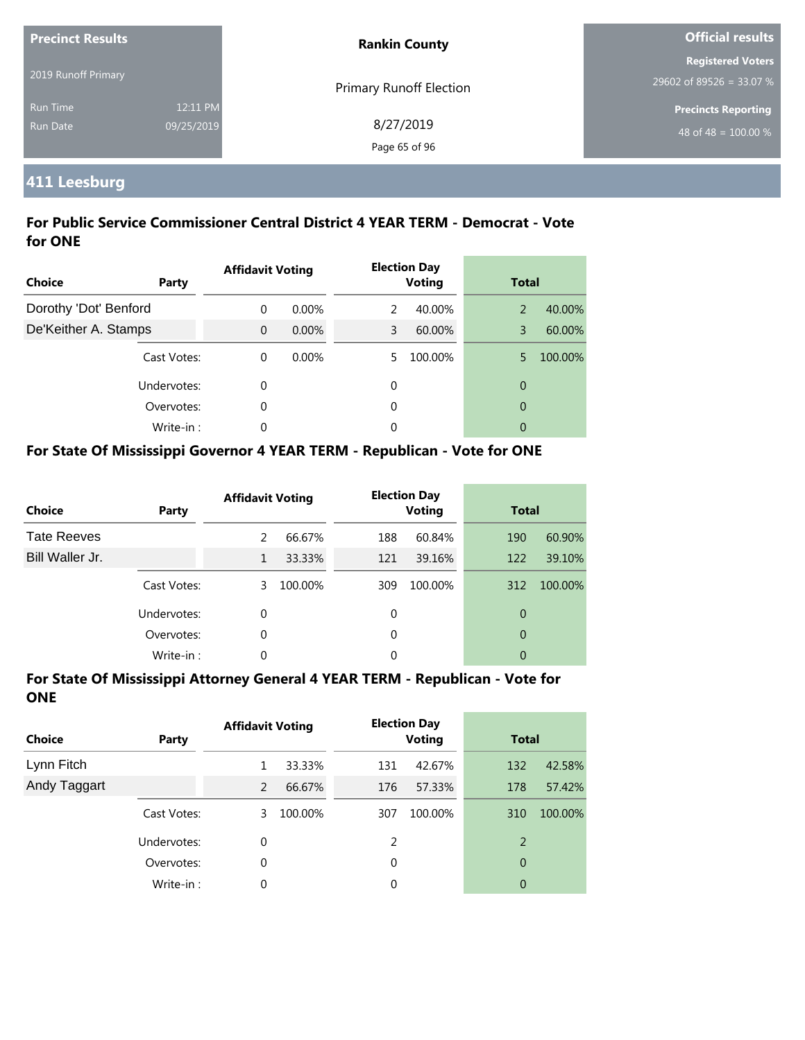| <b>Precinct Results</b>            |                        | <b>Rankin County</b>           | <b>Official results</b>                              |  |
|------------------------------------|------------------------|--------------------------------|------------------------------------------------------|--|
| 2019 Runoff Primary                |                        | <b>Primary Runoff Election</b> | <b>Registered Voters</b><br>29602 of 89526 = 33.07 % |  |
| <b>Run Time</b><br><b>Run Date</b> | 12:11 PM<br>09/25/2019 | 8/27/2019<br>Page 65 of 96     | <b>Precincts Reporting</b><br>48 of 48 = $100.00\%$  |  |

## **411 Leesburg**

#### **For Public Service Commissioner Central District 4 YEAR TERM - Democrat - Vote for ONE**

| Choice                | Party       | <b>Affidavit Voting</b> |          |    | <b>Election Day</b><br><b>Voting</b> | <b>Total</b> |         |
|-----------------------|-------------|-------------------------|----------|----|--------------------------------------|--------------|---------|
| Dorothy 'Dot' Benford |             | 0                       | $0.00\%$ | 2  | 40.00%                               | 2            | 40.00%  |
| De'Keither A. Stamps  |             | $\mathbf{0}$            | $0.00\%$ | 3  | 60.00%                               | 3            | 60.00%  |
|                       | Cast Votes: | $\Omega$                | $0.00\%$ | 5. | 100.00%                              | 5            | 100.00% |
|                       | Undervotes: | 0                       |          | 0  |                                      | 0            |         |
|                       | Overvotes:  | 0                       |          | 0  |                                      | 0            |         |
|                       | Write-in:   | 0                       |          | 0  |                                      | 0            |         |

### **For State Of Mississippi Governor 4 YEAR TERM - Republican - Vote for ONE**

| <b>Choice</b>      | Party       | <b>Affidavit Voting</b> |         |          | <b>Election Day</b><br><b>Voting</b> |     | <b>Total</b> |  |
|--------------------|-------------|-------------------------|---------|----------|--------------------------------------|-----|--------------|--|
| <b>Tate Reeves</b> |             | $\mathcal{P}$           | 66.67%  | 188      | 60.84%                               | 190 | 60.90%       |  |
| Bill Waller Jr.    |             | 1                       | 33.33%  | 121      | 39.16%                               | 122 | 39.10%       |  |
|                    | Cast Votes: | 3                       | 100.00% | 309      | 100.00%                              | 312 | 100.00%      |  |
|                    | Undervotes: | $\Omega$                |         | $\Omega$ |                                      | 0   |              |  |
|                    | Overvotes:  | 0                       |         | $\Omega$ |                                      | 0   |              |  |
|                    | Write-in:   | 0                       |         | 0        |                                      | 0   |              |  |

| <b>Choice</b> | Party       | <b>Affidavit Voting</b> |         | <b>Election Day</b><br><b>Voting</b> |         | <b>Total</b> |         |
|---------------|-------------|-------------------------|---------|--------------------------------------|---------|--------------|---------|
| Lynn Fitch    |             |                         | 33.33%  | 131                                  | 42.67%  | 132          | 42.58%  |
| Andy Taggart  |             | 2                       | 66.67%  | 176                                  | 57.33%  | 178          | 57.42%  |
|               | Cast Votes: | 3                       | 100.00% | 307                                  | 100.00% | 310          | 100.00% |
|               | Undervotes: | 0                       |         | 2                                    |         | 2            |         |
|               | Overvotes:  | 0                       |         | 0                                    |         | 0            |         |
|               | Write-in:   | 0                       |         | 0                                    |         | 0            |         |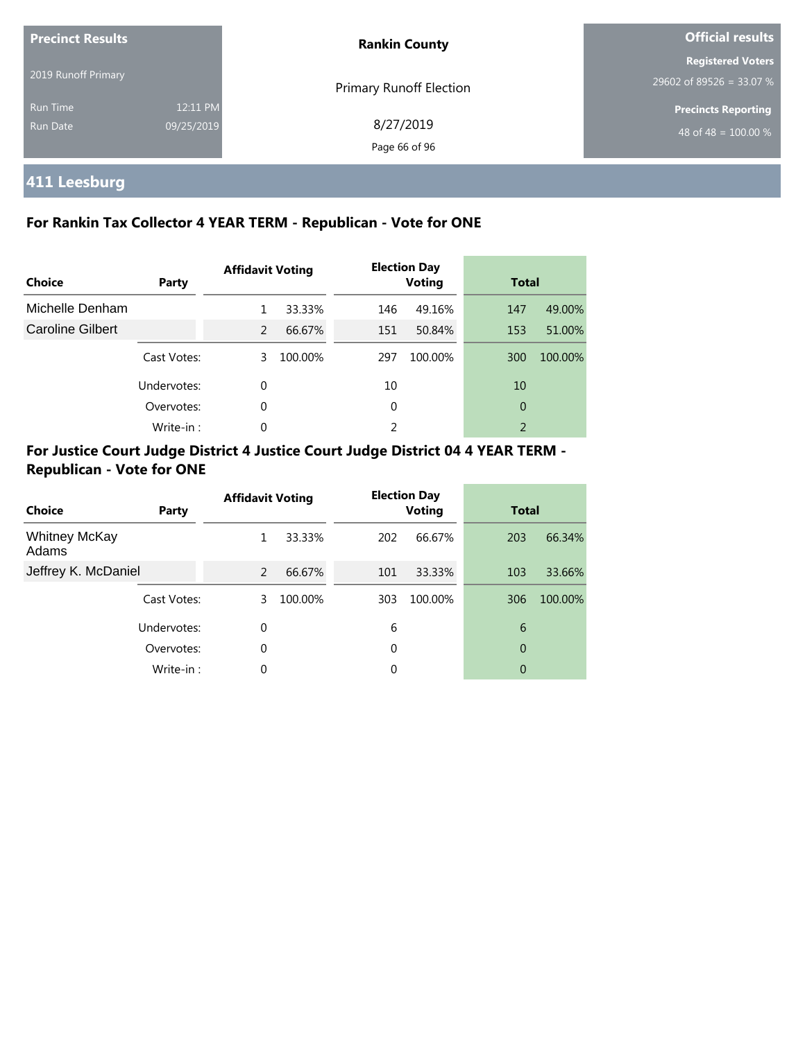| <b>Precinct Results</b><br>2019 Runoff Primary |                        | <b>Rankin County</b>       | <b>Official results</b>                                |  |
|------------------------------------------------|------------------------|----------------------------|--------------------------------------------------------|--|
|                                                |                        | Primary Runoff Election    | <b>Registered Voters</b><br>$29602$ of 89526 = 33.07 % |  |
| <b>Run Time</b><br>Run Date                    | 12:11 PM<br>09/25/2019 | 8/27/2019<br>Page 66 of 96 | <b>Precincts Reporting</b><br>48 of 48 = $100.00\%$    |  |

## **411 Leesburg**

#### **For Rankin Tax Collector 4 YEAR TERM - Republican - Vote for ONE**

| Choice           | Party       | <b>Affidavit Voting</b> |         |     | <b>Election Day</b><br><b>Voting</b> | <b>Total</b> |         |
|------------------|-------------|-------------------------|---------|-----|--------------------------------------|--------------|---------|
| Michelle Denham  |             | 1                       | 33.33%  | 146 | 49.16%                               | 147          | 49.00%  |
| Caroline Gilbert |             | 2                       | 66.67%  | 151 | 50.84%                               | 153          | 51.00%  |
|                  | Cast Votes: | 3.                      | 100.00% | 297 | 100.00%                              | 300          | 100.00% |
|                  | Undervotes: | 0                       |         | 10  |                                      | 10           |         |
|                  | Overvotes:  | 0                       |         | 0   |                                      | 0            |         |
|                  | Write-in:   | $\Omega$                |         | 2   |                                      | 2            |         |

| Choice                        | Party       | <b>Affidavit Voting</b> |         |     | <b>Election Day</b><br><b>Voting</b> | <b>Total</b> |         |
|-------------------------------|-------------|-------------------------|---------|-----|--------------------------------------|--------------|---------|
| <b>Whitney McKay</b><br>Adams |             | 1                       | 33.33%  | 202 | 66.67%                               | 203          | 66.34%  |
| Jeffrey K. McDaniel           |             | $\mathcal{P}$           | 66.67%  | 101 | 33.33%                               | 103          | 33.66%  |
|                               | Cast Votes: | 3.                      | 100.00% | 303 | 100.00%                              | 306          | 100.00% |
|                               | Undervotes: | $\Omega$                |         | 6   |                                      | 6            |         |
|                               | Overvotes:  | 0                       |         | 0   |                                      | 0            |         |
|                               | Write-in:   | $\Omega$                |         | 0   |                                      | 0            |         |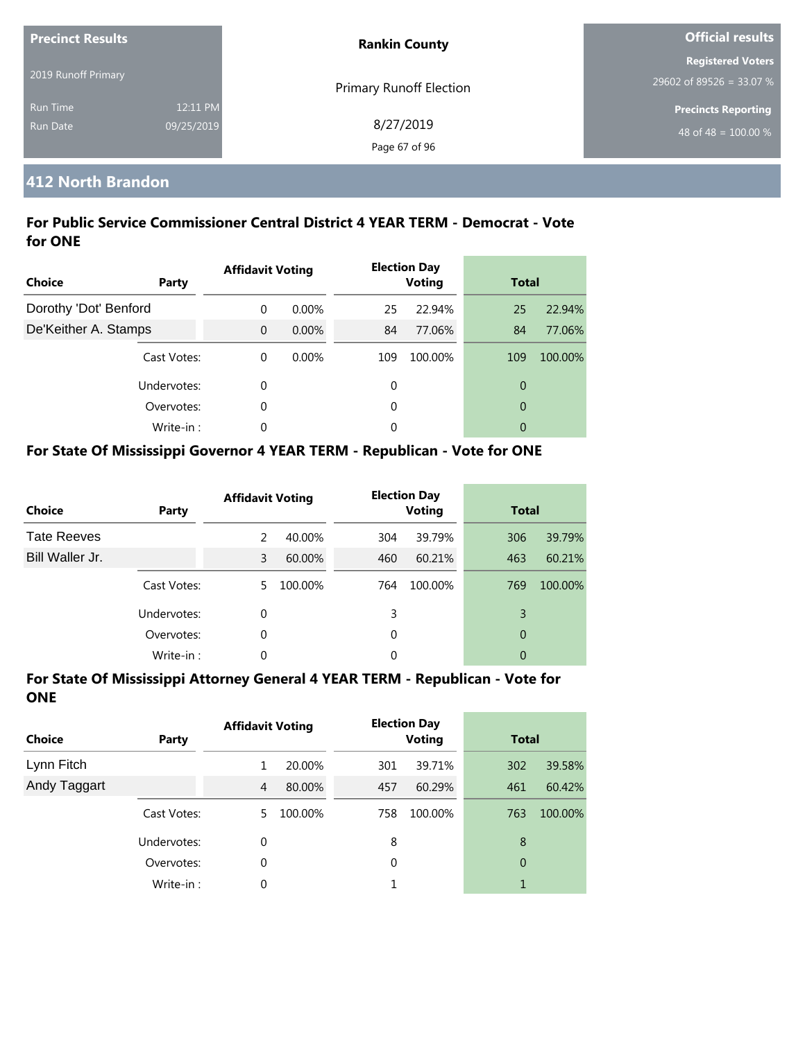| <b>Precinct Results</b> |            | <b>Rankin County</b>           | <b>Official results</b>    |  |
|-------------------------|------------|--------------------------------|----------------------------|--|
|                         |            |                                | <b>Registered Voters</b>   |  |
| 2019 Runoff Primary     |            | <b>Primary Runoff Election</b> | 29602 of 89526 = 33.07 %   |  |
| <b>Run Time</b>         | 12:11 PM   |                                | <b>Precincts Reporting</b> |  |
| Run Date                | 09/25/2019 | 8/27/2019                      | 48 of 48 = $100.00\%$      |  |
|                         |            | Page 67 of 96                  |                            |  |

## **412 North Brandon**

#### **For Public Service Commissioner Central District 4 YEAR TERM - Democrat - Vote for ONE**

| <b>Choice</b>         | Party       | <b>Affidavit Voting</b> |          |     | <b>Election Day</b><br><b>Voting</b> | <b>Total</b>   |         |
|-----------------------|-------------|-------------------------|----------|-----|--------------------------------------|----------------|---------|
| Dorothy 'Dot' Benford |             | $\Omega$                | $0.00\%$ | 25  | 22.94%                               | 25             | 22.94%  |
| De'Keither A. Stamps  |             | $\overline{0}$          | $0.00\%$ | 84  | 77.06%                               | 84             | 77.06%  |
|                       | Cast Votes: | $\theta$                | $0.00\%$ | 109 | 100.00%                              | 109            | 100.00% |
|                       | Undervotes: | 0                       |          | 0   |                                      | 0              |         |
|                       | Overvotes:  | 0                       |          | 0   |                                      | $\overline{0}$ |         |
|                       | Write-in:   | $\Omega$                |          | 0   |                                      | 0              |         |

#### **For State Of Mississippi Governor 4 YEAR TERM - Republican - Vote for ONE**

| <b>Choice</b>      | Party       | <b>Affidavit Voting</b> |         |          | <b>Election Day</b><br><b>Voting</b> | <b>Total</b> |         |
|--------------------|-------------|-------------------------|---------|----------|--------------------------------------|--------------|---------|
| <b>Tate Reeves</b> |             | $\mathcal{P}$           | 40.00%  | 304      | 39.79%                               | 306          | 39.79%  |
| Bill Waller Jr.    |             | 3                       | 60.00%  | 460      | 60.21%                               | 463          | 60.21%  |
|                    | Cast Votes: | 5.                      | 100.00% | 764      | 100.00%                              | 769          | 100.00% |
|                    | Undervotes: | $\Omega$                |         | 3        |                                      | 3            |         |
|                    | Overvotes:  | 0                       |         | $\Omega$ |                                      | 0            |         |
|                    | Write-in:   | 0                       |         | 0        |                                      | 0            |         |

| <b>Choice</b> | Party       | <b>Affidavit Voting</b> |         | <b>Election Day</b><br><b>Voting</b> |         | <b>Total</b> |         |
|---------------|-------------|-------------------------|---------|--------------------------------------|---------|--------------|---------|
| Lynn Fitch    |             | 1                       | 20.00%  | 301                                  | 39.71%  | 302          | 39.58%  |
| Andy Taggart  |             | $\overline{4}$          | 80.00%  | 457                                  | 60.29%  | 461          | 60.42%  |
|               | Cast Votes: | 5.                      | 100.00% | 758                                  | 100.00% | 763          | 100.00% |
|               | Undervotes: | 0                       |         | 8                                    |         | 8            |         |
|               | Overvotes:  | 0                       |         | 0                                    |         | 0            |         |
|               | Write-in:   | 0                       |         |                                      |         |              |         |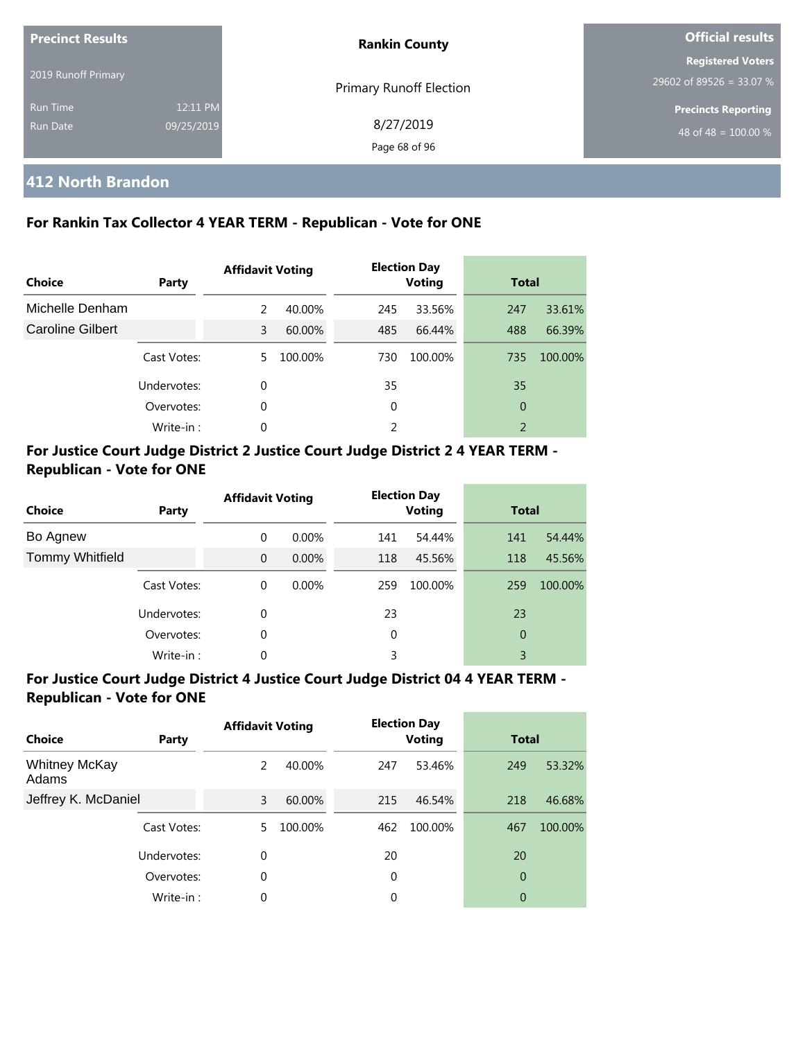| <b>Precinct Results</b><br>2019 Runoff Primary |                        | <b>Rankin County</b>       | Official results                                     |  |
|------------------------------------------------|------------------------|----------------------------|------------------------------------------------------|--|
|                                                |                        | Primary Runoff Election    | <b>Registered Voters</b><br>29602 of 89526 = 33.07 % |  |
| <b>Run Time</b><br><b>Run Date</b>             | 12:11 PM<br>09/25/2019 | 8/27/2019<br>Page 68 of 96 | <b>Precincts Reporting</b><br>48 of 48 = $100.00\%$  |  |

#### **412 North Brandon**

#### **For Rankin Tax Collector 4 YEAR TERM - Republican - Vote for ONE**

| <b>Choice</b>    | Party       | <b>Affidavit Voting</b> |         |     | <b>Election Day</b><br><b>Voting</b> | <b>Total</b>   |         |
|------------------|-------------|-------------------------|---------|-----|--------------------------------------|----------------|---------|
| Michelle Denham  |             | 2                       | 40.00%  | 245 | 33.56%                               | 247            | 33.61%  |
| Caroline Gilbert |             | 3                       | 60.00%  | 485 | 66.44%                               | 488            | 66.39%  |
|                  | Cast Votes: | 5.                      | 100.00% | 730 | 100.00%                              | 735            | 100.00% |
|                  | Undervotes: | 0                       |         | 35  |                                      | 35             |         |
|                  | Overvotes:  | 0                       |         | 0   |                                      | 0              |         |
|                  | Write-in:   | 0                       |         | 2   |                                      | $\overline{2}$ |         |

#### **For Justice Court Judge District 2 Justice Court Judge District 2 4 YEAR TERM - Republican - Vote for ONE**

| <b>Choice</b>          | Party       | <b>Affidavit Voting</b> |          |     | <b>Election Day</b><br><b>Voting</b> | <b>Total</b> |         |
|------------------------|-------------|-------------------------|----------|-----|--------------------------------------|--------------|---------|
| Bo Agnew               |             | 0                       | $0.00\%$ | 141 | 54.44%                               | 141          | 54.44%  |
| <b>Tommy Whitfield</b> |             | $\Omega$                | 0.00%    | 118 | 45.56%                               | 118          | 45.56%  |
|                        | Cast Votes: | 0                       | $0.00\%$ | 259 | 100.00%                              | 259          | 100.00% |
|                        | Undervotes: | $\Omega$                |          | 23  |                                      | 23           |         |
|                        | Overvotes:  | $\Omega$                |          | 0   |                                      | $\theta$     |         |
|                        | Write-in:   | 0                       |          | 3   |                                      | 3            |         |

| Choice                        | Party       | <b>Affidavit Voting</b> |         |     | <b>Election Day</b><br><b>Voting</b> | <b>Total</b>   |         |
|-------------------------------|-------------|-------------------------|---------|-----|--------------------------------------|----------------|---------|
| <b>Whitney McKay</b><br>Adams |             | 2                       | 40.00%  | 247 | 53.46%                               | 249            | 53.32%  |
| Jeffrey K. McDaniel           |             | 3                       | 60.00%  | 215 | 46.54%                               | 218            | 46.68%  |
|                               | Cast Votes: | 5.                      | 100.00% | 462 | 100.00%                              | 467            | 100.00% |
|                               | Undervotes: | 0                       |         | 20  |                                      | 20             |         |
|                               | Overvotes:  | 0                       |         | 0   |                                      | $\overline{0}$ |         |
|                               | Write-in:   | 0                       |         | 0   |                                      | $\overline{0}$ |         |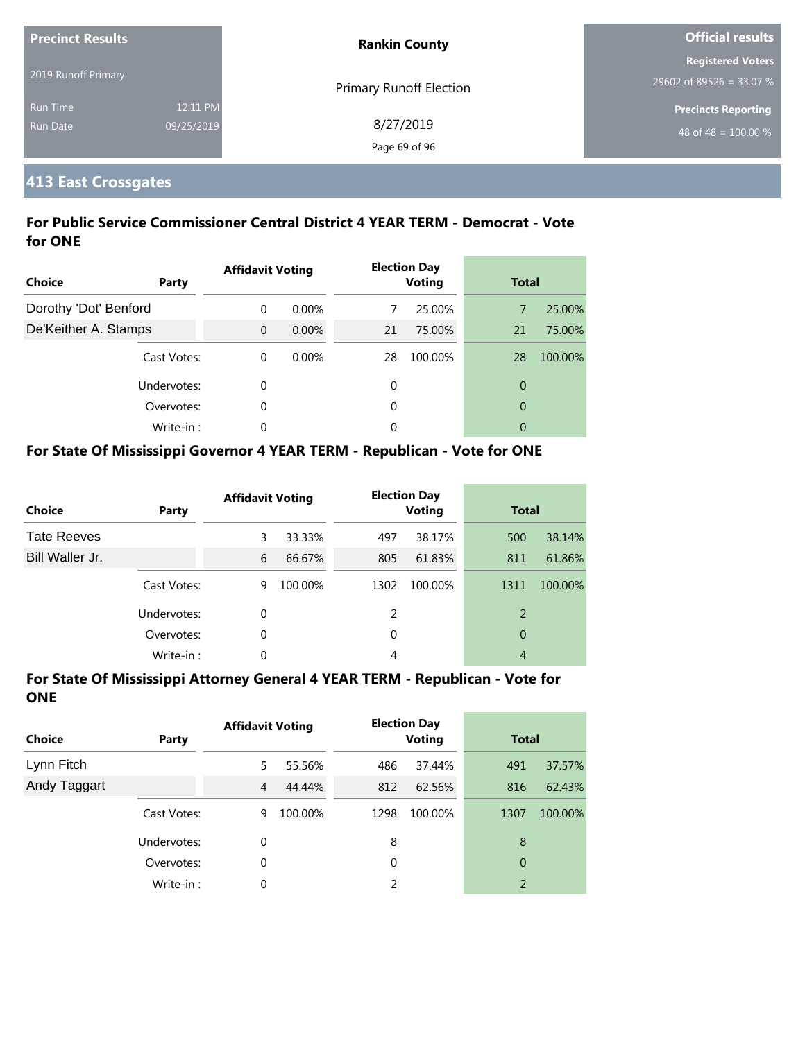| <b>Precinct Results</b> |            | <b>Rankin County</b>           | <b>Official results</b>    |  |
|-------------------------|------------|--------------------------------|----------------------------|--|
|                         |            |                                | <b>Registered Voters</b>   |  |
| 2019 Runoff Primary     |            | <b>Primary Runoff Election</b> | 29602 of 89526 = 33.07 %   |  |
| <b>Run Time</b>         | 12:11 PM   |                                | <b>Precincts Reporting</b> |  |
| <b>Run Date</b>         | 09/25/2019 | 8/27/2019                      | 48 of 48 = $100.00\%$      |  |
|                         |            | Page 69 of 96                  |                            |  |

### **413 East Crossgates**

#### **For Public Service Commissioner Central District 4 YEAR TERM - Democrat - Vote for ONE**

| <b>Choice</b>         | Party       | <b>Affidavit Voting</b> |          |    | <b>Election Day</b><br><b>Voting</b> |                | <b>Total</b> |  |
|-----------------------|-------------|-------------------------|----------|----|--------------------------------------|----------------|--------------|--|
| Dorothy 'Dot' Benford |             | $\Omega$                | $0.00\%$ |    | 25.00%                               | 7              | 25.00%       |  |
| De'Keither A. Stamps  |             | $\Omega$                | $0.00\%$ | 21 | 75.00%                               | 21             | 75.00%       |  |
|                       | Cast Votes: | $\theta$                | 0.00%    | 28 | 100.00%                              | 28             | 100.00%      |  |
|                       | Undervotes: | 0                       |          | 0  |                                      | $\overline{0}$ |              |  |
|                       | Overvotes:  | 0                       |          | 0  |                                      | $\overline{0}$ |              |  |
|                       | Write-in:   | 0                       |          | 0  |                                      | 0              |              |  |

#### **For State Of Mississippi Governor 4 YEAR TERM - Republican - Vote for ONE**

| <b>Choice</b>      | Party       | <b>Affidavit Voting</b> |         |      | <b>Election Day</b><br><b>Voting</b> |      | <b>Total</b> |  |
|--------------------|-------------|-------------------------|---------|------|--------------------------------------|------|--------------|--|
| <b>Tate Reeves</b> |             | 3                       | 33.33%  | 497  | 38.17%                               | 500  | 38.14%       |  |
| Bill Waller Jr.    |             | 6                       | 66.67%  | 805  | 61.83%                               | 811  | 61.86%       |  |
|                    | Cast Votes: | 9                       | 100.00% | 1302 | 100.00%                              | 1311 | 100.00%      |  |
|                    | Undervotes: | 0                       |         | 2    |                                      | 2    |              |  |
|                    | Overvotes:  | 0                       |         | 0    |                                      | 0    |              |  |
|                    | Write-in:   | 0                       |         | 4    |                                      | 4    |              |  |

| <b>Choice</b> | Party       | <b>Affidavit Voting</b> |         |      | <b>Election Day</b><br><b>Voting</b> |      | <b>Total</b> |  |
|---------------|-------------|-------------------------|---------|------|--------------------------------------|------|--------------|--|
| Lynn Fitch    |             | 5.                      | 55.56%  | 486  | 37.44%                               | 491  | 37.57%       |  |
| Andy Taggart  |             | 4                       | 44.44%  | 812  | 62.56%                               | 816  | 62.43%       |  |
|               | Cast Votes: | 9                       | 100.00% | 1298 | 100.00%                              | 1307 | 100.00%      |  |
|               | Undervotes: | 0                       |         | 8    |                                      | 8    |              |  |
|               | Overvotes:  | $\Omega$                |         | 0    |                                      | 0    |              |  |
|               | Write-in:   | 0                       |         |      |                                      | 2    |              |  |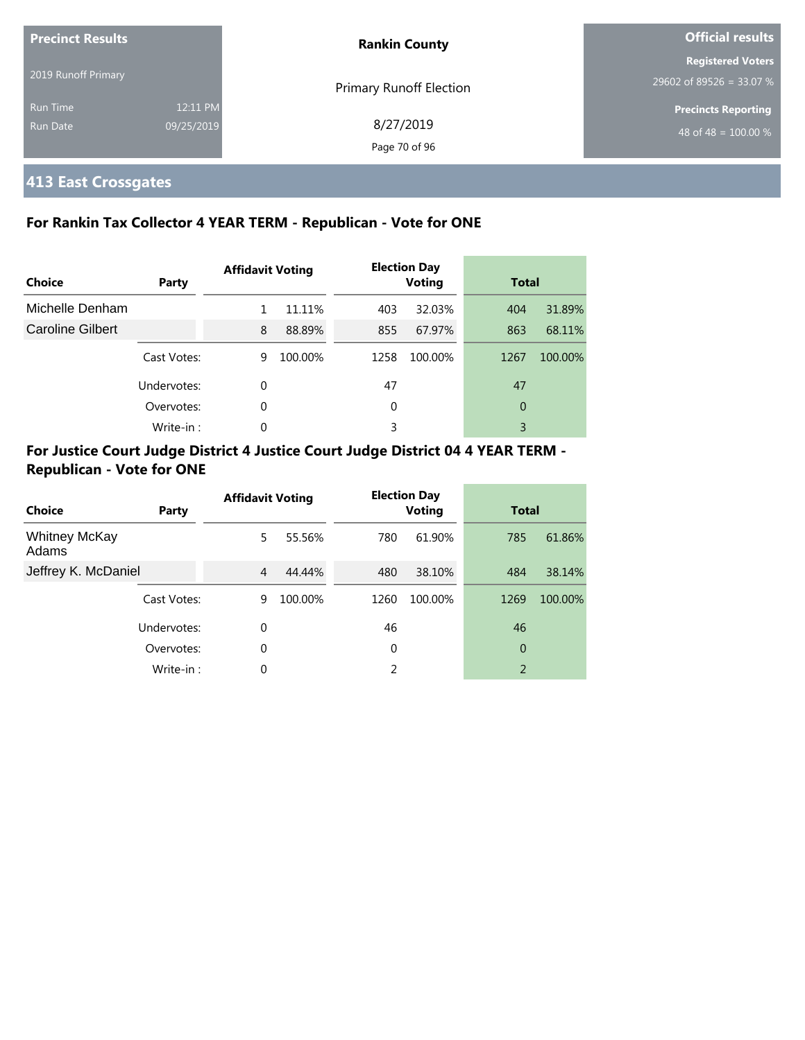| <b>Precinct Results</b> |            | <b>Rankin County</b>           | <b>Official results</b>          |  |
|-------------------------|------------|--------------------------------|----------------------------------|--|
|                         |            |                                | <b>Registered Voters</b>         |  |
| 2019 Runoff Primary     |            | <b>Primary Runoff Election</b> | 29602 of 89526 = 33.07 %         |  |
| <b>Run Time</b>         | 12:11 PM   |                                | <b>Precincts Reporting</b>       |  |
| <b>Run Date</b>         | 09/25/2019 | 8/27/2019                      | 48 of 48 = $\overline{100.00\%}$ |  |
|                         |            | Page 70 of 96                  |                                  |  |

## **413 East Crossgates**

#### **For Rankin Tax Collector 4 YEAR TERM - Republican - Vote for ONE**

| Choice                  | Party       | <b>Affidavit Voting</b> |         |      | <b>Election Day</b><br><b>Voting</b> |      | <b>Total</b> |  |
|-------------------------|-------------|-------------------------|---------|------|--------------------------------------|------|--------------|--|
| Michelle Denham         |             |                         | 11.11%  | 403  | 32.03%                               | 404  | 31.89%       |  |
| <b>Caroline Gilbert</b> |             | 8                       | 88.89%  | 855  | 67.97%                               | 863  | 68.11%       |  |
|                         | Cast Votes: | 9                       | 100.00% | 1258 | 100.00%                              | 1267 | 100.00%      |  |
|                         | Undervotes: | $\Omega$                |         | 47   |                                      | 47   |              |  |
|                         | Overvotes:  | $\Omega$                |         | 0    |                                      | 0    |              |  |
|                         | Write-in:   | $\Omega$                |         | 3    |                                      | 3    |              |  |

| Choice                        | Party       | <b>Affidavit Voting</b> |         |      | <b>Election Day</b><br><b>Voting</b> | <b>Total</b>   |         |
|-------------------------------|-------------|-------------------------|---------|------|--------------------------------------|----------------|---------|
| <b>Whitney McKay</b><br>Adams |             | 5.                      | 55.56%  | 780  | 61.90%                               | 785            | 61.86%  |
| Jeffrey K. McDaniel           |             | 4                       | 44.44%  | 480  | 38.10%                               | 484            | 38.14%  |
|                               | Cast Votes: | 9                       | 100.00% | 1260 | 100.00%                              | 1269           | 100.00% |
|                               | Undervotes: | $\Omega$                |         | 46   |                                      | 46             |         |
|                               | Overvotes:  | $\Omega$                |         | 0    |                                      | 0              |         |
|                               | Write-in:   | $\Omega$                |         | 2    |                                      | $\overline{2}$ |         |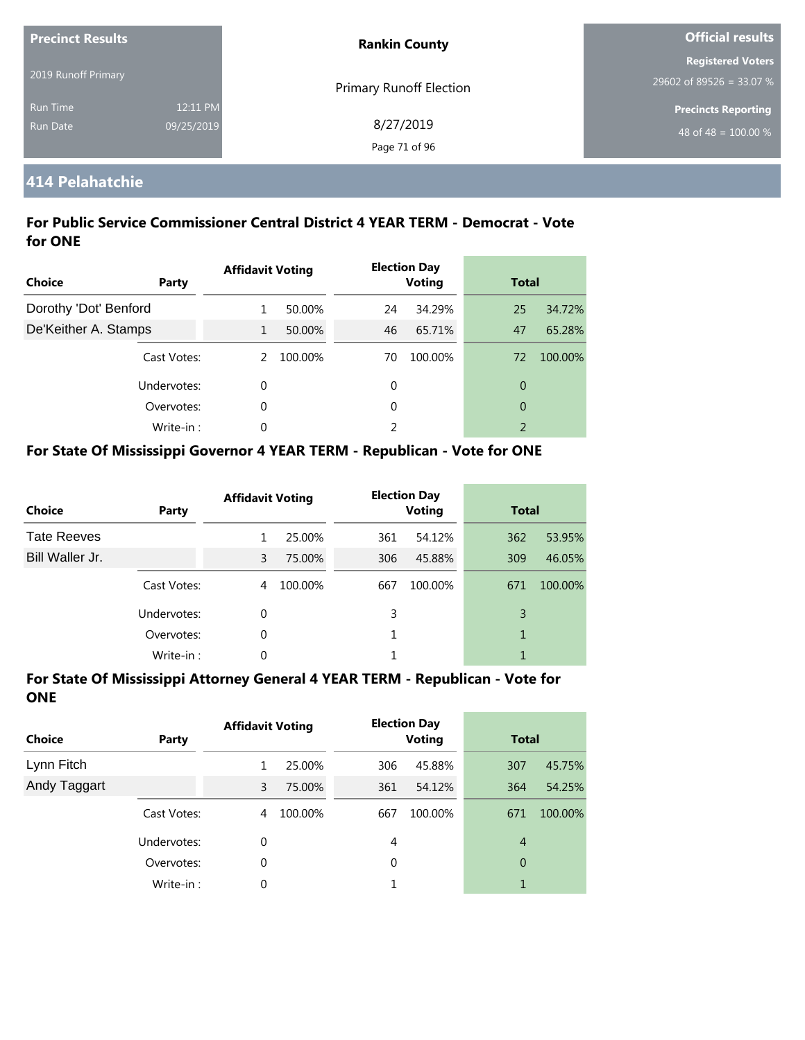| <b>Precinct Results</b> |            | <b>Rankin County</b>           | <b>Official results</b>          |  |
|-------------------------|------------|--------------------------------|----------------------------------|--|
|                         |            |                                | <b>Registered Voters</b>         |  |
| 2019 Runoff Primary     |            | <b>Primary Runoff Election</b> | $29602$ of 89526 = 33.07 %       |  |
| <b>Run Time</b>         | 12:11 PM   |                                | <b>Precincts Reporting</b>       |  |
| <b>Run Date</b>         | 09/25/2019 | 8/27/2019                      | 48 of 48 = $\overline{100.00\%}$ |  |
|                         |            | Page 71 of 96                  |                                  |  |

### **414 Pelahatchie**

#### **For Public Service Commissioner Central District 4 YEAR TERM - Democrat - Vote for ONE**

| <b>Choice</b>         | Party       | <b>Affidavit Voting</b> |         |    | <b>Election Day</b><br><b>Voting</b> |                | <b>Total</b> |  |
|-----------------------|-------------|-------------------------|---------|----|--------------------------------------|----------------|--------------|--|
| Dorothy 'Dot' Benford |             | 1.                      | 50.00%  | 24 | 34.29%                               | 25             | 34.72%       |  |
| De'Keither A. Stamps  |             | $\mathbf{1}$            | 50.00%  | 46 | 65.71%                               | 47             | 65.28%       |  |
|                       | Cast Votes: | 2                       | 100.00% | 70 | 100.00%                              | 72             | 100.00%      |  |
|                       | Undervotes: | $\Omega$                |         | 0  |                                      | $\overline{0}$ |              |  |
|                       | Overvotes:  | $\Omega$                |         | 0  |                                      | $\overline{0}$ |              |  |
|                       | Write-in:   | $\Omega$                |         | 2  |                                      | $\overline{2}$ |              |  |

#### **For State Of Mississippi Governor 4 YEAR TERM - Republican - Vote for ONE**

| <b>Choice</b>      | Party       | <b>Affidavit Voting</b> |         |     | <b>Election Day</b><br><b>Voting</b> |     | <b>Total</b> |  |
|--------------------|-------------|-------------------------|---------|-----|--------------------------------------|-----|--------------|--|
| <b>Tate Reeves</b> |             |                         | 25.00%  | 361 | 54.12%                               | 362 | 53.95%       |  |
| Bill Waller Jr.    |             | 3                       | 75.00%  | 306 | 45.88%                               | 309 | 46.05%       |  |
|                    | Cast Votes: | 4                       | 100.00% | 667 | 100.00%                              | 671 | 100.00%      |  |
|                    | Undervotes: | 0                       |         | 3   |                                      | 3   |              |  |
|                    | Overvotes:  | 0                       |         |     |                                      | 1   |              |  |
|                    | Write-in:   | 0                       |         |     |                                      |     |              |  |

| <b>Choice</b> | Party       | <b>Affidavit Voting</b> |         |     | <b>Election Day</b><br><b>Voting</b> |                | <b>Total</b> |  |
|---------------|-------------|-------------------------|---------|-----|--------------------------------------|----------------|--------------|--|
| Lynn Fitch    |             | 1                       | 25.00%  | 306 | 45.88%                               | 307            | 45.75%       |  |
| Andy Taggart  |             | 3                       | 75.00%  | 361 | 54.12%                               | 364            | 54.25%       |  |
|               | Cast Votes: | 4                       | 100.00% | 667 | 100.00%                              | 671            | 100.00%      |  |
|               | Undervotes: | 0                       |         | 4   |                                      | $\overline{4}$ |              |  |
|               | Overvotes:  | 0                       |         | 0   |                                      | 0              |              |  |
|               | Write-in:   | 0                       |         |     |                                      | 1              |              |  |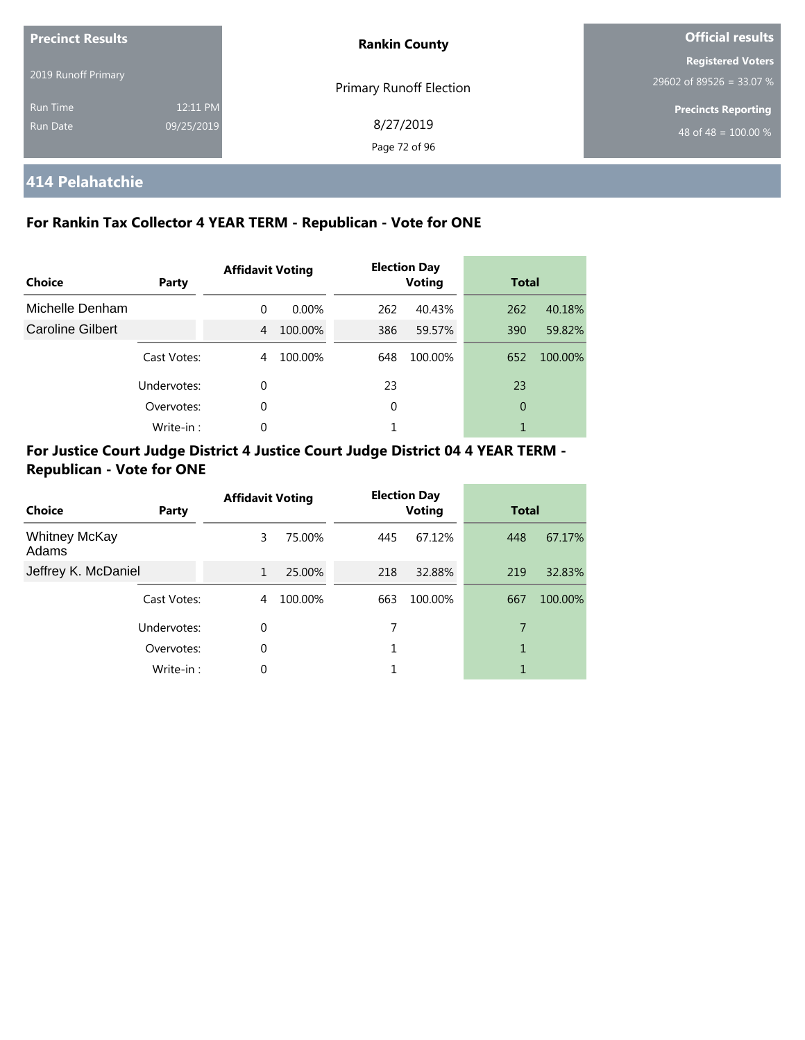| <b>Precinct Results</b> |            | <b>Rankin County</b>           | <b>Official results</b>    |  |
|-------------------------|------------|--------------------------------|----------------------------|--|
|                         |            |                                | <b>Registered Voters</b>   |  |
| 2019 Runoff Primary     |            | <b>Primary Runoff Election</b> | 29602 of 89526 = 33.07 %   |  |
| <b>Run Time</b>         | 12:11 PM   |                                | <b>Precincts Reporting</b> |  |
| Run Date                | 09/25/2019 | 8/27/2019                      | 48 of 48 = $100.00\%$      |  |
|                         |            | Page 72 of 96                  |                            |  |

## **414 Pelahatchie**

#### **For Rankin Tax Collector 4 YEAR TERM - Republican - Vote for ONE**

| Choice           | <b>Party</b> | <b>Affidavit Voting</b> |          |     | <b>Election Day</b><br><b>Voting</b> |     | <b>Total</b> |  |
|------------------|--------------|-------------------------|----------|-----|--------------------------------------|-----|--------------|--|
| Michelle Denham  |              | $\Omega$                | $0.00\%$ | 262 | 40.43%                               | 262 | 40.18%       |  |
| Caroline Gilbert |              | 4                       | 100.00%  | 386 | 59.57%                               | 390 | 59.82%       |  |
|                  | Cast Votes:  | 4                       | 100.00%  | 648 | 100.00%                              | 652 | 100.00%      |  |
|                  | Undervotes:  | 0                       |          | 23  |                                      | 23  |              |  |
|                  | Overvotes:   | 0                       |          | 0   |                                      | 0   |              |  |
|                  | Write-in:    | $\Omega$                |          | 1   |                                      |     |              |  |

| Choice                        | Party       | <b>Affidavit Voting</b> |         | <b>Election Day</b><br><b>Voting</b> |         | <b>Total</b> |         |
|-------------------------------|-------------|-------------------------|---------|--------------------------------------|---------|--------------|---------|
| <b>Whitney McKay</b><br>Adams |             | 3                       | 75.00%  | 445                                  | 67.12%  | 448          | 67.17%  |
| Jeffrey K. McDaniel           |             | $\mathbf{1}$            | 25.00%  | 218                                  | 32.88%  | 219          | 32.83%  |
|                               | Cast Votes: | 4                       | 100.00% | 663                                  | 100.00% | 667          | 100.00% |
| Undervotes:                   |             | $\Omega$                |         |                                      |         | 7            |         |
|                               | Overvotes:  | $\Omega$                |         | 1                                    |         |              |         |
|                               | Write-in:   | $\Omega$                |         |                                      |         | 1            |         |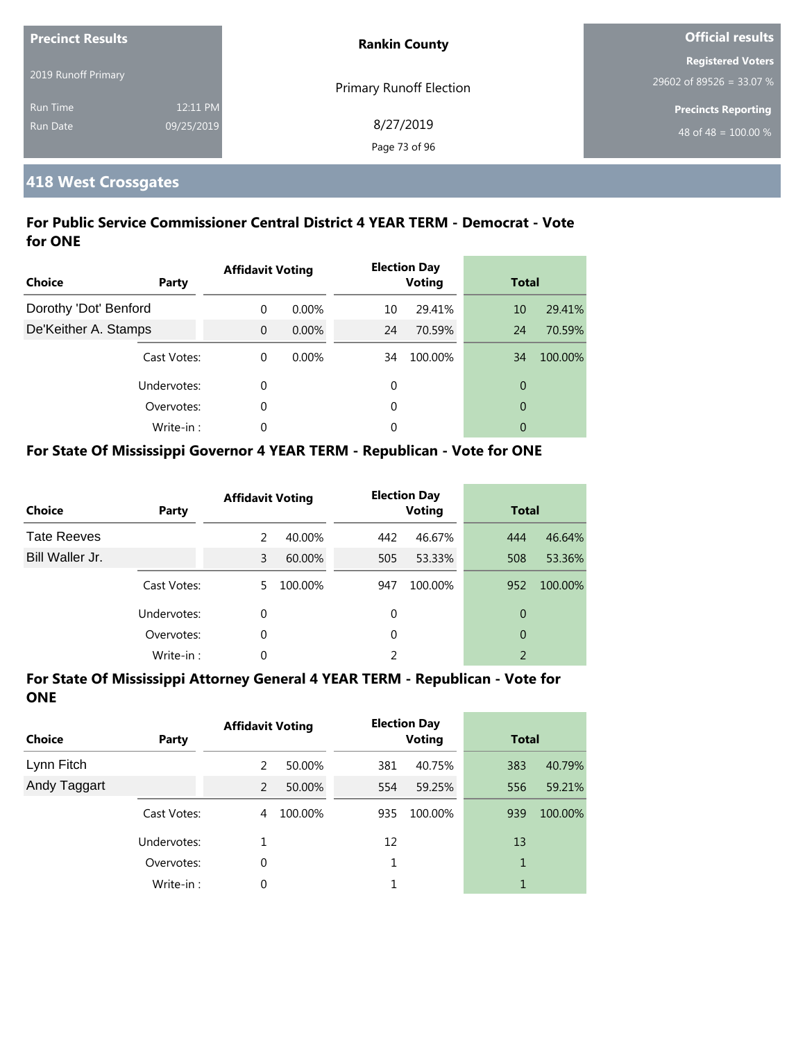| <b>Precinct Results</b> |            | <b>Rankin County</b>           | <b>Official results</b>          |  |
|-------------------------|------------|--------------------------------|----------------------------------|--|
|                         |            |                                | <b>Registered Voters</b>         |  |
| 2019 Runoff Primary     |            | <b>Primary Runoff Election</b> | 29602 of 89526 = 33.07 %         |  |
| <b>Run Time</b>         | 12:11 PM   |                                | <b>Precincts Reporting</b>       |  |
| <b>Run Date</b>         | 09/25/2019 | 8/27/2019                      | 48 of 48 = $\overline{100.00\%}$ |  |
|                         |            | Page 73 of 96                  |                                  |  |

# **418 West Crossgates**

#### **For Public Service Commissioner Central District 4 YEAR TERM - Democrat - Vote for ONE**

| <b>Choice</b><br>Party | <b>Affidavit Voting</b> |          |    | <b>Election Day</b><br><b>Voting</b> | <b>Total</b>   |         |
|------------------------|-------------------------|----------|----|--------------------------------------|----------------|---------|
| Dorothy 'Dot' Benford  | $\Omega$                | $0.00\%$ | 10 | 29.41%                               | 10             | 29.41%  |
| De'Keither A. Stamps   | $\Omega$                | $0.00\%$ | 24 | 70.59%                               | 24             | 70.59%  |
| Cast Votes:            | $\Omega$                | $0.00\%$ | 34 | 100.00%                              | 34             | 100.00% |
| Undervotes:            | $\Omega$                |          | 0  |                                      | $\overline{0}$ |         |
| Overvotes:             | $\Omega$                |          | 0  |                                      | $\overline{0}$ |         |
| Write-in:              | $\Omega$                |          | 0  |                                      | 0              |         |

#### **For State Of Mississippi Governor 4 YEAR TERM - Republican - Vote for ONE**

| <b>Choice</b>      | Party       | <b>Affidavit Voting</b> |         |          | <b>Election Day</b><br><b>Voting</b> | <b>Total</b>   |         |
|--------------------|-------------|-------------------------|---------|----------|--------------------------------------|----------------|---------|
| <b>Tate Reeves</b> |             | $\mathcal{P}$           | 40.00%  | 442      | 46.67%                               | 444            | 46.64%  |
| Bill Waller Jr.    |             | 3                       | 60.00%  | 505      | 53.33%                               | 508            | 53.36%  |
|                    | Cast Votes: | 5.                      | 100.00% | 947      | 100.00%                              | 952            | 100.00% |
|                    | Undervotes: | 0                       |         | 0        |                                      | 0              |         |
|                    | Overvotes:  | 0                       |         | $\Omega$ |                                      | 0              |         |
|                    | Write-in:   | 0                       |         |          |                                      | $\mathfrak{D}$ |         |

| <b>Choice</b> | Party       | <b>Affidavit Voting</b> |         |     | <b>Election Day</b><br><b>Voting</b> | <b>Total</b> |         |
|---------------|-------------|-------------------------|---------|-----|--------------------------------------|--------------|---------|
| Lynn Fitch    |             | 2                       | 50.00%  | 381 | 40.75%                               | 383          | 40.79%  |
| Andy Taggart  |             | 2                       | 50.00%  | 554 | 59.25%                               | 556          | 59.21%  |
|               | Cast Votes: | 4                       | 100.00% | 935 | 100.00%                              | 939          | 100.00% |
|               | Undervotes: |                         |         | 12  |                                      | 13           |         |
|               | Overvotes:  | 0                       |         |     |                                      | 1            |         |
|               | Write-in:   | 0                       |         |     |                                      | 1            |         |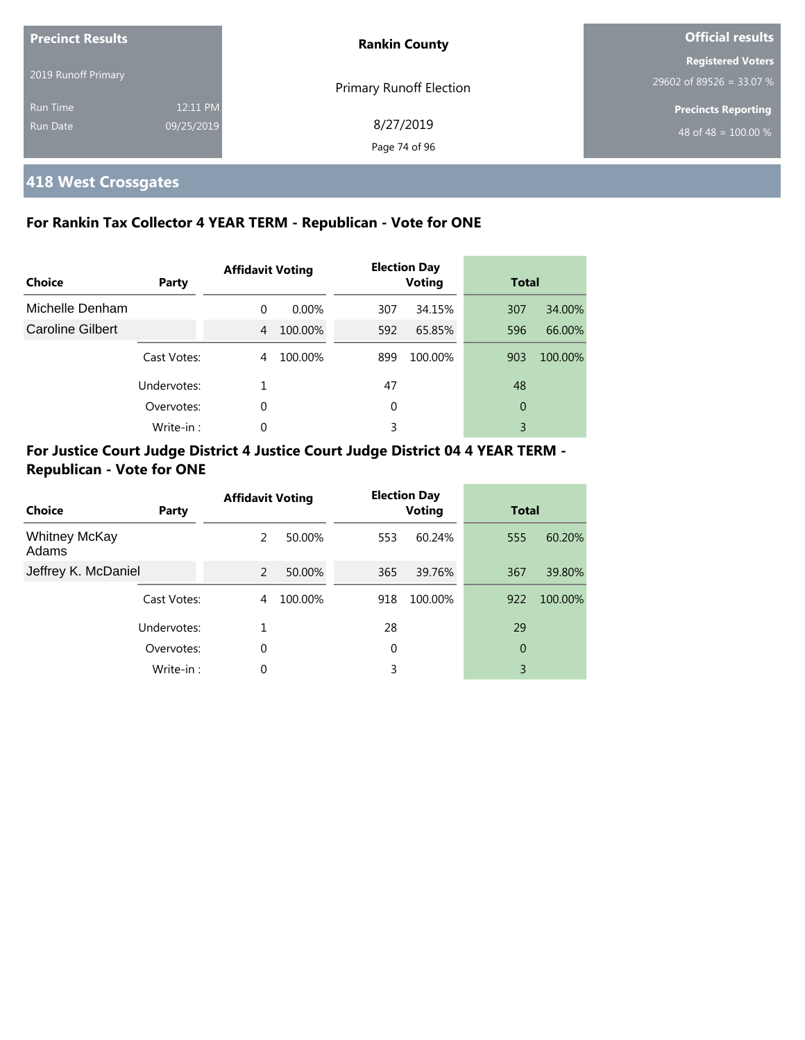| <b>Precinct Results</b> |            | <b>Rankin County</b>           | <b>Official results</b>          |  |
|-------------------------|------------|--------------------------------|----------------------------------|--|
|                         |            |                                | <b>Registered Voters</b>         |  |
| 2019 Runoff Primary     |            | <b>Primary Runoff Election</b> | 29602 of 89526 = 33.07 %         |  |
| <b>Run Time</b>         | 12:11 PM   |                                | <b>Precincts Reporting</b>       |  |
| <b>Run Date</b>         | 09/25/2019 | 8/27/2019                      | 48 of 48 = $\overline{100.00\%}$ |  |
|                         |            | Page 74 of 96                  |                                  |  |

# **418 West Crossgates**

#### **For Rankin Tax Collector 4 YEAR TERM - Republican - Vote for ONE**

| Choice                  | Party       | <b>Affidavit Voting</b> |          |     | <b>Election Day</b><br><b>Voting</b> | <b>Total</b> |         |
|-------------------------|-------------|-------------------------|----------|-----|--------------------------------------|--------------|---------|
| Michelle Denham         |             | $\Omega$                | $0.00\%$ | 307 | 34.15%                               | 307          | 34.00%  |
| <b>Caroline Gilbert</b> |             | 4                       | 100.00%  | 592 | 65.85%                               | 596          | 66.00%  |
|                         | Cast Votes: | 4                       | 100.00%  | 899 | 100.00%                              | 903          | 100.00% |
|                         | Undervotes: |                         |          | 47  |                                      | 48           |         |
|                         | Overvotes:  | $\Omega$                |          | 0   |                                      | 0            |         |
|                         | Write-in:   | 0                       |          | 3   |                                      | 3            |         |

#### **For Justice Court Judge District 4 Justice Court Judge District 04 4 YEAR TERM - Republican - Vote for ONE**

| Choice                        | Party       | <b>Affidavit Voting</b> |         |     | <b>Election Day</b><br><b>Voting</b> | <b>Total</b> |         |
|-------------------------------|-------------|-------------------------|---------|-----|--------------------------------------|--------------|---------|
| <b>Whitney McKay</b><br>Adams |             | 2                       | 50.00%  | 553 | 60.24%                               | 555          | 60.20%  |
| Jeffrey K. McDaniel           |             | 2                       | 50.00%  | 365 | 39.76%                               | 367          | 39.80%  |
|                               | Cast Votes: | 4                       | 100.00% | 918 | 100.00%                              | 922          | 100.00% |
|                               | Undervotes: | 1                       |         | 28  |                                      | 29           |         |
|                               | Overvotes:  | $\mathbf 0$             |         | 0   |                                      | 0            |         |
|                               | Write-in:   | 0                       |         | 3   |                                      | 3            |         |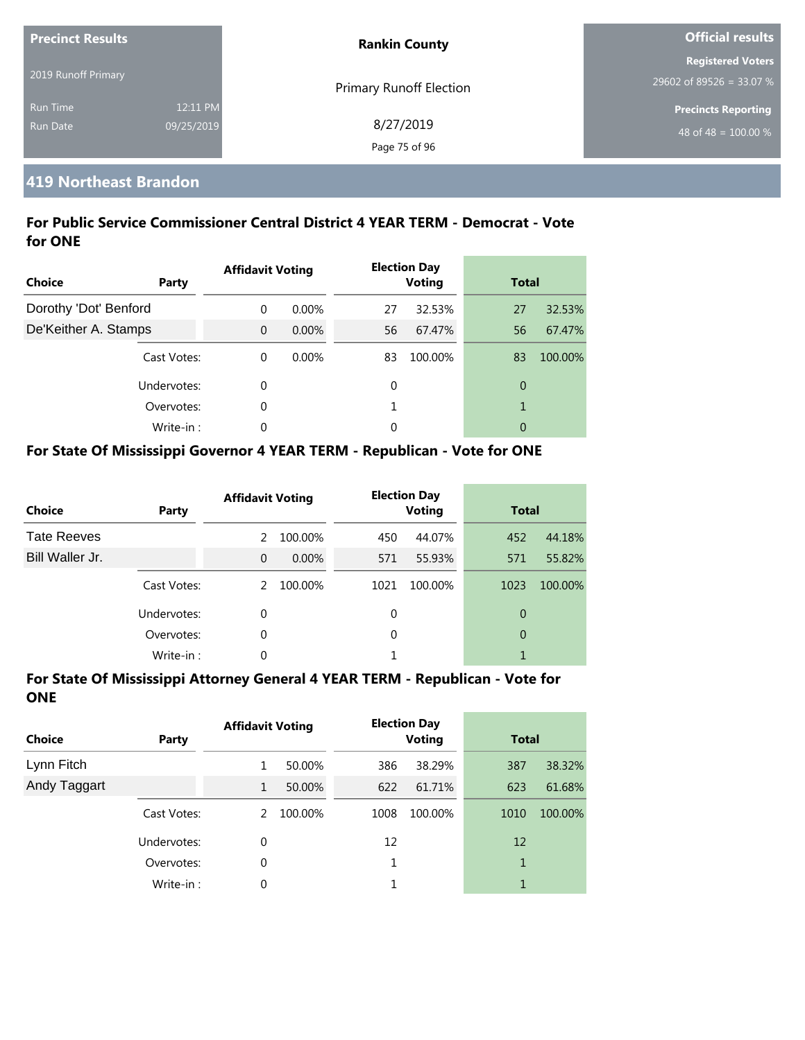| <b>Precinct Results</b> |            | <b>Rankin County</b>           | <b>Official results</b>          |  |
|-------------------------|------------|--------------------------------|----------------------------------|--|
|                         |            |                                | <b>Registered Voters</b>         |  |
| 2019 Runoff Primary     |            | <b>Primary Runoff Election</b> | $29602$ of 89526 = 33.07 %       |  |
| <b>Run Time</b>         | 12:11 PM   |                                | <b>Precincts Reporting</b>       |  |
| <b>Run Date</b>         | 09/25/2019 | 8/27/2019                      | 48 of 48 = $\overline{100.00\%}$ |  |
|                         |            | Page 75 of 96                  |                                  |  |

#### **419 Northeast Brandon**

#### **For Public Service Commissioner Central District 4 YEAR TERM - Democrat - Vote for ONE**

| <b>Choice</b>         | Party       | <b>Affidavit Voting</b> |          |    | <b>Election Day</b><br><b>Voting</b> | <b>Total</b>   |         |
|-----------------------|-------------|-------------------------|----------|----|--------------------------------------|----------------|---------|
| Dorothy 'Dot' Benford |             | $\Omega$                | $0.00\%$ | 27 | 32.53%                               | 27             | 32.53%  |
| De'Keither A. Stamps  |             | $\Omega$                | $0.00\%$ | 56 | 67.47%                               | 56             | 67.47%  |
|                       | Cast Votes: | $\Omega$                | 0.00%    | 83 | 100.00%                              | 83             | 100.00% |
|                       | Undervotes: | 0                       |          | 0  |                                      | $\overline{0}$ |         |
|                       | Overvotes:  | 0                       |          |    |                                      | 1              |         |
|                       | Write-in:   | $\Omega$                |          | 0  |                                      | 0              |         |

#### **For State Of Mississippi Governor 4 YEAR TERM - Republican - Vote for ONE**

| <b>Choice</b>      | Party       | <b>Affidavit Voting</b> |          |          | <b>Election Day</b><br><b>Voting</b> | <b>Total</b> |         |
|--------------------|-------------|-------------------------|----------|----------|--------------------------------------|--------------|---------|
| <b>Tate Reeves</b> |             | $\mathcal{P}$           | 100.00%  | 450      | 44.07%                               | 452          | 44.18%  |
| Bill Waller Jr.    |             | $\Omega$                | $0.00\%$ | 571      | 55.93%                               | 571          | 55.82%  |
|                    | Cast Votes: | $\mathcal{P}$           | 100.00%  | 1021     | 100.00%                              | 1023         | 100.00% |
|                    | Undervotes: | $\Omega$                |          | 0        |                                      | 0            |         |
|                    | Overvotes:  | 0                       |          | $\Omega$ |                                      | 0            |         |
|                    | Write-in:   | 0                       |          |          |                                      |              |         |

| <b>Choice</b> | Party       | <b>Affidavit Voting</b> |         |      | <b>Election Day</b><br><b>Voting</b> | <b>Total</b> |         |
|---------------|-------------|-------------------------|---------|------|--------------------------------------|--------------|---------|
| Lynn Fitch    |             | 1                       | 50.00%  | 386  | 38.29%                               | 387          | 38.32%  |
| Andy Taggart  |             | 1                       | 50.00%  | 622  | 61.71%                               | 623          | 61.68%  |
|               | Cast Votes: | 2                       | 100.00% | 1008 | 100.00%                              | 1010         | 100.00% |
|               | Undervotes: | 0                       |         | 12   |                                      | 12           |         |
|               | Overvotes:  | 0                       |         |      |                                      | 1            |         |
|               | Write-in:   | 0                       |         |      |                                      | 1            |         |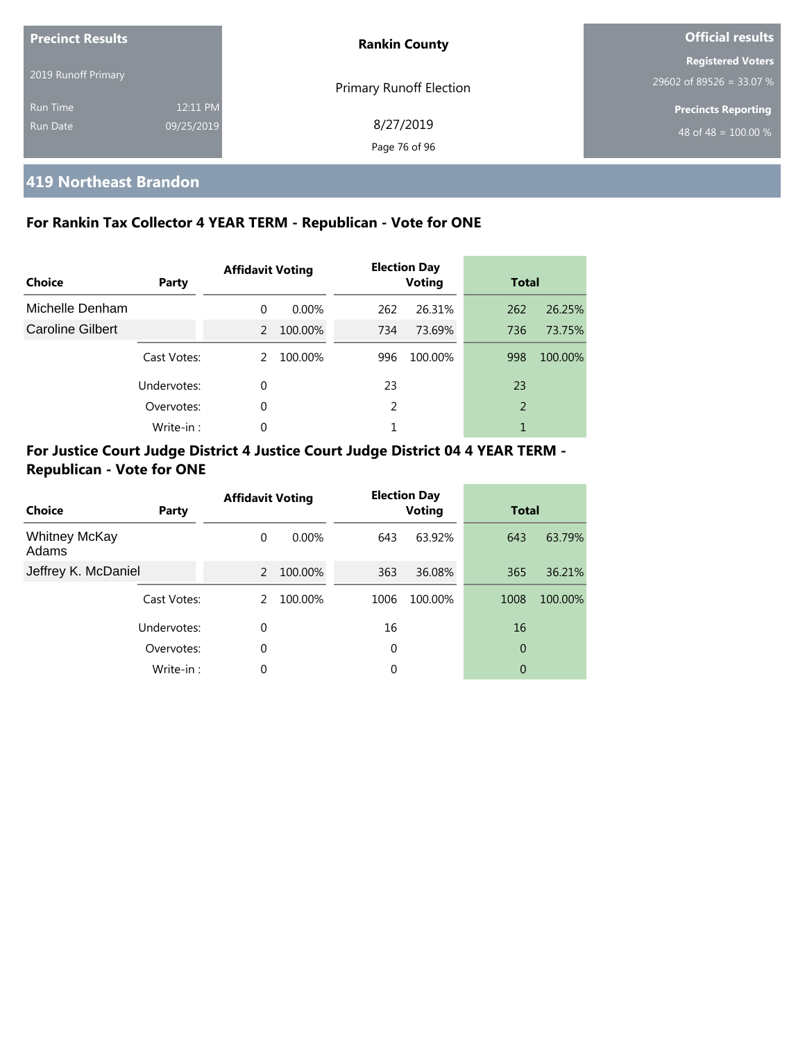| <b>Precinct Results</b>     |                        | <b>Rankin County</b>           | <b>Official results</b>                              |  |  |
|-----------------------------|------------------------|--------------------------------|------------------------------------------------------|--|--|
| 2019 Runoff Primary         |                        | <b>Primary Runoff Election</b> | <b>Registered Voters</b><br>29602 of 89526 = 33.07 % |  |  |
| <b>Run Time</b><br>Run Date | 12:11 PM<br>09/25/2019 | 8/27/2019<br>Page 76 of 96     | <b>Precincts Reporting</b><br>48 of 48 = $100.00\%$  |  |  |

#### **419 Northeast Brandon**

#### **For Rankin Tax Collector 4 YEAR TERM - Republican - Vote for ONE**

| Choice           | Party       | <b>Affidavit Voting</b> |          |     | <b>Election Day</b><br><b>Voting</b> |     | <b>Total</b> |  |
|------------------|-------------|-------------------------|----------|-----|--------------------------------------|-----|--------------|--|
| Michelle Denham  |             | $\Omega$                | $0.00\%$ | 262 | 26.31%                               | 262 | 26.25%       |  |
| Caroline Gilbert |             | 2                       | 100.00%  | 734 | 73.69%                               | 736 | 73.75%       |  |
|                  | Cast Votes: | 2                       | 100.00%  | 996 | 100.00%                              | 998 | 100.00%      |  |
|                  | Undervotes: | $\Omega$                |          | 23  |                                      | 23  |              |  |
|                  | Overvotes:  | 0                       |          | 2   |                                      | 2   |              |  |
|                  | Write-in:   | $\Omega$                |          | 1   |                                      |     |              |  |

#### **For Justice Court Judge District 4 Justice Court Judge District 04 4 YEAR TERM - Republican - Vote for ONE**

| Choice                        | Party       | <b>Affidavit Voting</b> |          | <b>Election Day</b><br><b>Voting</b> |         | <b>Total</b> |         |
|-------------------------------|-------------|-------------------------|----------|--------------------------------------|---------|--------------|---------|
| <b>Whitney McKay</b><br>Adams |             | $\Omega$                | $0.00\%$ | 643                                  | 63.92%  | 643          | 63.79%  |
| Jeffrey K. McDaniel           |             | $\overline{2}$          | 100.00%  | 363                                  | 36.08%  | 365          | 36.21%  |
|                               | Cast Votes: | 2                       | 100.00%  | 1006                                 | 100.00% | 1008         | 100.00% |
|                               | Undervotes: | $\Omega$                |          | 16                                   |         | 16           |         |
|                               | Overvotes:  | $\Omega$                |          | 0                                    |         | 0            |         |
|                               | Write-in:   | $\Omega$                |          | 0                                    |         | 0            |         |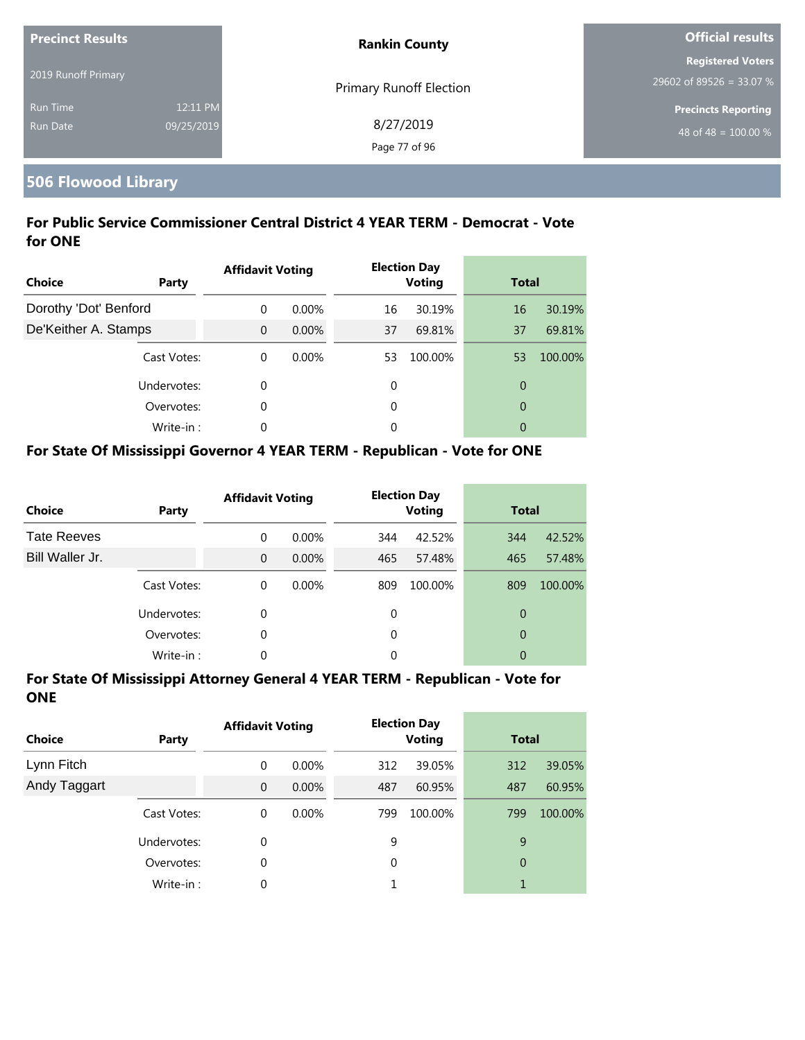| <b>Precinct Results</b> |            | <b>Rankin County</b>           | <b>Official results</b>    |  |
|-------------------------|------------|--------------------------------|----------------------------|--|
|                         |            |                                | <b>Registered Voters</b>   |  |
| 2019 Runoff Primary     |            | <b>Primary Runoff Election</b> | 29602 of 89526 = 33.07 %   |  |
| <b>Run Time</b>         | 12:11 PM   |                                | <b>Precincts Reporting</b> |  |
| <b>Run Date</b>         | 09/25/2019 | 8/27/2019                      | 48 of 48 = $100.00\%$      |  |
|                         |            | Page 77 of 96                  |                            |  |

# **506 Flowood Library**

#### **For Public Service Commissioner Central District 4 YEAR TERM - Democrat - Vote for ONE**

| <b>Choice</b><br>Party | <b>Affidavit Voting</b> |          |    | <b>Election Day</b><br><b>Voting</b> |                | <b>Total</b> |  |
|------------------------|-------------------------|----------|----|--------------------------------------|----------------|--------------|--|
| Dorothy 'Dot' Benford  | $\Omega$                | $0.00\%$ | 16 | 30.19%                               | 16             | 30.19%       |  |
| De'Keither A. Stamps   | $\Omega$                | $0.00\%$ | 37 | 69.81%                               | 37             | 69.81%       |  |
| Cast Votes:            | $\Omega$                | $0.00\%$ | 53 | 100.00%                              | 53             | 100.00%      |  |
| Undervotes:            | $\Omega$                |          | 0  |                                      | $\overline{0}$ |              |  |
| Overvotes:             | $\Omega$                |          | 0  |                                      | $\overline{0}$ |              |  |
| Write-in:              | $\Omega$                |          | 0  |                                      | 0              |              |  |

#### **For State Of Mississippi Governor 4 YEAR TERM - Republican - Vote for ONE**

| <b>Choice</b>      | Party       | <b>Affidavit Voting</b> |          |          | <b>Election Day</b><br><b>Voting</b> |     | <b>Total</b> |  |
|--------------------|-------------|-------------------------|----------|----------|--------------------------------------|-----|--------------|--|
| <b>Tate Reeves</b> |             | $\Omega$                | $0.00\%$ | 344      | 42.52%                               | 344 | 42.52%       |  |
| Bill Waller Jr.    |             | $\Omega$                | $0.00\%$ | 465      | 57.48%                               | 465 | 57.48%       |  |
|                    | Cast Votes: | $\Omega$                | $0.00\%$ | 809      | 100.00%                              | 809 | 100.00%      |  |
|                    | Undervotes: | 0                       |          | 0        |                                      | 0   |              |  |
|                    | Overvotes:  | 0                       |          | $\Omega$ |                                      | 0   |              |  |
|                    | Write-in:   | 0                       |          | 0        |                                      | 0   |              |  |

| <b>Choice</b> | Party       | <b>Affidavit Voting</b> |          | <b>Election Day</b><br><b>Voting</b> |         | <b>Total</b> |         |
|---------------|-------------|-------------------------|----------|--------------------------------------|---------|--------------|---------|
| Lynn Fitch    |             | 0                       | $0.00\%$ | 312                                  | 39.05%  | 312          | 39.05%  |
| Andy Taggart  |             | $\mathbf 0$             | $0.00\%$ | 487                                  | 60.95%  | 487          | 60.95%  |
|               | Cast Votes: | 0                       | $0.00\%$ | 799                                  | 100.00% | 799          | 100.00% |
|               | Undervotes: | 0                       |          | 9                                    |         | 9            |         |
|               | Overvotes:  | 0                       |          | $\Omega$                             |         | 0            |         |
|               | Write-in:   | 0                       |          |                                      |         | 1            |         |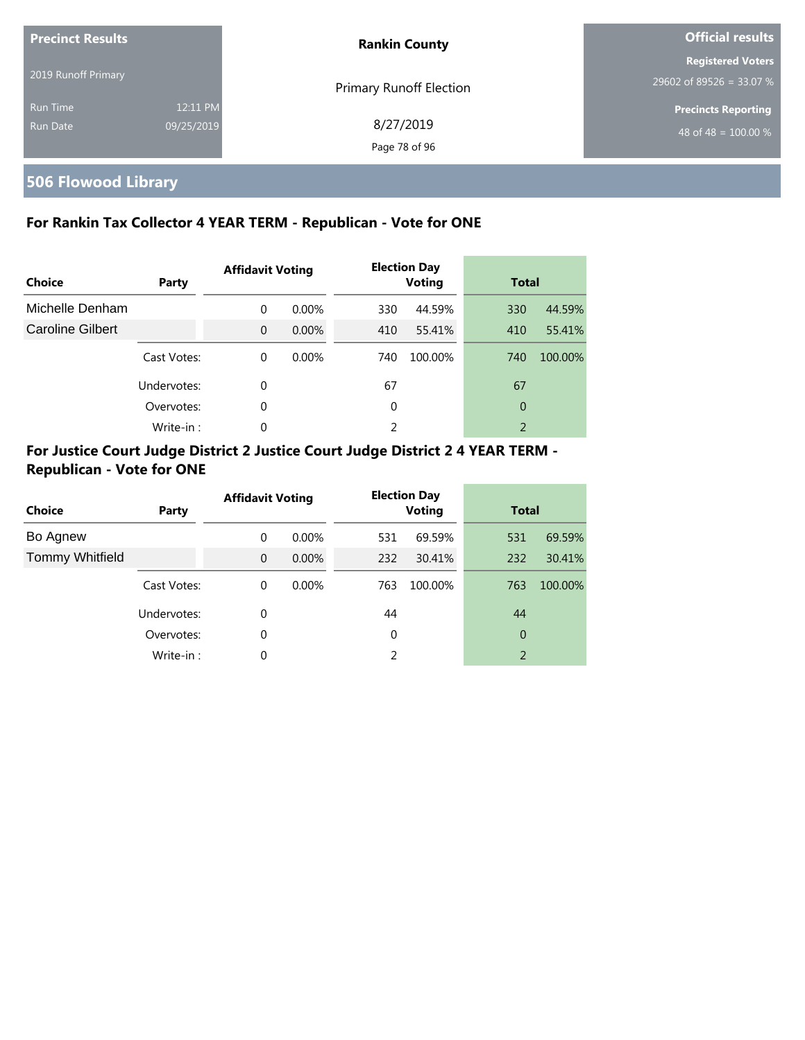| <b>Precinct Results</b> |            | <b>Rankin County</b>           | <b>Official results</b>    |  |
|-------------------------|------------|--------------------------------|----------------------------|--|
| 2019 Runoff Primary     |            |                                | <b>Registered Voters</b>   |  |
|                         |            | <b>Primary Runoff Election</b> | 29602 of 89526 = 33.07 %   |  |
| <b>Run Time</b>         | 12:11 PM   |                                | <b>Precincts Reporting</b> |  |
| Run Date                | 09/25/2019 | 8/27/2019                      | 48 of 48 = $100.00\%$      |  |
|                         |            | Page 78 of 96                  |                            |  |

# **506 Flowood Library**

#### **For Rankin Tax Collector 4 YEAR TERM - Republican - Vote for ONE**

| <b>Choice</b>           | Party       | <b>Affidavit Voting</b> |          | <b>Election Day</b><br><b>Voting</b> |         | <b>Total</b> |         |
|-------------------------|-------------|-------------------------|----------|--------------------------------------|---------|--------------|---------|
| Michelle Denham         |             | $\Omega$                | $0.00\%$ | 330                                  | 44.59%  | 330          | 44.59%  |
| <b>Caroline Gilbert</b> |             | $\Omega$                | $0.00\%$ | 410                                  | 55.41%  | 410          | 55.41%  |
|                         | Cast Votes: | $\Omega$                | $0.00\%$ | 740                                  | 100.00% | 740          | 100.00% |
|                         | Undervotes: | 0                       |          | 67                                   |         | 67           |         |
|                         | Overvotes:  | $\Omega$                |          | $\Omega$                             |         | 0            |         |
|                         | Write-in:   | $\Omega$                |          | 2                                    |         | 2            |         |

#### **For Justice Court Judge District 2 Justice Court Judge District 2 4 YEAR TERM - Republican - Vote for ONE**

| <b>Choice</b>          | Party       | <b>Affidavit Voting</b> |          |     | <b>Election Day</b><br><b>Voting</b> |                | <b>Total</b> |  |
|------------------------|-------------|-------------------------|----------|-----|--------------------------------------|----------------|--------------|--|
| Bo Agnew               |             | 0                       | $0.00\%$ | 531 | 69.59%                               | 531            | 69.59%       |  |
| <b>Tommy Whitfield</b> |             | $\Omega$                | $0.00\%$ | 232 | 30.41%                               | 232            | 30.41%       |  |
|                        | Cast Votes: | 0                       | $0.00\%$ | 763 | 100.00%                              | 763            | 100.00%      |  |
|                        | Undervotes: | 0                       |          | 44  |                                      | 44             |              |  |
|                        | Overvotes:  | 0                       |          | 0   |                                      | 0              |              |  |
|                        | Write-in:   | 0                       |          | 2   |                                      | $\overline{2}$ |              |  |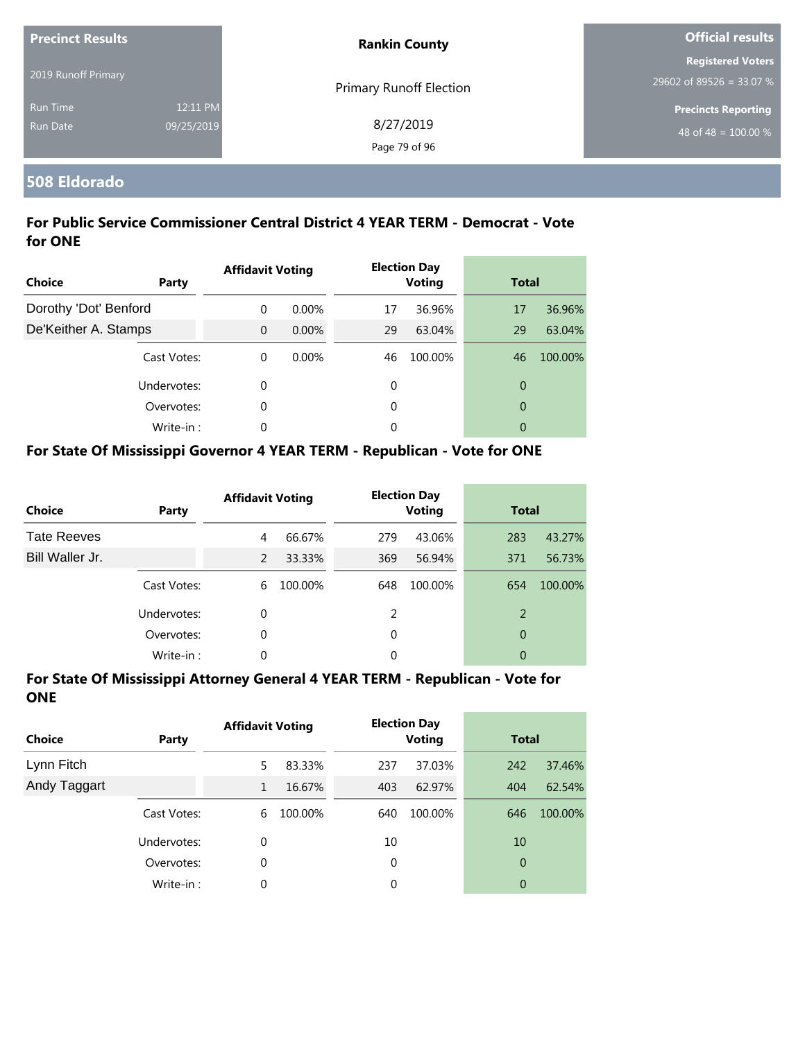| <b>Precinct Results</b> |            | <b>Rankin County</b>           | <b>Official results</b>                              |  |
|-------------------------|------------|--------------------------------|------------------------------------------------------|--|
| 2019 Runoff Primary     |            |                                | <b>Registered Voters</b><br>29602 of 89526 = 33.07 % |  |
| <b>Run Time</b>         | 12:11 PM   | <b>Primary Runoff Election</b> | <b>Precincts Reporting</b>                           |  |
| <b>Run Date</b>         | 09/25/2019 | 8/27/2019                      | 48 of 48 = $100.00\%$                                |  |
|                         |            | Page 79 of 96                  |                                                      |  |

#### **508 Eldorado**

#### **For Public Service Commissioner Central District 4 YEAR TERM - Democrat - Vote for ONE**

| Choice                | Party       | <b>Affidavit Voting</b> |          |    | <b>Election Day</b><br><b>Voting</b> |                | <b>Total</b> |  |
|-----------------------|-------------|-------------------------|----------|----|--------------------------------------|----------------|--------------|--|
| Dorothy 'Dot' Benford |             | $\Omega$                | $0.00\%$ | 17 | 36.96%                               | 17             | 36.96%       |  |
| De'Keither A. Stamps  |             | $\Omega$                | $0.00\%$ | 29 | 63.04%                               | 29             | 63.04%       |  |
|                       | Cast Votes: | $\theta$                | $0.00\%$ | 46 | 100.00%                              | 46             | 100.00%      |  |
|                       | Undervotes: | 0                       |          | 0  |                                      | $\overline{0}$ |              |  |
|                       | Overvotes:  | 0                       |          | 0  |                                      | $\overline{0}$ |              |  |
|                       | Write-in:   | 0                       |          | 0  |                                      | 0              |              |  |

#### **For State Of Mississippi Governor 4 YEAR TERM - Republican - Vote for ONE**

| <b>Choice</b>      | Party       | <b>Affidavit Voting</b> |         |               | <b>Election Day</b><br><b>Voting</b> |     | <b>Total</b> |  |
|--------------------|-------------|-------------------------|---------|---------------|--------------------------------------|-----|--------------|--|
| <b>Tate Reeves</b> |             | 4                       | 66.67%  | 279           | 43.06%                               | 283 | 43.27%       |  |
| Bill Waller Jr.    |             | $\mathcal{P}$           | 33.33%  | 369           | 56.94%                               | 371 | 56.73%       |  |
|                    | Cast Votes: | 6                       | 100.00% | 648           | 100.00%                              | 654 | 100.00%      |  |
|                    | Undervotes: | 0                       |         | $\mathcal{P}$ |                                      | 2   |              |  |
|                    | Overvotes:  | 0                       |         | $\Omega$      |                                      | 0   |              |  |
|                    | Write-in:   | 0                       |         | 0             |                                      | 0   |              |  |

| <b>Choice</b> | Party       | <b>Affidavit Voting</b> |         | <b>Election Day</b><br><b>Voting</b> |         | <b>Total</b>   |         |
|---------------|-------------|-------------------------|---------|--------------------------------------|---------|----------------|---------|
| Lynn Fitch    |             | 5                       | 83.33%  | 237                                  | 37.03%  | 242            | 37.46%  |
| Andy Taggart  |             | 1                       | 16.67%  | 403                                  | 62.97%  | 404            | 62.54%  |
|               | Cast Votes: | 6                       | 100.00% | 640                                  | 100.00% | 646            | 100.00% |
|               | Undervotes: | 0                       |         | 10                                   |         | 10             |         |
|               | Overvotes:  | 0                       |         | 0                                    |         | $\overline{0}$ |         |
|               | Write-in:   | 0                       |         | 0                                    |         | 0              |         |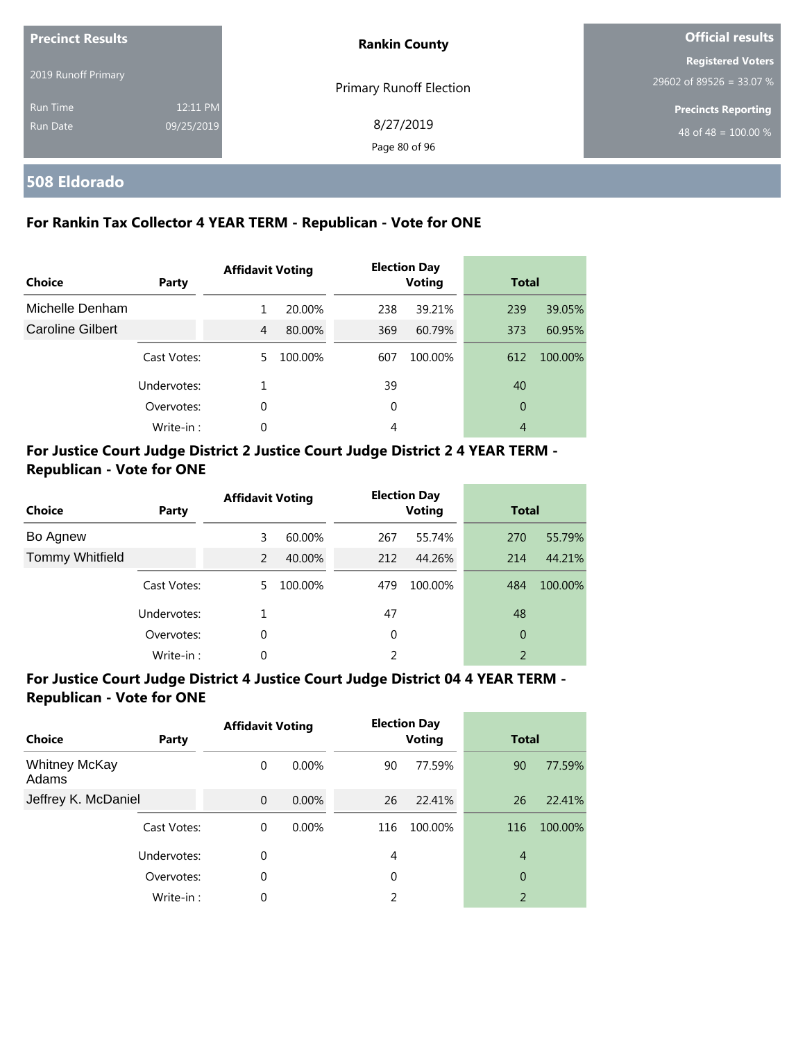| <b>Precinct Results</b> |            | <b>Rankin County</b>       | <b>Official results</b>                              |  |
|-------------------------|------------|----------------------------|------------------------------------------------------|--|
| 2019 Runoff Primary     |            | Primary Runoff Election    | <b>Registered Voters</b><br>29602 of 89526 = 33.07 % |  |
| <b>Run Time</b>         | 12:11 PM   |                            | <b>Precincts Reporting</b>                           |  |
| Run Date                | 09/25/2019 | 8/27/2019<br>Page 80 of 96 | 48 of 48 = $\overline{100.00\%}$                     |  |

**508 Eldorado**

#### **For Rankin Tax Collector 4 YEAR TERM - Republican - Vote for ONE**

| Choice           | Party       | <b>Affidavit Voting</b> |         | <b>Election Day</b><br><b>Voting</b> |         | <b>Total</b> |         |
|------------------|-------------|-------------------------|---------|--------------------------------------|---------|--------------|---------|
| Michelle Denham  |             | 1                       | 20.00%  | 238                                  | 39.21%  | 239          | 39.05%  |
| Caroline Gilbert |             | 4                       | 80.00%  | 369                                  | 60.79%  | 373          | 60.95%  |
|                  | Cast Votes: | 5.                      | 100.00% | 607                                  | 100.00% | 612          | 100.00% |
|                  | Undervotes: |                         |         | 39                                   |         | 40           |         |
|                  | Overvotes:  | 0                       |         | 0                                    |         | 0            |         |
|                  | Write-in:   | 0                       |         | $\overline{4}$                       |         | 4            |         |

#### **For Justice Court Judge District 2 Justice Court Judge District 2 4 YEAR TERM - Republican - Vote for ONE**

| <b>Choice</b>          | <b>Party</b> | <b>Affidavit Voting</b> |         |     | <b>Election Day</b><br><b>Voting</b> |                | <b>Total</b> |  |
|------------------------|--------------|-------------------------|---------|-----|--------------------------------------|----------------|--------------|--|
| Bo Agnew               |              | 3                       | 60.00%  | 267 | 55.74%                               | 270            | 55.79%       |  |
| <b>Tommy Whitfield</b> |              | 2                       | 40.00%  | 212 | 44.26%                               | 214            | 44.21%       |  |
|                        | Cast Votes:  | 5.                      | 100.00% | 479 | 100.00%                              | 484            | 100.00%      |  |
|                        | Undervotes:  | 1                       |         | 47  |                                      | 48             |              |  |
|                        | Overvotes:   | 0                       |         | 0   |                                      | $\overline{0}$ |              |  |
|                        | Write-in:    | 0                       |         | 2   |                                      | $\overline{2}$ |              |  |

#### **For Justice Court Judge District 4 Justice Court Judge District 04 4 YEAR TERM - Republican - Vote for ONE**

| <b>Choice</b>                 | <b>Party</b> | <b>Affidavit Voting</b> |          |          | <b>Election Day</b><br><b>Voting</b> | <b>Total</b>   |         |
|-------------------------------|--------------|-------------------------|----------|----------|--------------------------------------|----------------|---------|
| <b>Whitney McKay</b><br>Adams |              | 0                       | $0.00\%$ | 90       | 77.59%                               | 90             | 77.59%  |
| Jeffrey K. McDaniel           |              | $\mathbf 0$             | $0.00\%$ | 26       | 22.41%                               | 26             | 22.41%  |
|                               | Cast Votes:  | 0                       | $0.00\%$ | 116      | 100.00%                              | 116            | 100.00% |
|                               | Undervotes:  | 0                       |          | 4        |                                      | $\overline{4}$ |         |
|                               | Overvotes:   | 0                       |          | $\Omega$ |                                      | $\overline{0}$ |         |
|                               | Write-in:    | 0                       |          | 2        |                                      | 2              |         |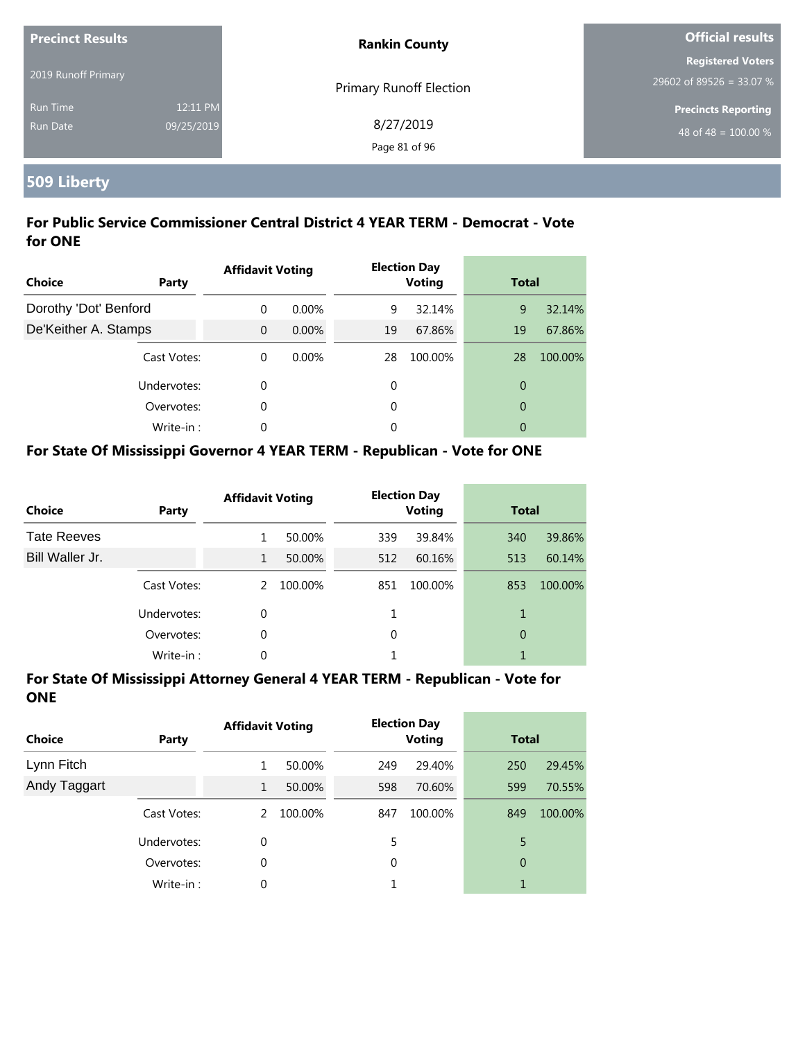| <b>Precinct Results</b> |            | <b>Rankin County</b>           | <b>Official results</b>    |  |
|-------------------------|------------|--------------------------------|----------------------------|--|
|                         |            |                                | <b>Registered Voters</b>   |  |
| 2019 Runoff Primary     |            | <b>Primary Runoff Election</b> | 29602 of 89526 = 33.07 %   |  |
| <b>Run Time</b>         | 12:11 PM   |                                | <b>Precincts Reporting</b> |  |
| <b>Run Date</b>         | 09/25/2019 | 8/27/2019                      | 48 of 48 = $100.00\%$      |  |
|                         |            | Page 81 of 96                  |                            |  |

# **509 Liberty**

#### **For Public Service Commissioner Central District 4 YEAR TERM - Democrat - Vote for ONE**

| <b>Choice</b>         | Party       | <b>Affidavit Voting</b> |          |    | <b>Election Day</b><br><b>Voting</b> | <b>Total</b>   |         |  |
|-----------------------|-------------|-------------------------|----------|----|--------------------------------------|----------------|---------|--|
| Dorothy 'Dot' Benford |             | $\Omega$                | $0.00\%$ | 9  | 32.14%                               | 9              | 32.14%  |  |
| De'Keither A. Stamps  |             | $\Omega$                | $0.00\%$ | 19 | 67.86%                               | 19             | 67.86%  |  |
|                       | Cast Votes: | $\Omega$                | 0.00%    | 28 | 100.00%                              | 28             | 100.00% |  |
|                       | Undervotes: | 0                       |          | 0  |                                      | $\overline{0}$ |         |  |
|                       | Overvotes:  | 0                       |          | 0  |                                      | $\overline{0}$ |         |  |
|                       | Write-in:   | 0                       |          | 0  |                                      | 0              |         |  |

#### **For State Of Mississippi Governor 4 YEAR TERM - Republican - Vote for ONE**

| <b>Choice</b>      | Party       | <b>Affidavit Voting</b> |         |          | <b>Election Day</b><br><b>Voting</b> |     | <b>Total</b> |  |
|--------------------|-------------|-------------------------|---------|----------|--------------------------------------|-----|--------------|--|
| <b>Tate Reeves</b> |             |                         | 50.00%  | 339      | 39.84%                               | 340 | 39.86%       |  |
| Bill Waller Jr.    |             | 1                       | 50.00%  | 512      | 60.16%                               | 513 | 60.14%       |  |
|                    | Cast Votes: | $\mathcal{P}$           | 100.00% | 851      | 100.00%                              | 853 | 100.00%      |  |
|                    | Undervotes: | 0                       |         |          |                                      | 1   |              |  |
|                    | Overvotes:  | 0                       |         | $\Omega$ |                                      | 0   |              |  |
|                    | Write-in:   | 0                       |         |          |                                      |     |              |  |

| <b>Choice</b> | Party       | <b>Affidavit Voting</b> |         | <b>Election Day</b><br><b>Voting</b> |         | <b>Total</b> |         |
|---------------|-------------|-------------------------|---------|--------------------------------------|---------|--------------|---------|
| Lynn Fitch    |             |                         | 50.00%  | 249                                  | 29.40%  | 250          | 29.45%  |
| Andy Taggart  |             | 1                       | 50.00%  | 598                                  | 70.60%  | 599          | 70.55%  |
|               | Cast Votes: | 2                       | 100.00% | 847                                  | 100.00% | 849          | 100.00% |
|               | Undervotes: | 0                       |         | 5                                    |         | 5            |         |
|               | Overvotes:  | 0                       |         | 0                                    |         | 0            |         |
|               | Write-in:   | 0                       |         |                                      |         |              |         |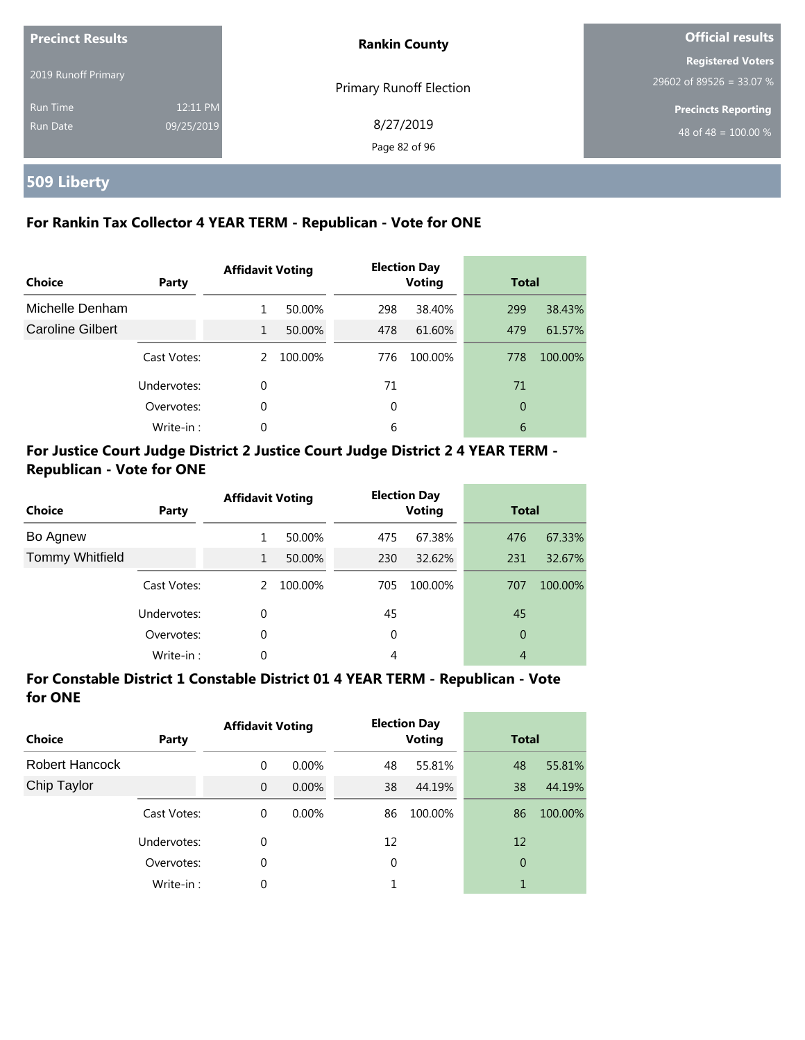| <b>Precinct Results</b> |            | <b>Rankin County</b>           | <b>Official results</b>                              |  |
|-------------------------|------------|--------------------------------|------------------------------------------------------|--|
| 2019 Runoff Primary     |            | <b>Primary Runoff Election</b> | <b>Registered Voters</b><br>29602 of 89526 = 33.07 % |  |
| <b>Run Time</b>         | 12:11 PM   |                                | <b>Precincts Reporting</b>                           |  |
| <b>Run Date</b>         | 09/25/2019 | 8/27/2019<br>Page 82 of 96     | 48 of 48 = $100.00\%$                                |  |

# **509 Liberty**

#### **For Rankin Tax Collector 4 YEAR TERM - Republican - Vote for ONE**

| <b>Choice</b>           | Party       | <b>Affidavit Voting</b> |         | <b>Election Day</b><br><b>Voting</b> |         | <b>Total</b> |         |
|-------------------------|-------------|-------------------------|---------|--------------------------------------|---------|--------------|---------|
| Michelle Denham         |             | 1                       | 50.00%  | 298                                  | 38.40%  | 299          | 38.43%  |
| <b>Caroline Gilbert</b> |             | $\mathbf{1}$            | 50.00%  | 478                                  | 61.60%  | 479          | 61.57%  |
|                         | Cast Votes: | $\mathcal{P}$           | 100.00% | 776                                  | 100.00% | 778          | 100.00% |
|                         | Undervotes: | 0                       |         | 71                                   |         | 71           |         |
|                         | Overvotes:  | 0                       |         | 0                                    |         | 0            |         |
|                         | Write-in:   | $\Omega$                |         | 6                                    |         | 6            |         |

#### **For Justice Court Judge District 2 Justice Court Judge District 2 4 YEAR TERM - Republican - Vote for ONE**

| <b>Choice</b>          | <b>Party</b> | <b>Affidavit Voting</b> |         | <b>Election Day</b><br><b>Voting</b> |         | <b>Total</b>   |         |
|------------------------|--------------|-------------------------|---------|--------------------------------------|---------|----------------|---------|
| Bo Agnew               |              | 1                       | 50.00%  | 475                                  | 67.38%  | 476            | 67.33%  |
| <b>Tommy Whitfield</b> |              | 1                       | 50.00%  | 230                                  | 32.62%  | 231            | 32.67%  |
|                        | Cast Votes:  | $\mathcal{L}$           | 100.00% | 705                                  | 100.00% | 707            | 100.00% |
|                        | Undervotes:  | $\Omega$                |         | 45                                   |         | 45             |         |
|                        | Overvotes:   | 0                       |         | 0                                    |         | $\overline{0}$ |         |
|                        | Write-in:    | 0                       |         | 4                                    |         | 4              |         |

#### **For Constable District 1 Constable District 01 4 YEAR TERM - Republican - Vote for ONE**

| <b>Choice</b>  | Party       | <b>Affidavit Voting</b> |          |    | <b>Election Day</b><br><b>Voting</b> | <b>Total</b> |         |
|----------------|-------------|-------------------------|----------|----|--------------------------------------|--------------|---------|
| Robert Hancock |             | 0                       | $0.00\%$ | 48 | 55.81%                               | 48           | 55.81%  |
| Chip Taylor    |             | $\overline{0}$          | $0.00\%$ | 38 | 44.19%                               | 38           | 44.19%  |
|                | Cast Votes: | 0                       | $0.00\%$ | 86 | 100.00%                              | 86           | 100.00% |
|                | Undervotes: | 0                       |          | 12 |                                      | 12           |         |
|                | Overvotes:  | 0                       |          | 0  |                                      | 0            |         |
|                | Write-in:   | 0                       |          |    |                                      | 1            |         |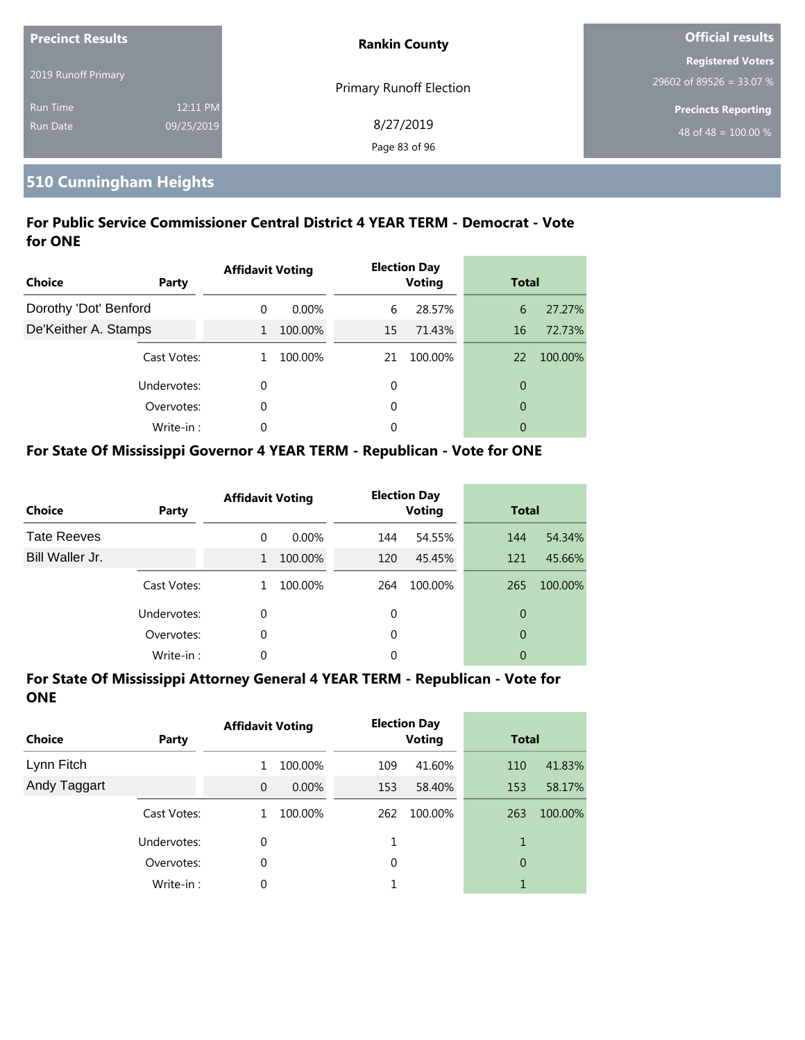| <b>Precinct Results</b> |            | <b>Rankin County</b>           | Official results           |  |
|-------------------------|------------|--------------------------------|----------------------------|--|
|                         |            |                                | <b>Registered Voters</b>   |  |
| 2019 Runoff Primary     |            | <b>Primary Runoff Election</b> | 29602 of 89526 = 33.07 %   |  |
| <b>Run Time</b>         | 12:11 PM   |                                | <b>Precincts Reporting</b> |  |
| Run Date                | 09/25/2019 | 8/27/2019                      | 48 of 48 = $100.00\%$      |  |
|                         |            | Page 83 of 96                  |                            |  |

#### **510 Cunningham Heights**

#### **For Public Service Commissioner Central District 4 YEAR TERM - Democrat - Vote for ONE**

| <b>Choice</b>         | Party       | <b>Affidavit Voting</b> |          |    | <b>Election Day</b><br><b>Voting</b> | <b>Total</b>   |         |
|-----------------------|-------------|-------------------------|----------|----|--------------------------------------|----------------|---------|
| Dorothy 'Dot' Benford |             | 0                       | $0.00\%$ | 6  | 28.57%                               | 6              | 27.27%  |
| De'Keither A. Stamps  |             | $\mathbf{1}$            | 100.00%  | 15 | 71.43%                               | 16             | 72.73%  |
|                       | Cast Votes: |                         | 100.00%  | 21 | 100.00%                              | 22             | 100.00% |
|                       | Undervotes: | 0                       |          | 0  |                                      | 0              |         |
|                       | Overvotes:  | 0                       |          | 0  |                                      | $\overline{0}$ |         |
|                       | Write-in:   | 0                       |          | 0  |                                      | 0              |         |

#### **For State Of Mississippi Governor 4 YEAR TERM - Republican - Vote for ONE**

| <b>Choice</b>      | Party       | <b>Affidavit Voting</b> |          |          | <b>Election Day</b><br><b>Voting</b> | <b>Total</b> |         |
|--------------------|-------------|-------------------------|----------|----------|--------------------------------------|--------------|---------|
| <b>Tate Reeves</b> |             | 0                       | $0.00\%$ | 144      | 54.55%                               | 144          | 54.34%  |
| Bill Waller Jr.    |             | 1                       | 100.00%  | 120      | 45.45%                               | 121          | 45.66%  |
|                    | Cast Votes: |                         | 100.00%  | 264      | 100.00%                              | 265          | 100.00% |
|                    | Undervotes: | 0                       |          | 0        |                                      | 0            |         |
|                    | Overvotes:  | 0                       |          | $\Omega$ |                                      | 0            |         |
|                    | Write-in:   | 0                       |          | 0        |                                      | 0            |         |

| <b>Choice</b> | Party       | <b>Affidavit Voting</b> |          |     | <b>Election Day</b><br><b>Voting</b> | <b>Total</b>   |         |
|---------------|-------------|-------------------------|----------|-----|--------------------------------------|----------------|---------|
| Lynn Fitch    |             |                         | 100.00%  | 109 | 41.60%                               | 110            | 41.83%  |
| Andy Taggart  |             | $\overline{0}$          | $0.00\%$ | 153 | 58.40%                               | 153            | 58.17%  |
|               | Cast Votes: |                         | 100.00%  | 262 | 100.00%                              | 263            | 100.00% |
|               | Undervotes: | 0                       |          |     |                                      | 1              |         |
|               | Overvotes:  | 0                       |          | 0   |                                      | $\overline{0}$ |         |
|               | Write-in:   | 0                       |          |     |                                      | 1              |         |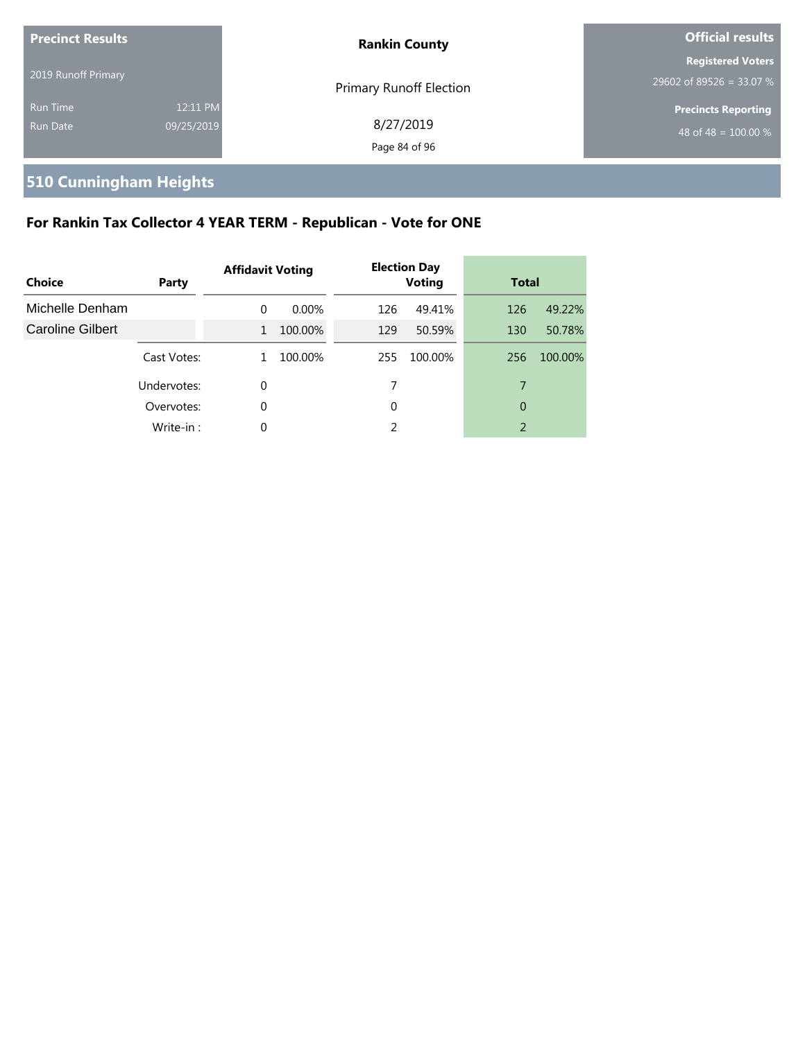| <b>Precinct Results</b>     |                        | <b>Rankin County</b>           | <b>Official results</b>                                        |
|-----------------------------|------------------------|--------------------------------|----------------------------------------------------------------|
| 2019 Runoff Primary         |                        | <b>Primary Runoff Election</b> | <b>Registered Voters</b><br>29602 of 89526 = 33.07 %           |
| <b>Run Time</b><br>Run Date | 12:11 PM<br>09/25/2019 | 8/27/2019<br>Page 84 of 96     | <b>Precincts Reporting</b><br>48 of 48 = $\overline{100.00\%}$ |

# **510 Cunningham Heights**

# **For Rankin Tax Collector 4 YEAR TERM - Republican - Vote for ONE**

| <b>Choice</b>           | Party       | <b>Affidavit Voting</b> |          |     | <b>Election Day</b><br><b>Voting</b> | <b>Total</b> |         |
|-------------------------|-------------|-------------------------|----------|-----|--------------------------------------|--------------|---------|
| Michelle Denham         |             | $\Omega$                | $0.00\%$ | 126 | 49.41%                               | 126          | 49.22%  |
| <b>Caroline Gilbert</b> |             | $\mathbf{1}$            | 100.00%  | 129 | 50.59%                               | 130          | 50.78%  |
|                         | Cast Votes: | 1.                      | 100.00%  | 255 | 100.00%                              | 256          | 100.00% |
|                         | Undervotes: | 0                       |          |     |                                      | 7            |         |
|                         | Overvotes:  | $\Omega$                |          | 0   |                                      | 0            |         |
|                         | Write-in:   | 0                       |          | 2   |                                      | 2            |         |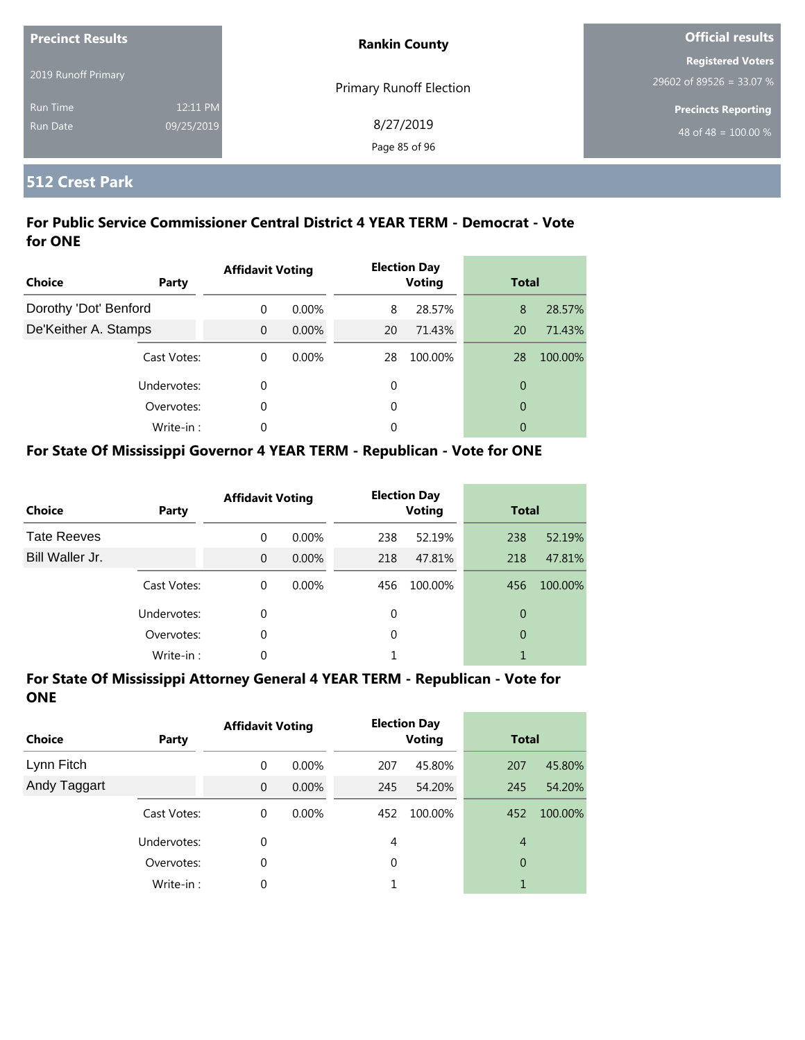| <b>Precinct Results</b>            |                        | <b>Rankin County</b>       | <b>Official results</b>                              |  |
|------------------------------------|------------------------|----------------------------|------------------------------------------------------|--|
| 2019 Runoff Primary                |                        | Primary Runoff Election    | <b>Registered Voters</b><br>29602 of 89526 = 33.07 % |  |
| <b>Run Time</b><br><b>Run Date</b> | 12:11 PM<br>09/25/2019 | 8/27/2019<br>Page 85 of 96 | <b>Precincts Reporting</b><br>48 of 48 = $100.00\%$  |  |

#### **512 Crest Park**

#### **For Public Service Commissioner Central District 4 YEAR TERM - Democrat - Vote for ONE**

| Choice                | Party       | <b>Affidavit Voting</b> |          |    | <b>Election Day</b><br><b>Voting</b> | <b>Total</b>   |         |
|-----------------------|-------------|-------------------------|----------|----|--------------------------------------|----------------|---------|
| Dorothy 'Dot' Benford |             | $\Omega$                | $0.00\%$ | 8  | 28.57%                               | 8              | 28.57%  |
| De'Keither A. Stamps  |             | $\Omega$                | $0.00\%$ | 20 | 71.43%                               | 20             | 71.43%  |
|                       | Cast Votes: | $\theta$                | $0.00\%$ | 28 | 100.00%                              | 28             | 100.00% |
|                       | Undervotes: | 0                       |          | 0  |                                      | $\overline{0}$ |         |
|                       | Overvotes:  | 0                       |          | 0  |                                      | $\overline{0}$ |         |
|                       | Write-in:   | 0                       |          | 0  |                                      | 0              |         |

#### **For State Of Mississippi Governor 4 YEAR TERM - Republican - Vote for ONE**

| <b>Choice</b>      | Party       | <b>Affidavit Voting</b> |          |          | <b>Election Day</b><br><b>Voting</b> | <b>Total</b> |         |
|--------------------|-------------|-------------------------|----------|----------|--------------------------------------|--------------|---------|
| <b>Tate Reeves</b> |             | $\Omega$                | 0.00%    | 238      | 52.19%                               | 238          | 52.19%  |
| Bill Waller Jr.    |             | $\Omega$                | $0.00\%$ | 218      | 47.81%                               | 218          | 47.81%  |
|                    | Cast Votes: | $\Omega$                | $0.00\%$ | 456      | 100.00%                              | 456          | 100.00% |
|                    | Undervotes: | $\Omega$                |          | $\Omega$ |                                      | 0            |         |
|                    | Overvotes:  | 0                       |          | $\Omega$ |                                      | 0            |         |
|                    | Write-in:   | 0                       |          |          |                                      |              |         |

| <b>Choice</b> | Party       | <b>Affidavit Voting</b> |          |          | <b>Election Day</b><br><b>Voting</b> | <b>Total</b>   |         |
|---------------|-------------|-------------------------|----------|----------|--------------------------------------|----------------|---------|
| Lynn Fitch    |             | 0                       | $0.00\%$ | 207      | 45.80%                               | 207            | 45.80%  |
| Andy Taggart  |             | $\mathbf{0}$            | $0.00\%$ | 245      | 54.20%                               | 245            | 54.20%  |
|               | Cast Votes: | 0                       | $0.00\%$ | 452      | 100.00%                              | 452            | 100.00% |
|               | Undervotes: | 0                       |          | 4        |                                      | $\overline{4}$ |         |
|               | Overvotes:  | 0                       |          | $\Omega$ |                                      | 0              |         |
|               | Write-in:   | 0                       |          |          |                                      | 1              |         |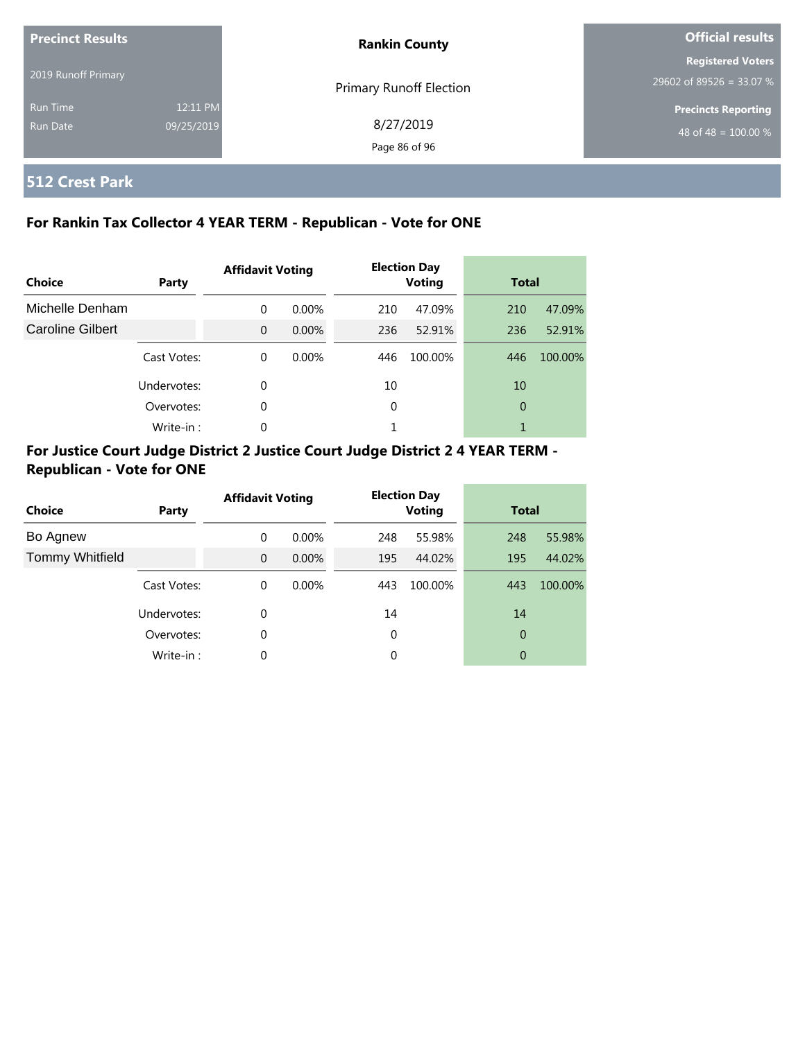| <b>Precinct Results</b> |            | <b>Rankin County</b>           | <b>Official results</b>    |
|-------------------------|------------|--------------------------------|----------------------------|
|                         |            |                                | <b>Registered Voters</b>   |
| 2019 Runoff Primary     |            | <b>Primary Runoff Election</b> | 29602 of 89526 = 33.07 %   |
| Run Time                | 12:11 PM   |                                | <b>Precincts Reporting</b> |
| Run Date                | 09/25/2019 | 8/27/2019                      | 48 of 48 = $100.00\%$      |
|                         |            | Page 86 of 96                  |                            |

# **512 Crest Park**

#### **For Rankin Tax Collector 4 YEAR TERM - Republican - Vote for ONE**

| <b>Choice</b>           | Party       | <b>Affidavit Voting</b> |          |     | <b>Election Day</b><br><b>Voting</b> |     | <b>Total</b> |  |
|-------------------------|-------------|-------------------------|----------|-----|--------------------------------------|-----|--------------|--|
| Michelle Denham         |             | $\Omega$                | $0.00\%$ | 210 | 47.09%                               | 210 | 47.09%       |  |
| <b>Caroline Gilbert</b> |             | $\Omega$                | $0.00\%$ | 236 | 52.91%                               | 236 | 52.91%       |  |
|                         | Cast Votes: | $\Omega$                | $0.00\%$ | 446 | 100.00%                              | 446 | 100.00%      |  |
|                         | Undervotes: | 0                       |          | 10  |                                      | 10  |              |  |
|                         | Overvotes:  | 0                       |          | 0   |                                      | 0   |              |  |
|                         | Write-in:   | 0                       |          | 1   |                                      |     |              |  |

#### **For Justice Court Judge District 2 Justice Court Judge District 2 4 YEAR TERM - Republican - Vote for ONE**

| <b>Choice</b>          | Party       | <b>Affidavit Voting</b> |          |     | <b>Election Day</b><br><b>Voting</b> |     | <b>Total</b> |  |
|------------------------|-------------|-------------------------|----------|-----|--------------------------------------|-----|--------------|--|
| Bo Agnew               |             | $\Omega$                | $0.00\%$ | 248 | 55.98%                               | 248 | 55.98%       |  |
| <b>Tommy Whitfield</b> |             | $\Omega$                | $0.00\%$ | 195 | 44.02%                               | 195 | 44.02%       |  |
|                        | Cast Votes: | 0                       | $0.00\%$ | 443 | 100.00%                              | 443 | 100.00%      |  |
|                        | Undervotes: | 0                       |          | 14  |                                      | 14  |              |  |
|                        | Overvotes:  | 0                       |          | 0   |                                      | 0   |              |  |
|                        | Write-in:   | 0                       |          | 0   |                                      | 0   |              |  |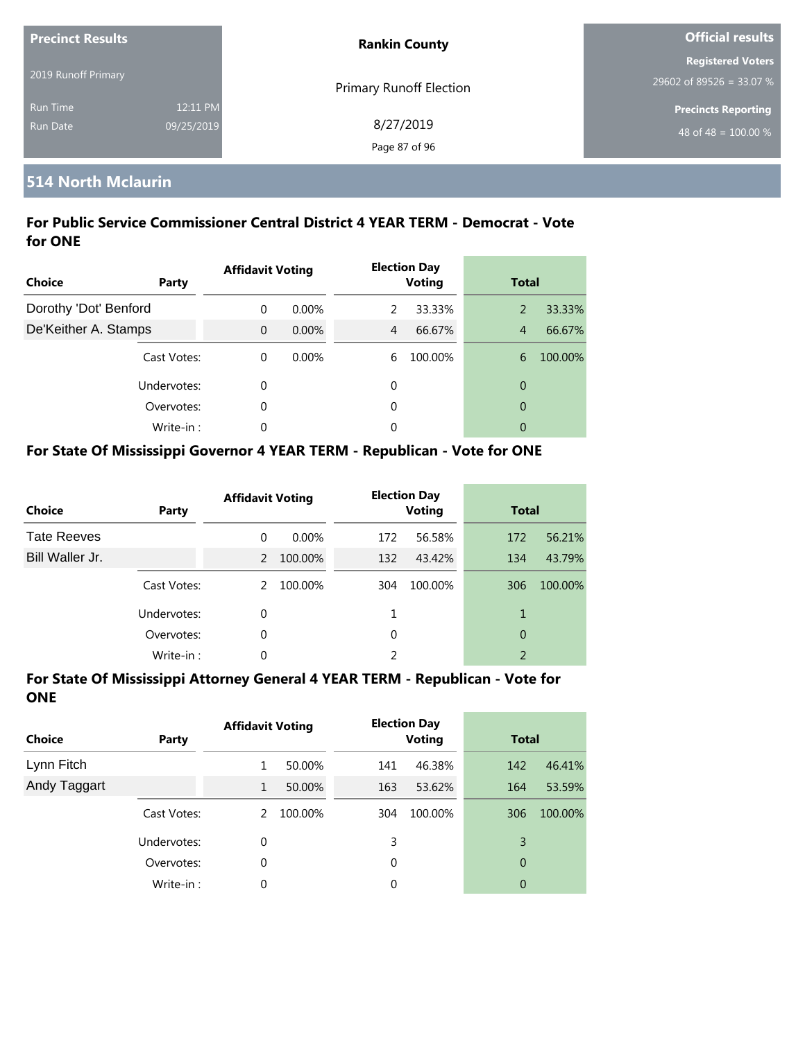| <b>Precinct Results</b> |            | <b>Rankin County</b>           | Official results                 |  |
|-------------------------|------------|--------------------------------|----------------------------------|--|
|                         |            |                                | <b>Registered Voters</b>         |  |
| 2019 Runoff Primary     |            | <b>Primary Runoff Election</b> | 29602 of 89526 = 33.07 %         |  |
| <b>Run Time</b>         | 12:11 PM   |                                | <b>Precincts Reporting</b>       |  |
| Run Date                | 09/25/2019 | 8/27/2019                      | 48 of 48 = $\overline{100.00\%}$ |  |
|                         |            | Page 87 of 96                  |                                  |  |

#### **514 North Mclaurin**

#### **For Public Service Commissioner Central District 4 YEAR TERM - Democrat - Vote for ONE**

| <b>Choice</b>         | Party       | <b>Affidavit Voting</b> |          |   | <b>Election Day</b><br><b>Voting</b> | <b>Total</b>   |         |
|-----------------------|-------------|-------------------------|----------|---|--------------------------------------|----------------|---------|
| Dorothy 'Dot' Benford |             | $\Omega$                | $0.00\%$ | 2 | 33.33%                               | 2              | 33.33%  |
| De'Keither A. Stamps  |             | $\overline{0}$          | $0.00\%$ | 4 | 66.67%                               | $\overline{4}$ | 66.67%  |
|                       | Cast Votes: | $\Omega$                | $0.00\%$ | 6 | 100.00%                              | 6              | 100.00% |
|                       | Undervotes: | 0                       |          | 0 |                                      | $\overline{0}$ |         |
|                       | Overvotes:  | 0                       |          | 0 |                                      | $\overline{0}$ |         |
|                       | Write-in:   | 0                       |          | 0 |                                      | 0              |         |

#### **For State Of Mississippi Governor 4 YEAR TERM - Republican - Vote for ONE**

| <b>Choice</b>      | Party       | <b>Affidavit Voting</b> |         |     | <b>Election Day</b><br><b>Voting</b> |                          | <b>Total</b> |  |
|--------------------|-------------|-------------------------|---------|-----|--------------------------------------|--------------------------|--------------|--|
| <b>Tate Reeves</b> |             | $\Omega$                | 0.00%   | 172 | 56.58%                               | 172                      | 56.21%       |  |
| Bill Waller Jr.    |             | $\mathcal{P}$           | 100.00% | 132 | 43.42%                               | 134                      | 43.79%       |  |
|                    | Cast Votes: | $\mathcal{P}$           | 100.00% | 304 | 100.00%                              | 306                      | 100.00%      |  |
|                    | Undervotes: | 0                       |         |     |                                      | 1                        |              |  |
|                    | Overvotes:  | 0                       |         | 0   |                                      | 0                        |              |  |
|                    | Write-in:   | 0                       |         |     |                                      | $\overline{\phantom{a}}$ |              |  |

| <b>Choice</b> | Party       | <b>Affidavit Voting</b> |         | <b>Election Day</b><br><b>Voting</b> |         | <b>Total</b>   |         |
|---------------|-------------|-------------------------|---------|--------------------------------------|---------|----------------|---------|
| Lynn Fitch    |             |                         | 50.00%  | 141                                  | 46.38%  | 142            | 46.41%  |
| Andy Taggart  |             | 1                       | 50.00%  | 163                                  | 53.62%  | 164            | 53.59%  |
|               | Cast Votes: | 2                       | 100.00% | 304                                  | 100.00% | 306            | 100.00% |
|               | Undervotes: | 0                       |         | 3                                    |         | 3              |         |
|               | Overvotes:  | 0                       |         | 0                                    |         | $\overline{0}$ |         |
|               | Write-in:   | 0                       |         | 0                                    |         | 0              |         |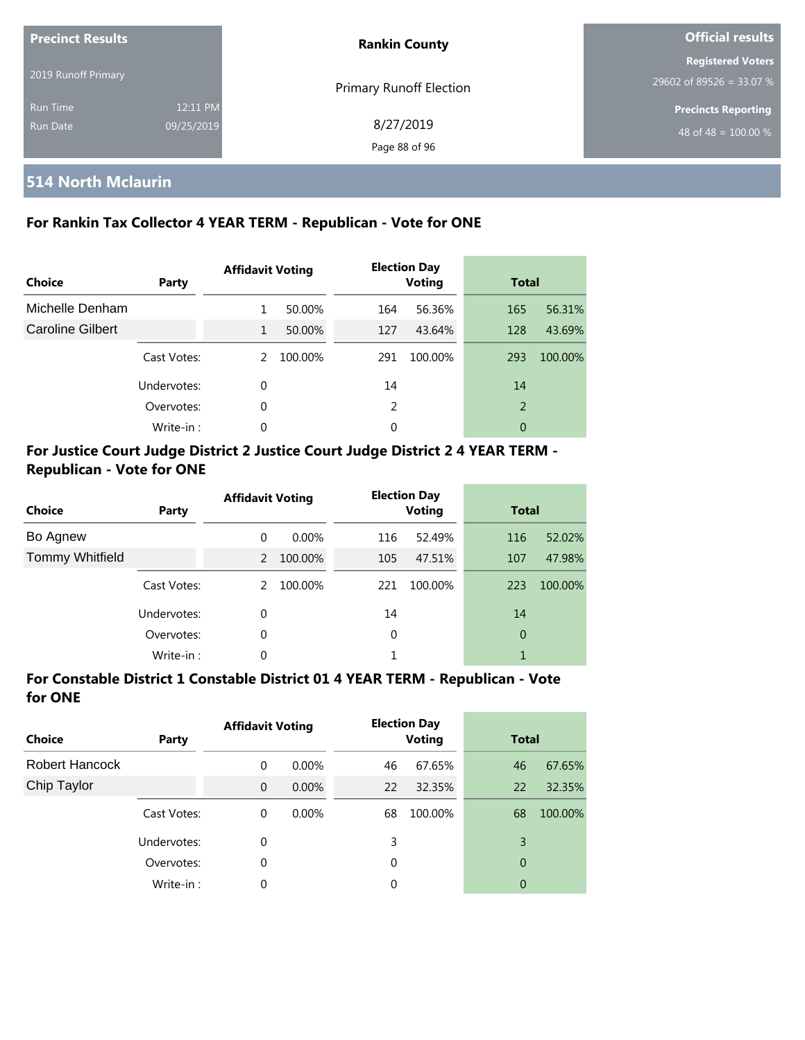| <b>Precinct Results</b> |            | <b>Rankin County</b>           | Official results                 |  |
|-------------------------|------------|--------------------------------|----------------------------------|--|
| 2019 Runoff Primary     |            |                                | <b>Registered Voters</b>         |  |
|                         |            | <b>Primary Runoff Election</b> | 29602 of 89526 = 33.07 %         |  |
| <b>Run Time</b>         | 12:11 PM   |                                | <b>Precincts Reporting</b>       |  |
| <b>Run Date</b>         | 09/25/2019 | 8/27/2019                      | 48 of 48 = $\overline{100.00\%}$ |  |
|                         |            | Page 88 of 96                  |                                  |  |

#### **514 North Mclaurin**

#### **For Rankin Tax Collector 4 YEAR TERM - Republican - Vote for ONE**

| Choice           | Party       | <b>Affidavit Voting</b> |         |     | <b>Election Day</b><br><b>Voting</b> |                | <b>Total</b> |  |
|------------------|-------------|-------------------------|---------|-----|--------------------------------------|----------------|--------------|--|
| Michelle Denham  |             | 1                       | 50.00%  | 164 | 56.36%                               | 165            | 56.31%       |  |
| Caroline Gilbert |             | 1                       | 50.00%  | 127 | 43.64%                               | 128            | 43.69%       |  |
|                  | Cast Votes: | $\mathcal{P}$           | 100.00% | 291 | 100.00%                              | 293            | 100.00%      |  |
|                  | Undervotes: | 0                       |         | 14  |                                      | 14             |              |  |
|                  | Overvotes:  | 0                       |         | 2   |                                      | $\overline{2}$ |              |  |
|                  | Write-in:   | $\Omega$                |         | 0   |                                      | 0              |              |  |

#### **For Justice Court Judge District 2 Justice Court Judge District 2 4 YEAR TERM - Republican - Vote for ONE**

| <b>Choice</b>          | Party       | <b>Affidavit Voting</b> |          |     | <b>Election Day</b><br><b>Voting</b> |          | <b>Total</b> |  |
|------------------------|-------------|-------------------------|----------|-----|--------------------------------------|----------|--------------|--|
| Bo Agnew               |             | $\Omega$                | $0.00\%$ | 116 | 52.49%                               | 116      | 52.02%       |  |
| <b>Tommy Whitfield</b> |             | $\mathcal{P}$           | 100.00%  | 105 | 47.51%                               | 107      | 47.98%       |  |
|                        | Cast Votes: | 2                       | 100.00%  | 221 | 100.00%                              | 223      | 100.00%      |  |
|                        | Undervotes: | $\Omega$                |          | 14  |                                      | 14       |              |  |
|                        | Overvotes:  | 0                       |          | 0   |                                      | $\theta$ |              |  |
|                        | Write-in:   | 0                       |          |     |                                      |          |              |  |

#### **For Constable District 1 Constable District 01 4 YEAR TERM - Republican - Vote for ONE**

| <b>Choice</b>  | Party       | <b>Affidavit Voting</b> |          | <b>Election Day</b><br><b>Voting</b> |         | <b>Total</b> |         |
|----------------|-------------|-------------------------|----------|--------------------------------------|---------|--------------|---------|
| Robert Hancock |             | 0                       | $0.00\%$ | 46                                   | 67.65%  | 46           | 67.65%  |
| Chip Taylor    |             | $\overline{0}$          | $0.00\%$ | 22                                   | 32.35%  | 22           | 32.35%  |
|                | Cast Votes: | 0                       | $0.00\%$ | 68                                   | 100.00% | 68           | 100.00% |
|                | Undervotes: | 0                       |          | 3                                    |         | 3            |         |
|                | Overvotes:  | 0                       |          | 0                                    |         | 0            |         |
|                | Write-in:   | 0                       |          | 0                                    |         | 0            |         |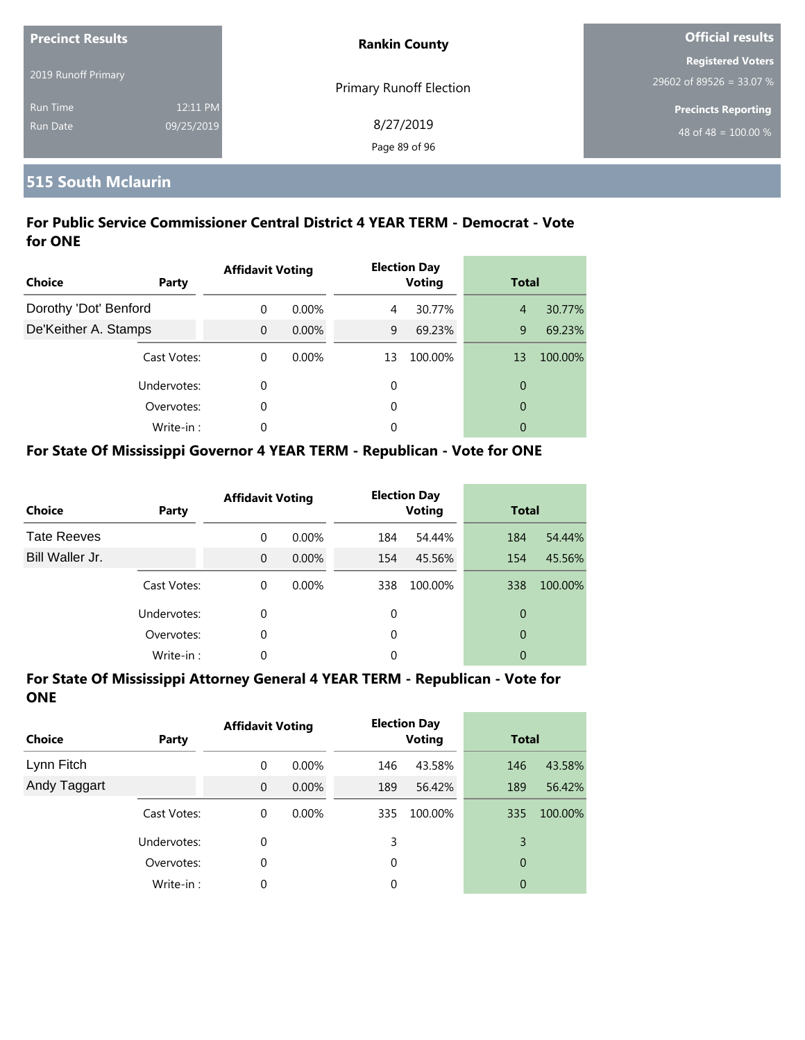| <b>Precinct Results</b> |            | <b>Rankin County</b>           | <b>Official results</b>    |  |
|-------------------------|------------|--------------------------------|----------------------------|--|
|                         |            |                                | <b>Registered Voters</b>   |  |
| 2019 Runoff Primary     |            | <b>Primary Runoff Election</b> | 29602 of 89526 = 33.07 %   |  |
| <b>Run Time</b>         | 12:11 PM   |                                | <b>Precincts Reporting</b> |  |
| Run Date                | 09/25/2019 | 8/27/2019                      | 48 of 48 = $100.00\%$      |  |
|                         |            | Page 89 of 96                  |                            |  |

#### **515 South Mclaurin**

#### **For Public Service Commissioner Central District 4 YEAR TERM - Democrat - Vote for ONE**

| <b>Choice</b>         | Party       | <b>Affidavit Voting</b> |          |    | <b>Election Day</b><br><b>Voting</b> | <b>Total</b>   |         |
|-----------------------|-------------|-------------------------|----------|----|--------------------------------------|----------------|---------|
| Dorothy 'Dot' Benford |             | $\Omega$                | $0.00\%$ | 4  | 30.77%                               | $\overline{4}$ | 30.77%  |
| De'Keither A. Stamps  |             | $\overline{0}$          | $0.00\%$ | 9  | 69.23%                               | 9              | 69.23%  |
|                       | Cast Votes: | $\Omega$                | $0.00\%$ | 13 | 100.00%                              | 13             | 100.00% |
|                       | Undervotes: | 0                       |          | 0  |                                      | 0              |         |
|                       | Overvotes:  | 0                       |          | 0  |                                      | $\overline{0}$ |         |
|                       | Write-in:   | 0                       |          | 0  |                                      | 0              |         |

#### **For State Of Mississippi Governor 4 YEAR TERM - Republican - Vote for ONE**

| <b>Choice</b>      | Party       | <b>Affidavit Voting</b> |          |     | <b>Election Day</b><br><b>Voting</b> | <b>Total</b>   |         |
|--------------------|-------------|-------------------------|----------|-----|--------------------------------------|----------------|---------|
| <b>Tate Reeves</b> |             | $\Omega$                | 0.00%    | 184 | 54.44%                               | 184            | 54.44%  |
| Bill Waller Jr.    |             | $\Omega$                | $0.00\%$ | 154 | 45.56%                               | 154            | 45.56%  |
|                    | Cast Votes: | $\Omega$                | $0.00\%$ | 338 | 100.00%                              | 338            | 100.00% |
|                    | Undervotes: | 0                       |          | 0   |                                      | 0              |         |
|                    | Overvotes:  | 0                       |          | 0   |                                      | $\overline{0}$ |         |
|                    | Write-in:   | 0                       |          | 0   |                                      | 0              |         |

| <b>Choice</b> | <b>Party</b> | <b>Affidavit Voting</b> |          |     | <b>Election Day</b><br><b>Voting</b> | <b>Total</b> |         |
|---------------|--------------|-------------------------|----------|-----|--------------------------------------|--------------|---------|
| Lynn Fitch    |              | 0                       | $0.00\%$ | 146 | 43.58%                               | 146          | 43.58%  |
| Andy Taggart  |              | $\overline{0}$          | $0.00\%$ | 189 | 56.42%                               | 189          | 56.42%  |
|               | Cast Votes:  | 0                       | $0.00\%$ | 335 | 100.00%                              | 335          | 100.00% |
|               | Undervotes:  | 0                       |          | 3   |                                      | 3            |         |
|               | Overvotes:   | 0                       |          | 0   |                                      | 0            |         |
|               | Write-in:    | 0                       |          | 0   |                                      | 0            |         |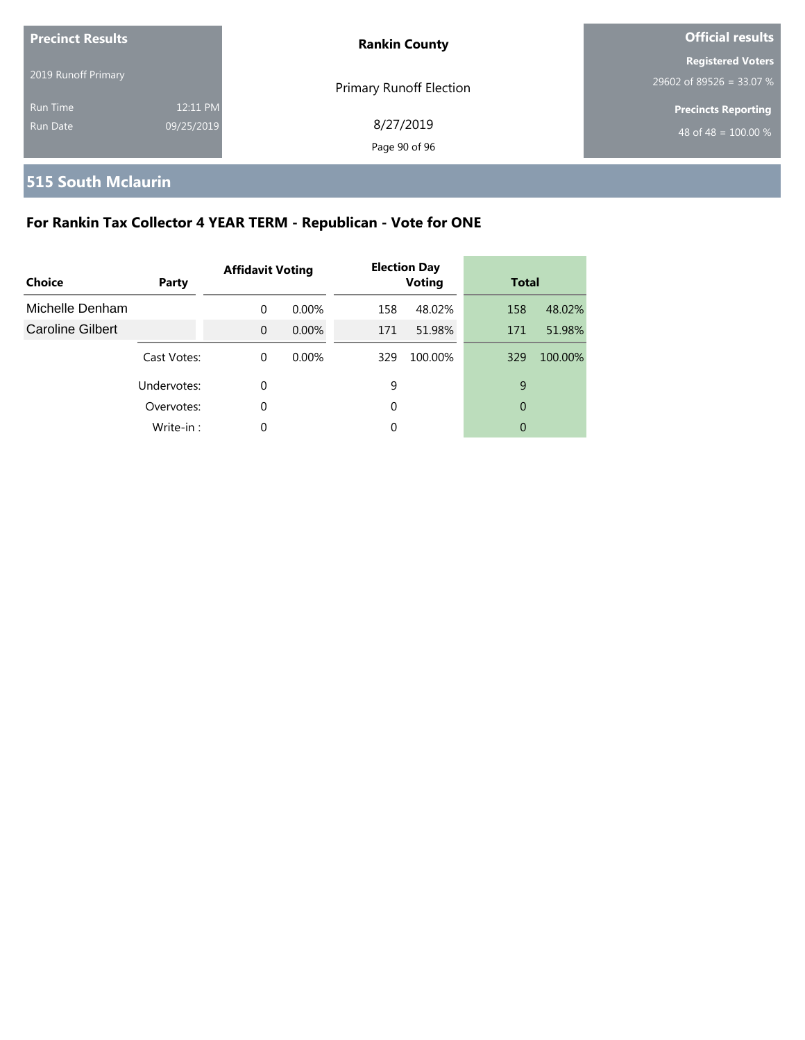| <b>Precinct Results</b> |            | <b>Rankin County</b>           | Official results                 |  |
|-------------------------|------------|--------------------------------|----------------------------------|--|
| 2019 Runoff Primary     |            |                                | <b>Registered Voters</b>         |  |
|                         |            | <b>Primary Runoff Election</b> | 29602 of 89526 = 33.07 %         |  |
| Run Time                | 12:11 PM   |                                | <b>Precincts Reporting</b>       |  |
| Run Date                | 09/25/2019 | 8/27/2019                      | 48 of 48 = $\overline{100.00\%}$ |  |
|                         |            | Page 90 of 96                  |                                  |  |

# **515 South Mclaurin**

# **For Rankin Tax Collector 4 YEAR TERM - Republican - Vote for ONE**

| Choice                  | Party       | <b>Affidavit Voting</b> |          |     | <b>Election Day</b><br><b>Voting</b> | <b>Total</b> |         |
|-------------------------|-------------|-------------------------|----------|-----|--------------------------------------|--------------|---------|
| Michelle Denham         |             | $\Omega$                | $0.00\%$ | 158 | 48.02%                               | 158          | 48.02%  |
| <b>Caroline Gilbert</b> |             | $\Omega$                | $0.00\%$ | 171 | 51.98%                               | 171          | 51.98%  |
|                         | Cast Votes: | $\Omega$                | $0.00\%$ | 329 | 100.00%                              | 329          | 100.00% |
|                         | Undervotes: | 0                       |          | 9   |                                      | 9            |         |
|                         | Overvotes:  | 0                       |          | 0   |                                      | 0            |         |
|                         | Write-in:   | 0                       |          | 0   |                                      | 0            |         |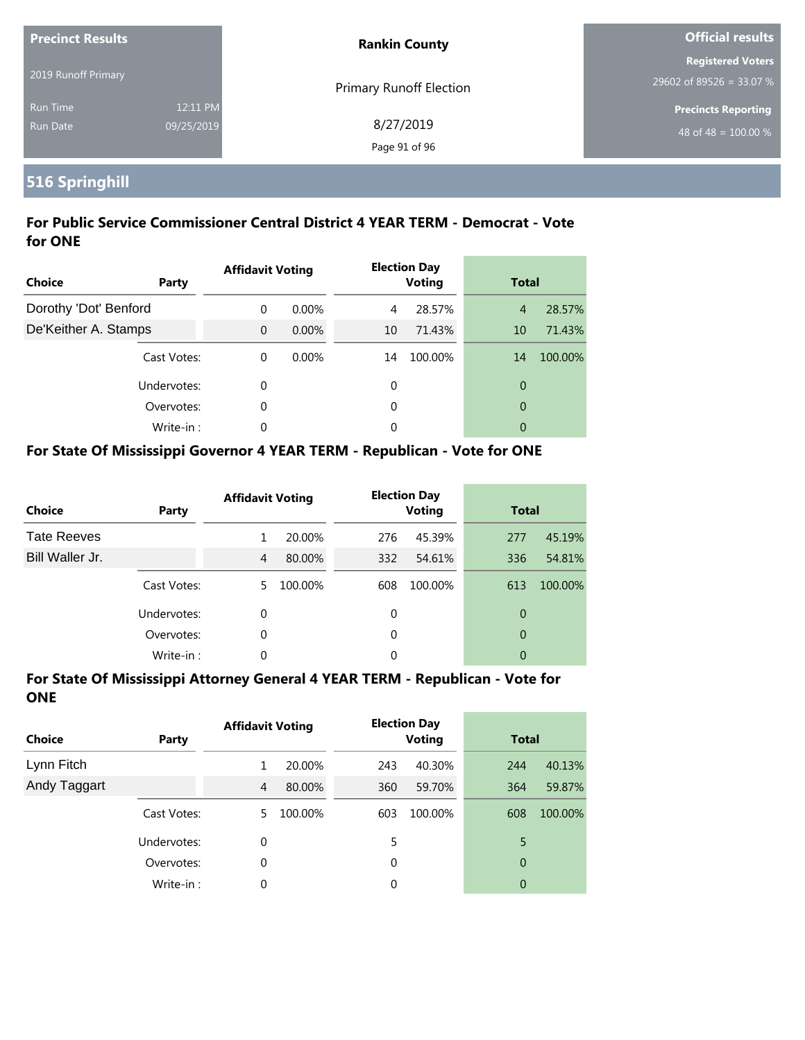| <b>Precinct Results</b> |            | <b>Rankin County</b>           | <b>Official results</b>                              |
|-------------------------|------------|--------------------------------|------------------------------------------------------|
| 2019 Runoff Primary     |            |                                | <b>Registered Voters</b><br>29602 of 89526 = 33.07 % |
| <b>Run Time</b>         | 12:11 PM   | <b>Primary Runoff Election</b> | <b>Precincts Reporting</b>                           |
| <b>Run Date</b>         | 09/25/2019 | 8/27/2019<br>Page 91 of 96     | 48 of 48 = $100.00\%$                                |

# **516 Springhill**

#### **For Public Service Commissioner Central District 4 YEAR TERM - Democrat - Vote for ONE**

| <b>Choice</b>         | <b>Party</b> | <b>Affidavit Voting</b> |          |    | <b>Election Day</b><br><b>Voting</b> | <b>Total</b>   |         |
|-----------------------|--------------|-------------------------|----------|----|--------------------------------------|----------------|---------|
| Dorothy 'Dot' Benford |              | $\Omega$                | $0.00\%$ | 4  | 28.57%                               | $\overline{4}$ | 28.57%  |
| De'Keither A. Stamps  |              | $\Omega$                | $0.00\%$ | 10 | 71.43%                               | 10             | 71.43%  |
|                       | Cast Votes:  | $\Omega$                | $0.00\%$ | 14 | 100.00%                              | 14             | 100.00% |
| Undervotes:           |              | 0                       |          | 0  |                                      | $\overline{0}$ |         |
|                       | Overvotes:   | 0                       |          | 0  |                                      | $\overline{0}$ |         |
|                       | Write-in:    | 0                       |          | 0  |                                      | 0              |         |

#### **For State Of Mississippi Governor 4 YEAR TERM - Republican - Vote for ONE**

| <b>Choice</b>      | Party       | <b>Affidavit Voting</b> |         |          | <b>Election Day</b><br><b>Voting</b> | <b>Total</b> |         |
|--------------------|-------------|-------------------------|---------|----------|--------------------------------------|--------------|---------|
| <b>Tate Reeves</b> |             |                         | 20.00%  | 276      | 45.39%                               | 277          | 45.19%  |
| Bill Waller Jr.    |             | 4                       | 80.00%  | 332      | 54.61%                               | 336          | 54.81%  |
|                    | Cast Votes: | 5.                      | 100.00% | 608      | 100.00%                              | 613          | 100.00% |
|                    | Undervotes: | $\Omega$                |         | 0        |                                      | 0            |         |
|                    | Overvotes:  | 0                       |         | $\Omega$ |                                      | 0            |         |
|                    | Write-in:   | 0                       |         | 0        |                                      | 0            |         |

| <b>Choice</b> | Party       | <b>Affidavit Voting</b> |         |          | <b>Election Day</b><br><b>Voting</b> | <b>Total</b>   |         |
|---------------|-------------|-------------------------|---------|----------|--------------------------------------|----------------|---------|
| Lynn Fitch    |             |                         | 20.00%  | 243      | 40.30%                               | 244            | 40.13%  |
| Andy Taggart  |             | 4                       | 80.00%  | 360      | 59.70%                               | 364            | 59.87%  |
|               | Cast Votes: | 5.                      | 100.00% | 603      | 100.00%                              | 608            | 100.00% |
|               | Undervotes: | 0                       |         | 5        |                                      | 5              |         |
|               | Overvotes:  | 0                       |         | $\Omega$ |                                      | $\theta$       |         |
|               | Write-in:   | 0                       |         | 0        |                                      | $\overline{0}$ |         |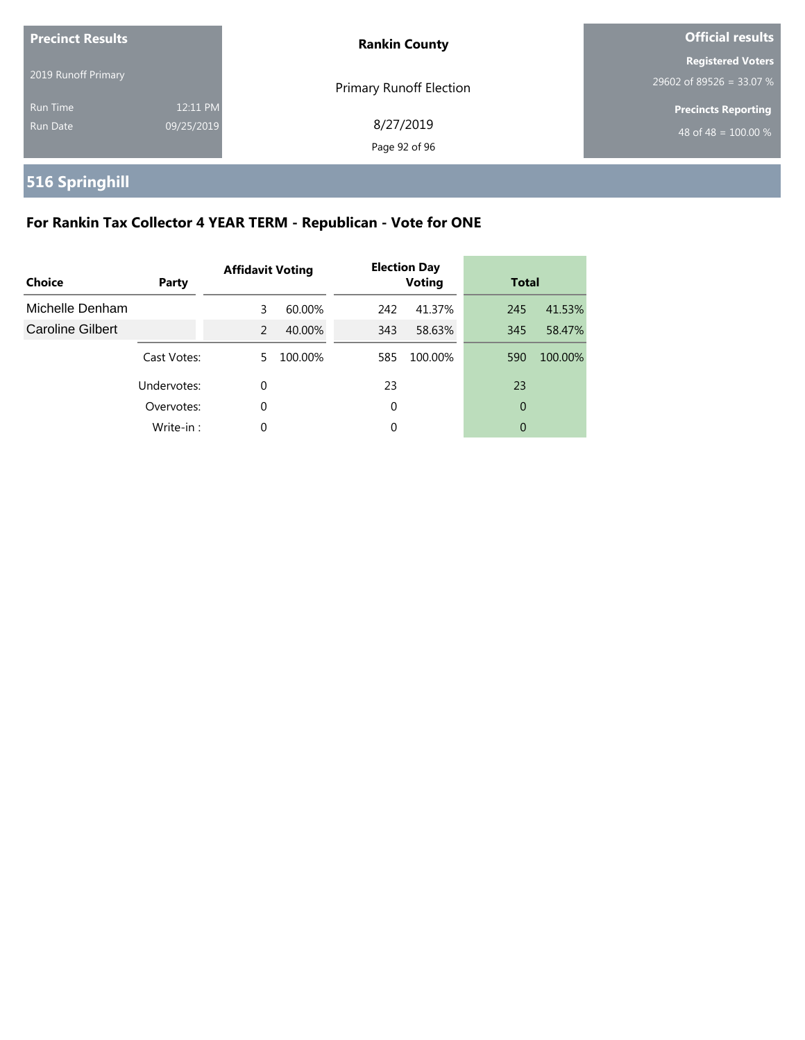| <b>Precinct Results</b> |            | <b>Rankin County</b>           | <b>Official results</b>    |
|-------------------------|------------|--------------------------------|----------------------------|
|                         |            |                                | <b>Registered Voters</b>   |
| 2019 Runoff Primary     |            | <b>Primary Runoff Election</b> | 29602 of 89526 = 33.07 %   |
| Run Time                | 12:11 PM   |                                | <b>Precincts Reporting</b> |
| Run Date                | 09/25/2019 | 8/27/2019                      | 48 of 48 = $100.00\%$      |
|                         |            | Page 92 of 96                  |                            |

# **516 Springhill**

# **For Rankin Tax Collector 4 YEAR TERM - Republican - Vote for ONE**

| Choice                  | Party       | <b>Affidavit Voting</b> |         |     | <b>Election Day</b><br><b>Voting</b> | <b>Total</b> |         |
|-------------------------|-------------|-------------------------|---------|-----|--------------------------------------|--------------|---------|
| Michelle Denham         |             | 3                       | 60.00%  | 242 | 41.37%                               | 245          | 41.53%  |
| <b>Caroline Gilbert</b> |             | 2                       | 40.00%  | 343 | 58.63%                               | 345          | 58.47%  |
|                         | Cast Votes: | 5.                      | 100.00% | 585 | 100.00%                              | 590          | 100.00% |
|                         | Undervotes: | 0                       |         | 23  |                                      | 23           |         |
|                         | Overvotes:  | 0                       |         | 0   |                                      | 0            |         |
|                         | Write-in:   | 0                       |         | 0   |                                      | 0            |         |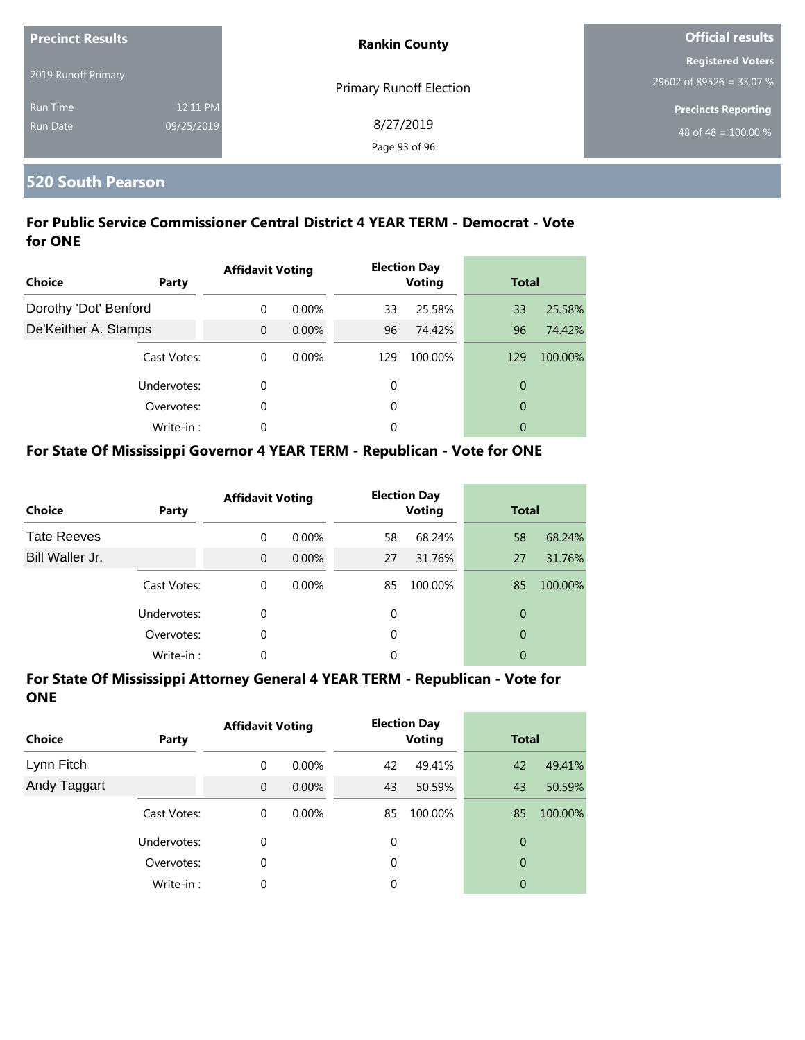| <b>Precinct Results</b> |            | <b>Rankin County</b>    | <b>Official results</b>          |
|-------------------------|------------|-------------------------|----------------------------------|
|                         |            |                         | <b>Registered Voters</b>         |
| 2019 Runoff Primary     |            | Primary Runoff Election | 29602 of 89526 = 33.07 %         |
| <b>Run Time</b>         | 12:11 PM   |                         | <b>Precincts Reporting</b>       |
| <b>Run Date</b>         | 09/25/2019 | 8/27/2019               | 48 of 48 = $\overline{100.00\%}$ |
|                         |            | Page 93 of 96           |                                  |

#### **520 South Pearson**

#### **For Public Service Commissioner Central District 4 YEAR TERM - Democrat - Vote for ONE**

| <b>Choice</b>         | Party       | <b>Affidavit Voting</b> |          |     | <b>Election Day</b><br><b>Voting</b> | <b>Total</b>   |         |
|-----------------------|-------------|-------------------------|----------|-----|--------------------------------------|----------------|---------|
| Dorothy 'Dot' Benford |             | $\Omega$                | $0.00\%$ | 33  | 25.58%                               | 33             | 25.58%  |
| De'Keither A. Stamps  |             | $\Omega$                | $0.00\%$ | 96  | 74.42%                               | 96             | 74.42%  |
|                       | Cast Votes: | $\Omega$                | $0.00\%$ | 129 | 100.00%                              | 129            | 100.00% |
|                       | Undervotes: | $\Omega$                |          | 0   |                                      | $\overline{0}$ |         |
|                       | Overvotes:  | $\Omega$                |          | 0   |                                      | $\overline{0}$ |         |
|                       | Write-in:   | $\Omega$                |          | 0   |                                      | 0              |         |

#### **For State Of Mississippi Governor 4 YEAR TERM - Republican - Vote for ONE**

| <b>Choice</b>      | Party       | <b>Affidavit Voting</b> |          |          | <b>Election Day</b><br><b>Voting</b> |    | <b>Total</b> |
|--------------------|-------------|-------------------------|----------|----------|--------------------------------------|----|--------------|
| <b>Tate Reeves</b> |             | $\Omega$                | 0.00%    | 58       | 68.24%                               | 58 | 68.24%       |
| Bill Waller Jr.    |             | $\Omega$                | $0.00\%$ | 27       | 31.76%                               | 27 | 31.76%       |
|                    | Cast Votes: | $\Omega$                | $0.00\%$ | 85       | 100.00%                              | 85 | 100.00%      |
|                    | Undervotes: | $\Omega$                |          | $\Omega$ |                                      | 0  |              |
|                    | Overvotes:  | 0                       |          | $\Omega$ |                                      | 0  |              |
|                    | Write-in:   | 0                       |          | 0        |                                      | 0  |              |

| <b>Choice</b> | Party       | <b>Affidavit Voting</b> |          |             | <b>Election Day</b><br><b>Voting</b> |    | <b>Total</b> |  |
|---------------|-------------|-------------------------|----------|-------------|--------------------------------------|----|--------------|--|
| Lynn Fitch    |             | 0                       | $0.00\%$ | 42          | 49.41%                               | 42 | 49.41%       |  |
| Andy Taggart  |             | $\mathbf{0}$            | $0.00\%$ | 43          | 50.59%                               | 43 | 50.59%       |  |
|               | Cast Votes: | 0                       | $0.00\%$ | 85          | 100.00%                              | 85 | 100.00%      |  |
|               | Undervotes: | 0                       |          | $\mathbf 0$ |                                      | 0  |              |  |
|               | Overvotes:  | 0                       |          | 0           |                                      | 0  |              |  |
|               | Write-in:   | 0                       |          | 0           |                                      | 0  |              |  |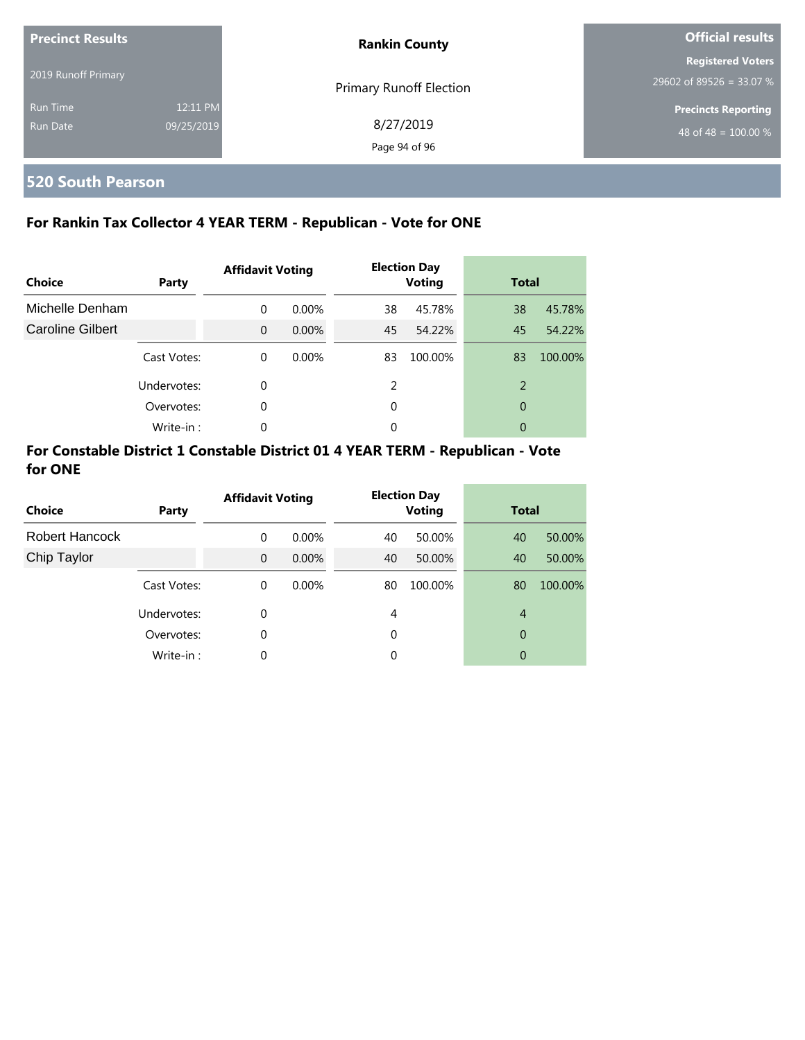| <b>Precinct Results</b> |            | <b>Rankin County</b>           | <b>Official results</b>    |  |
|-------------------------|------------|--------------------------------|----------------------------|--|
|                         |            |                                | <b>Registered Voters</b>   |  |
| 2019 Runoff Primary     |            | <b>Primary Runoff Election</b> | 29602 of 89526 = 33.07 %   |  |
| <b>Run Time</b>         | 12:11 PM   |                                | <b>Precincts Reporting</b> |  |
| Run Date                | 09/25/2019 | 8/27/2019                      | 48 of 48 = $100.00\%$      |  |
|                         |            | Page 94 of 96                  |                            |  |

# **520 South Pearson**

#### **For Rankin Tax Collector 4 YEAR TERM - Republican - Vote for ONE**

| <b>Choice</b>           | Party       | <b>Affidavit Voting</b> |          |               | <b>Election Day</b><br><b>Voting</b> |                          | <b>Total</b> |
|-------------------------|-------------|-------------------------|----------|---------------|--------------------------------------|--------------------------|--------------|
| Michelle Denham         |             | 0                       | $0.00\%$ | 38            | 45.78%                               | 38                       | 45.78%       |
| <b>Caroline Gilbert</b> |             | $\Omega$                | $0.00\%$ | 45            | 54.22%                               | 45                       | 54.22%       |
|                         | Cast Votes: | $\Omega$                | $0.00\%$ | 83            | 100.00%                              | 83                       | 100.00%      |
|                         | Undervotes: | 0                       |          | $\mathcal{P}$ |                                      | $\overline{\phantom{0}}$ |              |
|                         | Overvotes:  | 0                       |          | 0             |                                      | $\overline{0}$           |              |
|                         | Write-in:   | 0                       |          | 0             |                                      | 0                        |              |

#### **For Constable District 1 Constable District 01 4 YEAR TERM - Republican - Vote for ONE**

| <b>Choice</b>         | Party       | <b>Affidavit Voting</b> |          |    | <b>Election Day</b><br><b>Voting</b> |                | <b>Total</b> |
|-----------------------|-------------|-------------------------|----------|----|--------------------------------------|----------------|--------------|
| <b>Robert Hancock</b> |             | $\Omega$                | $0.00\%$ | 40 | 50.00%                               | 40             | 50.00%       |
| Chip Taylor           |             | $\Omega$                | $0.00\%$ | 40 | 50.00%                               | 40             | 50.00%       |
|                       | Cast Votes: | 0                       | $0.00\%$ | 80 | 100.00%                              | 80             | 100.00%      |
|                       | Undervotes: | $\Omega$                |          | 4  |                                      | $\overline{4}$ |              |
|                       | Overvotes:  | $\Omega$                |          | 0  |                                      | 0              |              |
|                       | Write-in:   | $\Omega$                |          | 0  |                                      | 0              |              |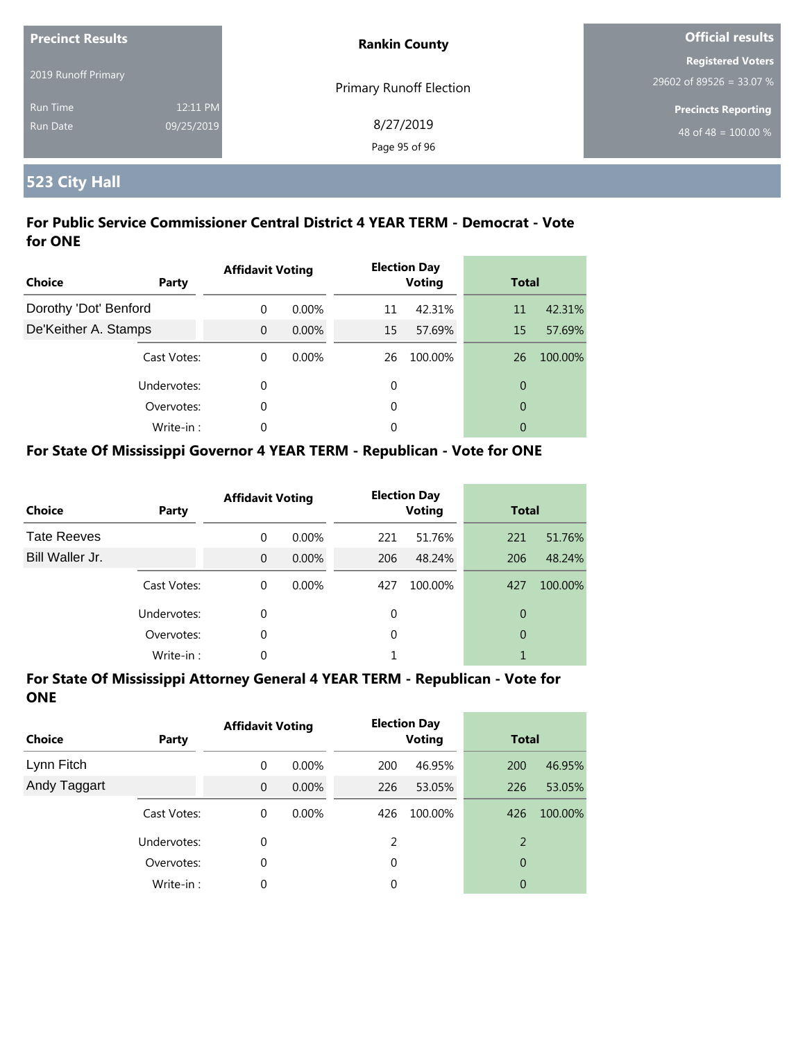| <b>Precinct Results</b> |            | <b>Rankin County</b>           | <b>Official results</b>          |  |
|-------------------------|------------|--------------------------------|----------------------------------|--|
|                         |            |                                | <b>Registered Voters</b>         |  |
| 2019 Runoff Primary     |            | <b>Primary Runoff Election</b> | 29602 of 89526 = 33.07 %         |  |
| Run Time                | 12:11 PM   |                                | <b>Precincts Reporting</b>       |  |
| Run Date                | 09/25/2019 | 8/27/2019                      | 48 of 48 = $\overline{100.00\%}$ |  |
|                         |            | Page 95 of 96                  |                                  |  |

# **523 City Hall**

#### **For Public Service Commissioner Central District 4 YEAR TERM - Democrat - Vote for ONE**

| Choice                | Party       | <b>Affidavit Voting</b> |          |    | <b>Election Day</b><br><b>Voting</b> | <b>Total</b>   |         |
|-----------------------|-------------|-------------------------|----------|----|--------------------------------------|----------------|---------|
| Dorothy 'Dot' Benford |             | $\Omega$                | $0.00\%$ | 11 | 42.31%                               | 11             | 42.31%  |
| De'Keither A. Stamps  |             | $\Omega$                | $0.00\%$ | 15 | 57.69%                               | 15             | 57.69%  |
|                       | Cast Votes: | $\theta$                | $0.00\%$ | 26 | 100.00%                              | 26             | 100.00% |
|                       | Undervotes: | 0                       |          | 0  |                                      | $\overline{0}$ |         |
|                       | Overvotes:  | 0                       |          | 0  |                                      | $\overline{0}$ |         |
|                       | Write-in:   | 0                       |          | 0  |                                      | 0              |         |

#### **For State Of Mississippi Governor 4 YEAR TERM - Republican - Vote for ONE**

| <b>Choice</b>      | Party       | <b>Affidavit Voting</b> |          |     | <b>Election Day</b><br><b>Voting</b> |                | <b>Total</b> |  |
|--------------------|-------------|-------------------------|----------|-----|--------------------------------------|----------------|--------------|--|
| <b>Tate Reeves</b> |             | $\Omega$                | 0.00%    | 221 | 51.76%                               | 221            | 51.76%       |  |
| Bill Waller Jr.    |             | $\Omega$                | $0.00\%$ | 206 | 48.24%                               | 206            | 48.24%       |  |
|                    | Cast Votes: | $\Omega$                | $0.00\%$ | 427 | 100.00%                              | 427            | 100.00%      |  |
|                    | Undervotes: | 0                       |          | 0   |                                      | 0              |              |  |
|                    | Overvotes:  | 0                       |          | 0   |                                      | $\overline{0}$ |              |  |
|                    | Write-in:   | 0                       |          |     |                                      |                |              |  |

| <b>Choice</b> | Party       | <b>Affidavit Voting</b> |          |     | <b>Election Day</b><br><b>Voting</b> |     | <b>Total</b> |  |
|---------------|-------------|-------------------------|----------|-----|--------------------------------------|-----|--------------|--|
| Lynn Fitch    |             | 0                       | $0.00\%$ | 200 | 46.95%                               | 200 | 46.95%       |  |
| Andy Taggart  |             | $\overline{0}$          | $0.00\%$ | 226 | 53.05%                               | 226 | 53.05%       |  |
|               | Cast Votes: | 0                       | $0.00\%$ | 426 | 100.00%                              | 426 | 100.00%      |  |
|               | Undervotes: | 0                       |          | 2   |                                      | 2   |              |  |
|               | Overvotes:  | 0                       |          | 0   |                                      | 0   |              |  |
|               | Write-in:   | 0                       |          | 0   |                                      | 0   |              |  |